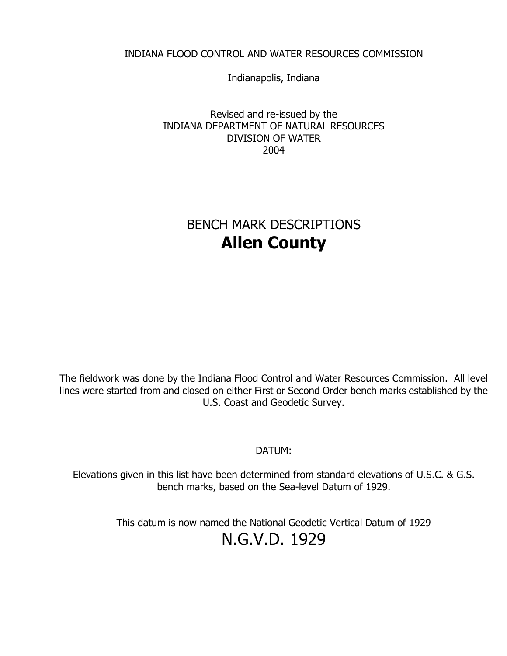## INDIANA FLOOD CONTROL AND WATER RESOURCES COMMISSION

Indianapolis, Indiana

Revised and re-issued by the INDIANA DEPARTMENT OF NATURAL RESOURCES DIVISION OF WATER 2004

# BENCH MARK DESCRIPTIONS **Allen County**

The fieldwork was done by the Indiana Flood Control and Water Resources Commission. All level lines were started from and closed on either First or Second Order bench marks established by the U.S. Coast and Geodetic Survey.

DATUM:

Elevations given in this list have been determined from standard elevations of U.S.C. & G.S. bench marks, based on the Sea-level Datum of 1929.

> This datum is now named the National Geodetic Vertical Datum of 1929 N.G.V.D. 1929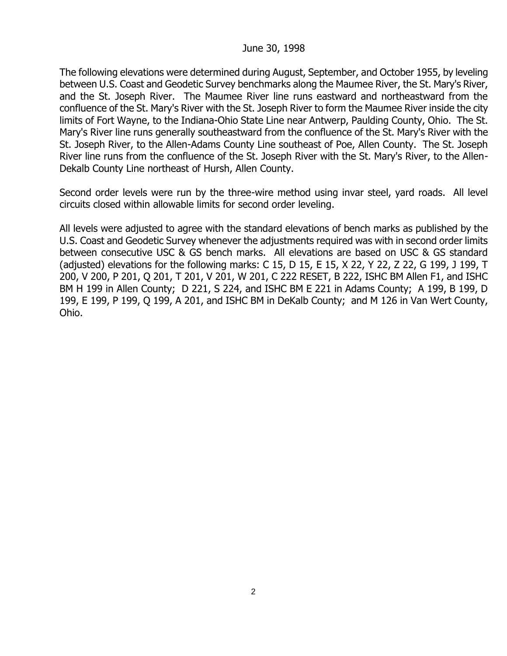## June 30, 1998

The following elevations were determined during August, September, and October 1955, by leveling between U.S. Coast and Geodetic Survey benchmarks along the Maumee River, the St. Mary's River, and the St. Joseph River. The Maumee River line runs eastward and northeastward from the confluence of the St. Mary's River with the St. Joseph River to form the Maumee River inside the city limits of Fort Wayne, to the Indiana-Ohio State Line near Antwerp, Paulding County, Ohio. The St. Mary's River line runs generally southeastward from the confluence of the St. Mary's River with the St. Joseph River, to the Allen-Adams County Line southeast of Poe, Allen County. The St. Joseph River line runs from the confluence of the St. Joseph River with the St. Mary's River, to the Allen-Dekalb County Line northeast of Hursh, Allen County.

Second order levels were run by the three-wire method using invar steel, yard roads. All level circuits closed within allowable limits for second order leveling.

All levels were adjusted to agree with the standard elevations of bench marks as published by the U.S. Coast and Geodetic Survey whenever the adjustments required was with in second order limits between consecutive USC & GS bench marks. All elevations are based on USC & GS standard (adjusted) elevations for the following marks: C 15, D 15, E 15, X 22, Y 22, Z 22, G 199, J 199, T 200, V 200, P 201, Q 201, T 201, V 201, W 201, C 222 RESET, B 222, ISHC BM Allen F1, and ISHC BM H 199 in Allen County; D 221, S 224, and ISHC BM E 221 in Adams County; A 199, B 199, D 199, E 199, P 199, Q 199, A 201, and ISHC BM in DeKalb County; and M 126 in Van Wert County, Ohio.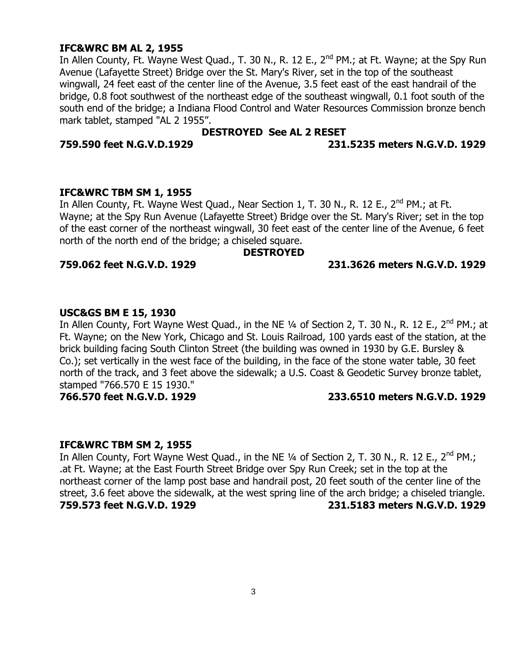## **IFC&WRC BM AL 2, 1955**

In Allen County, Ft. Wayne West Quad., T. 30 N., R. 12 E., 2<sup>nd</sup> PM.; at Ft. Wayne; at the Spy Run Avenue (Lafayette Street) Bridge over the St. Mary's River, set in the top of the southeast wingwall, 24 feet east of the center line of the Avenue, 3.5 feet east of the east handrail of the bridge, 0.8 foot southwest of the northeast edge of the southeast wingwall, 0.1 foot south of the south end of the bridge; a Indiana Flood Control and Water Resources Commission bronze bench mark tablet, stamped "AL 2 1955".

## **DESTROYED See AL 2 RESET**

#### **759.590 feet N.G.V.D.1929 231.5235 meters N.G.V.D. 1929**

### **IFC&WRC TBM SM 1, 1955**

In Allen County, Ft. Wayne West Quad., Near Section 1, T. 30 N., R. 12 E.,  $2^{nd}$  PM.; at Ft. Wayne; at the Spy Run Avenue (Lafayette Street) Bridge over the St. Mary's River; set in the top of the east corner of the northeast wingwall, 30 feet east of the center line of the Avenue, 6 feet north of the north end of the bridge; a chiseled square.

#### **DESTROYED**

## **759.062 feet N.G.V.D. 1929 231.3626 meters N.G.V.D. 1929**

### **USC&GS BM E 15, 1930**

In Allen County, Fort Wayne West Quad., in the NE 1/4 of Section 2, T. 30 N., R. 12 E., 2<sup>nd</sup> PM.; at Ft. Wayne; on the New York, Chicago and St. Louis Railroad, 100 yards east of the station, at the brick building facing South Clinton Street (the building was owned in 1930 by G.E. Bursley & Co.); set vertically in the west face of the building, in the face of the stone water table, 30 feet north of the track, and 3 feet above the sidewalk; a U.S. Coast & Geodetic Survey bronze tablet, stamped "766.570 E 15 1930."

## **766.570 feet N.G.V.D. 1929 233.6510 meters N.G.V.D. 1929**

#### **IFC&WRC TBM SM 2, 1955**

In Allen County, Fort Wayne West Quad., in the NE 1/4 of Section 2, T. 30 N., R. 12 E., 2<sup>nd</sup> PM.; .at Ft. Wayne; at the East Fourth Street Bridge over Spy Run Creek; set in the top at the northeast corner of the lamp post base and handrail post, 20 feet south of the center line of the street, 3.6 feet above the sidewalk, at the west spring line of the arch bridge; a chiseled triangle. **759.573 feet N.G.V.D. 1929 231.5183 meters N.G.V.D. 1929**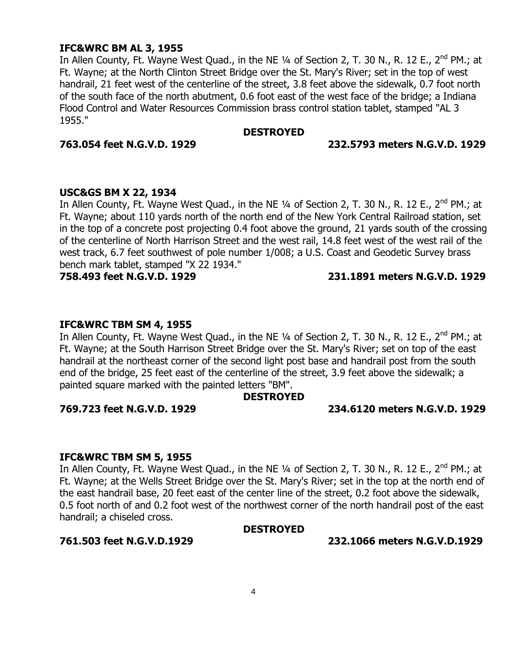## **IFC&WRC BM AL 3, 1955**

In Allen County, Ft. Wayne West Quad., in the NE 1/4 of Section 2, T. 30 N., R. 12 E., 2<sup>nd</sup> PM.; at Ft. Wayne; at the North Clinton Street Bridge over the St. Mary's River; set in the top of west handrail, 21 feet west of the centerline of the street, 3.8 feet above the sidewalk, 0.7 foot north of the south face of the north abutment, 0.6 foot east of the west face of the bridge; a Indiana Flood Control and Water Resources Commission brass control station tablet, stamped "AL 3 1955."

#### **DESTROYED**

#### **763.054 feet N.G.V.D. 1929 232.5793 meters N.G.V.D. 1929**

### **USC&GS BM X 22, 1934**

In Allen County, Ft. Wayne West Quad., in the NE  $\frac{1}{4}$  of Section 2, T. 30 N., R. 12 E., 2<sup>nd</sup> PM.; at Ft. Wayne; about 110 yards north of the north end of the New York Central Railroad station, set in the top of a concrete post projecting 0.4 foot above the ground, 21 yards south of the crossing of the centerline of North Harrison Street and the west rail, 14.8 feet west of the west rail of the west track, 6.7 feet southwest of pole number 1/008; a U.S. Coast and Geodetic Survey brass bench mark tablet, stamped "X 22 1934."

#### **758.493 feet N.G.V.D. 1929 231.1891 meters N.G.V.D. 1929**

## **IFC&WRC TBM SM 4, 1955**

In Allen County, Ft. Wayne West Quad., in the NE 1/4 of Section 2, T. 30 N., R. 12 E., 2<sup>nd</sup> PM.; at Ft. Wayne; at the South Harrison Street Bridge over the St. Mary's River; set on top of the east handrail at the northeast corner of the second light post base and handrail post from the south end of the bridge, 25 feet east of the centerline of the street, 3.9 feet above the sidewalk; a painted square marked with the painted letters "BM".

#### **DESTROYED**

#### **769.723 feet N.G.V.D. 1929 234.6120 meters N.G.V.D. 1929**

#### **IFC&WRC TBM SM 5, 1955**

In Allen County, Ft. Wayne West Quad., in the NE  $\frac{1}{4}$  of Section 2, T. 30 N., R. 12 E., 2<sup>nd</sup> PM.; at Ft. Wayne; at the Wells Street Bridge over the St. Mary's River; set in the top at the north end of the east handrail base, 20 feet east of the center line of the street, 0.2 foot above the sidewalk, 0.5 foot north of and 0.2 foot west of the northwest corner of the north handrail post of the east handrail; a chiseled cross.

#### **DESTROYED**

**761.503 feet N.G.V.D.1929 232.1066 meters N.G.V.D.1929**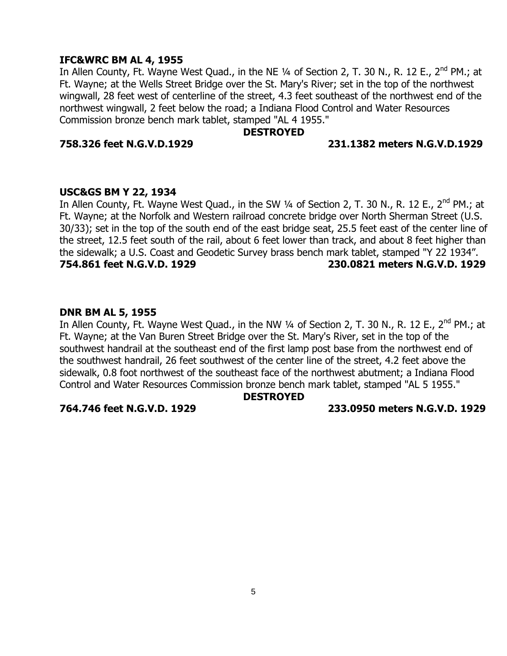## **IFC&WRC BM AL 4, 1955**

In Allen County, Ft. Wayne West Quad., in the NE 1/4 of Section 2, T. 30 N., R. 12 E., 2<sup>nd</sup> PM.; at Ft. Wayne; at the Wells Street Bridge over the St. Mary's River; set in the top of the northwest wingwall, 28 feet west of centerline of the street, 4.3 feet southeast of the northwest end of the northwest wingwall, 2 feet below the road; a Indiana Flood Control and Water Resources Commission bronze bench mark tablet, stamped "AL 4 1955."

## **DESTROYED**

### **758.326 feet N.G.V.D.1929 231.1382 meters N.G.V.D.1929**

### **USC&GS BM Y 22, 1934**

In Allen County, Ft. Wayne West Quad., in the SW 1/4 of Section 2, T. 30 N., R. 12 E., 2<sup>nd</sup> PM.; at Ft. Wayne; at the Norfolk and Western railroad concrete bridge over North Sherman Street (U.S. 30/33); set in the top of the south end of the east bridge seat, 25.5 feet east of the center line of the street, 12.5 feet south of the rail, about 6 feet lower than track, and about 8 feet higher than the sidewalk; a U.S. Coast and Geodetic Survey brass bench mark tablet, stamped "Y 22 1934". **754.861 feet N.G.V.D. 1929 230.0821 meters N.G.V.D. 1929**

### **DNR BM AL 5, 1955**

In Allen County, Ft. Wayne West Quad., in the NW  $\frac{1}{4}$  of Section 2, T. 30 N., R. 12 E., 2<sup>nd</sup> PM.; at Ft. Wayne; at the Van Buren Street Bridge over the St. Mary's River, set in the top of the southwest handrail at the southeast end of the first lamp post base from the northwest end of the southwest handrail, 26 feet southwest of the center line of the street, 4.2 feet above the sidewalk, 0.8 foot northwest of the southeast face of the northwest abutment; a Indiana Flood Control and Water Resources Commission bronze bench mark tablet, stamped "AL 5 1955."

#### **DESTROYED**

#### **764.746 feet N.G.V.D. 1929 233.0950 meters N.G.V.D. 1929**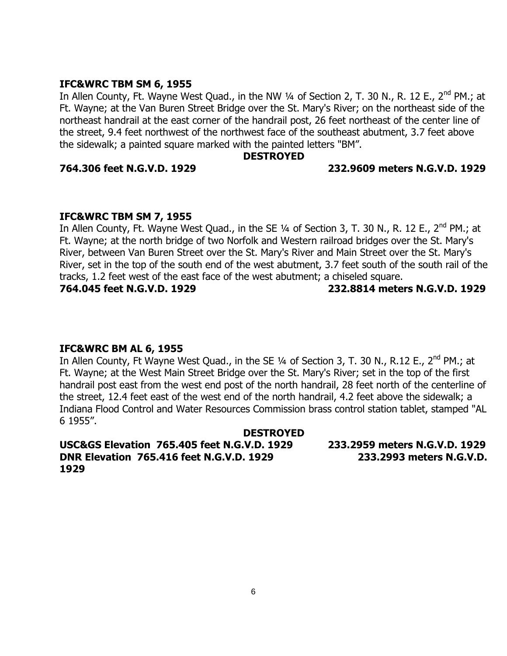### **IFC&WRC TBM SM 6, 1955**

In Allen County, Ft. Wayne West Quad., in the NW 1/4 of Section 2, T. 30 N., R. 12 E., 2<sup>nd</sup> PM.; at Ft. Wayne; at the Van Buren Street Bridge over the St. Mary's River; on the northeast side of the northeast handrail at the east corner of the handrail post, 26 feet northeast of the center line of the street, 9.4 feet northwest of the northwest face of the southeast abutment, 3.7 feet above the sidewalk; a painted square marked with the painted letters "BM".

## **DESTROYED**

### **764.306 feet N.G.V.D. 1929 232.9609 meters N.G.V.D. 1929**

## **IFC&WRC TBM SM 7, 1955**

In Allen County, Ft. Wayne West Quad., in the SE 1/4 of Section 3, T. 30 N., R. 12 E., 2<sup>nd</sup> PM.; at Ft. Wayne; at the north bridge of two Norfolk and Western railroad bridges over the St. Mary's River, between Van Buren Street over the St. Mary's River and Main Street over the St. Mary's River, set in the top of the south end of the west abutment, 3.7 feet south of the south rail of the tracks, 1.2 feet west of the east face of the west abutment; a chiseled square.

**764.045 feet N.G.V.D. 1929 232.8814 meters N.G.V.D. 1929**

## **IFC&WRC BM AL 6, 1955**

In Allen County, Ft Wayne West Quad., in the SE 1/4 of Section 3, T. 30 N., R.12 E., 2<sup>nd</sup> PM.; at Ft. Wayne; at the West Main Street Bridge over the St. Mary's River; set in the top of the first handrail post east from the west end post of the north handrail, 28 feet north of the centerline of the street, 12.4 feet east of the west end of the north handrail, 4.2 feet above the sidewalk; a Indiana Flood Control and Water Resources Commission brass control station tablet, stamped "AL 6 1955".

**DESTROYED USC&GS Elevation 765.405 feet N.G.V.D. 1929 233.2959 meters N.G.V.D. 1929 DNR Elevation 765.416 feet N.G.V.D. 1929 233.2993 meters N.G.V.D. 1929**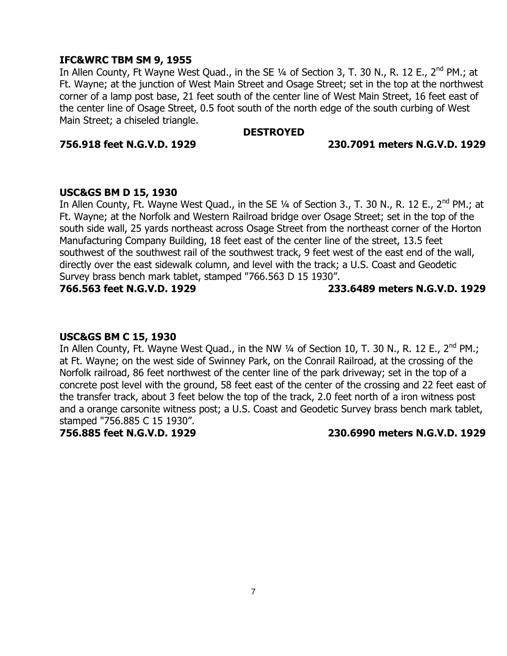### **IFC&WRC TBM SM 9, 1955**

In Allen County, Ft Wayne West Quad., in the SE 1/4 of Section 3, T. 30 N., R. 12 E., 2<sup>nd</sup> PM.; at Ft. Wayne; at the junction of West Main Street and Osage Street; set in the top at the northwest corner of a lamp post base, 21 feet south of the center line of West Main Street, 16 feet east of the center line of Osage Street, 0.5 foot south of the north edge of the south curbing of West Main Street; a chiseled triangle.

#### **DESTROYED**

**756.918 feet N.G.V.D. 1929 230.7091 meters N.G.V.D. 1929**

### **USC&GS BM D 15, 1930**

In Allen County, Ft. Wayne West Quad., in the SE 1/4 of Section 3., T. 30 N., R. 12 E., 2<sup>nd</sup> PM.; at Ft. Wayne; at the Norfolk and Western Railroad bridge over Osage Street; set in the top of the south side wall, 25 yards northeast across Osage Street from the northeast corner of the Horton Manufacturing Company Building, 18 feet east of the center line of the street, 13.5 feet southwest of the southwest rail of the southwest track, 9 feet west of the east end of the wall, directly over the east sidewalk column, and level with the track; a U.S. Coast and Geodetic Survey brass bench mark tablet, stamped "766.563 D 15 1930".

### **766.563 feet N.G.V.D. 1929 233.6489 meters N.G.V.D. 1929**

#### **USC&GS BM C 15, 1930**

In Allen County, Ft. Wayne West Quad., in the NW  $\frac{1}{4}$  of Section 10, T. 30 N., R. 12 E., 2<sup>nd</sup> PM.; at Ft. Wayne; on the west side of Swinney Park, on the Conrail Railroad, at the crossing of the Norfolk railroad, 86 feet northwest of the center line of the park driveway; set in the top of a concrete post level with the ground, 58 feet east of the center of the crossing and 22 feet east of the transfer track, about 3 feet below the top of the track, 2.0 feet north of a iron witness post and a orange carsonite witness post; a U.S. Coast and Geodetic Survey brass bench mark tablet, stamped "756.885 C 15 1930".

**756.885 feet N.G.V.D. 1929 230.6990 meters N.G.V.D. 1929**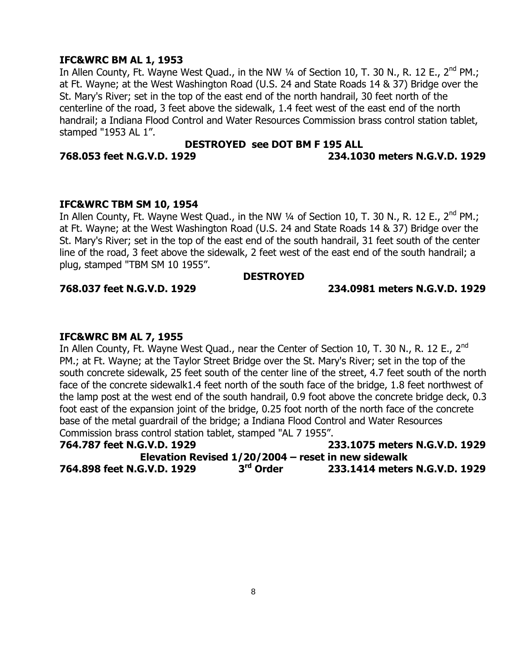## **IFC&WRC BM AL 1, 1953**

In Allen County, Ft. Wayne West Quad., in the NW 1/4 of Section 10, T. 30 N., R. 12 E., 2<sup>nd</sup> PM.; at Ft. Wayne; at the West Washington Road (U.S. 24 and State Roads 14 & 37) Bridge over the St. Mary's River; set in the top of the east end of the north handrail, 30 feet north of the centerline of the road, 3 feet above the sidewalk, 1.4 feet west of the east end of the north handrail; a Indiana Flood Control and Water Resources Commission brass control station tablet, stamped "1953 AL 1".

## **DESTROYED see DOT BM F 195 ALL 768.053 feet N.G.V.D. 1929 234.1030 meters N.G.V.D. 1929**

### **IFC&WRC TBM SM 10, 1954**

In Allen County, Ft. Wayne West Quad., in the NW  $\frac{1}{4}$  of Section 10, T. 30 N., R. 12 E., 2<sup>nd</sup> PM.; at Ft. Wayne; at the West Washington Road (U.S. 24 and State Roads 14 & 37) Bridge over the St. Mary's River; set in the top of the east end of the south handrail, 31 feet south of the center line of the road, 3 feet above the sidewalk, 2 feet west of the east end of the south handrail; a plug, stamped "TBM SM 10 1955".

#### **DESTROYED**

## **768.037 feet N.G.V.D. 1929 234.0981 meters N.G.V.D. 1929**

## **IFC&WRC BM AL 7, 1955**

In Allen County, Ft. Wayne West Quad., near the Center of Section 10, T. 30 N., R. 12 E., 2<sup>nd</sup> PM.; at Ft. Wayne; at the Taylor Street Bridge over the St. Mary's River; set in the top of the south concrete sidewalk, 25 feet south of the center line of the street, 4.7 feet south of the north face of the concrete sidewalk1.4 feet north of the south face of the bridge, 1.8 feet northwest of the lamp post at the west end of the south handrail, 0.9 foot above the concrete bridge deck, 0.3 foot east of the expansion joint of the bridge, 0.25 foot north of the north face of the concrete base of the metal guardrail of the bridge; a Indiana Flood Control and Water Resources Commission brass control station tablet, stamped "AL 7 1955".

| 764.787 feet N.G.V.D. 1929                            |                       | 233.1075 meters N.G.V.D. 1929 |
|-------------------------------------------------------|-----------------------|-------------------------------|
| Elevation Revised $1/20/2004$ – reset in new sidewalk |                       |                               |
| 764.898 feet N.G.V.D. 1929                            | 3 <sup>rd</sup> Order | 233.1414 meters N.G.V.D. 1929 |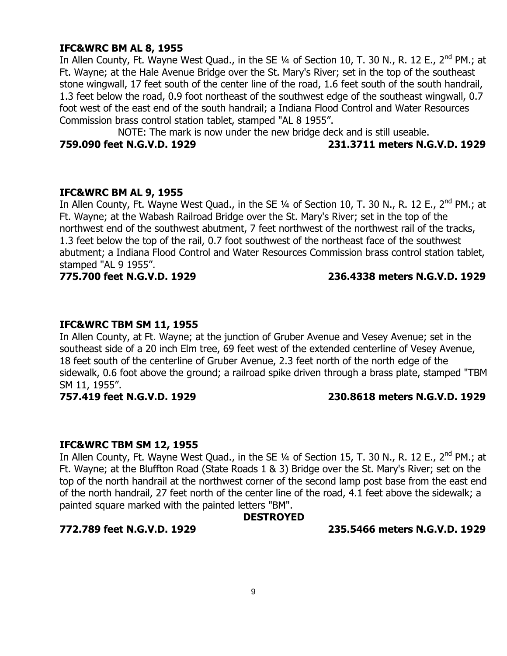## **IFC&WRC BM AL 8, 1955**

In Allen County, Ft. Wayne West Quad., in the SE 1/4 of Section 10, T. 30 N., R. 12 E., 2<sup>nd</sup> PM.; at Ft. Wayne; at the Hale Avenue Bridge over the St. Mary's River; set in the top of the southeast stone wingwall, 17 feet south of the center line of the road, 1.6 feet south of the south handrail, 1.3 feet below the road, 0.9 foot northeast of the southwest edge of the southeast wingwall, 0.7 foot west of the east end of the south handrail; a Indiana Flood Control and Water Resources Commission brass control station tablet, stamped "AL 8 1955".

NOTE: The mark is now under the new bridge deck and is still useable.

### **759.090 feet N.G.V.D. 1929 231.3711 meters N.G.V.D. 1929**

## **IFC&WRC BM AL 9, 1955**

In Allen County, Ft. Wayne West Quad., in the SE  $\frac{1}{4}$  of Section 10, T. 30 N., R. 12 E., 2<sup>nd</sup> PM.; at Ft. Wayne; at the Wabash Railroad Bridge over the St. Mary's River; set in the top of the northwest end of the southwest abutment, 7 feet northwest of the northwest rail of the tracks, 1.3 feet below the top of the rail, 0.7 foot southwest of the northeast face of the southwest abutment; a Indiana Flood Control and Water Resources Commission brass control station tablet, stamped "AL 9 1955".

## **775.700 feet N.G.V.D. 1929 236.4338 meters N.G.V.D. 1929**

## **IFC&WRC TBM SM 11, 1955**

In Allen County, at Ft. Wayne; at the junction of Gruber Avenue and Vesey Avenue; set in the southeast side of a 20 inch Elm tree, 69 feet west of the extended centerline of Vesey Avenue, 18 feet south of the centerline of Gruber Avenue, 2.3 feet north of the north edge of the sidewalk, 0.6 foot above the ground; a railroad spike driven through a brass plate, stamped "TBM SM 11, 1955".

## **757.419 feet N.G.V.D. 1929 230.8618 meters N.G.V.D. 1929**

## **IFC&WRC TBM SM 12, 1955**

In Allen County, Ft. Wayne West Quad., in the SE 1/4 of Section 15, T. 30 N., R. 12 E., 2<sup>nd</sup> PM.; at Ft. Wayne; at the Bluffton Road (State Roads 1 & 3) Bridge over the St. Mary's River; set on the top of the north handrail at the northwest corner of the second lamp post base from the east end of the north handrail, 27 feet north of the center line of the road, 4.1 feet above the sidewalk; a painted square marked with the painted letters "BM".

## **DESTROYED**

#### **772.789 feet N.G.V.D. 1929 235.5466 meters N.G.V.D. 1929**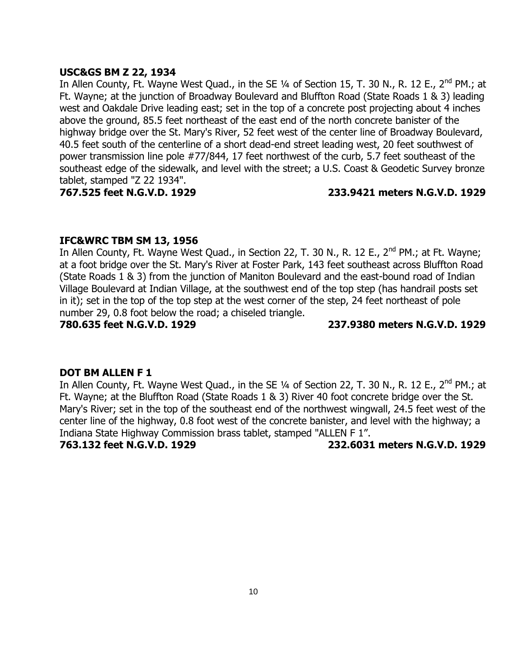## **USC&GS BM Z 22, 1934**

In Allen County, Ft. Wayne West Quad., in the SE  $\frac{1}{4}$  of Section 15, T. 30 N., R. 12 E., 2<sup>nd</sup> PM.; at Ft. Wayne; at the junction of Broadway Boulevard and Bluffton Road (State Roads 1 & 3) leading west and Oakdale Drive leading east; set in the top of a concrete post projecting about 4 inches above the ground, 85.5 feet northeast of the east end of the north concrete banister of the highway bridge over the St. Mary's River, 52 feet west of the center line of Broadway Boulevard, 40.5 feet south of the centerline of a short dead-end street leading west, 20 feet southwest of power transmission line pole #77/844, 17 feet northwest of the curb, 5.7 feet southeast of the southeast edge of the sidewalk, and level with the street; a U.S. Coast & Geodetic Survey bronze tablet, stamped "Z 22 1934".

## **767.525 feet N.G.V.D. 1929 233.9421 meters N.G.V.D. 1929**

## **IFC&WRC TBM SM 13, 1956**

In Allen County, Ft. Wayne West Quad., in Section 22, T. 30 N., R. 12 E., 2<sup>nd</sup> PM.; at Ft. Wayne; at a foot bridge over the St. Mary's River at Foster Park, 143 feet southeast across Bluffton Road (State Roads 1 & 3) from the junction of Maniton Boulevard and the east-bound road of Indian Village Boulevard at Indian Village, at the southwest end of the top step (has handrail posts set in it); set in the top of the top step at the west corner of the step, 24 feet northeast of pole number 29, 0.8 foot below the road; a chiseled triangle.

**780.635 feet N.G.V.D. 1929 237.9380 meters N.G.V.D. 1929**

## **DOT BM ALLEN F 1**

In Allen County, Ft. Wayne West Quad., in the SE 1/4 of Section 22, T. 30 N., R. 12 E., 2<sup>nd</sup> PM.; at Ft. Wayne; at the Bluffton Road (State Roads 1 & 3) River 40 foot concrete bridge over the St. Mary's River; set in the top of the southeast end of the northwest wingwall, 24.5 feet west of the center line of the highway, 0.8 foot west of the concrete banister, and level with the highway; a Indiana State Highway Commission brass tablet, stamped "ALLEN F 1".

**763.132 feet N.G.V.D. 1929 232.6031 meters N.G.V.D. 1929**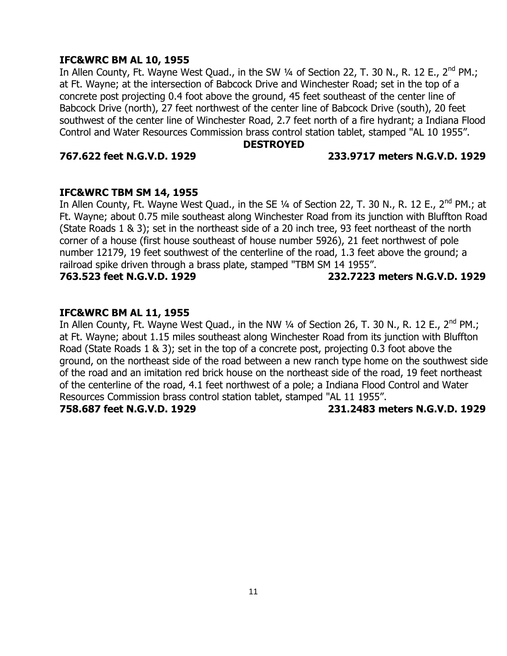## **IFC&WRC BM AL 10, 1955**

In Allen County, Ft. Wayne West Quad., in the SW 1/4 of Section 22, T. 30 N., R. 12 E., 2<sup>nd</sup> PM.; at Ft. Wayne; at the intersection of Babcock Drive and Winchester Road; set in the top of a concrete post projecting 0.4 foot above the ground, 45 feet southeast of the center line of Babcock Drive (north), 27 feet northwest of the center line of Babcock Drive (south), 20 feet southwest of the center line of Winchester Road, 2.7 feet north of a fire hydrant; a Indiana Flood Control and Water Resources Commission brass control station tablet, stamped "AL 10 1955".

#### **DESTROYED**

## **767.622 feet N.G.V.D. 1929 233.9717 meters N.G.V.D. 1929**

## **IFC&WRC TBM SM 14, 1955**

In Allen County, Ft. Wayne West Quad., in the SE 1/4 of Section 22, T. 30 N., R. 12 E., 2<sup>nd</sup> PM.; at Ft. Wayne; about 0.75 mile southeast along Winchester Road from its junction with Bluffton Road (State Roads 1 & 3); set in the northeast side of a 20 inch tree, 93 feet northeast of the north corner of a house (first house southeast of house number 5926), 21 feet northwest of pole number 12179, 19 feet southwest of the centerline of the road, 1.3 feet above the ground; a railroad spike driven through a brass plate, stamped "TBM SM 14 1955".

**763.523 feet N.G.V.D. 1929 232.7223 meters N.G.V.D. 1929**

## **IFC&WRC BM AL 11, 1955**

In Allen County, Ft. Wayne West Quad., in the NW 1/4 of Section 26, T. 30 N., R. 12 E., 2<sup>nd</sup> PM.; at Ft. Wayne; about 1.15 miles southeast along Winchester Road from its junction with Bluffton Road (State Roads 1 & 3); set in the top of a concrete post, projecting 0.3 foot above the ground, on the northeast side of the road between a new ranch type home on the southwest side of the road and an imitation red brick house on the northeast side of the road, 19 feet northeast of the centerline of the road, 4.1 feet northwest of a pole; a Indiana Flood Control and Water Resources Commission brass control station tablet, stamped "AL 11 1955".

**758.687 feet N.G.V.D. 1929 231.2483 meters N.G.V.D. 1929**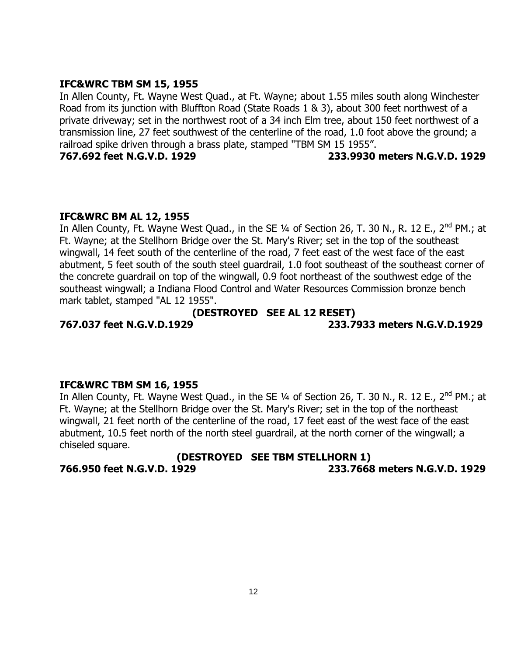## **IFC&WRC TBM SM 15, 1955**

In Allen County, Ft. Wayne West Quad., at Ft. Wayne; about 1.55 miles south along Winchester Road from its junction with Bluffton Road (State Roads 1 & 3), about 300 feet northwest of a private driveway; set in the northwest root of a 34 inch Elm tree, about 150 feet northwest of a transmission line, 27 feet southwest of the centerline of the road, 1.0 foot above the ground; a railroad spike driven through a brass plate, stamped "TBM SM 15 1955".

**767.692 feet N.G.V.D. 1929 233.9930 meters N.G.V.D. 1929**

## **IFC&WRC BM AL 12, 1955**

In Allen County, Ft. Wayne West Quad., in the SE 1/4 of Section 26, T. 30 N., R. 12 E., 2<sup>nd</sup> PM.; at Ft. Wayne; at the Stellhorn Bridge over the St. Mary's River; set in the top of the southeast wingwall, 14 feet south of the centerline of the road, 7 feet east of the west face of the east abutment, 5 feet south of the south steel guardrail, 1.0 foot southeast of the southeast corner of the concrete guardrail on top of the wingwall, 0.9 foot northeast of the southwest edge of the southeast wingwall; a Indiana Flood Control and Water Resources Commission bronze bench mark tablet, stamped "AL 12 1955".

## **(DESTROYED SEE AL 12 RESET)**

**767.037 feet N.G.V.D.1929 233.7933 meters N.G.V.D.1929**

## **IFC&WRC TBM SM 16, 1955**

In Allen County, Ft. Wayne West Quad., in the SE 1/4 of Section 26, T. 30 N., R. 12 E., 2<sup>nd</sup> PM.; at Ft. Wayne; at the Stellhorn Bridge over the St. Mary's River; set in the top of the northeast wingwall, 21 feet north of the centerline of the road, 17 feet east of the west face of the east abutment, 10.5 feet north of the north steel guardrail, at the north corner of the wingwall; a chiseled square.

**(DESTROYED SEE TBM STELLHORN 1) 766.950 feet N.G.V.D. 1929 233.7668 meters N.G.V.D. 1929**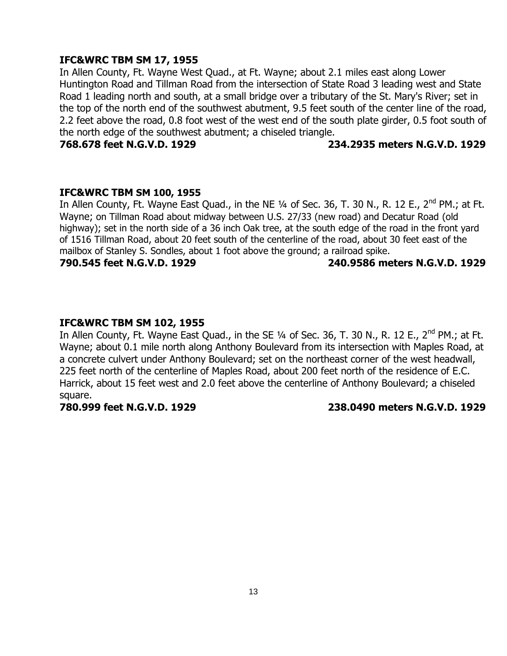## **IFC&WRC TBM SM 17, 1955**

In Allen County, Ft. Wayne West Quad., at Ft. Wayne; about 2.1 miles east along Lower Huntington Road and Tillman Road from the intersection of State Road 3 leading west and State Road 1 leading north and south, at a small bridge over a tributary of the St. Mary's River; set in the top of the north end of the southwest abutment, 9.5 feet south of the center line of the road, 2.2 feet above the road, 0.8 foot west of the west end of the south plate girder, 0.5 foot south of the north edge of the southwest abutment; a chiseled triangle.

#### **768.678 feet N.G.V.D. 1929 234.2935 meters N.G.V.D. 1929**

#### **IFC&WRC TBM SM 100, 1955**

In Allen County, Ft. Wayne East Quad., in the NE 1/4 of Sec. 36, T. 30 N., R. 12 E., 2<sup>nd</sup> PM.; at Ft. Wayne; on Tillman Road about midway between U.S. 27/33 (new road) and Decatur Road (old highway); set in the north side of a 36 inch Oak tree, at the south edge of the road in the front yard of 1516 Tillman Road, about 20 feet south of the centerline of the road, about 30 feet east of the mailbox of Stanley S. Sondles, about 1 foot above the ground; a railroad spike.

**790.545 feet N.G.V.D. 1929 240.9586 meters N.G.V.D. 1929**

### **IFC&WRC TBM SM 102, 1955**

In Allen County, Ft. Wayne East Quad., in the SE 1/4 of Sec. 36, T. 30 N., R. 12 E., 2<sup>nd</sup> PM.; at Ft. Wayne; about 0.1 mile north along Anthony Boulevard from its intersection with Maples Road, at a concrete culvert under Anthony Boulevard; set on the northeast corner of the west headwall, 225 feet north of the centerline of Maples Road, about 200 feet north of the residence of E.C. Harrick, about 15 feet west and 2.0 feet above the centerline of Anthony Boulevard; a chiseled square.

#### **780.999 feet N.G.V.D. 1929 238.0490 meters N.G.V.D. 1929**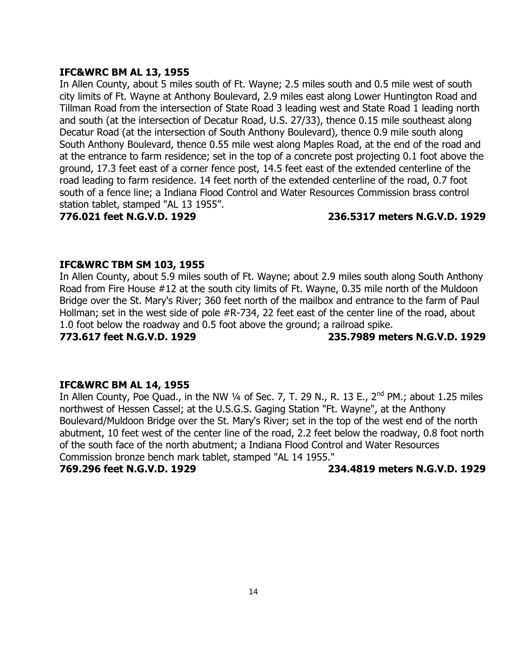## **IFC&WRC BM AL 13, 1955**

In Allen County, about 5 miles south of Ft. Wayne; 2.5 miles south and 0.5 mile west of south city limits of Ft. Wayne at Anthony Boulevard, 2.9 miles east along Lower Huntington Road and Tillman Road from the intersection of State Road 3 leading west and State Road 1 leading north and south (at the intersection of Decatur Road, U.S. 27/33), thence 0.15 mile southeast along Decatur Road (at the intersection of South Anthony Boulevard), thence 0.9 mile south along South Anthony Boulevard, thence 0.55 mile west along Maples Road, at the end of the road and at the entrance to farm residence; set in the top of a concrete post projecting 0.1 foot above the ground, 17.3 feet east of a corner fence post, 14.5 feet east of the extended centerline of the road leading to farm residence. 14 feet north of the extended centerline of the road, 0.7 foot south of a fence line; a Indiana Flood Control and Water Resources Commission brass control station tablet, stamped "AL 13 1955".

## **776.021 feet N.G.V.D. 1929 236.5317 meters N.G.V.D. 1929**

### **IFC&WRC TBM SM 103, 1955**

In Allen County, about 5.9 miles south of Ft. Wayne; about 2.9 miles south along South Anthony Road from Fire House #12 at the south city limits of Ft. Wayne, 0.35 mile north of the Muldoon Bridge over the St. Mary's River; 360 feet north of the mailbox and entrance to the farm of Paul Hollman; set in the west side of pole #R-734, 22 feet east of the center line of the road, about 1.0 foot below the roadway and 0.5 foot above the ground; a railroad spike.

**773.617 feet N.G.V.D. 1929 235.7989 meters N.G.V.D. 1929**

## **IFC&WRC BM AL 14, 1955**

In Allen County, Poe Quad., in the NW  $\frac{1}{4}$  of Sec. 7, T. 29 N., R. 13 E., 2<sup>nd</sup> PM.; about 1.25 miles northwest of Hessen Cassel; at the U.S.G.S. Gaging Station "Ft. Wayne", at the Anthony Boulevard/Muldoon Bridge over the St. Mary's River; set in the top of the west end of the north abutment, 10 feet west of the center line of the road, 2.2 feet below the roadway, 0.8 foot north of the south face of the north abutment; a Indiana Flood Control and Water Resources Commission bronze bench mark tablet, stamped "AL 14 1955."

**769.296 feet N.G.V.D. 1929 234.4819 meters N.G.V.D. 1929**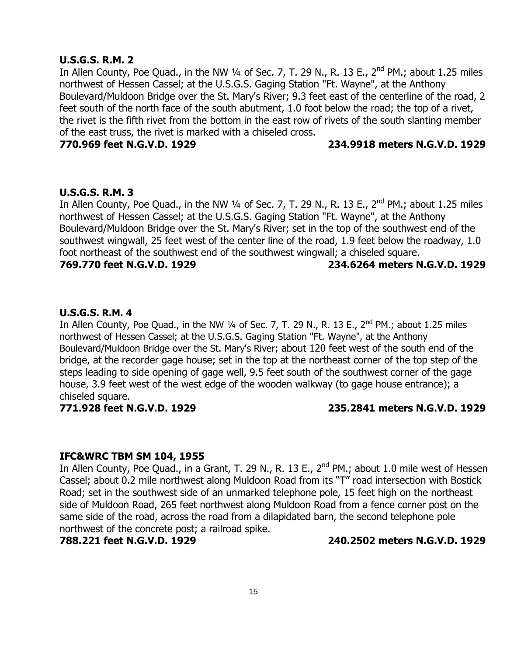### **U.S.G.S. R.M. 2**

In Allen County, Poe Quad., in the NW 1/4 of Sec. 7, T. 29 N., R. 13 E.,  $2^{nd}$  PM.; about 1.25 miles northwest of Hessen Cassel; at the U.S.G.S. Gaging Station "Ft. Wayne", at the Anthony Boulevard/Muldoon Bridge over the St. Mary's River; 9.3 feet east of the centerline of the road, 2 feet south of the north face of the south abutment, 1.0 foot below the road; the top of a rivet, the rivet is the fifth rivet from the bottom in the east row of rivets of the south slanting member of the east truss, the rivet is marked with a chiseled cross.

### **770.969 feet N.G.V.D. 1929 234.9918 meters N.G.V.D. 1929**

#### **U.S.G.S. R.M. 3**

In Allen County, Poe Quad., in the NW 1/4 of Sec. 7, T. 29 N., R. 13 E.,  $2^{nd}$  PM.; about 1.25 miles northwest of Hessen Cassel; at the U.S.G.S. Gaging Station "Ft. Wayne", at the Anthony Boulevard/Muldoon Bridge over the St. Mary's River; set in the top of the southwest end of the southwest wingwall, 25 feet west of the center line of the road, 1.9 feet below the roadway, 1.0 foot northeast of the southwest end of the southwest wingwall; a chiseled square.

**769.770 feet N.G.V.D. 1929 234.6264 meters N.G.V.D. 1929**

### **U.S.G.S. R.M. 4**

In Allen County, Poe Quad., in the NW  $\frac{1}{4}$  of Sec. 7, T. 29 N., R. 13 E., 2<sup>nd</sup> PM.; about 1.25 miles northwest of Hessen Cassel; at the U.S.G.S. Gaging Station "Ft. Wayne", at the Anthony Boulevard/Muldoon Bridge over the St. Mary's River; about 120 feet west of the south end of the bridge, at the recorder gage house; set in the top at the northeast corner of the top step of the steps leading to side opening of gage well, 9.5 feet south of the southwest corner of the gage house, 3.9 feet west of the west edge of the wooden walkway (to gage house entrance); a chiseled square.

## **771.928 feet N.G.V.D. 1929 235.2841 meters N.G.V.D. 1929**

#### **IFC&WRC TBM SM 104, 1955**

In Allen County, Poe Quad., in a Grant, T. 29 N., R. 13 E., 2<sup>nd</sup> PM.; about 1.0 mile west of Hessen Cassel; about 0.2 mile northwest along Muldoon Road from its "T" road intersection with Bostick Road; set in the southwest side of an unmarked telephone pole, 15 feet high on the northeast side of Muldoon Road, 265 feet northwest along Muldoon Road from a fence corner post on the same side of the road, across the road from a dilapidated barn, the second telephone pole northwest of the concrete post; a railroad spike.

**788.221 feet N.G.V.D. 1929 240.2502 meters N.G.V.D. 1929**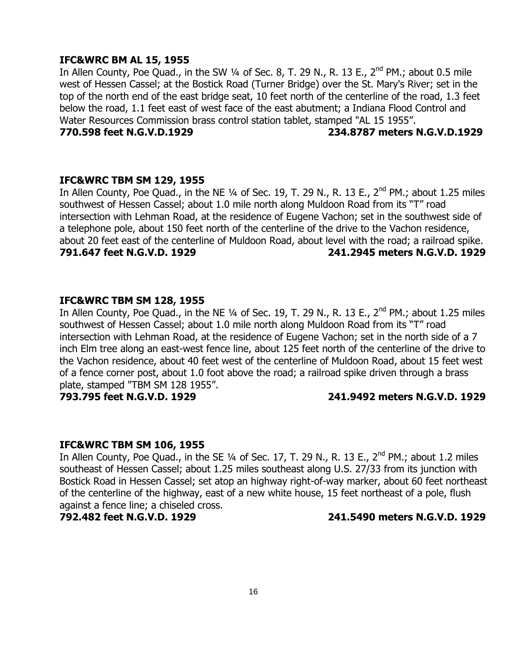### **IFC&WRC BM AL 15, 1955**

In Allen County, Poe Quad., in the SW  $\frac{1}{4}$  of Sec. 8, T. 29 N., R. 13 E., 2<sup>nd</sup> PM.; about 0.5 mile west of Hessen Cassel; at the Bostick Road (Turner Bridge) over the St. Mary's River; set in the top of the north end of the east bridge seat, 10 feet north of the centerline of the road, 1.3 feet below the road, 1.1 feet east of west face of the east abutment; a Indiana Flood Control and Water Resources Commission brass control station tablet, stamped "AL 15 1955".

**770.598 feet N.G.V.D.1929 234.8787 meters N.G.V.D.1929**

#### **IFC&WRC TBM SM 129, 1955**

In Allen County, Poe Quad., in the NE  $\frac{1}{4}$  of Sec. 19, T. 29 N., R. 13 E., 2<sup>nd</sup> PM.; about 1.25 miles southwest of Hessen Cassel; about 1.0 mile north along Muldoon Road from its "T" road intersection with Lehman Road, at the residence of Eugene Vachon; set in the southwest side of a telephone pole, about 150 feet north of the centerline of the drive to the Vachon residence, about 20 feet east of the centerline of Muldoon Road, about level with the road; a railroad spike. **791.647 feet N.G.V.D. 1929 241.2945 meters N.G.V.D. 1929**

## **IFC&WRC TBM SM 128, 1955**

In Allen County, Poe Quad., in the NE 1/4 of Sec. 19, T. 29 N., R. 13 E., 2<sup>nd</sup> PM.; about 1.25 miles southwest of Hessen Cassel; about 1.0 mile north along Muldoon Road from its "T" road intersection with Lehman Road, at the residence of Eugene Vachon; set in the north side of a 7 inch Elm tree along an east-west fence line, about 125 feet north of the centerline of the drive to the Vachon residence, about 40 feet west of the centerline of Muldoon Road, about 15 feet west of a fence corner post, about 1.0 foot above the road; a railroad spike driven through a brass plate, stamped "TBM SM 128 1955".

## **793.795 feet N.G.V.D. 1929 241.9492 meters N.G.V.D. 1929**

#### **IFC&WRC TBM SM 106, 1955**

In Allen County, Poe Quad., in the SE  $1/4$  of Sec. 17, T. 29 N., R. 13 E., 2<sup>nd</sup> PM.; about 1.2 miles southeast of Hessen Cassel; about 1.25 miles southeast along U.S. 27/33 from its junction with Bostick Road in Hessen Cassel; set atop an highway right-of-way marker, about 60 feet northeast of the centerline of the highway, east of a new white house, 15 feet northeast of a pole, flush against a fence line; a chiseled cross.

## **792.482 feet N.G.V.D. 1929 241.5490 meters N.G.V.D. 1929**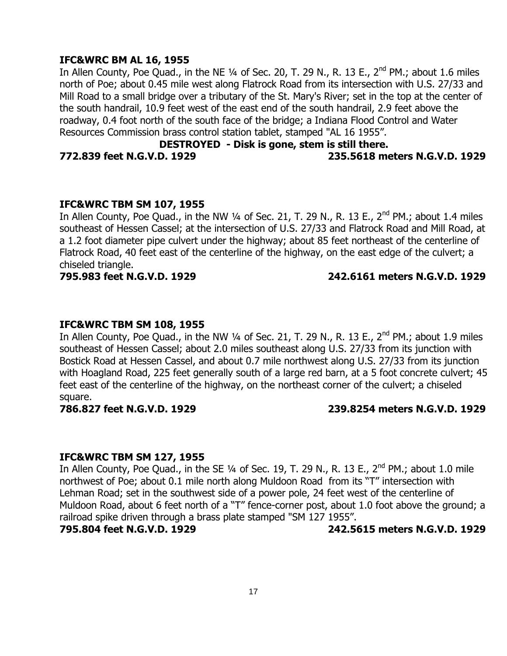## **IFC&WRC BM AL 16, 1955**

In Allen County, Poe Quad., in the NE 1/4 of Sec. 20, T. 29 N., R. 13 E., 2<sup>nd</sup> PM.; about 1.6 miles north of Poe; about 0.45 mile west along Flatrock Road from its intersection with U.S. 27/33 and Mill Road to a small bridge over a tributary of the St. Mary's River; set in the top at the center of the south handrail, 10.9 feet west of the east end of the south handrail, 2.9 feet above the roadway, 0.4 foot north of the south face of the bridge; a Indiana Flood Control and Water Resources Commission brass control station tablet, stamped "AL 16 1955".

## **DESTROYED - Disk is gone, stem is still there.**

**772.839 feet N.G.V.D. 1929 235.5618 meters N.G.V.D. 1929**

### **IFC&WRC TBM SM 107, 1955**

In Allen County, Poe Quad., in the NW  $\frac{1}{4}$  of Sec. 21, T. 29 N., R. 13 E., 2<sup>nd</sup> PM.; about 1.4 miles southeast of Hessen Cassel; at the intersection of U.S. 27/33 and Flatrock Road and Mill Road, at a 1.2 foot diameter pipe culvert under the highway; about 85 feet northeast of the centerline of Flatrock Road, 40 feet east of the centerline of the highway, on the east edge of the culvert; a chiseled triangle.

### **795.983 feet N.G.V.D. 1929 242.6161 meters N.G.V.D. 1929**

## **IFC&WRC TBM SM 108, 1955**

In Allen County, Poe Quad., in the NW 1/4 of Sec. 21, T. 29 N., R. 13 E.,  $2^{nd}$  PM.; about 1.9 miles southeast of Hessen Cassel; about 2.0 miles southeast along U.S. 27/33 from its junction with Bostick Road at Hessen Cassel, and about 0.7 mile northwest along U.S. 27/33 from its junction with Hoagland Road, 225 feet generally south of a large red barn, at a 5 foot concrete culvert; 45 feet east of the centerline of the highway, on the northeast corner of the culvert; a chiseled square.

## **786.827 feet N.G.V.D. 1929 239.8254 meters N.G.V.D. 1929**

## **IFC&WRC TBM SM 127, 1955**

In Allen County, Poe Quad., in the SE 1/4 of Sec. 19, T. 29 N., R. 13 E.,  $2^{nd}$  PM.; about 1.0 mile northwest of Poe; about 0.1 mile north along Muldoon Road from its "T" intersection with Lehman Road; set in the southwest side of a power pole, 24 feet west of the centerline of Muldoon Road, about 6 feet north of a "T" fence-corner post, about 1.0 foot above the ground; a railroad spike driven through a brass plate stamped "SM 127 1955".

**795.804 feet N.G.V.D. 1929 242.5615 meters N.G.V.D. 1929**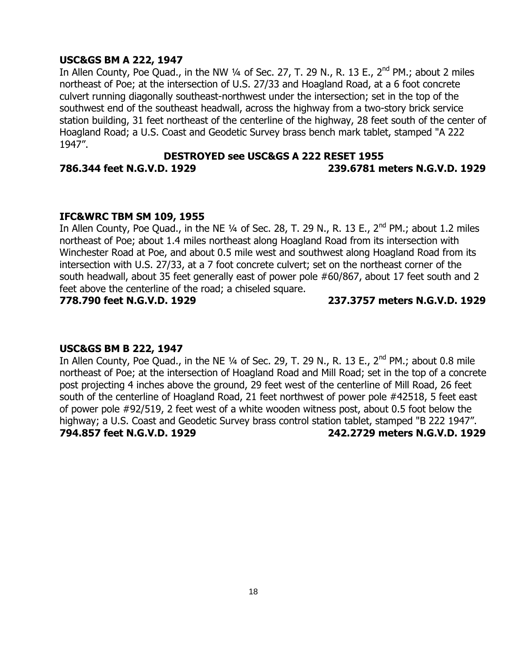## **USC&GS BM A 222, 1947**

In Allen County, Poe Quad., in the NW 1/4 of Sec. 27, T. 29 N., R. 13 E., 2<sup>nd</sup> PM.; about 2 miles northeast of Poe; at the intersection of U.S. 27/33 and Hoagland Road, at a 6 foot concrete culvert running diagonally southeast-northwest under the intersection; set in the top of the southwest end of the southeast headwall, across the highway from a two-story brick service station building, 31 feet northeast of the centerline of the highway, 28 feet south of the center of Hoagland Road; a U.S. Coast and Geodetic Survey brass bench mark tablet, stamped "A 222 1947".

## **DESTROYED see USC&GS A 222 RESET 1955 786.344 feet N.G.V.D. 1929 239.6781 meters N.G.V.D. 1929**

## **IFC&WRC TBM SM 109, 1955**

In Allen County, Poe Quad., in the NE  $\frac{1}{4}$  of Sec. 28, T. 29 N., R. 13 E., 2<sup>nd</sup> PM.; about 1.2 miles northeast of Poe; about 1.4 miles northeast along Hoagland Road from its intersection with Winchester Road at Poe, and about 0.5 mile west and southwest along Hoagland Road from its intersection with U.S. 27/33, at a 7 foot concrete culvert; set on the northeast corner of the south headwall, about 35 feet generally east of power pole #60/867, about 17 feet south and 2 feet above the centerline of the road; a chiseled square.

**778.790 feet N.G.V.D. 1929 237.3757 meters N.G.V.D. 1929**

## **USC&GS BM B 222, 1947**

In Allen County, Poe Quad., in the NE  $\frac{1}{4}$  of Sec. 29, T. 29 N., R. 13 E., 2<sup>nd</sup> PM.; about 0.8 mile northeast of Poe; at the intersection of Hoagland Road and Mill Road; set in the top of a concrete post projecting 4 inches above the ground, 29 feet west of the centerline of Mill Road, 26 feet south of the centerline of Hoagland Road, 21 feet northwest of power pole #42518, 5 feet east of power pole #92/519, 2 feet west of a white wooden witness post, about 0.5 foot below the highway; a U.S. Coast and Geodetic Survey brass control station tablet, stamped "B 222 1947". **794.857 feet N.G.V.D. 1929 242.2729 meters N.G.V.D. 1929**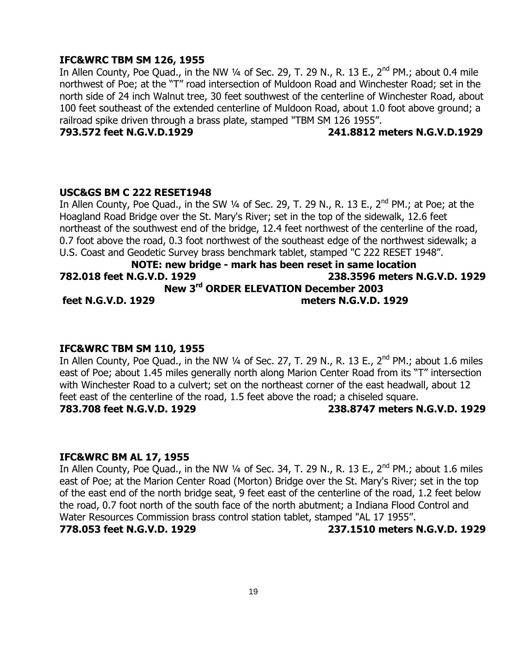## **IFC&WRC TBM SM 126, 1955**

In Allen County, Poe Quad., in the NW 1/4 of Sec. 29, T. 29 N., R. 13 E., 2<sup>nd</sup> PM.; about 0.4 mile northwest of Poe; at the "T" road intersection of Muldoon Road and Winchester Road; set in the north side of 24 inch Walnut tree, 30 feet southwest of the centerline of Winchester Road, about 100 feet southeast of the extended centerline of Muldoon Road, about 1.0 foot above ground; a railroad spike driven through a brass plate, stamped "TBM SM 126 1955".

### **793.572 feet N.G.V.D.1929 241.8812 meters N.G.V.D.1929**

## **USC&GS BM C 222 RESET1948**

In Allen County, Poe Quad., in the SW 1/4 of Sec. 29, T. 29 N., R. 13 E., 2<sup>nd</sup> PM.; at Poe; at the Hoagland Road Bridge over the St. Mary's River; set in the top of the sidewalk, 12.6 feet northeast of the southwest end of the bridge, 12.4 feet northwest of the centerline of the road, 0.7 foot above the road, 0.3 foot northwest of the southeast edge of the northwest sidewalk; a U.S. Coast and Geodetic Survey brass benchmark tablet, stamped "C 222 RESET 1948".

## **NOTE: new bridge - mark has been reset in same location 782.018 feet N.G.V.D. 1929 238.3596 meters N.G.V.D. 1929 New 3rd ORDER ELEVATION December 2003 feet N.G.V.D. 1929 meters N.G.V.D. 1929**

#### **IFC&WRC TBM SM 110, 1955**

In Allen County, Poe Quad., in the NW  $\frac{1}{4}$  of Sec. 27, T. 29 N., R. 13 E., 2<sup>nd</sup> PM.; about 1.6 miles east of Poe; about 1.45 miles generally north along Marion Center Road from its "T" intersection with Winchester Road to a culvert; set on the northeast corner of the east headwall, about 12 feet east of the centerline of the road, 1.5 feet above the road; a chiseled square. **783.708 feet N.G.V.D. 1929 238.8747 meters N.G.V.D. 1929**

#### **IFC&WRC BM AL 17, 1955**

In Allen County, Poe Quad., in the NW  $\frac{1}{4}$  of Sec. 34, T. 29 N., R. 13 E., 2<sup>nd</sup> PM.; about 1.6 miles east of Poe; at the Marion Center Road (Morton) Bridge over the St. Mary's River; set in the top of the east end of the north bridge seat, 9 feet east of the centerline of the road, 1.2 feet below the road, 0.7 foot north of the south face of the north abutment; a Indiana Flood Control and Water Resources Commission brass control station tablet, stamped "AL 17 1955". **778.053 feet N.G.V.D. 1929 237.1510 meters N.G.V.D. 1929**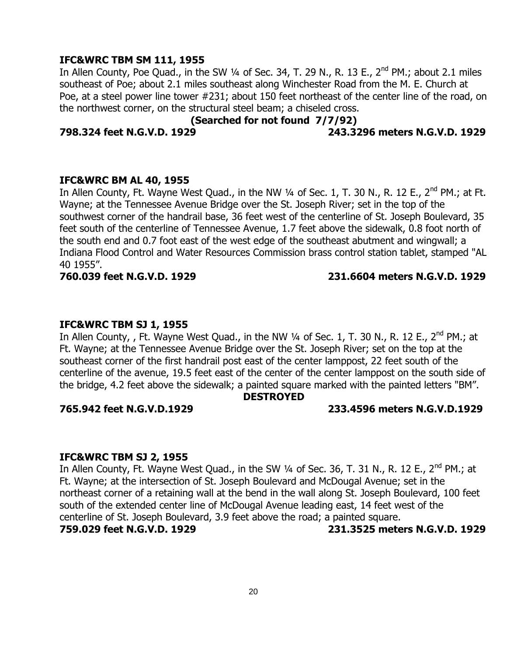## **IFC&WRC TBM SM 111, 1955**

In Allen County, Poe Quad., in the SW 1/4 of Sec. 34, T. 29 N., R. 13 E., 2<sup>nd</sup> PM.; about 2.1 miles southeast of Poe; about 2.1 miles southeast along Winchester Road from the M. E. Church at Poe, at a steel power line tower #231; about 150 feet northeast of the center line of the road, on the northwest corner, on the structural steel beam; a chiseled cross.

## **(Searched for not found 7/7/92)**

### **798.324 feet N.G.V.D. 1929 243.3296 meters N.G.V.D. 1929**

#### **IFC&WRC BM AL 40, 1955**

In Allen County, Ft. Wayne West Quad., in the NW  $\frac{1}{4}$  of Sec. 1, T. 30 N., R. 12 E., 2<sup>nd</sup> PM.; at Ft. Wayne; at the Tennessee Avenue Bridge over the St. Joseph River; set in the top of the southwest corner of the handrail base, 36 feet west of the centerline of St. Joseph Boulevard, 35 feet south of the centerline of Tennessee Avenue, 1.7 feet above the sidewalk, 0.8 foot north of the south end and 0.7 foot east of the west edge of the southeast abutment and wingwall; a Indiana Flood Control and Water Resources Commission brass control station tablet, stamped "AL 40 1955".

### **760.039 feet N.G.V.D. 1929 231.6604 meters N.G.V.D. 1929**

### **IFC&WRC TBM SJ 1, 1955**

In Allen County, , Ft. Wayne West Quad., in the NW  $\frac{1}{4}$  of Sec. 1, T. 30 N., R. 12 E., 2<sup>nd</sup> PM.; at Ft. Wayne; at the Tennessee Avenue Bridge over the St. Joseph River; set on the top at the southeast corner of the first handrail post east of the center lamppost, 22 feet south of the centerline of the avenue, 19.5 feet east of the center of the center lamppost on the south side of the bridge, 4.2 feet above the sidewalk; a painted square marked with the painted letters "BM".

#### **DESTROYED**

#### **765.942 feet N.G.V.D.1929 233.4596 meters N.G.V.D.1929**

#### **IFC&WRC TBM SJ 2, 1955**

In Allen County, Ft. Wayne West Quad., in the SW  $\frac{1}{4}$  of Sec. 36, T. 31 N., R. 12 E., 2<sup>nd</sup> PM.; at Ft. Wayne; at the intersection of St. Joseph Boulevard and McDougal Avenue; set in the northeast corner of a retaining wall at the bend in the wall along St. Joseph Boulevard, 100 feet south of the extended center line of McDougal Avenue leading east, 14 feet west of the centerline of St. Joseph Boulevard, 3.9 feet above the road; a painted square. **759.029 feet N.G.V.D. 1929 231.3525 meters N.G.V.D. 1929**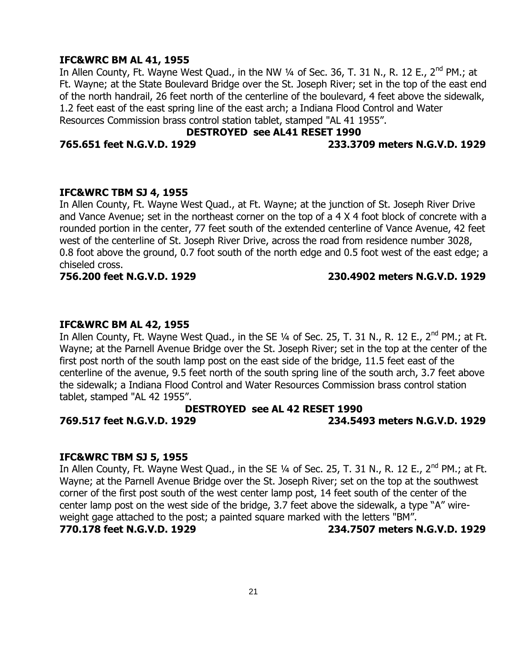### **IFC&WRC BM AL 41, 1955**

In Allen County, Ft. Wayne West Quad., in the NW 1/4 of Sec. 36, T. 31 N., R. 12 E., 2<sup>nd</sup> PM.; at Ft. Wayne; at the State Boulevard Bridge over the St. Joseph River; set in the top of the east end of the north handrail, 26 feet north of the centerline of the boulevard, 4 feet above the sidewalk, 1.2 feet east of the east spring line of the east arch; a Indiana Flood Control and Water Resources Commission brass control station tablet, stamped "AL 41 1955".

## **DESTROYED see AL41 RESET 1990**

### **765.651 feet N.G.V.D. 1929 233.3709 meters N.G.V.D. 1929**

#### **IFC&WRC TBM SJ 4, 1955**

In Allen County, Ft. Wayne West Quad., at Ft. Wayne; at the junction of St. Joseph River Drive and Vance Avenue; set in the northeast corner on the top of a 4 X 4 foot block of concrete with a rounded portion in the center, 77 feet south of the extended centerline of Vance Avenue, 42 feet west of the centerline of St. Joseph River Drive, across the road from residence number 3028, 0.8 foot above the ground, 0.7 foot south of the north edge and 0.5 foot west of the east edge; a chiseled cross.

## **756.200 feet N.G.V.D. 1929 230.4902 meters N.G.V.D. 1929**

## **IFC&WRC BM AL 42, 1955**

In Allen County, Ft. Wayne West Quad., in the SE 1/4 of Sec. 25, T. 31 N., R. 12 E., 2<sup>nd</sup> PM.; at Ft. Wayne; at the Parnell Avenue Bridge over the St. Joseph River; set in the top at the center of the first post north of the south lamp post on the east side of the bridge, 11.5 feet east of the centerline of the avenue, 9.5 feet north of the south spring line of the south arch, 3.7 feet above the sidewalk; a Indiana Flood Control and Water Resources Commission brass control station tablet, stamped "AL 42 1955".

#### **DESTROYED see AL 42 RESET 1990**

**769.517 feet N.G.V.D. 1929 234.5493 meters N.G.V.D. 1929**

#### **IFC&WRC TBM SJ 5, 1955**

In Allen County, Ft. Wayne West Quad., in the SE  $\frac{1}{4}$  of Sec. 25, T. 31 N., R. 12 E., 2<sup>nd</sup> PM.; at Ft. Wayne; at the Parnell Avenue Bridge over the St. Joseph River; set on the top at the southwest corner of the first post south of the west center lamp post, 14 feet south of the center of the center lamp post on the west side of the bridge, 3.7 feet above the sidewalk, a type "A" wireweight gage attached to the post; a painted square marked with the letters "BM". **770.178 feet N.G.V.D. 1929 234.7507 meters N.G.V.D. 1929**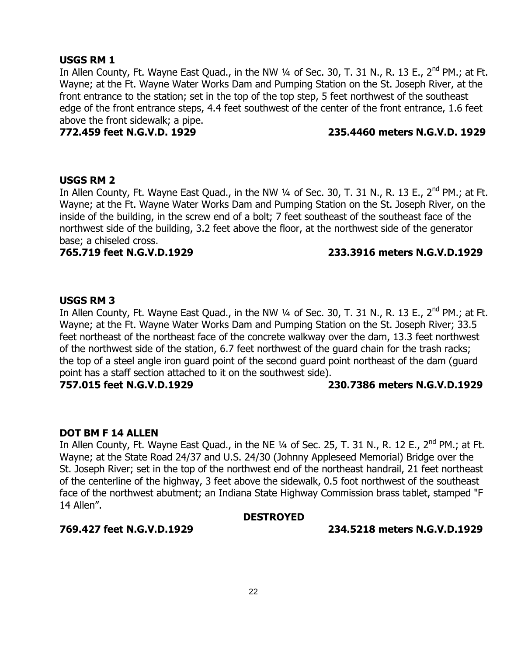## **USGS RM 1**

In Allen County, Ft. Wayne East Quad., in the NW 1/4 of Sec. 30, T. 31 N., R. 13 E., 2<sup>nd</sup> PM.; at Ft. Wayne; at the Ft. Wayne Water Works Dam and Pumping Station on the St. Joseph River, at the front entrance to the station; set in the top of the top step, 5 feet northwest of the southeast edge of the front entrance steps, 4.4 feet southwest of the center of the front entrance, 1.6 feet above the front sidewalk; a pipe.

## **772.459 feet N.G.V.D. 1929 235.4460 meters N.G.V.D. 1929**

### **USGS RM 2**

In Allen County, Ft. Wayne East Quad., in the NW 1/4 of Sec. 30, T. 31 N., R. 13 E., 2<sup>nd</sup> PM.; at Ft. Wayne; at the Ft. Wayne Water Works Dam and Pumping Station on the St. Joseph River, on the inside of the building, in the screw end of a bolt; 7 feet southeast of the southeast face of the northwest side of the building, 3.2 feet above the floor, at the northwest side of the generator base; a chiseled cross.

## **765.719 feet N.G.V.D.1929 233.3916 meters N.G.V.D.1929**

## **USGS RM 3**

In Allen County, Ft. Wayne East Quad., in the NW 1/4 of Sec. 30, T. 31 N., R. 13 E., 2<sup>nd</sup> PM.; at Ft. Wayne; at the Ft. Wayne Water Works Dam and Pumping Station on the St. Joseph River; 33.5 feet northeast of the northeast face of the concrete walkway over the dam, 13.3 feet northwest of the northwest side of the station, 6.7 feet northwest of the guard chain for the trash racks; the top of a steel angle iron guard point of the second guard point northeast of the dam (guard point has a staff section attached to it on the southwest side).

**757.015 feet N.G.V.D.1929 230.7386 meters N.G.V.D.1929**

## **DOT BM F 14 ALLEN**

In Allen County, Ft. Wayne East Quad., in the NE 1/4 of Sec. 25, T. 31 N., R. 12 E., 2<sup>nd</sup> PM.; at Ft. Wayne; at the State Road 24/37 and U.S. 24/30 (Johnny Appleseed Memorial) Bridge over the St. Joseph River; set in the top of the northwest end of the northeast handrail, 21 feet northeast of the centerline of the highway, 3 feet above the sidewalk, 0.5 foot northwest of the southeast face of the northwest abutment; an Indiana State Highway Commission brass tablet, stamped "F 14 Allen".

#### **DESTROYED**

**769.427 feet N.G.V.D.1929 234.5218 meters N.G.V.D.1929**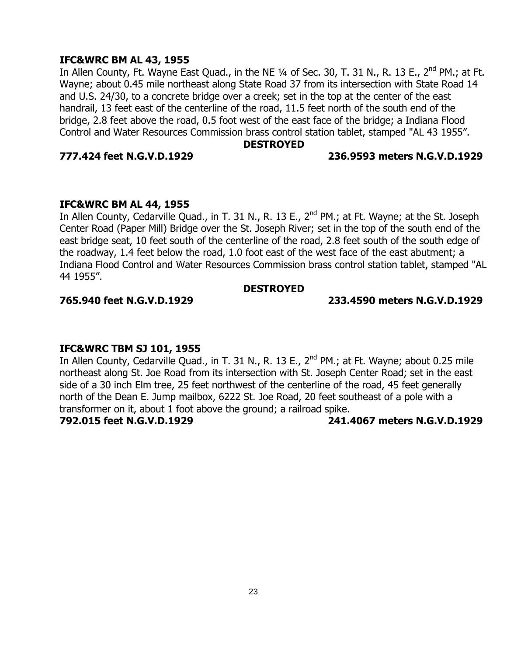## **IFC&WRC BM AL 43, 1955**

In Allen County, Ft. Wayne East Quad., in the NE  $\frac{1}{4}$  of Sec. 30, T. 31 N., R. 13 E., 2<sup>nd</sup> PM.; at Ft. Wayne; about 0.45 mile northeast along State Road 37 from its intersection with State Road 14 and U.S. 24/30, to a concrete bridge over a creek; set in the top at the center of the east handrail, 13 feet east of the centerline of the road, 11.5 feet north of the south end of the bridge, 2.8 feet above the road, 0.5 foot west of the east face of the bridge; a Indiana Flood Control and Water Resources Commission brass control station tablet, stamped "AL 43 1955".

#### **DESTROYED**

### **777.424 feet N.G.V.D.1929 236.9593 meters N.G.V.D.1929**

## **IFC&WRC BM AL 44, 1955**

In Allen County, Cedarville Quad., in T. 31 N., R. 13 E., 2<sup>nd</sup> PM.; at Ft. Wayne; at the St. Joseph Center Road (Paper Mill) Bridge over the St. Joseph River; set in the top of the south end of the east bridge seat, 10 feet south of the centerline of the road, 2.8 feet south of the south edge of the roadway, 1.4 feet below the road, 1.0 foot east of the west face of the east abutment; a Indiana Flood Control and Water Resources Commission brass control station tablet, stamped "AL 44 1955".

### **DESTROYED**

## **765.940 feet N.G.V.D.1929 233.4590 meters N.G.V.D.1929**

## **IFC&WRC TBM SJ 101, 1955**

In Allen County, Cedarville Quad., in T. 31 N., R. 13 E., 2<sup>nd</sup> PM.; at Ft. Wayne; about 0.25 mile northeast along St. Joe Road from its intersection with St. Joseph Center Road; set in the east side of a 30 inch Elm tree, 25 feet northwest of the centerline of the road, 45 feet generally north of the Dean E. Jump mailbox, 6222 St. Joe Road, 20 feet southeast of a pole with a transformer on it, about 1 foot above the ground; a railroad spike.

## **792.015 feet N.G.V.D.1929 241.4067 meters N.G.V.D.1929**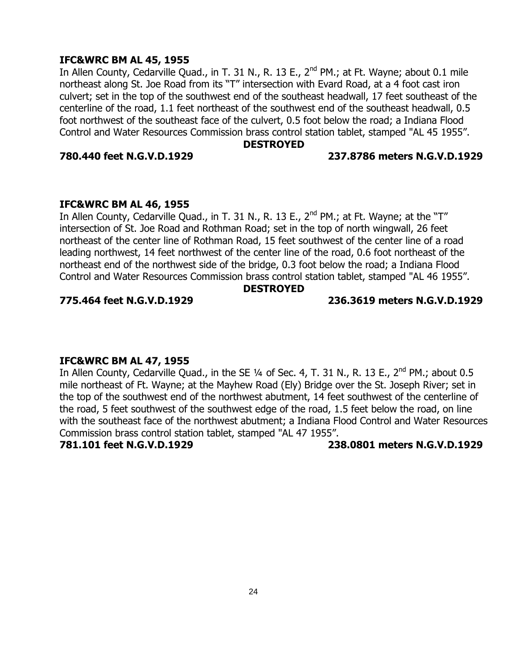## **IFC&WRC BM AL 45, 1955**

In Allen County, Cedarville Quad., in T. 31 N., R. 13 E., 2<sup>nd</sup> PM.; at Ft. Wayne; about 0.1 mile northeast along St. Joe Road from its "T" intersection with Evard Road, at a 4 foot cast iron culvert; set in the top of the southwest end of the southeast headwall, 17 feet southeast of the centerline of the road, 1.1 feet northeast of the southwest end of the southeast headwall, 0.5 foot northwest of the southeast face of the culvert, 0.5 foot below the road; a Indiana Flood Control and Water Resources Commission brass control station tablet, stamped "AL 45 1955".

#### **DESTROYED**

#### **780.440 feet N.G.V.D.1929 237.8786 meters N.G.V.D.1929**

### **IFC&WRC BM AL 46, 1955**

In Allen County, Cedarville Quad., in T. 31 N., R. 13 E., 2<sup>nd</sup> PM.; at Ft. Wayne; at the "T" intersection of St. Joe Road and Rothman Road; set in the top of north wingwall, 26 feet northeast of the center line of Rothman Road, 15 feet southwest of the center line of a road leading northwest, 14 feet northwest of the center line of the road, 0.6 foot northeast of the northeast end of the northwest side of the bridge, 0.3 foot below the road; a Indiana Flood Control and Water Resources Commission brass control station tablet, stamped "AL 46 1955".

#### **DESTROYED**

## **775.464 feet N.G.V.D.1929 236.3619 meters N.G.V.D.1929**

## **IFC&WRC BM AL 47, 1955**

In Allen County, Cedarville Quad., in the SE  $\frac{1}{4}$  of Sec. 4, T. 31 N., R. 13 E., 2<sup>nd</sup> PM.; about 0.5 mile northeast of Ft. Wayne; at the Mayhew Road (Ely) Bridge over the St. Joseph River; set in the top of the southwest end of the northwest abutment, 14 feet southwest of the centerline of the road, 5 feet southwest of the southwest edge of the road, 1.5 feet below the road, on line with the southeast face of the northwest abutment; a Indiana Flood Control and Water Resources Commission brass control station tablet, stamped "AL 47 1955".

**781.101 feet N.G.V.D.1929 238.0801 meters N.G.V.D.1929**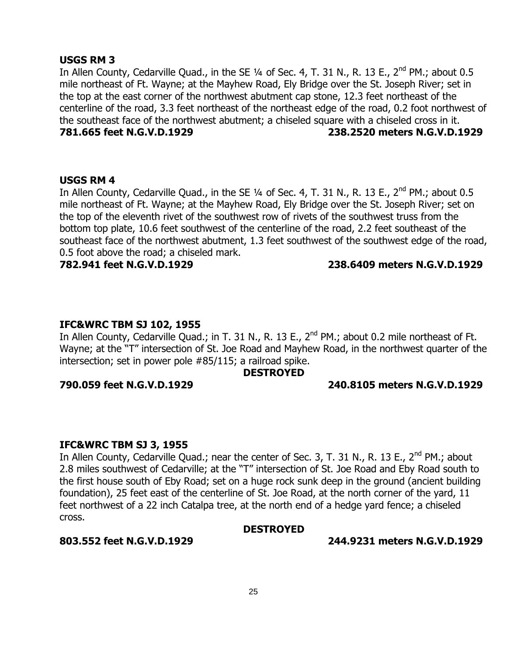## **USGS RM 3**

In Allen County, Cedarville Quad., in the SE 1/4 of Sec. 4, T. 31 N., R. 13 E., 2<sup>nd</sup> PM.; about 0.5 mile northeast of Ft. Wayne; at the Mayhew Road, Ely Bridge over the St. Joseph River; set in the top at the east corner of the northwest abutment cap stone, 12.3 feet northeast of the centerline of the road, 3.3 feet northeast of the northeast edge of the road, 0.2 foot northwest of the southeast face of the northwest abutment; a chiseled square with a chiseled cross in it. **781.665 feet N.G.V.D.1929 238.2520 meters N.G.V.D.1929**

#### **USGS RM 4**

In Allen County, Cedarville Quad., in the SE  $\frac{1}{4}$  of Sec. 4, T. 31 N., R. 13 E., 2<sup>nd</sup> PM.; about 0.5 mile northeast of Ft. Wayne; at the Mayhew Road, Ely Bridge over the St. Joseph River; set on the top of the eleventh rivet of the southwest row of rivets of the southwest truss from the bottom top plate, 10.6 feet southwest of the centerline of the road, 2.2 feet southeast of the southeast face of the northwest abutment, 1.3 feet southwest of the southwest edge of the road, 0.5 foot above the road; a chiseled mark.

## **782.941 feet N.G.V.D.1929 238.6409 meters N.G.V.D.1929**

## **IFC&WRC TBM SJ 102, 1955**

In Allen County, Cedarville Quad.; in T. 31 N., R. 13 E., 2<sup>nd</sup> PM.; about 0.2 mile northeast of Ft. Wayne; at the "T" intersection of St. Joe Road and Mayhew Road, in the northwest quarter of the intersection; set in power pole #85/115; a railroad spike.

#### **DESTROYED**

### **790.059 feet N.G.V.D.1929 240.8105 meters N.G.V.D.1929**

#### **IFC&WRC TBM SJ 3, 1955**

In Allen County, Cedarville Quad.; near the center of Sec. 3, T. 31 N., R. 13 E., 2<sup>nd</sup> PM.; about 2.8 miles southwest of Cedarville; at the "T" intersection of St. Joe Road and Eby Road south to the first house south of Eby Road; set on a huge rock sunk deep in the ground (ancient building foundation), 25 feet east of the centerline of St. Joe Road, at the north corner of the yard, 11 feet northwest of a 22 inch Catalpa tree, at the north end of a hedge yard fence; a chiseled cross.

#### **DESTROYED**

**803.552 feet N.G.V.D.1929 244.9231 meters N.G.V.D.1929**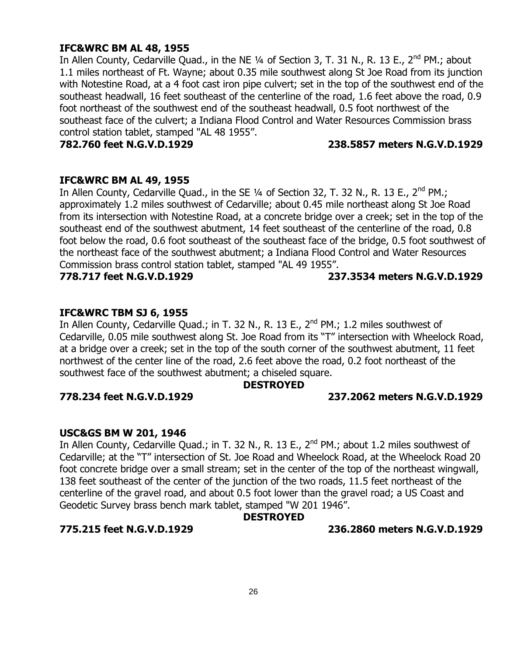### **IFC&WRC BM AL 48, 1955**

In Allen County, Cedarville Quad., in the NE 1/4 of Section 3, T. 31 N., R. 13 E., 2<sup>nd</sup> PM.; about 1.1 miles northeast of Ft. Wayne; about 0.35 mile southwest along St Joe Road from its junction with Notestine Road, at a 4 foot cast iron pipe culvert; set in the top of the southwest end of the southeast headwall, 16 feet southeast of the centerline of the road, 1.6 feet above the road, 0.9 foot northeast of the southwest end of the southeast headwall, 0.5 foot northwest of the southeast face of the culvert; a Indiana Flood Control and Water Resources Commission brass control station tablet, stamped "AL 48 1955".

## **782.760 feet N.G.V.D.1929 238.5857 meters N.G.V.D.1929**

#### **IFC&WRC BM AL 49, 1955**

In Allen County, Cedarville Quad., in the SE  $\frac{1}{4}$  of Section 32, T. 32 N., R. 13 E., 2<sup>nd</sup> PM.; approximately 1.2 miles southwest of Cedarville; about 0.45 mile northeast along St Joe Road from its intersection with Notestine Road, at a concrete bridge over a creek; set in the top of the southeast end of the southwest abutment, 14 feet southeast of the centerline of the road, 0.8 foot below the road, 0.6 foot southeast of the southeast face of the bridge, 0.5 foot southwest of the northeast face of the southwest abutment; a Indiana Flood Control and Water Resources Commission brass control station tablet, stamped "AL 49 1955".

**778.717 feet N.G.V.D.1929 237.3534 meters N.G.V.D.1929**

### **IFC&WRC TBM SJ 6, 1955**

In Allen County, Cedarville Quad.; in T. 32 N., R. 13 E., 2<sup>nd</sup> PM.; 1.2 miles southwest of Cedarville, 0.05 mile southwest along St. Joe Road from its "T" intersection with Wheelock Road, at a bridge over a creek; set in the top of the south corner of the southwest abutment, 11 feet northwest of the center line of the road, 2.6 feet above the road, 0.2 foot northeast of the southwest face of the southwest abutment; a chiseled square.

#### **DESTROYED**

#### **778.234 feet N.G.V.D.1929 237.2062 meters N.G.V.D.1929**

#### **USC&GS BM W 201, 1946**

In Allen County, Cedarville Quad.; in T. 32 N., R. 13 E., 2<sup>nd</sup> PM.; about 1.2 miles southwest of Cedarville; at the "T" intersection of St. Joe Road and Wheelock Road, at the Wheelock Road 20 foot concrete bridge over a small stream; set in the center of the top of the northeast wingwall, 138 feet southeast of the center of the junction of the two roads, 11.5 feet northeast of the centerline of the gravel road, and about 0.5 foot lower than the gravel road; a US Coast and Geodetic Survey brass bench mark tablet, stamped "W 201 1946".

## **DESTROYED**

**775.215 feet N.G.V.D.1929 236.2860 meters N.G.V.D.1929**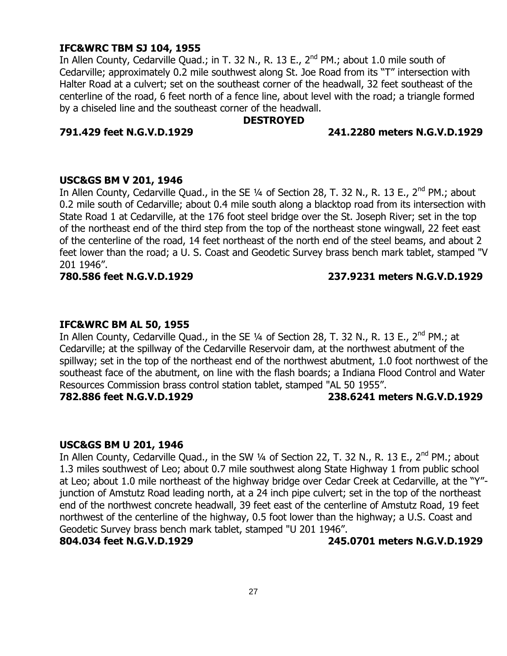## **IFC&WRC TBM SJ 104, 1955**

In Allen County, Cedarville Quad.; in T. 32 N., R. 13 E., 2<sup>nd</sup> PM.; about 1.0 mile south of Cedarville; approximately 0.2 mile southwest along St. Joe Road from its "T" intersection with Halter Road at a culvert; set on the southeast corner of the headwall, 32 feet southeast of the centerline of the road, 6 feet north of a fence line, about level with the road; a triangle formed by a chiseled line and the southeast corner of the headwall.

### **DESTROYED**

## **791.429 feet N.G.V.D.1929 241.2280 meters N.G.V.D.1929**

#### **USC&GS BM V 201, 1946**

In Allen County, Cedarville Quad., in the SE 1/4 of Section 28, T. 32 N., R. 13 E., 2<sup>nd</sup> PM.; about 0.2 mile south of Cedarville; about 0.4 mile south along a blacktop road from its intersection with State Road 1 at Cedarville, at the 176 foot steel bridge over the St. Joseph River; set in the top of the northeast end of the third step from the top of the northeast stone wingwall, 22 feet east of the centerline of the road, 14 feet northeast of the north end of the steel beams, and about 2 feet lower than the road; a U. S. Coast and Geodetic Survey brass bench mark tablet, stamped "V 201 1946".

#### **780.586 feet N.G.V.D.1929 237.9231 meters N.G.V.D.1929**

## **IFC&WRC BM AL 50, 1955**

In Allen County, Cedarville Quad., in the SE  $1/4$  of Section 28, T. 32 N., R. 13 E., 2<sup>nd</sup> PM.; at Cedarville; at the spillway of the Cedarville Reservoir dam, at the northwest abutment of the spillway; set in the top of the northeast end of the northwest abutment, 1.0 foot northwest of the southeast face of the abutment, on line with the flash boards; a Indiana Flood Control and Water Resources Commission brass control station tablet, stamped "AL 50 1955".

#### **782.886 feet N.G.V.D.1929 238.6241 meters N.G.V.D.1929**

#### **USC&GS BM U 201, 1946**

In Allen County, Cedarville Quad., in the SW 1/4 of Section 22, T. 32 N., R. 13 E., 2<sup>nd</sup> PM.; about 1.3 miles southwest of Leo; about 0.7 mile southwest along State Highway 1 from public school at Leo; about 1.0 mile northeast of the highway bridge over Cedar Creek at Cedarville, at the "Y" junction of Amstutz Road leading north, at a 24 inch pipe culvert; set in the top of the northeast end of the northwest concrete headwall, 39 feet east of the centerline of Amstutz Road, 19 feet northwest of the centerline of the highway, 0.5 foot lower than the highway; a U.S. Coast and Geodetic Survey brass bench mark tablet, stamped "U 201 1946".

**804.034 feet N.G.V.D.1929 245.0701 meters N.G.V.D.1929**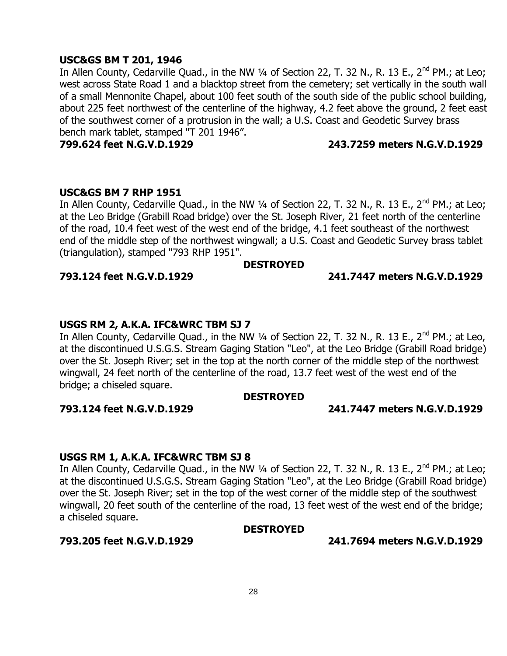## **USC&GS BM T 201, 1946**

In Allen County, Cedarville Quad., in the NW 1/4 of Section 22, T. 32 N., R. 13 E., 2<sup>nd</sup> PM.; at Leo; west across State Road 1 and a blacktop street from the cemetery; set vertically in the south wall of a small Mennonite Chapel, about 100 feet south of the south side of the public school building, about 225 feet northwest of the centerline of the highway, 4.2 feet above the ground, 2 feet east of the southwest corner of a protrusion in the wall; a U.S. Coast and Geodetic Survey brass bench mark tablet, stamped "T 201 1946".

### **799.624 feet N.G.V.D.1929 243.7259 meters N.G.V.D.1929**

#### **USC&GS BM 7 RHP 1951**

In Allen County, Cedarville Quad., in the NW 1/4 of Section 22, T. 32 N., R. 13 E., 2<sup>nd</sup> PM.; at Leo; at the Leo Bridge (Grabill Road bridge) over the St. Joseph River, 21 feet north of the centerline of the road, 10.4 feet west of the west end of the bridge, 4.1 feet southeast of the northwest end of the middle step of the northwest wingwall; a U.S. Coast and Geodetic Survey brass tablet (triangulation), stamped "793 RHP 1951".

**DESTROYED**

#### **793.124 feet N.G.V.D.1929 241.7447 meters N.G.V.D.1929**

**USGS RM 2, A.K.A. IFC&WRC TBM SJ 7** In Allen County, Cedarville Quad., in the NW 1/4 of Section 22, T. 32 N., R. 13 E., 2<sup>nd</sup> PM.; at Leo, at the discontinued U.S.G.S. Stream Gaging Station "Leo", at the Leo Bridge (Grabill Road bridge) over the St. Joseph River; set in the top at the north corner of the middle step of the northwest wingwall, 24 feet north of the centerline of the road, 13.7 feet west of the west end of the bridge; a chiseled square.

## **DESTROYED**

## **793.124 feet N.G.V.D.1929 241.7447 meters N.G.V.D.1929**

## **USGS RM 1, A.K.A. IFC&WRC TBM SJ 8**

In Allen County, Cedarville Quad., in the NW  $\frac{1}{4}$  of Section 22, T. 32 N., R. 13 E., 2<sup>nd</sup> PM.; at Leo; at the discontinued U.S.G.S. Stream Gaging Station "Leo", at the Leo Bridge (Grabill Road bridge) over the St. Joseph River; set in the top of the west corner of the middle step of the southwest wingwall, 20 feet south of the centerline of the road, 13 feet west of the west end of the bridge; a chiseled square.

#### **DESTROYED**

**793.205 feet N.G.V.D.1929 241.7694 meters N.G.V.D.1929**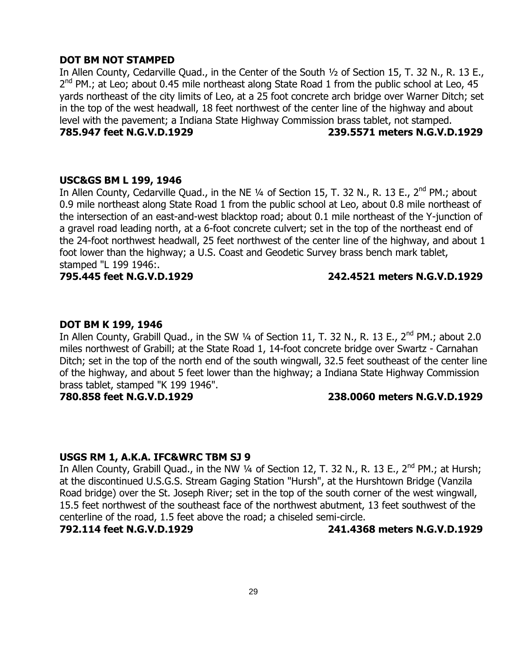## **DOT BM NOT STAMPED**

In Allen County, Cedarville Quad., in the Center of the South ½ of Section 15, T. 32 N., R. 13 E., 2<sup>nd</sup> PM.; at Leo; about 0.45 mile northeast along State Road 1 from the public school at Leo, 45 yards northeast of the city limits of Leo, at a 25 foot concrete arch bridge over Warner Ditch; set in the top of the west headwall, 18 feet northwest of the center line of the highway and about level with the pavement; a Indiana State Highway Commission brass tablet, not stamped. **785.947 feet N.G.V.D.1929 239.5571 meters N.G.V.D.1929**

#### **USC&GS BM L 199, 1946**

In Allen County, Cedarville Quad., in the NE 1/4 of Section 15, T. 32 N., R. 13 E., 2<sup>nd</sup> PM.; about 0.9 mile northeast along State Road 1 from the public school at Leo, about 0.8 mile northeast of the intersection of an east-and-west blacktop road; about 0.1 mile northeast of the Y-junction of a gravel road leading north, at a 6-foot concrete culvert; set in the top of the northeast end of the 24-foot northwest headwall, 25 feet northwest of the center line of the highway, and about 1 foot lower than the highway; a U.S. Coast and Geodetic Survey brass bench mark tablet, stamped "L 199 1946:.

## **795.445 feet N.G.V.D.1929 242.4521 meters N.G.V.D.1929**

## **DOT BM K 199, 1946**

In Allen County, Grabill Quad., in the SW 1/4 of Section 11, T. 32 N., R. 13 E., 2<sup>nd</sup> PM.; about 2.0 miles northwest of Grabill; at the State Road 1, 14-foot concrete bridge over Swartz - Carnahan Ditch; set in the top of the north end of the south wingwall, 32.5 feet southeast of the center line of the highway, and about 5 feet lower than the highway; a Indiana State Highway Commission brass tablet, stamped "K 199 1946".

## **780.858 feet N.G.V.D.1929 238.0060 meters N.G.V.D.1929**

## **USGS RM 1, A.K.A. IFC&WRC TBM SJ 9**

In Allen County, Grabill Quad., in the NW  $\frac{1}{4}$  of Section 12, T. 32 N., R. 13 E., 2<sup>nd</sup> PM.; at Hursh; at the discontinued U.S.G.S. Stream Gaging Station "Hursh", at the Hurshtown Bridge (Vanzila Road bridge) over the St. Joseph River; set in the top of the south corner of the west wingwall, 15.5 feet northwest of the southeast face of the northwest abutment, 13 feet southwest of the centerline of the road, 1.5 feet above the road; a chiseled semi-circle.

**792.114 feet N.G.V.D.1929 241.4368 meters N.G.V.D.1929**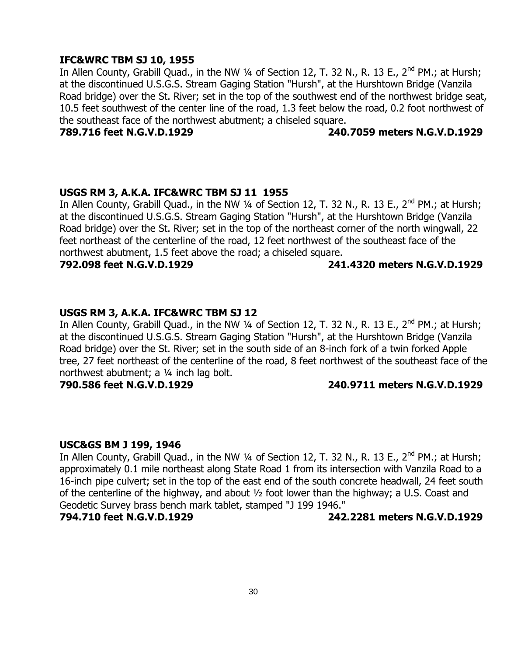## **IFC&WRC TBM SJ 10, 1955**

In Allen County, Grabill Quad., in the NW 1/4 of Section 12, T. 32 N., R. 13 E.,  $2^{nd}$  PM.; at Hursh; at the discontinued U.S.G.S. Stream Gaging Station "Hursh", at the Hurshtown Bridge (Vanzila Road bridge) over the St. River; set in the top of the southwest end of the northwest bridge seat, 10.5 feet southwest of the center line of the road, 1.3 feet below the road, 0.2 foot northwest of the southeast face of the northwest abutment; a chiseled square.

## **789.716 feet N.G.V.D.1929 240.7059 meters N.G.V.D.1929**

### **USGS RM 3, A.K.A. IFC&WRC TBM SJ 11 1955**

In Allen County, Grabill Quad., in the NW 1/4 of Section 12, T. 32 N., R. 13 E., 2<sup>nd</sup> PM.; at Hursh; at the discontinued U.S.G.S. Stream Gaging Station "Hursh", at the Hurshtown Bridge (Vanzila Road bridge) over the St. River; set in the top of the northeast corner of the north wingwall, 22 feet northeast of the centerline of the road, 12 feet northwest of the southeast face of the northwest abutment, 1.5 feet above the road; a chiseled square.

**792.098 feet N.G.V.D.1929 241.4320 meters N.G.V.D.1929**

## **USGS RM 3, A.K.A. IFC&WRC TBM SJ 12**

In Allen County, Grabill Quad., in the NW  $\frac{1}{4}$  of Section 12, T. 32 N., R. 13 E., 2<sup>nd</sup> PM.; at Hursh; at the discontinued U.S.G.S. Stream Gaging Station "Hursh", at the Hurshtown Bridge (Vanzila Road bridge) over the St. River; set in the south side of an 8-inch fork of a twin forked Apple tree, 27 feet northeast of the centerline of the road, 8 feet northwest of the southeast face of the northwest abutment; a ¼ inch lag bolt.

## **790.586 feet N.G.V.D.1929 240.9711 meters N.G.V.D.1929**

#### **USC&GS BM J 199, 1946**

In Allen County, Grabill Quad., in the NW  $\frac{1}{4}$  of Section 12, T. 32 N., R. 13 E., 2<sup>nd</sup> PM.; at Hursh; approximately 0.1 mile northeast along State Road 1 from its intersection with Vanzila Road to a 16-inch pipe culvert; set in the top of the east end of the south concrete headwall, 24 feet south of the centerline of the highway, and about ½ foot lower than the highway; a U.S. Coast and Geodetic Survey brass bench mark tablet, stamped "J 199 1946."

## **794.710 feet N.G.V.D.1929 242.2281 meters N.G.V.D.1929**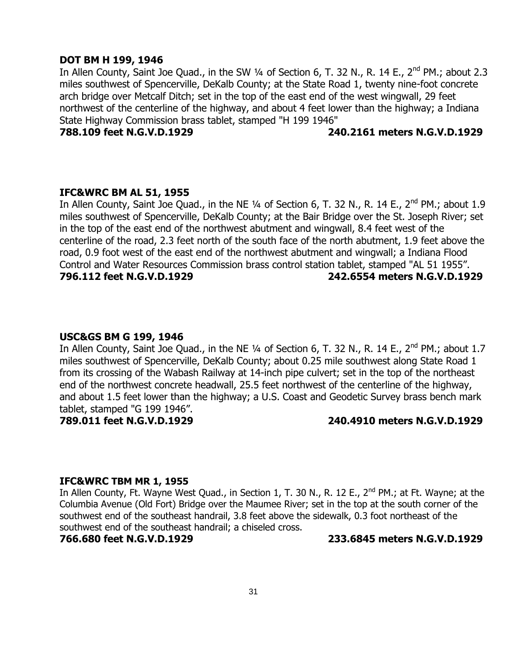#### **DOT BM H 199, 1946**

In Allen County, Saint Joe Quad., in the SW 1/4 of Section 6, T. 32 N., R. 14 E., 2<sup>nd</sup> PM.; about 2.3 miles southwest of Spencerville, DeKalb County; at the State Road 1, twenty nine-foot concrete arch bridge over Metcalf Ditch; set in the top of the east end of the west wingwall, 29 feet northwest of the centerline of the highway, and about 4 feet lower than the highway; a Indiana State Highway Commission brass tablet, stamped "H 199 1946"

## **788.109 feet N.G.V.D.1929 240.2161 meters N.G.V.D.1929**

### **IFC&WRC BM AL 51, 1955**

In Allen County, Saint Joe Quad., in the NE 1/4 of Section 6, T. 32 N., R. 14 E., 2<sup>nd</sup> PM.; about 1.9 miles southwest of Spencerville, DeKalb County; at the Bair Bridge over the St. Joseph River; set in the top of the east end of the northwest abutment and wingwall, 8.4 feet west of the centerline of the road, 2.3 feet north of the south face of the north abutment, 1.9 feet above the road, 0.9 foot west of the east end of the northwest abutment and wingwall; a Indiana Flood Control and Water Resources Commission brass control station tablet, stamped "AL 51 1955". **796.112 feet N.G.V.D.1929 242.6554 meters N.G.V.D.1929**

#### **USC&GS BM G 199, 1946**

In Allen County, Saint Joe Quad., in the NE 1/4 of Section 6, T. 32 N., R. 14 E., 2<sup>nd</sup> PM.; about 1.7 miles southwest of Spencerville, DeKalb County; about 0.25 mile southwest along State Road 1 from its crossing of the Wabash Railway at 14-inch pipe culvert; set in the top of the northeast end of the northwest concrete headwall, 25.5 feet northwest of the centerline of the highway, and about 1.5 feet lower than the highway; a U.S. Coast and Geodetic Survey brass bench mark tablet, stamped "G 199 1946".

### **789.011 feet N.G.V.D.1929 240.4910 meters N.G.V.D.1929**

#### **IFC&WRC TBM MR 1, 1955**

In Allen County, Ft. Wayne West Quad., in Section 1, T. 30 N., R. 12 E., 2<sup>nd</sup> PM.; at Ft. Wayne; at the Columbia Avenue (Old Fort) Bridge over the Maumee River; set in the top at the south corner of the southwest end of the southeast handrail, 3.8 feet above the sidewalk, 0.3 foot northeast of the southwest end of the southeast handrail; a chiseled cross.

**766.680 feet N.G.V.D.1929 233.6845 meters N.G.V.D.1929**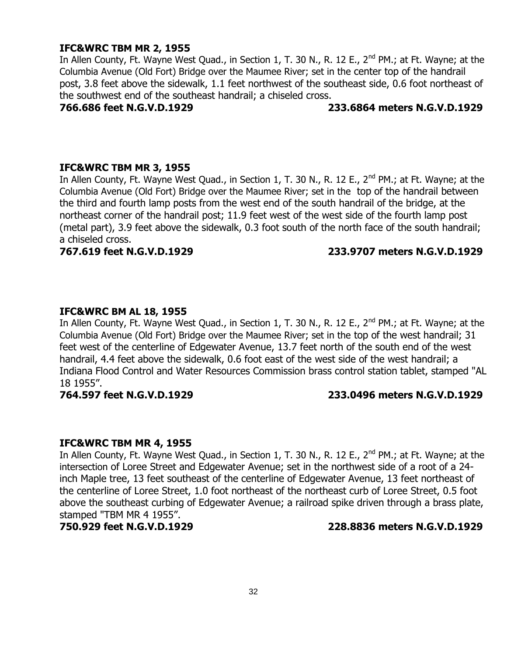## **IFC&WRC TBM MR 2, 1955**

In Allen County, Ft. Wayne West Quad., in Section 1, T. 30 N., R. 12 E., 2<sup>nd</sup> PM.; at Ft. Wayne; at the Columbia Avenue (Old Fort) Bridge over the Maumee River; set in the center top of the handrail post, 3.8 feet above the sidewalk, 1.1 feet northwest of the southeast side, 0.6 foot northeast of the southwest end of the southeast handrail; a chiseled cross.

### **766.686 feet N.G.V.D.1929 233.6864 meters N.G.V.D.1929**

### **IFC&WRC TBM MR 3, 1955**

In Allen County, Ft. Wayne West Quad., in Section 1, T. 30 N., R. 12 E., 2<sup>nd</sup> PM.; at Ft. Wayne; at the Columbia Avenue (Old Fort) Bridge over the Maumee River; set in the top of the handrail between the third and fourth lamp posts from the west end of the south handrail of the bridge, at the northeast corner of the handrail post; 11.9 feet west of the west side of the fourth lamp post (metal part), 3.9 feet above the sidewalk, 0.3 foot south of the north face of the south handrail; a chiseled cross.

### **767.619 feet N.G.V.D.1929 233.9707 meters N.G.V.D.1929**

### **IFC&WRC BM AL 18, 1955**

In Allen County, Ft. Wayne West Quad., in Section 1, T. 30 N., R. 12 E., 2<sup>nd</sup> PM.; at Ft. Wayne; at the Columbia Avenue (Old Fort) Bridge over the Maumee River; set in the top of the west handrail; 31 feet west of the centerline of Edgewater Avenue, 13.7 feet north of the south end of the west handrail, 4.4 feet above the sidewalk, 0.6 foot east of the west side of the west handrail; a Indiana Flood Control and Water Resources Commission brass control station tablet, stamped "AL 18 1955".

## **764.597 feet N.G.V.D.1929 233.0496 meters N.G.V.D.1929**

#### **IFC&WRC TBM MR 4, 1955**

In Allen County, Ft. Wayne West Quad., in Section 1, T. 30 N., R. 12 E., 2<sup>nd</sup> PM.; at Ft. Wayne; at the intersection of Loree Street and Edgewater Avenue; set in the northwest side of a root of a 24 inch Maple tree, 13 feet southeast of the centerline of Edgewater Avenue, 13 feet northeast of the centerline of Loree Street, 1.0 foot northeast of the northeast curb of Loree Street, 0.5 foot above the southeast curbing of Edgewater Avenue; a railroad spike driven through a brass plate, stamped "TBM MR 4 1955".

#### **750.929 feet N.G.V.D.1929 228.8836 meters N.G.V.D.1929**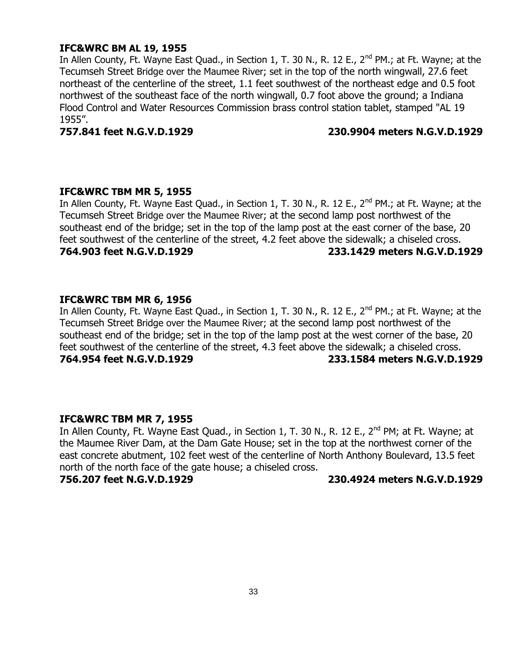## **IFC&WRC BM AL 19, 1955**

In Allen County, Ft. Wayne East Quad., in Section 1, T. 30 N., R. 12 E., 2<sup>nd</sup> PM.; at Ft. Wayne; at the Tecumseh Street Bridge over the Maumee River; set in the top of the north wingwall, 27.6 feet northeast of the centerline of the street, 1.1 feet southwest of the northeast edge and 0.5 foot northwest of the southeast face of the north wingwall, 0.7 foot above the ground; a Indiana Flood Control and Water Resources Commission brass control station tablet, stamped "AL 19 1955".

#### **757.841 feet N.G.V.D.1929 230.9904 meters N.G.V.D.1929**

### **IFC&WRC TBM MR 5, 1955**

In Allen County, Ft. Wayne East Quad., in Section 1, T. 30 N., R. 12 E., 2<sup>nd</sup> PM.; at Ft. Wayne; at the Tecumseh Street Bridge over the Maumee River; at the second lamp post northwest of the southeast end of the bridge; set in the top of the lamp post at the east corner of the base, 20 feet southwest of the centerline of the street, 4.2 feet above the sidewalk; a chiseled cross. **764.903 feet N.G.V.D.1929 233.1429 meters N.G.V.D.1929**

## **IFC&WRC TBM MR 6, 1956**

In Allen County, Ft. Wayne East Quad., in Section 1, T. 30 N., R. 12 E.,  $2^{nd}$  PM.; at Ft. Wayne; at the Tecumseh Street Bridge over the Maumee River; at the second lamp post northwest of the southeast end of the bridge; set in the top of the lamp post at the west corner of the base, 20 feet southwest of the centerline of the street, 4.3 feet above the sidewalk; a chiseled cross. **764.954 feet N.G.V.D.1929 233.1584 meters N.G.V.D.1929**

## **IFC&WRC TBM MR 7, 1955**

In Allen County, Ft. Wayne East Quad., in Section 1, T. 30 N., R. 12 E., 2<sup>nd</sup> PM; at Ft. Wayne; at the Maumee River Dam, at the Dam Gate House; set in the top at the northwest corner of the east concrete abutment, 102 feet west of the centerline of North Anthony Boulevard, 13.5 feet north of the north face of the gate house; a chiseled cross.

**756.207 feet N.G.V.D.1929 230.4924 meters N.G.V.D.1929**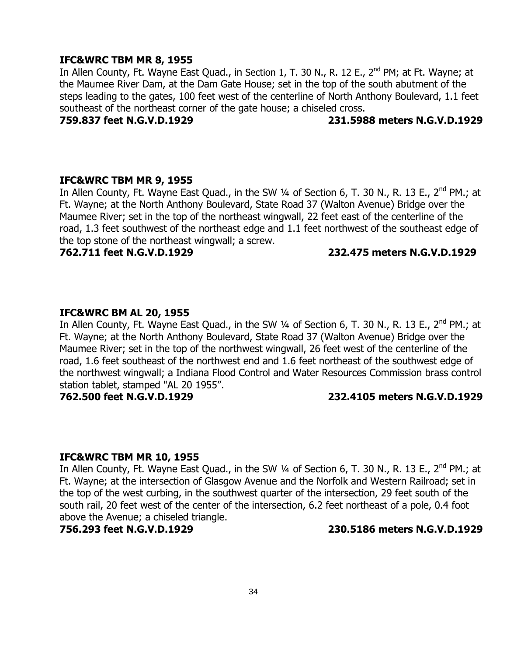### **IFC&WRC TBM MR 8, 1955**

In Allen County, Ft. Wayne East Quad., in Section 1, T. 30 N., R. 12 E., 2<sup>nd</sup> PM; at Ft. Wayne; at the Maumee River Dam, at the Dam Gate House; set in the top of the south abutment of the steps leading to the gates, 100 feet west of the centerline of North Anthony Boulevard, 1.1 feet southeast of the northeast corner of the gate house; a chiseled cross.

## **759.837 feet N.G.V.D.1929 231.5988 meters N.G.V.D.1929**

#### **IFC&WRC TBM MR 9, 1955**

In Allen County, Ft. Wayne East Quad., in the SW 1/4 of Section 6, T. 30 N., R. 13 E., 2<sup>nd</sup> PM.; at Ft. Wayne; at the North Anthony Boulevard, State Road 37 (Walton Avenue) Bridge over the Maumee River; set in the top of the northeast wingwall, 22 feet east of the centerline of the road, 1.3 feet southwest of the northeast edge and 1.1 feet northwest of the southeast edge of the top stone of the northeast wingwall; a screw.

#### **762.711 feet N.G.V.D.1929 232.475 meters N.G.V.D.1929**

### **IFC&WRC BM AL 20, 1955**

In Allen County, Ft. Wayne East Quad., in the SW 1/4 of Section 6, T. 30 N., R. 13 E., 2<sup>nd</sup> PM.; at Ft. Wayne; at the North Anthony Boulevard, State Road 37 (Walton Avenue) Bridge over the Maumee River; set in the top of the northwest wingwall, 26 feet west of the centerline of the road, 1.6 feet southeast of the northwest end and 1.6 feet northeast of the southwest edge of the northwest wingwall; a Indiana Flood Control and Water Resources Commission brass control station tablet, stamped "AL 20 1955".

## **762.500 feet N.G.V.D.1929 232.4105 meters N.G.V.D.1929**

#### **IFC&WRC TBM MR 10, 1955**

In Allen County, Ft. Wayne East Quad., in the SW 1/4 of Section 6, T. 30 N., R. 13 E., 2<sup>nd</sup> PM.; at Ft. Wayne; at the intersection of Glasgow Avenue and the Norfolk and Western Railroad; set in the top of the west curbing, in the southwest quarter of the intersection, 29 feet south of the south rail, 20 feet west of the center of the intersection, 6.2 feet northeast of a pole, 0.4 foot above the Avenue; a chiseled triangle.

**756.293 feet N.G.V.D.1929 230.5186 meters N.G.V.D.1929**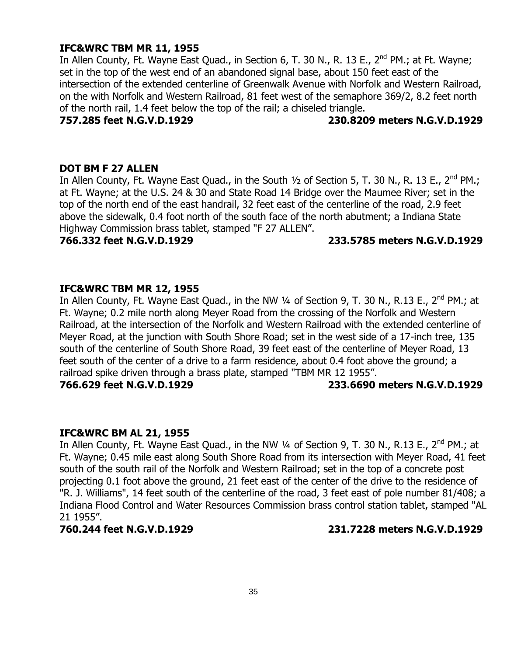### **IFC&WRC TBM MR 11, 1955**

In Allen County, Ft. Wayne East Quad., in Section 6, T. 30 N., R. 13 E., 2<sup>nd</sup> PM.; at Ft. Wayne; set in the top of the west end of an abandoned signal base, about 150 feet east of the intersection of the extended centerline of Greenwalk Avenue with Norfolk and Western Railroad, on the with Norfolk and Western Railroad, 81 feet west of the semaphore 369/2, 8.2 feet north of the north rail, 1.4 feet below the top of the rail; a chiseled triangle.

### **757.285 feet N.G.V.D.1929 230.8209 meters N.G.V.D.1929**

## **DOT BM F 27 ALLEN**

In Allen County, Ft. Wayne East Quad., in the South  $\frac{1}{2}$  of Section 5, T. 30 N., R. 13 E., 2<sup>nd</sup> PM.; at Ft. Wayne; at the U.S. 24 & 30 and State Road 14 Bridge over the Maumee River; set in the top of the north end of the east handrail, 32 feet east of the centerline of the road, 2.9 feet above the sidewalk, 0.4 foot north of the south face of the north abutment; a Indiana State Highway Commission brass tablet, stamped "F 27 ALLEN".

## **766.332 feet N.G.V.D.1929 233.5785 meters N.G.V.D.1929**

### **IFC&WRC TBM MR 12, 1955**

In Allen County, Ft. Wayne East Quad., in the NW 1/4 of Section 9, T. 30 N., R.13 E., 2<sup>nd</sup> PM.; at Ft. Wayne; 0.2 mile north along Meyer Road from the crossing of the Norfolk and Western Railroad, at the intersection of the Norfolk and Western Railroad with the extended centerline of Meyer Road, at the junction with South Shore Road; set in the west side of a 17-inch tree, 135 south of the centerline of South Shore Road, 39 feet east of the centerline of Meyer Road, 13 feet south of the center of a drive to a farm residence, about 0.4 foot above the ground; a railroad spike driven through a brass plate, stamped "TBM MR 12 1955". **766.629 feet N.G.V.D.1929 233.6690 meters N.G.V.D.1929**

## **IFC&WRC BM AL 21, 1955**

In Allen County, Ft. Wayne East Quad., in the NW 1/4 of Section 9, T. 30 N., R.13 E., 2<sup>nd</sup> PM.; at Ft. Wayne; 0.45 mile east along South Shore Road from its intersection with Meyer Road, 41 feet south of the south rail of the Norfolk and Western Railroad; set in the top of a concrete post projecting 0.1 foot above the ground, 21 feet east of the center of the drive to the residence of "R. J. Williams", 14 feet south of the centerline of the road, 3 feet east of pole number 81/408; a Indiana Flood Control and Water Resources Commission brass control station tablet, stamped "AL 21 1955".

#### **760.244 feet N.G.V.D.1929 231.7228 meters N.G.V.D.1929**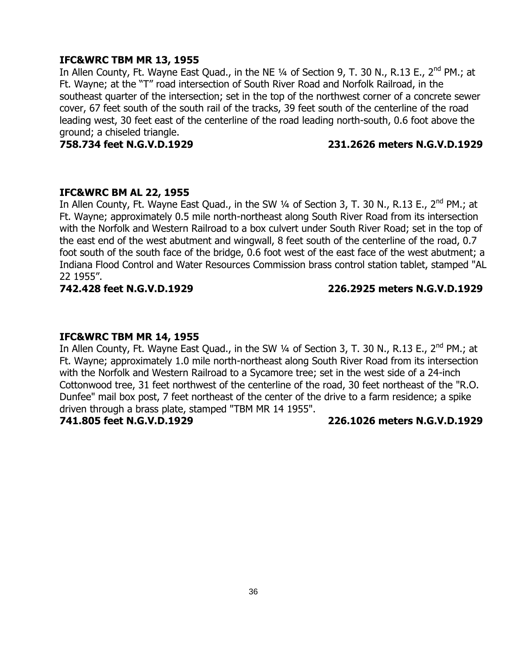## **IFC&WRC TBM MR 13, 1955**

In Allen County, Ft. Wayne East Quad., in the NE 1/4 of Section 9, T. 30 N., R.13 E., 2<sup>nd</sup> PM.; at Ft. Wayne; at the "T" road intersection of South River Road and Norfolk Railroad, in the southeast quarter of the intersection; set in the top of the northwest corner of a concrete sewer cover, 67 feet south of the south rail of the tracks, 39 feet south of the centerline of the road leading west, 30 feet east of the centerline of the road leading north-south, 0.6 foot above the ground; a chiseled triangle.

### **758.734 feet N.G.V.D.1929 231.2626 meters N.G.V.D.1929**

### **IFC&WRC BM AL 22, 1955**

In Allen County, Ft. Wayne East Quad., in the SW 1/4 of Section 3, T. 30 N., R.13 E., 2<sup>nd</sup> PM.; at Ft. Wayne; approximately 0.5 mile north-northeast along South River Road from its intersection with the Norfolk and Western Railroad to a box culvert under South River Road; set in the top of the east end of the west abutment and wingwall, 8 feet south of the centerline of the road, 0.7 foot south of the south face of the bridge, 0.6 foot west of the east face of the west abutment; a Indiana Flood Control and Water Resources Commission brass control station tablet, stamped "AL 22 1955".

## **742.428 feet N.G.V.D.1929 226.2925 meters N.G.V.D.1929**

#### **IFC&WRC TBM MR 14, 1955**

In Allen County, Ft. Wayne East Quad., in the SW 1/4 of Section 3, T. 30 N., R.13 E., 2<sup>nd</sup> PM.; at Ft. Wayne; approximately 1.0 mile north-northeast along South River Road from its intersection with the Norfolk and Western Railroad to a Sycamore tree; set in the west side of a 24-inch Cottonwood tree, 31 feet northwest of the centerline of the road, 30 feet northeast of the "R.O. Dunfee" mail box post, 7 feet northeast of the center of the drive to a farm residence; a spike driven through a brass plate, stamped "TBM MR 14 1955".

## **741.805 feet N.G.V.D.1929 226.1026 meters N.G.V.D.1929**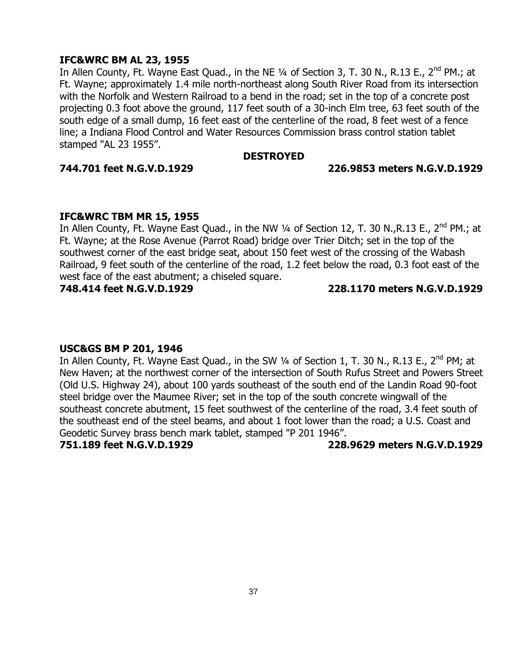### **IFC&WRC BM AL 23, 1955**

In Allen County, Ft. Wayne East Quad., in the NE 1/4 of Section 3, T. 30 N., R.13 E., 2<sup>nd</sup> PM.; at Ft. Wayne; approximately 1.4 mile north-northeast along South River Road from its intersection with the Norfolk and Western Railroad to a bend in the road; set in the top of a concrete post projecting 0.3 foot above the ground, 117 feet south of a 30-inch Elm tree, 63 feet south of the south edge of a small dump, 16 feet east of the centerline of the road, 8 feet west of a fence line; a Indiana Flood Control and Water Resources Commission brass control station tablet stamped "AL 23 1955".

#### **DESTROYED**

#### **744.701 feet N.G.V.D.1929 226.9853 meters N.G.V.D.1929**

#### **IFC&WRC TBM MR 15, 1955**

In Allen County, Ft. Wayne East Quad., in the NW 1/4 of Section 12, T. 30 N., R. 13 E., 2<sup>nd</sup> PM.; at Ft. Wayne; at the Rose Avenue (Parrot Road) bridge over Trier Ditch; set in the top of the southwest corner of the east bridge seat, about 150 feet west of the crossing of the Wabash Railroad, 9 feet south of the centerline of the road, 1.2 feet below the road, 0.3 foot east of the west face of the east abutment; a chiseled square.

#### **748.414 feet N.G.V.D.1929 228.1170 meters N.G.V.D.1929**

#### **USC&GS BM P 201, 1946**

In Allen County, Ft. Wayne East Quad., in the SW  $\frac{1}{4}$  of Section 1, T. 30 N., R.13 E., 2<sup>nd</sup> PM; at New Haven; at the northwest corner of the intersection of South Rufus Street and Powers Street (Old U.S. Highway 24), about 100 yards southeast of the south end of the Landin Road 90-foot steel bridge over the Maumee River; set in the top of the south concrete wingwall of the southeast concrete abutment, 15 feet southwest of the centerline of the road, 3.4 feet south of the southeast end of the steel beams, and about 1 foot lower than the road; a U.S. Coast and Geodetic Survey brass bench mark tablet, stamped "P 201 1946".

**751.189 feet N.G.V.D.1929 228.9629 meters N.G.V.D.1929**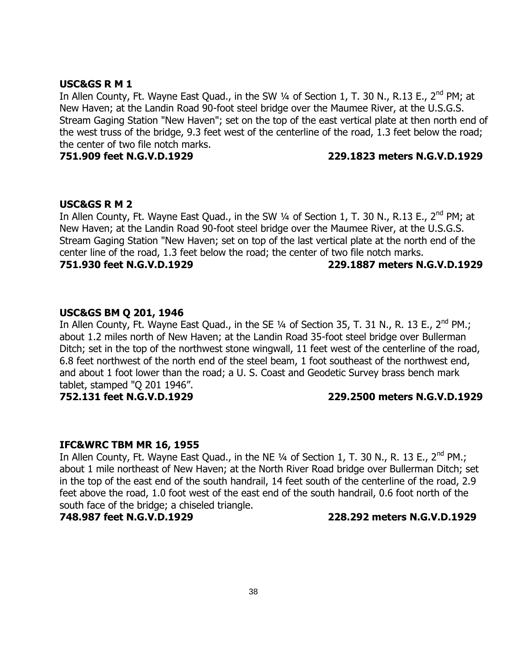#### **USC&GS R M 1**

In Allen County, Ft. Wayne East Quad., in the SW 1/4 of Section 1, T. 30 N., R.13 E., 2<sup>nd</sup> PM; at New Haven; at the Landin Road 90-foot steel bridge over the Maumee River, at the U.S.G.S. Stream Gaging Station "New Haven"; set on the top of the east vertical plate at then north end of the west truss of the bridge, 9.3 feet west of the centerline of the road, 1.3 feet below the road; the center of two file notch marks.

#### **751.909 feet N.G.V.D.1929 229.1823 meters N.G.V.D.1929**

#### **USC&GS R M 2**

In Allen County, Ft. Wayne East Quad., in the SW 1/4 of Section 1, T. 30 N., R.13 E., 2<sup>nd</sup> PM; at New Haven; at the Landin Road 90-foot steel bridge over the Maumee River, at the U.S.G.S. Stream Gaging Station "New Haven; set on top of the last vertical plate at the north end of the center line of the road, 1.3 feet below the road; the center of two file notch marks.

**751.930 feet N.G.V.D.1929 229.1887 meters N.G.V.D.1929**

#### **USC&GS BM Q 201, 1946**

In Allen County, Ft. Wayne East Quad., in the SE 1/4 of Section 35, T. 31 N., R. 13 E., 2<sup>nd</sup> PM.; about 1.2 miles north of New Haven; at the Landin Road 35-foot steel bridge over Bullerman Ditch; set in the top of the northwest stone wingwall, 11 feet west of the centerline of the road, 6.8 feet northwest of the north end of the steel beam, 1 foot southeast of the northwest end, and about 1 foot lower than the road; a U. S. Coast and Geodetic Survey brass bench mark tablet, stamped "Q 201 1946".

#### **752.131 feet N.G.V.D.1929 229.2500 meters N.G.V.D.1929**

#### **IFC&WRC TBM MR 16, 1955**

In Allen County, Ft. Wayne East Quad., in the NE  $\frac{1}{4}$  of Section 1, T. 30 N., R. 13 E., 2<sup>nd</sup> PM.; about 1 mile northeast of New Haven; at the North River Road bridge over Bullerman Ditch; set in the top of the east end of the south handrail, 14 feet south of the centerline of the road, 2.9 feet above the road, 1.0 foot west of the east end of the south handrail, 0.6 foot north of the south face of the bridge; a chiseled triangle.

#### **748.987 feet N.G.V.D.1929 228.292 meters N.G.V.D.1929**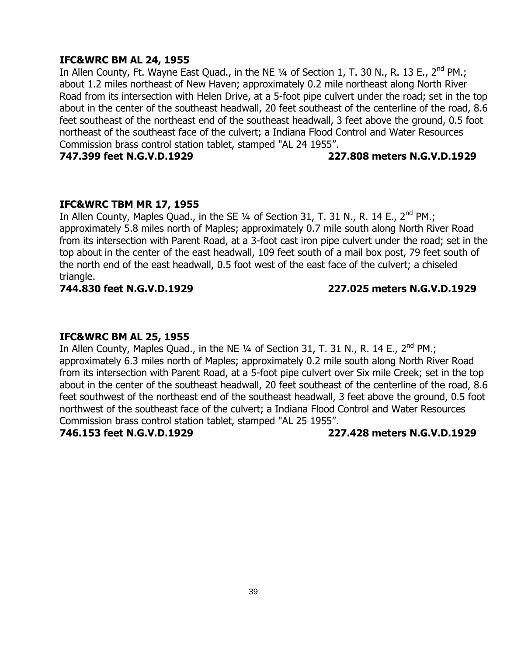### **IFC&WRC BM AL 24, 1955**

In Allen County, Ft. Wayne East Quad., in the NE  $\frac{1}{4}$  of Section 1, T. 30 N., R. 13 E., 2<sup>nd</sup> PM.; about 1.2 miles northeast of New Haven; approximately 0.2 mile northeast along North River Road from its intersection with Helen Drive, at a 5-foot pipe culvert under the road; set in the top about in the center of the southeast headwall, 20 feet southeast of the centerline of the road, 8.6 feet southeast of the northeast end of the southeast headwall, 3 feet above the ground, 0.5 foot northeast of the southeast face of the culvert; a Indiana Flood Control and Water Resources Commission brass control station tablet, stamped "AL 24 1955".

**747.399 feet N.G.V.D.1929 227.808 meters N.G.V.D.1929**

#### **IFC&WRC TBM MR 17, 1955**

In Allen County, Maples Quad., in the SE 1/4 of Section 31, T. 31 N., R. 14 E., 2<sup>nd</sup> PM.; approximately 5.8 miles north of Maples; approximately 0.7 mile south along North River Road from its intersection with Parent Road, at a 3-foot cast iron pipe culvert under the road; set in the top about in the center of the east headwall, 109 feet south of a mail box post, 79 feet south of the north end of the east headwall, 0.5 foot west of the east face of the culvert; a chiseled triangle.

#### **744.830 feet N.G.V.D.1929 227.025 meters N.G.V.D.1929**

#### **IFC&WRC BM AL 25, 1955**

In Allen County, Maples Quad., in the NE 1/4 of Section 31, T. 31 N., R. 14 E., 2<sup>nd</sup> PM.; approximately 6.3 miles north of Maples; approximately 0.2 mile south along North River Road from its intersection with Parent Road, at a 5-foot pipe culvert over Six mile Creek; set in the top about in the center of the southeast headwall, 20 feet southeast of the centerline of the road, 8.6 feet southwest of the northeast end of the southeast headwall, 3 feet above the ground, 0.5 foot northwest of the southeast face of the culvert; a Indiana Flood Control and Water Resources Commission brass control station tablet, stamped "AL 25 1955".

**746.153 feet N.G.V.D.1929 227.428 meters N.G.V.D.1929**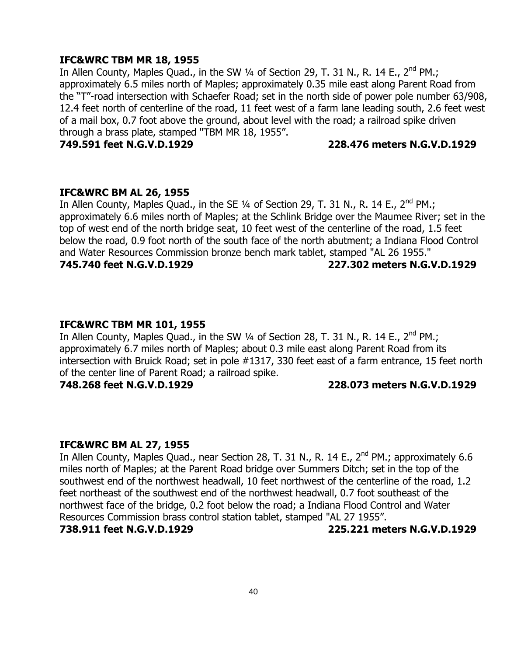#### **IFC&WRC TBM MR 18, 1955**

In Allen County, Maples Quad., in the SW 1/4 of Section 29, T. 31 N., R. 14 E., 2<sup>nd</sup> PM.; approximately 6.5 miles north of Maples; approximately 0.35 mile east along Parent Road from the "T"-road intersection with Schaefer Road; set in the north side of power pole number 63/908, 12.4 feet north of centerline of the road, 11 feet west of a farm lane leading south, 2.6 feet west of a mail box, 0.7 foot above the ground, about level with the road; a railroad spike driven through a brass plate, stamped "TBM MR 18, 1955".

**749.591 feet N.G.V.D.1929 228.476 meters N.G.V.D.1929**

#### **IFC&WRC BM AL 26, 1955**

In Allen County, Maples Quad., in the SE  $\frac{1}{4}$  of Section 29, T. 31 N., R. 14 E., 2<sup>nd</sup> PM.; approximately 6.6 miles north of Maples; at the Schlink Bridge over the Maumee River; set in the top of west end of the north bridge seat, 10 feet west of the centerline of the road, 1.5 feet below the road, 0.9 foot north of the south face of the north abutment; a Indiana Flood Control and Water Resources Commission bronze bench mark tablet, stamped "AL 26 1955."

**745.740 feet N.G.V.D.1929 227.302 meters N.G.V.D.1929**

#### **IFC&WRC TBM MR 101, 1955**

In Allen County, Maples Quad., in the SW 1/4 of Section 28, T. 31 N., R. 14 E., 2<sup>nd</sup> PM.; approximately 6.7 miles north of Maples; about 0.3 mile east along Parent Road from its intersection with Bruick Road; set in pole #1317, 330 feet east of a farm entrance, 15 feet north of the center line of Parent Road; a railroad spike.

**748.268 feet N.G.V.D.1929 228.073 meters N.G.V.D.1929**

#### **IFC&WRC BM AL 27, 1955**

In Allen County, Maples Quad., near Section 28, T. 31 N., R. 14 E., 2<sup>nd</sup> PM.; approximately 6.6 miles north of Maples; at the Parent Road bridge over Summers Ditch; set in the top of the southwest end of the northwest headwall, 10 feet northwest of the centerline of the road, 1.2 feet northeast of the southwest end of the northwest headwall, 0.7 foot southeast of the northwest face of the bridge, 0.2 foot below the road; a Indiana Flood Control and Water Resources Commission brass control station tablet, stamped "AL 27 1955". **738.911 feet N.G.V.D.1929 225.221 meters N.G.V.D.1929**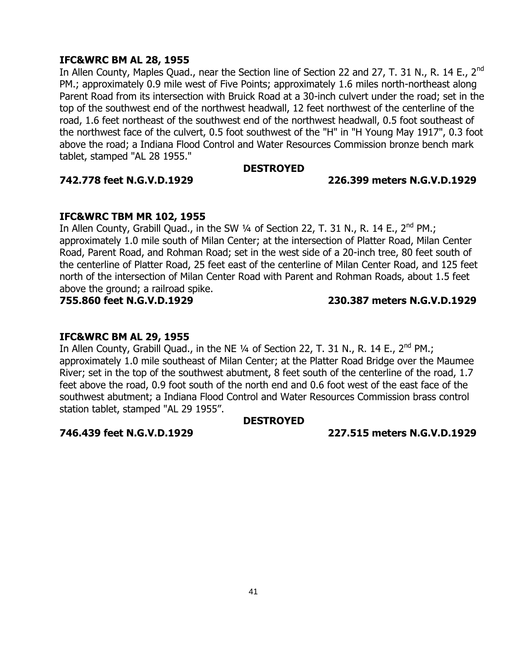#### **IFC&WRC BM AL 28, 1955**

In Allen County, Maples Quad., near the Section line of Section 22 and 27, T. 31 N., R. 14 E., 2<sup>nd</sup> PM.; approximately 0.9 mile west of Five Points; approximately 1.6 miles north-northeast along Parent Road from its intersection with Bruick Road at a 30-inch culvert under the road; set in the top of the southwest end of the northwest headwall, 12 feet northwest of the centerline of the road, 1.6 feet northeast of the southwest end of the northwest headwall, 0.5 foot southeast of the northwest face of the culvert, 0.5 foot southwest of the "H" in "H Young May 1917", 0.3 foot above the road; a Indiana Flood Control and Water Resources Commission bronze bench mark tablet, stamped "AL 28 1955."

#### **DESTROYED**

#### **742.778 feet N.G.V.D.1929 226.399 meters N.G.V.D.1929**

#### **IFC&WRC TBM MR 102, 1955**

In Allen County, Grabill Quad., in the SW  $\frac{1}{4}$  of Section 22, T. 31 N., R. 14 E., 2<sup>nd</sup> PM.; approximately 1.0 mile south of Milan Center; at the intersection of Platter Road, Milan Center Road, Parent Road, and Rohman Road; set in the west side of a 20-inch tree, 80 feet south of the centerline of Platter Road, 25 feet east of the centerline of Milan Center Road, and 125 feet north of the intersection of Milan Center Road with Parent and Rohman Roads, about 1.5 feet above the ground; a railroad spike.

### **755.860 feet N.G.V.D.1929 230.387 meters N.G.V.D.1929**

#### **IFC&WRC BM AL 29, 1955**

In Allen County, Grabill Quad., in the NE  $\frac{1}{4}$  of Section 22, T. 31 N., R. 14 E., 2<sup>nd</sup> PM.; approximately 1.0 mile southeast of Milan Center; at the Platter Road Bridge over the Maumee River; set in the top of the southwest abutment, 8 feet south of the centerline of the road, 1.7 feet above the road, 0.9 foot south of the north end and 0.6 foot west of the east face of the southwest abutment; a Indiana Flood Control and Water Resources Commission brass control station tablet, stamped "AL 29 1955".

#### **DESTROYED**

**746.439 feet N.G.V.D.1929 227.515 meters N.G.V.D.1929**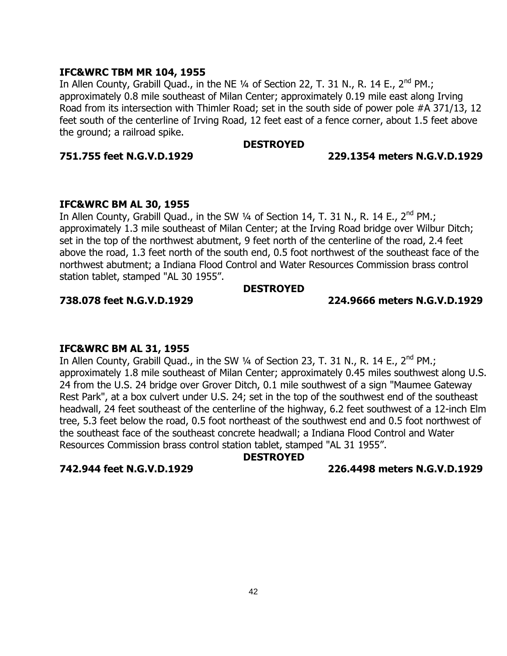#### **IFC&WRC TBM MR 104, 1955**

In Allen County, Grabill Quad., in the NE  $\frac{1}{4}$  of Section 22, T. 31 N., R. 14 E., 2<sup>nd</sup> PM.; approximately 0.8 mile southeast of Milan Center; approximately 0.19 mile east along Irving Road from its intersection with Thimler Road; set in the south side of power pole #A 371/13, 12 feet south of the centerline of Irving Road, 12 feet east of a fence corner, about 1.5 feet above the ground; a railroad spike.

#### **DESTROYED**

#### **751.755 feet N.G.V.D.1929 229.1354 meters N.G.V.D.1929**

#### **IFC&WRC BM AL 30, 1955**

In Allen County, Grabill Quad., in the SW  $\frac{1}{4}$  of Section 14, T. 31 N., R. 14 E., 2<sup>nd</sup> PM.; approximately 1.3 mile southeast of Milan Center; at the Irving Road bridge over Wilbur Ditch; set in the top of the northwest abutment, 9 feet north of the centerline of the road, 2.4 feet above the road, 1.3 feet north of the south end, 0.5 foot northwest of the southeast face of the northwest abutment; a Indiana Flood Control and Water Resources Commission brass control station tablet, stamped "AL 30 1955".

#### **DESTROYED**

#### **738.078 feet N.G.V.D.1929 224.9666 meters N.G.V.D.1929**

#### **IFC&WRC BM AL 31, 1955**

In Allen County, Grabill Quad., in the SW  $\frac{1}{4}$  of Section 23, T. 31 N., R. 14 E., 2<sup>nd</sup> PM.; approximately 1.8 mile southeast of Milan Center; approximately 0.45 miles southwest along U.S. 24 from the U.S. 24 bridge over Grover Ditch, 0.1 mile southwest of a sign "Maumee Gateway Rest Park", at a box culvert under U.S. 24; set in the top of the southwest end of the southeast headwall, 24 feet southeast of the centerline of the highway, 6.2 feet southwest of a 12-inch Elm tree, 5.3 feet below the road, 0.5 foot northeast of the southwest end and 0.5 foot northwest of the southeast face of the southeast concrete headwall; a Indiana Flood Control and Water Resources Commission brass control station tablet, stamped "AL 31 1955".

### **DESTROYED**

**742.944 feet N.G.V.D.1929 226.4498 meters N.G.V.D.1929**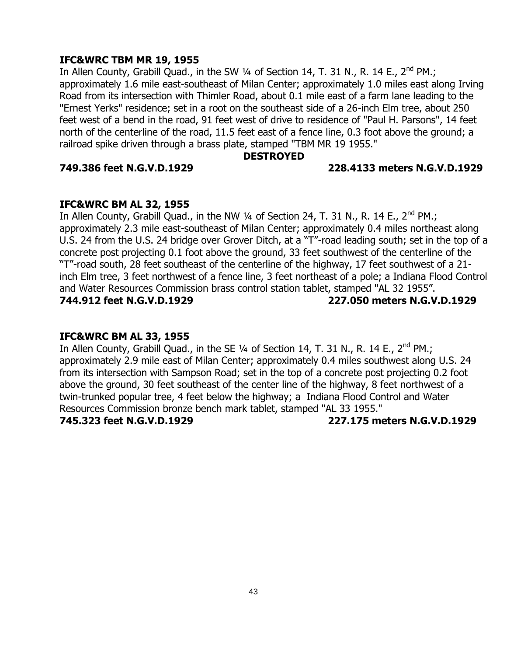#### **IFC&WRC TBM MR 19, 1955**

In Allen County, Grabill Quad., in the SW 1/4 of Section 14, T. 31 N., R. 14 E., 2<sup>nd</sup> PM.; approximately 1.6 mile east-southeast of Milan Center; approximately 1.0 miles east along Irving Road from its intersection with Thimler Road, about 0.1 mile east of a farm lane leading to the "Ernest Yerks" residence; set in a root on the southeast side of a 26-inch Elm tree, about 250 feet west of a bend in the road, 91 feet west of drive to residence of "Paul H. Parsons", 14 feet north of the centerline of the road, 11.5 feet east of a fence line, 0.3 foot above the ground; a railroad spike driven through a brass plate, stamped "TBM MR 19 1955."

#### **DESTROYED**

#### **749.386 feet N.G.V.D.1929 228.4133 meters N.G.V.D.1929**

#### **IFC&WRC BM AL 32, 1955**

In Allen County, Grabill Quad., in the NW  $\frac{1}{4}$  of Section 24, T. 31 N., R. 14 E., 2<sup>nd</sup> PM.; approximately 2.3 mile east-southeast of Milan Center; approximately 0.4 miles northeast along U.S. 24 from the U.S. 24 bridge over Grover Ditch, at a "T"-road leading south; set in the top of a concrete post projecting 0.1 foot above the ground, 33 feet southwest of the centerline of the "T"-road south, 28 feet southeast of the centerline of the highway, 17 feet southwest of a 21 inch Elm tree, 3 feet northwest of a fence line, 3 feet northeast of a pole; a Indiana Flood Control and Water Resources Commission brass control station tablet, stamped "AL 32 1955". **744.912 feet N.G.V.D.1929 227.050 meters N.G.V.D.1929**

#### **IFC&WRC BM AL 33, 1955**

In Allen County, Grabill Quad., in the SE 1/4 of Section 14, T. 31 N., R. 14 E., 2<sup>nd</sup> PM.; approximately 2.9 mile east of Milan Center; approximately 0.4 miles southwest along U.S. 24 from its intersection with Sampson Road; set in the top of a concrete post projecting 0.2 foot above the ground, 30 feet southeast of the center line of the highway, 8 feet northwest of a twin-trunked popular tree, 4 feet below the highway; a Indiana Flood Control and Water Resources Commission bronze bench mark tablet, stamped "AL 33 1955." **745.323 feet N.G.V.D.1929 227.175 meters N.G.V.D.1929**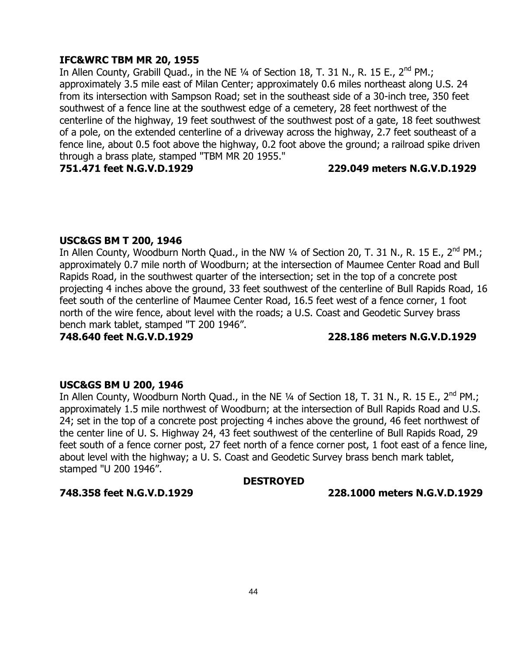### **IFC&WRC TBM MR 20, 1955**

In Allen County, Grabill Quad., in the NE 1/4 of Section 18, T. 31 N., R. 15 E., 2<sup>nd</sup> PM.; approximately 3.5 mile east of Milan Center; approximately 0.6 miles northeast along U.S. 24 from its intersection with Sampson Road; set in the southeast side of a 30-inch tree, 350 feet southwest of a fence line at the southwest edge of a cemetery, 28 feet northwest of the centerline of the highway, 19 feet southwest of the southwest post of a gate, 18 feet southwest of a pole, on the extended centerline of a driveway across the highway, 2.7 feet southeast of a fence line, about 0.5 foot above the highway, 0.2 foot above the ground; a railroad spike driven through a brass plate, stamped "TBM MR 20 1955."

#### **751.471 feet N.G.V.D.1929 229.049 meters N.G.V.D.1929**

#### **USC&GS BM T 200, 1946**

In Allen County, Woodburn North Quad., in the NW 1/4 of Section 20, T. 31 N., R. 15 E., 2<sup>nd</sup> PM.; approximately 0.7 mile north of Woodburn; at the intersection of Maumee Center Road and Bull Rapids Road, in the southwest quarter of the intersection; set in the top of a concrete post projecting 4 inches above the ground, 33 feet southwest of the centerline of Bull Rapids Road, 16 feet south of the centerline of Maumee Center Road, 16.5 feet west of a fence corner, 1 foot north of the wire fence, about level with the roads; a U.S. Coast and Geodetic Survey brass bench mark tablet, stamped "T 200 1946".

**748.640 feet N.G.V.D.1929 228.186 meters N.G.V.D.1929**

#### **USC&GS BM U 200, 1946**

In Allen County, Woodburn North Quad., in the NE 1/4 of Section 18, T. 31 N., R. 15 E., 2<sup>nd</sup> PM.; approximately 1.5 mile northwest of Woodburn; at the intersection of Bull Rapids Road and U.S. 24; set in the top of a concrete post projecting 4 inches above the ground, 46 feet northwest of the center line of U. S. Highway 24, 43 feet southwest of the centerline of Bull Rapids Road, 29 feet south of a fence corner post, 27 feet north of a fence corner post, 1 foot east of a fence line, about level with the highway; a U. S. Coast and Geodetic Survey brass bench mark tablet, stamped "U 200 1946".

#### **DESTROYED**

**748.358 feet N.G.V.D.1929 228.1000 meters N.G.V.D.1929**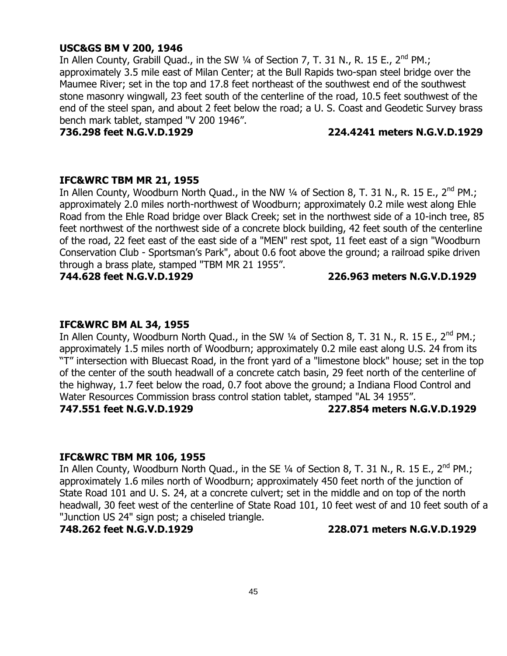#### **USC&GS BM V 200, 1946**

In Allen County, Grabill Quad., in the SW  $\frac{1}{4}$  of Section 7, T. 31 N., R. 15 E., 2<sup>nd</sup> PM.; approximately 3.5 mile east of Milan Center; at the Bull Rapids two-span steel bridge over the Maumee River; set in the top and 17.8 feet northeast of the southwest end of the southwest stone masonry wingwall, 23 feet south of the centerline of the road, 10.5 feet southwest of the end of the steel span, and about 2 feet below the road; a U. S. Coast and Geodetic Survey brass bench mark tablet, stamped "V 200 1946".

#### **736.298 feet N.G.V.D.1929 224.4241 meters N.G.V.D.1929**

#### **IFC&WRC TBM MR 21, 1955**

In Allen County, Woodburn North Quad., in the NW 1/4 of Section 8, T. 31 N., R. 15 E., 2<sup>nd</sup> PM.; approximately 2.0 miles north-northwest of Woodburn; approximately 0.2 mile west along Ehle Road from the Ehle Road bridge over Black Creek; set in the northwest side of a 10-inch tree, 85 feet northwest of the northwest side of a concrete block building, 42 feet south of the centerline of the road, 22 feet east of the east side of a "MEN" rest spot, 11 feet east of a sign "Woodburn Conservation Club - Sportsman"s Park", about 0.6 foot above the ground; a railroad spike driven through a brass plate, stamped "TBM MR 21 1955".

#### **744.628 feet N.G.V.D.1929 226.963 meters N.G.V.D.1929**

#### **IFC&WRC BM AL 34, 1955**

In Allen County, Woodburn North Quad., in the SW  $\frac{1}{4}$  of Section 8, T. 31 N., R. 15 E., 2<sup>nd</sup> PM.; approximately 1.5 miles north of Woodburn; approximately 0.2 mile east along U.S. 24 from its "T" intersection with Bluecast Road, in the front yard of a "limestone block" house; set in the top of the center of the south headwall of a concrete catch basin, 29 feet north of the centerline of the highway, 1.7 feet below the road, 0.7 foot above the ground; a Indiana Flood Control and Water Resources Commission brass control station tablet, stamped "AL 34 1955". **747.551 feet N.G.V.D.1929 227.854 meters N.G.V.D.1929**

#### **IFC&WRC TBM MR 106, 1955**

In Allen County, Woodburn North Quad., in the SE  $\frac{1}{4}$  of Section 8, T. 31 N., R. 15 E., 2<sup>nd</sup> PM.; approximately 1.6 miles north of Woodburn; approximately 450 feet north of the junction of State Road 101 and U. S. 24, at a concrete culvert; set in the middle and on top of the north headwall, 30 feet west of the centerline of State Road 101, 10 feet west of and 10 feet south of a "Junction US 24" sign post; a chiseled triangle.

**748.262 feet N.G.V.D.1929 228.071 meters N.G.V.D.1929**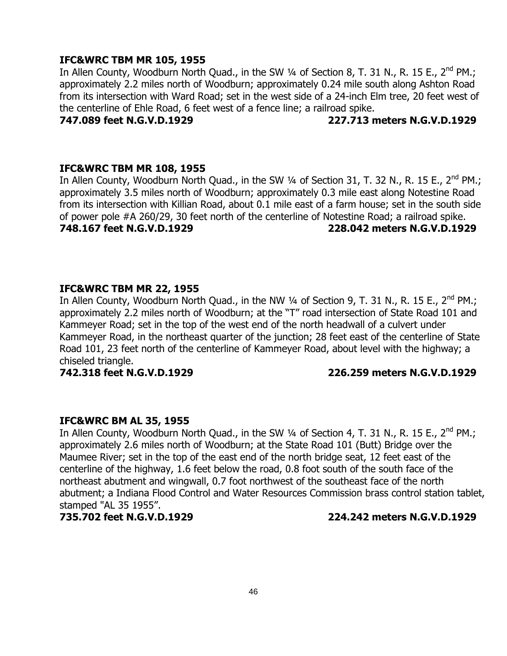#### **IFC&WRC TBM MR 105, 1955**

In Allen County, Woodburn North Quad., in the SW 1/4 of Section 8, T. 31 N., R. 15 E., 2<sup>nd</sup> PM.; approximately 2.2 miles north of Woodburn; approximately 0.24 mile south along Ashton Road from its intersection with Ward Road; set in the west side of a 24-inch Elm tree, 20 feet west of the centerline of Ehle Road, 6 feet west of a fence line; a railroad spike.

**747.089 feet N.G.V.D.1929 227.713 meters N.G.V.D.1929**

#### **IFC&WRC TBM MR 108, 1955**

In Allen County, Woodburn North Quad., in the SW 1/4 of Section 31, T. 32 N., R. 15 E., 2<sup>nd</sup> PM.; approximately 3.5 miles north of Woodburn; approximately 0.3 mile east along Notestine Road from its intersection with Killian Road, about 0.1 mile east of a farm house; set in the south side of power pole #A 260/29, 30 feet north of the centerline of Notestine Road; a railroad spike. **748.167 feet N.G.V.D.1929 228.042 meters N.G.V.D.1929**

#### **IFC&WRC TBM MR 22, 1955**

In Allen County, Woodburn North Quad., in the NW 1/4 of Section 9, T. 31 N., R. 15 E., 2<sup>nd</sup> PM.; approximately 2.2 miles north of Woodburn; at the "T" road intersection of State Road 101 and Kammeyer Road; set in the top of the west end of the north headwall of a culvert under Kammeyer Road, in the northeast quarter of the junction; 28 feet east of the centerline of State Road 101, 23 feet north of the centerline of Kammeyer Road, about level with the highway; a chiseled triangle.

#### **742.318 feet N.G.V.D.1929 226.259 meters N.G.V.D.1929**

#### **IFC&WRC BM AL 35, 1955**

In Allen County, Woodburn North Quad., in the SW  $\frac{1}{4}$  of Section 4, T. 31 N., R. 15 E., 2<sup>nd</sup> PM.; approximately 2.6 miles north of Woodburn; at the State Road 101 (Butt) Bridge over the Maumee River; set in the top of the east end of the north bridge seat, 12 feet east of the centerline of the highway, 1.6 feet below the road, 0.8 foot south of the south face of the northeast abutment and wingwall, 0.7 foot northwest of the southeast face of the north abutment; a Indiana Flood Control and Water Resources Commission brass control station tablet, stamped "AL 35 1955".

#### **735.702 feet N.G.V.D.1929 224.242 meters N.G.V.D.1929**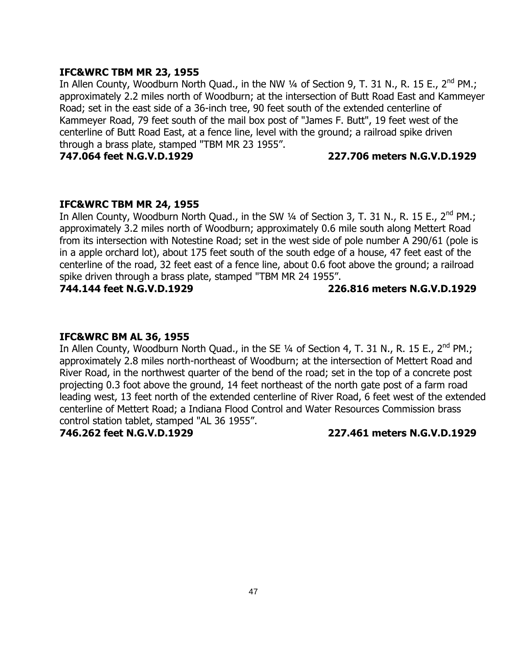#### **IFC&WRC TBM MR 23, 1955**

In Allen County, Woodburn North Quad., in the NW  $\frac{1}{4}$  of Section 9, T. 31 N., R. 15 E., 2<sup>nd</sup> PM.; approximately 2.2 miles north of Woodburn; at the intersection of Butt Road East and Kammeyer Road; set in the east side of a 36-inch tree, 90 feet south of the extended centerline of Kammeyer Road, 79 feet south of the mail box post of "James F. Butt", 19 feet west of the centerline of Butt Road East, at a fence line, level with the ground; a railroad spike driven through a brass plate, stamped "TBM MR 23 1955".

**747.064 feet N.G.V.D.1929 227.706 meters N.G.V.D.1929**

#### **IFC&WRC TBM MR 24, 1955**

In Allen County, Woodburn North Quad., in the SW  $\frac{1}{4}$  of Section 3, T. 31 N., R. 15 E., 2<sup>nd</sup> PM.; approximately 3.2 miles north of Woodburn; approximately 0.6 mile south along Mettert Road from its intersection with Notestine Road; set in the west side of pole number A 290/61 (pole is in a apple orchard lot), about 175 feet south of the south edge of a house, 47 feet east of the centerline of the road, 32 feet east of a fence line, about 0.6 foot above the ground; a railroad spike driven through a brass plate, stamped "TBM MR 24 1955".

#### **744.144 feet N.G.V.D.1929 226.816 meters N.G.V.D.1929**

#### **IFC&WRC BM AL 36, 1955**

In Allen County, Woodburn North Quad., in the SE 1/4 of Section 4, T. 31 N., R. 15 E., 2<sup>nd</sup> PM.; approximately 2.8 miles north-northeast of Woodburn; at the intersection of Mettert Road and River Road, in the northwest quarter of the bend of the road; set in the top of a concrete post projecting 0.3 foot above the ground, 14 feet northeast of the north gate post of a farm road leading west, 13 feet north of the extended centerline of River Road, 6 feet west of the extended centerline of Mettert Road; a Indiana Flood Control and Water Resources Commission brass control station tablet, stamped "AL 36 1955".

**746.262 feet N.G.V.D.1929 227.461 meters N.G.V.D.1929**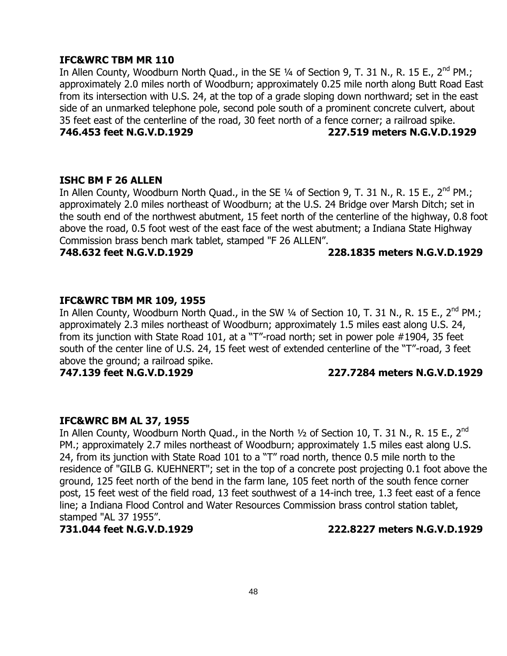#### **IFC&WRC TBM MR 110**

In Allen County, Woodburn North Quad., in the SE  $\frac{1}{4}$  of Section 9, T. 31 N., R. 15 E., 2<sup>nd</sup> PM.; approximately 2.0 miles north of Woodburn; approximately 0.25 mile north along Butt Road East from its intersection with U.S. 24, at the top of a grade sloping down northward; set in the east side of an unmarked telephone pole, second pole south of a prominent concrete culvert, about 35 feet east of the centerline of the road, 30 feet north of a fence corner; a railroad spike. **746.453 feet N.G.V.D.1929 227.519 meters N.G.V.D.1929**

#### **ISHC BM F 26 ALLEN**

In Allen County, Woodburn North Quad., in the SE 1/4 of Section 9, T. 31 N., R. 15 E., 2<sup>nd</sup> PM.; approximately 2.0 miles northeast of Woodburn; at the U.S. 24 Bridge over Marsh Ditch; set in the south end of the northwest abutment, 15 feet north of the centerline of the highway, 0.8 foot above the road, 0.5 foot west of the east face of the west abutment; a Indiana State Highway Commission brass bench mark tablet, stamped "F 26 ALLEN".

#### **748.632 feet N.G.V.D.1929 228.1835 meters N.G.V.D.1929**

### **IFC&WRC TBM MR 109, 1955**

In Allen County, Woodburn North Quad., in the SW 1/4 of Section 10, T. 31 N., R. 15 E., 2<sup>nd</sup> PM.; approximately 2.3 miles northeast of Woodburn; approximately 1.5 miles east along U.S. 24, from its junction with State Road 101, at a "T"-road north; set in power pole #1904, 35 feet south of the center line of U.S. 24, 15 feet west of extended centerline of the "T"-road, 3 feet above the ground; a railroad spike.

#### **747.139 feet N.G.V.D.1929 227.7284 meters N.G.V.D.1929**

#### **IFC&WRC BM AL 37, 1955**

In Allen County, Woodburn North Quad., in the North 1/2 of Section 10, T. 31 N., R. 15 E., 2<sup>nd</sup> PM.; approximately 2.7 miles northeast of Woodburn; approximately 1.5 miles east along U.S. 24, from its junction with State Road 101 to a "T" road north, thence 0.5 mile north to the residence of "GILB G. KUEHNERT"; set in the top of a concrete post projecting 0.1 foot above the ground, 125 feet north of the bend in the farm lane, 105 feet north of the south fence corner post, 15 feet west of the field road, 13 feet southwest of a 14-inch tree, 1.3 feet east of a fence line; a Indiana Flood Control and Water Resources Commission brass control station tablet, stamped "AL 37 1955".

**731.044 feet N.G.V.D.1929 222.8227 meters N.G.V.D.1929**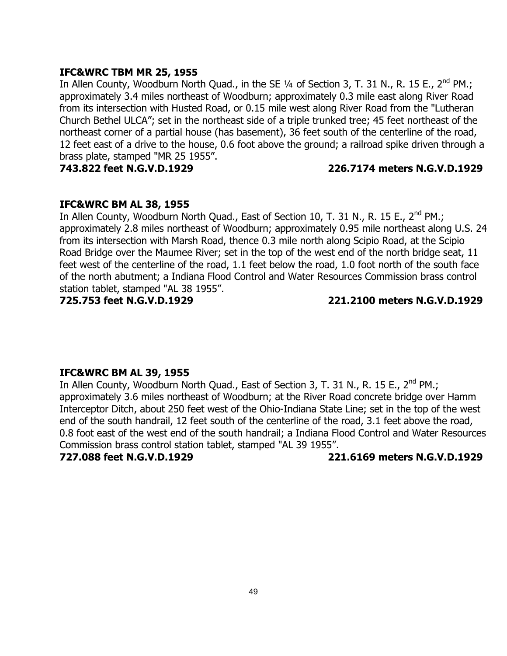#### **IFC&WRC TBM MR 25, 1955**

In Allen County, Woodburn North Quad., in the SE  $\frac{1}{4}$  of Section 3, T. 31 N., R. 15 E., 2<sup>nd</sup> PM.; approximately 3.4 miles northeast of Woodburn; approximately 0.3 mile east along River Road from its intersection with Husted Road, or 0.15 mile west along River Road from the "Lutheran Church Bethel ULCA"; set in the northeast side of a triple trunked tree; 45 feet northeast of the northeast corner of a partial house (has basement), 36 feet south of the centerline of the road, 12 feet east of a drive to the house, 0.6 foot above the ground; a railroad spike driven through a brass plate, stamped "MR 25 1955".

#### **743.822 feet N.G.V.D.1929 226.7174 meters N.G.V.D.1929**

#### **IFC&WRC BM AL 38, 1955**

In Allen County, Woodburn North Quad., East of Section 10, T. 31 N., R. 15 E., 2<sup>nd</sup> PM.; approximately 2.8 miles northeast of Woodburn; approximately 0.95 mile northeast along U.S. 24 from its intersection with Marsh Road, thence 0.3 mile north along Scipio Road, at the Scipio Road Bridge over the Maumee River; set in the top of the west end of the north bridge seat, 11 feet west of the centerline of the road, 1.1 feet below the road, 1.0 foot north of the south face of the north abutment; a Indiana Flood Control and Water Resources Commission brass control station tablet, stamped "AL 38 1955".

**725.753 feet N.G.V.D.1929 221.2100 meters N.G.V.D.1929**

#### **IFC&WRC BM AL 39, 1955**

In Allen County, Woodburn North Quad., East of Section 3, T. 31 N., R. 15 E., 2<sup>nd</sup> PM.; approximately 3.6 miles northeast of Woodburn; at the River Road concrete bridge over Hamm Interceptor Ditch, about 250 feet west of the Ohio-Indiana State Line; set in the top of the west end of the south handrail, 12 feet south of the centerline of the road, 3.1 feet above the road, 0.8 foot east of the west end of the south handrail; a Indiana Flood Control and Water Resources Commission brass control station tablet, stamped "AL 39 1955".

**727.088 feet N.G.V.D.1929 221.6169 meters N.G.V.D.1929**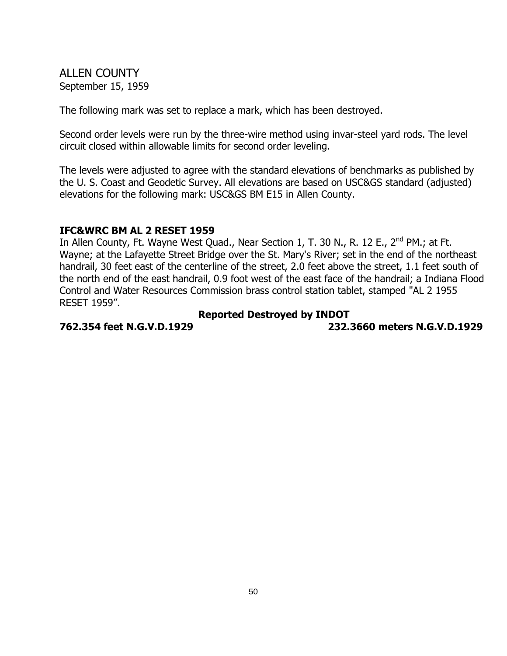ALLEN COUNTY September 15, 1959

The following mark was set to replace a mark, which has been destroyed.

Second order levels were run by the three-wire method using invar-steel yard rods. The level circuit closed within allowable limits for second order leveling.

The levels were adjusted to agree with the standard elevations of benchmarks as published by the U. S. Coast and Geodetic Survey. All elevations are based on USC&GS standard (adjusted) elevations for the following mark: USC&GS BM E15 in Allen County.

#### **IFC&WRC BM AL 2 RESET 1959**

In Allen County, Ft. Wayne West Quad., Near Section 1, T. 30 N., R. 12 E., 2<sup>nd</sup> PM.; at Ft. Wayne; at the Lafayette Street Bridge over the St. Mary's River; set in the end of the northeast handrail, 30 feet east of the centerline of the street, 2.0 feet above the street, 1.1 feet south of the north end of the east handrail, 0.9 foot west of the east face of the handrail; a Indiana Flood Control and Water Resources Commission brass control station tablet, stamped "AL 2 1955 RESET 1959".

### **Reported Destroyed by INDOT**

**762.354 feet N.G.V.D.1929 232.3660 meters N.G.V.D.1929**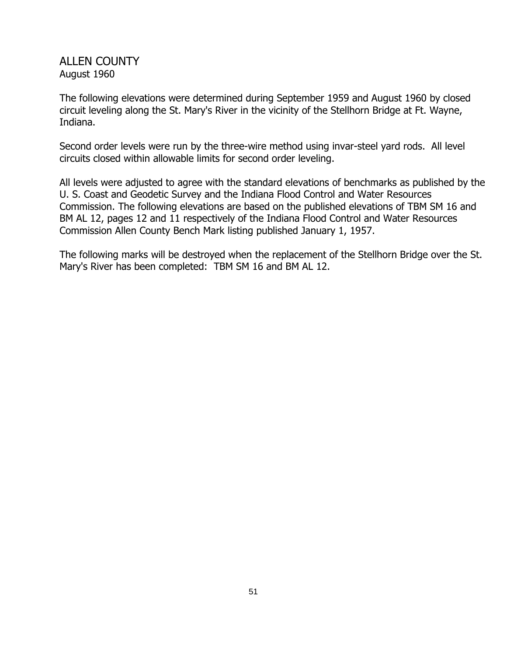# ALLEN COUNTY August 1960

The following elevations were determined during September 1959 and August 1960 by closed circuit leveling along the St. Mary's River in the vicinity of the Stellhorn Bridge at Ft. Wayne, Indiana.

Second order levels were run by the three-wire method using invar-steel yard rods. All level circuits closed within allowable limits for second order leveling.

All levels were adjusted to agree with the standard elevations of benchmarks as published by the U. S. Coast and Geodetic Survey and the Indiana Flood Control and Water Resources Commission. The following elevations are based on the published elevations of TBM SM 16 and BM AL 12, pages 12 and 11 respectively of the Indiana Flood Control and Water Resources Commission Allen County Bench Mark listing published January 1, 1957.

The following marks will be destroyed when the replacement of the Stellhorn Bridge over the St. Mary's River has been completed: TBM SM 16 and BM AL 12.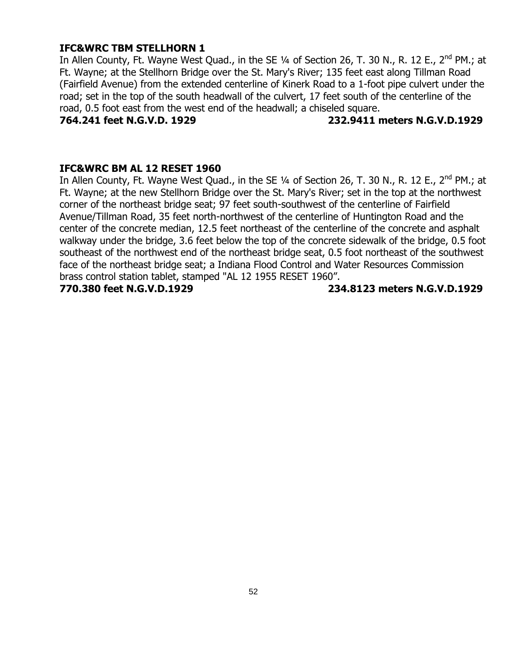### **IFC&WRC TBM STELLHORN 1**

In Allen County, Ft. Wayne West Quad., in the SE 1/4 of Section 26, T. 30 N., R. 12 E., 2<sup>nd</sup> PM.; at Ft. Wayne; at the Stellhorn Bridge over the St. Mary's River; 135 feet east along Tillman Road (Fairfield Avenue) from the extended centerline of Kinerk Road to a 1-foot pipe culvert under the road; set in the top of the south headwall of the culvert, 17 feet south of the centerline of the road, 0.5 foot east from the west end of the headwall; a chiseled square.

**764.241 feet N.G.V.D. 1929 232.9411 meters N.G.V.D.1929**

#### **IFC&WRC BM AL 12 RESET 1960**

In Allen County, Ft. Wayne West Quad., in the SE  $\frac{1}{4}$  of Section 26, T. 30 N., R. 12 E., 2<sup>nd</sup> PM.; at Ft. Wayne; at the new Stellhorn Bridge over the St. Mary's River; set in the top at the northwest corner of the northeast bridge seat; 97 feet south-southwest of the centerline of Fairfield Avenue/Tillman Road, 35 feet north-northwest of the centerline of Huntington Road and the center of the concrete median, 12.5 feet northeast of the centerline of the concrete and asphalt walkway under the bridge, 3.6 feet below the top of the concrete sidewalk of the bridge, 0.5 foot southeast of the northwest end of the northeast bridge seat, 0.5 foot northeast of the southwest face of the northeast bridge seat; a Indiana Flood Control and Water Resources Commission brass control station tablet, stamped "AL 12 1955 RESET 1960".

**770.380 feet N.G.V.D.1929 234.8123 meters N.G.V.D.1929**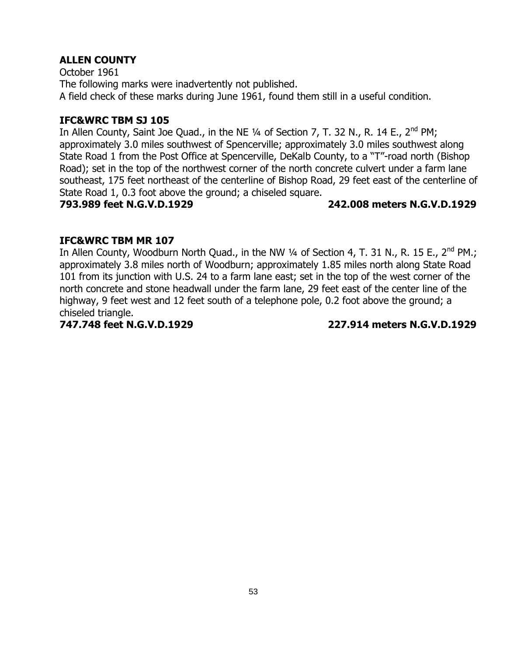October 1961 The following marks were inadvertently not published. A field check of these marks during June 1961, found them still in a useful condition.

# **IFC&WRC TBM SJ 105**

In Allen County, Saint Joe Quad., in the NE 1/4 of Section 7, T. 32 N., R. 14 E., 2<sup>nd</sup> PM; approximately 3.0 miles southwest of Spencerville; approximately 3.0 miles southwest along State Road 1 from the Post Office at Spencerville, DeKalb County, to a "T"-road north (Bishop Road); set in the top of the northwest corner of the north concrete culvert under a farm lane southeast, 175 feet northeast of the centerline of Bishop Road, 29 feet east of the centerline of State Road 1, 0.3 foot above the ground; a chiseled square.

### **793.989 feet N.G.V.D.1929 242.008 meters N.G.V.D.1929**

# **IFC&WRC TBM MR 107**

In Allen County, Woodburn North Quad., in the NW  $\frac{1}{4}$  of Section 4, T. 31 N., R. 15 E., 2<sup>nd</sup> PM.; approximately 3.8 miles north of Woodburn; approximately 1.85 miles north along State Road 101 from its junction with U.S. 24 to a farm lane east; set in the top of the west corner of the north concrete and stone headwall under the farm lane, 29 feet east of the center line of the highway, 9 feet west and 12 feet south of a telephone pole, 0.2 foot above the ground; a chiseled triangle.

**747.748 feet N.G.V.D.1929 227.914 meters N.G.V.D.1929**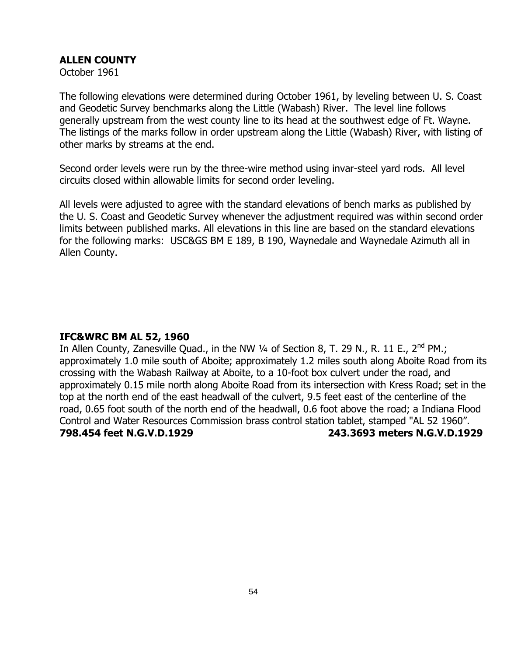October 1961

The following elevations were determined during October 1961, by leveling between U. S. Coast and Geodetic Survey benchmarks along the Little (Wabash) River. The level line follows generally upstream from the west county line to its head at the southwest edge of Ft. Wayne. The listings of the marks follow in order upstream along the Little (Wabash) River, with listing of other marks by streams at the end.

Second order levels were run by the three-wire method using invar-steel yard rods. All level circuits closed within allowable limits for second order leveling.

All levels were adjusted to agree with the standard elevations of bench marks as published by the U. S. Coast and Geodetic Survey whenever the adjustment required was within second order limits between published marks. All elevations in this line are based on the standard elevations for the following marks: USC&GS BM E 189, B 190, Waynedale and Waynedale Azimuth all in Allen County.

#### **IFC&WRC BM AL 52, 1960**

In Allen County, Zanesville Quad., in the NW 1/4 of Section 8, T. 29 N., R. 11 E., 2<sup>nd</sup> PM.; approximately 1.0 mile south of Aboite; approximately 1.2 miles south along Aboite Road from its crossing with the Wabash Railway at Aboite, to a 10-foot box culvert under the road, and approximately 0.15 mile north along Aboite Road from its intersection with Kress Road; set in the top at the north end of the east headwall of the culvert, 9.5 feet east of the centerline of the road, 0.65 foot south of the north end of the headwall, 0.6 foot above the road; a Indiana Flood Control and Water Resources Commission brass control station tablet, stamped "AL 52 1960". **798.454 feet N.G.V.D.1929 243.3693 meters N.G.V.D.1929**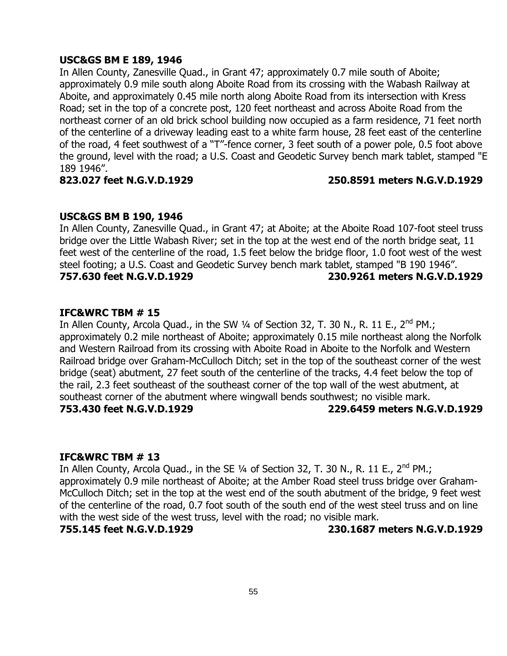#### **USC&GS BM E 189, 1946**

In Allen County, Zanesville Quad., in Grant 47; approximately 0.7 mile south of Aboite; approximately 0.9 mile south along Aboite Road from its crossing with the Wabash Railway at Aboite, and approximately 0.45 mile north along Aboite Road from its intersection with Kress Road; set in the top of a concrete post, 120 feet northeast and across Aboite Road from the northeast corner of an old brick school building now occupied as a farm residence, 71 feet north of the centerline of a driveway leading east to a white farm house, 28 feet east of the centerline of the road, 4 feet southwest of a "T"-fence corner, 3 feet south of a power pole, 0.5 foot above the ground, level with the road; a U.S. Coast and Geodetic Survey bench mark tablet, stamped "E 189 1946".

#### **823.027 feet N.G.V.D.1929 250.8591 meters N.G.V.D.1929**

#### **USC&GS BM B 190, 1946**

In Allen County, Zanesville Quad., in Grant 47; at Aboite; at the Aboite Road 107-foot steel truss bridge over the Little Wabash River; set in the top at the west end of the north bridge seat, 11 feet west of the centerline of the road, 1.5 feet below the bridge floor, 1.0 foot west of the west steel footing; a U.S. Coast and Geodetic Survey bench mark tablet, stamped "B 190 1946". **757.630 feet N.G.V.D.1929 230.9261 meters N.G.V.D.1929**

#### **IFC&WRC TBM # 15**

In Allen County, Arcola Quad., in the SW  $\frac{1}{4}$  of Section 32, T. 30 N., R. 11 E.,  $2^{nd}$  PM.; approximately 0.2 mile northeast of Aboite; approximately 0.15 mile northeast along the Norfolk and Western Railroad from its crossing with Aboite Road in Aboite to the Norfolk and Western Railroad bridge over Graham-McCulloch Ditch; set in the top of the southeast corner of the west bridge (seat) abutment, 27 feet south of the centerline of the tracks, 4.4 feet below the top of the rail, 2.3 feet southeast of the southeast corner of the top wall of the west abutment, at southeast corner of the abutment where wingwall bends southwest; no visible mark. **753.430 feet N.G.V.D.1929 229.6459 meters N.G.V.D.1929**

#### **IFC&WRC TBM # 13**

In Allen County, Arcola Quad., in the SE  $\frac{1}{4}$  of Section 32, T. 30 N., R. 11 E., 2<sup>nd</sup> PM.; approximately 0.9 mile northeast of Aboite; at the Amber Road steel truss bridge over Graham-McCulloch Ditch; set in the top at the west end of the south abutment of the bridge, 9 feet west of the centerline of the road, 0.7 foot south of the south end of the west steel truss and on line with the west side of the west truss, level with the road; no visible mark.

**755.145 feet N.G.V.D.1929 230.1687 meters N.G.V.D.1929**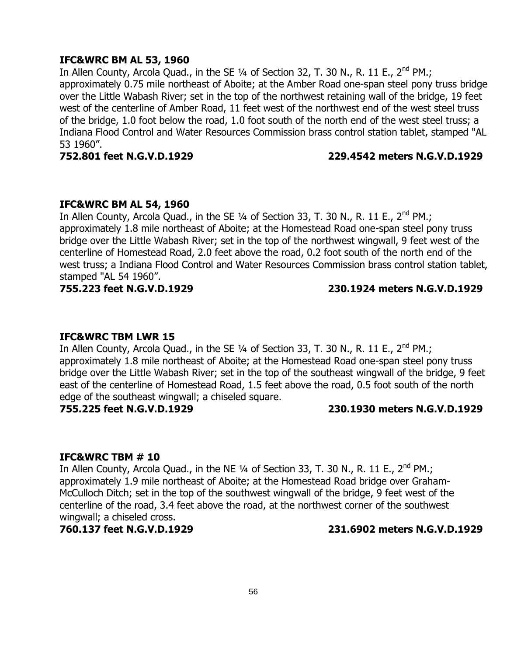#### **IFC&WRC BM AL 53, 1960**

In Allen County, Arcola Quad., in the SE 1/4 of Section 32, T. 30 N., R. 11 E., 2<sup>nd</sup> PM.; approximately 0.75 mile northeast of Aboite; at the Amber Road one-span steel pony truss bridge over the Little Wabash River; set in the top of the northwest retaining wall of the bridge, 19 feet west of the centerline of Amber Road, 11 feet west of the northwest end of the west steel truss of the bridge, 1.0 foot below the road, 1.0 foot south of the north end of the west steel truss; a Indiana Flood Control and Water Resources Commission brass control station tablet, stamped "AL 53 1960".

#### **752.801 feet N.G.V.D.1929 229.4542 meters N.G.V.D.1929**

#### **IFC&WRC BM AL 54, 1960**

In Allen County, Arcola Quad., in the SE  $\frac{1}{4}$  of Section 33, T. 30 N., R. 11 E., 2<sup>nd</sup> PM.; approximately 1.8 mile northeast of Aboite; at the Homestead Road one-span steel pony truss bridge over the Little Wabash River; set in the top of the northwest wingwall, 9 feet west of the centerline of Homestead Road, 2.0 feet above the road, 0.2 foot south of the north end of the west truss; a Indiana Flood Control and Water Resources Commission brass control station tablet, stamped "AL 54 1960".

### **755.223 feet N.G.V.D.1929 230.1924 meters N.G.V.D.1929**

#### **IFC&WRC TBM LWR 15**

In Allen County, Arcola Quad., in the SE  $\frac{1}{4}$  of Section 33, T. 30 N., R. 11 E., 2<sup>nd</sup> PM.; approximately 1.8 mile northeast of Aboite; at the Homestead Road one-span steel pony truss bridge over the Little Wabash River; set in the top of the southeast wingwall of the bridge, 9 feet east of the centerline of Homestead Road, 1.5 feet above the road, 0.5 foot south of the north edge of the southeast wingwall; a chiseled square.

#### **755.225 feet N.G.V.D.1929 230.1930 meters N.G.V.D.1929**

#### **IFC&WRC TBM # 10**

In Allen County, Arcola Quad., in the NE  $\frac{1}{4}$  of Section 33, T. 30 N., R. 11 E.,  $2^{nd}$  PM.; approximately 1.9 mile northeast of Aboite; at the Homestead Road bridge over Graham-McCulloch Ditch; set in the top of the southwest wingwall of the bridge, 9 feet west of the centerline of the road, 3.4 feet above the road, at the northwest corner of the southwest wingwall; a chiseled cross.

#### **760.137 feet N.G.V.D.1929 231.6902 meters N.G.V.D.1929**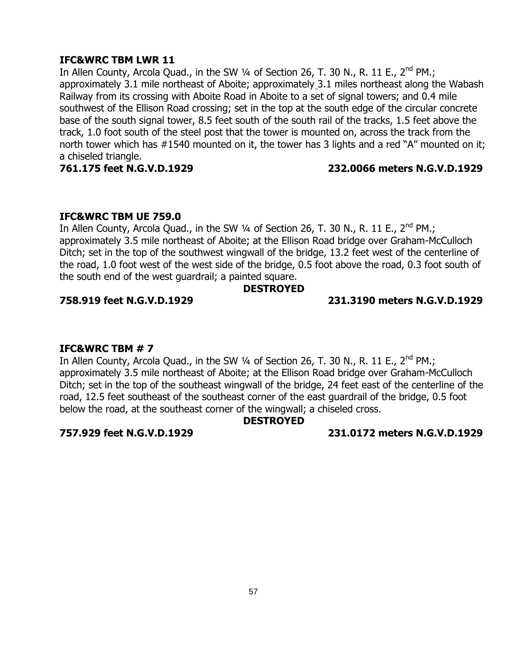#### **IFC&WRC TBM LWR 11**

In Allen County, Arcola Quad., in the SW 1/4 of Section 26, T. 30 N., R. 11 E., 2<sup>nd</sup> PM.; approximately 3.1 mile northeast of Aboite; approximately 3.1 miles northeast along the Wabash Railway from its crossing with Aboite Road in Aboite to a set of signal towers; and 0.4 mile southwest of the Ellison Road crossing; set in the top at the south edge of the circular concrete base of the south signal tower, 8.5 feet south of the south rail of the tracks, 1.5 feet above the track, 1.0 foot south of the steel post that the tower is mounted on, across the track from the north tower which has #1540 mounted on it, the tower has 3 lights and a red "A" mounted on it; a chiseled triangle.

### **761.175 feet N.G.V.D.1929 232.0066 meters N.G.V.D.1929**

### **IFC&WRC TBM UE 759.0**

In Allen County, Arcola Quad., in the SW  $\frac{1}{4}$  of Section 26, T. 30 N., R. 11 E., 2<sup>nd</sup> PM.; approximately 3.5 mile northeast of Aboite; at the Ellison Road bridge over Graham-McCulloch Ditch; set in the top of the southwest wingwall of the bridge, 13.2 feet west of the centerline of the road, 1.0 foot west of the west side of the bridge, 0.5 foot above the road, 0.3 foot south of the south end of the west guardrail; a painted square.

### **DESTROYED**

### **758.919 feet N.G.V.D.1929 231.3190 meters N.G.V.D.1929**

### **IFC&WRC TBM # 7**

In Allen County, Arcola Quad., in the SW  $\frac{1}{4}$  of Section 26, T. 30 N., R. 11 E., 2<sup>nd</sup> PM.; approximately 3.5 mile northeast of Aboite; at the Ellison Road bridge over Graham-McCulloch Ditch; set in the top of the southeast wingwall of the bridge, 24 feet east of the centerline of the road, 12.5 feet southeast of the southeast corner of the east guardrail of the bridge, 0.5 foot below the road, at the southeast corner of the wingwall; a chiseled cross.

### **DESTROYED**

**757.929 feet N.G.V.D.1929 231.0172 meters N.G.V.D.1929**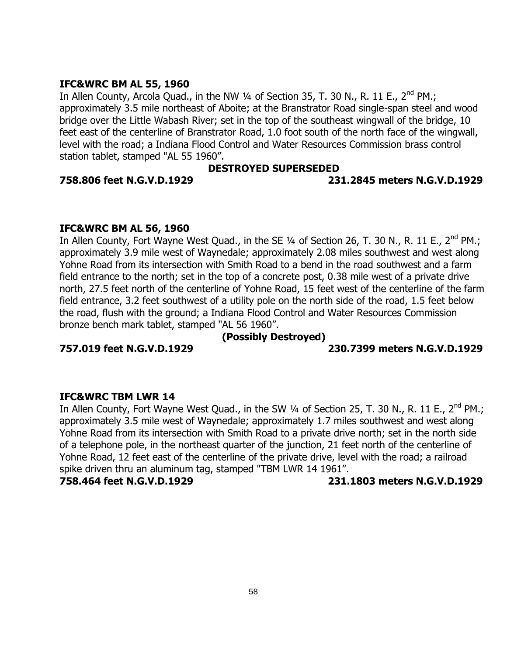### **IFC&WRC BM AL 55, 1960**

In Allen County, Arcola Quad., in the NW 1/4 of Section 35, T. 30 N., R. 11 E., 2<sup>nd</sup> PM.; approximately 3.5 mile northeast of Aboite; at the Branstrator Road single-span steel and wood bridge over the Little Wabash River; set in the top of the southeast wingwall of the bridge, 10 feet east of the centerline of Branstrator Road, 1.0 foot south of the north face of the wingwall, level with the road; a Indiana Flood Control and Water Resources Commission brass control station tablet, stamped "AL 55 1960".

#### **DESTROYED SUPERSEDED**

#### **758.806 feet N.G.V.D.1929 231.2845 meters N.G.V.D.1929**

#### **IFC&WRC BM AL 56, 1960**

In Allen County, Fort Wayne West Quad., in the SE 1/4 of Section 26, T. 30 N., R. 11 E., 2<sup>nd</sup> PM.; approximately 3.9 mile west of Waynedale; approximately 2.08 miles southwest and west along Yohne Road from its intersection with Smith Road to a bend in the road southwest and a farm field entrance to the north; set in the top of a concrete post, 0.38 mile west of a private drive north, 27.5 feet north of the centerline of Yohne Road, 15 feet west of the centerline of the farm field entrance, 3.2 feet southwest of a utility pole on the north side of the road, 1.5 feet below the road, flush with the ground; a Indiana Flood Control and Water Resources Commission bronze bench mark tablet, stamped "AL 56 1960".

### **(Possibly Destroyed)**

#### **757.019 feet N.G.V.D.1929 230.7399 meters N.G.V.D.1929**

**IFC&WRC TBM LWR 14** In Allen County, Fort Wayne West Quad., in the SW 1/4 of Section 25, T. 30 N., R. 11 E., 2<sup>nd</sup> PM.; approximately 3.5 mile west of Waynedale; approximately 1.7 miles southwest and west along Yohne Road from its intersection with Smith Road to a private drive north; set in the north side of a telephone pole, in the northeast quarter of the junction, 21 feet north of the centerline of Yohne Road, 12 feet east of the centerline of the private drive, level with the road; a railroad spike driven thru an aluminum tag, stamped "TBM LWR 14 1961".

**758.464 feet N.G.V.D.1929 231.1803 meters N.G.V.D.1929**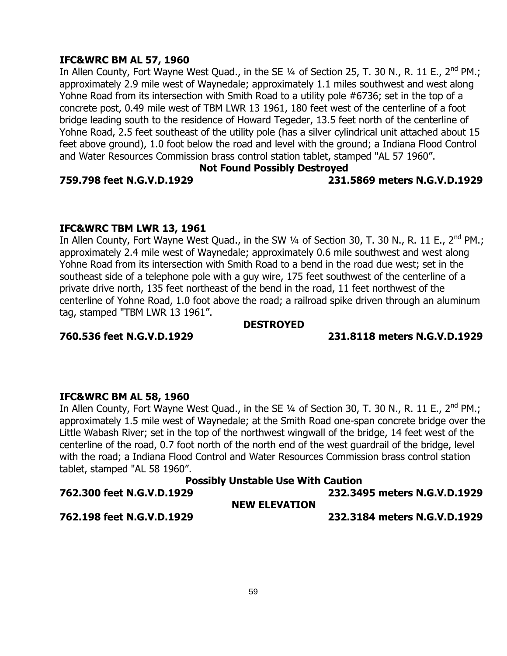### **IFC&WRC BM AL 57, 1960**

In Allen County, Fort Wayne West Quad., in the SE  $\frac{1}{4}$  of Section 25, T. 30 N., R. 11 E., 2<sup>nd</sup> PM.; approximately 2.9 mile west of Waynedale; approximately 1.1 miles southwest and west along Yohne Road from its intersection with Smith Road to a utility pole #6736; set in the top of a concrete post, 0.49 mile west of TBM LWR 13 1961, 180 feet west of the centerline of a foot bridge leading south to the residence of Howard Tegeder, 13.5 feet north of the centerline of Yohne Road, 2.5 feet southeast of the utility pole (has a silver cylindrical unit attached about 15 feet above ground), 1.0 foot below the road and level with the ground; a Indiana Flood Control and Water Resources Commission brass control station tablet, stamped "AL 57 1960".

#### **Not Found Possibly Destroyed**

#### **759.798 feet N.G.V.D.1929 231.5869 meters N.G.V.D.1929**

#### **IFC&WRC TBM LWR 13, 1961**

In Allen County, Fort Wayne West Quad., in the SW 1/4 of Section 30, T. 30 N., R. 11 E., 2<sup>nd</sup> PM.; approximately 2.4 mile west of Waynedale; approximately 0.6 mile southwest and west along Yohne Road from its intersection with Smith Road to a bend in the road due west; set in the southeast side of a telephone pole with a guy wire, 175 feet southwest of the centerline of a private drive north, 135 feet northeast of the bend in the road, 11 feet northwest of the centerline of Yohne Road, 1.0 foot above the road; a railroad spike driven through an aluminum tag, stamped "TBM LWR 13 1961".

#### **DESTROYED**

#### **760.536 feet N.G.V.D.1929 231.8118 meters N.G.V.D.1929**

# **IFC&WRC BM AL 58, 1960**

In Allen County, Fort Wayne West Quad., in the SE 1/4 of Section 30, T. 30 N., R. 11 E., 2<sup>nd</sup> PM.; approximately 1.5 mile west of Waynedale; at the Smith Road one-span concrete bridge over the Little Wabash River; set in the top of the northwest wingwall of the bridge, 14 feet west of the centerline of the road, 0.7 foot north of the north end of the west guardrail of the bridge, level with the road; a Indiana Flood Control and Water Resources Commission brass control station tablet, stamped "AL 58 1960".

# **Possibly Unstable Use With Caution 762.300 feet N.G.V.D.1929 232.3495 meters N.G.V.D.1929 NEW ELEVATION 762.198 feet N.G.V.D.1929 232.3184 meters N.G.V.D.1929**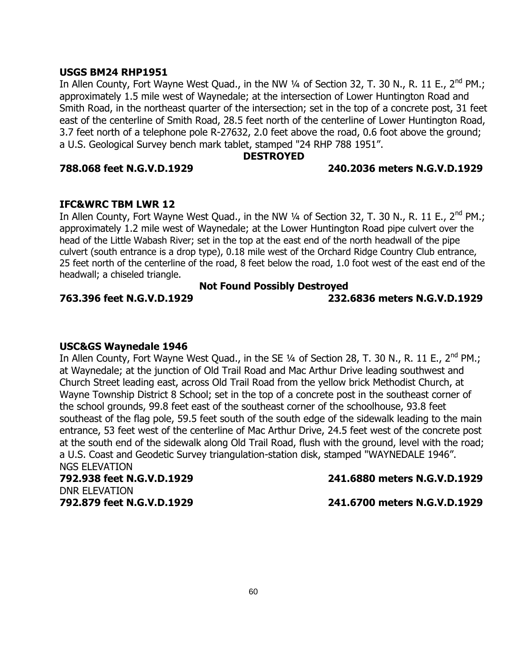#### **USGS BM24 RHP1951**

In Allen County, Fort Wayne West Quad., in the NW  $\frac{1}{4}$  of Section 32, T. 30 N., R. 11 E., 2<sup>nd</sup> PM.; approximately 1.5 mile west of Waynedale; at the intersection of Lower Huntington Road and Smith Road, in the northeast quarter of the intersection; set in the top of a concrete post, 31 feet east of the centerline of Smith Road, 28.5 feet north of the centerline of Lower Huntington Road, 3.7 feet north of a telephone pole R-27632, 2.0 feet above the road, 0.6 foot above the ground; a U.S. Geological Survey bench mark tablet, stamped "24 RHP 788 1951".

#### **DESTROYED**

#### **788.068 feet N.G.V.D.1929 240.2036 meters N.G.V.D.1929**

#### **IFC&WRC TBM LWR 12**

In Allen County, Fort Wayne West Quad., in the NW 1/4 of Section 32, T. 30 N., R. 11 E., 2<sup>nd</sup> PM.; approximately 1.2 mile west of Waynedale; at the Lower Huntington Road pipe culvert over the head of the Little Wabash River; set in the top at the east end of the north headwall of the pipe culvert (south entrance is a drop type), 0.18 mile west of the Orchard Ridge Country Club entrance, 25 feet north of the centerline of the road, 8 feet below the road, 1.0 foot west of the east end of the headwall; a chiseled triangle.

# **Not Found Possibly Destroyed**

**763.396 feet N.G.V.D.1929 232.6836 meters N.G.V.D.1929**

#### **USC&GS Waynedale 1946**

In Allen County, Fort Wayne West Quad., in the SE 1/4 of Section 28, T. 30 N., R. 11 E., 2<sup>nd</sup> PM.; at Waynedale; at the junction of Old Trail Road and Mac Arthur Drive leading southwest and Church Street leading east, across Old Trail Road from the yellow brick Methodist Church, at Wayne Township District 8 School; set in the top of a concrete post in the southeast corner of the school grounds, 99.8 feet east of the southeast corner of the schoolhouse, 93.8 feet southeast of the flag pole, 59.5 feet south of the south edge of the sidewalk leading to the main entrance, 53 feet west of the centerline of Mac Arthur Drive, 24.5 feet west of the concrete post at the south end of the sidewalk along Old Trail Road, flush with the ground, level with the road; a U.S. Coast and Geodetic Survey triangulation-station disk, stamped "WAYNEDALE 1946". NGS ELEVATION

# DNR ELEVATION

**792.938 feet N.G.V.D.1929 241.6880 meters N.G.V.D.1929**

**792.879 feet N.G.V.D.1929 241.6700 meters N.G.V.D.1929**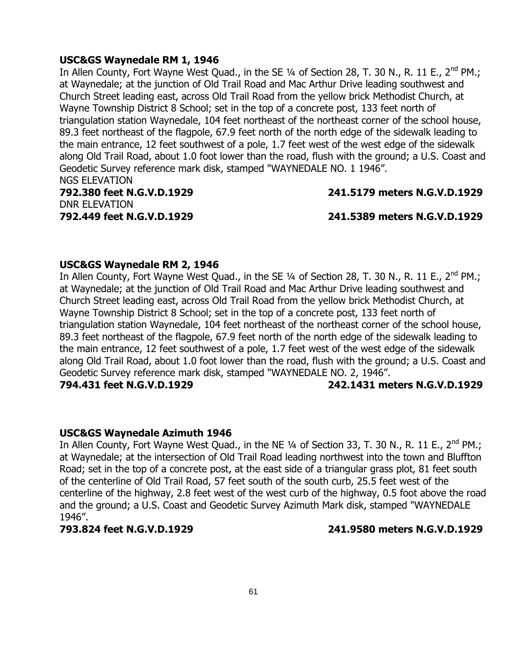#### **USC&GS Waynedale RM 1, 1946**

In Allen County, Fort Wayne West Quad., in the SE  $\frac{1}{4}$  of Section 28, T. 30 N., R. 11 E., 2<sup>nd</sup> PM.; at Waynedale; at the junction of Old Trail Road and Mac Arthur Drive leading southwest and Church Street leading east, across Old Trail Road from the yellow brick Methodist Church, at Wayne Township District 8 School; set in the top of a concrete post, 133 feet north of triangulation station Waynedale, 104 feet northeast of the northeast corner of the school house, 89.3 feet northeast of the flagpole, 67.9 feet north of the north edge of the sidewalk leading to the main entrance, 12 feet southwest of a pole, 1.7 feet west of the west edge of the sidewalk along Old Trail Road, about 1.0 foot lower than the road, flush with the ground; a U.S. Coast and Geodetic Survey reference mark disk, stamped "WAYNEDALE NO. 1 1946". NGS ELEVATION

# **792.380 feet N.G.V.D.1929 241.5179 meters N.G.V.D.1929** DNR ELEVATION

**792.449 feet N.G.V.D.1929 241.5389 meters N.G.V.D.1929**

#### **USC&GS Waynedale RM 2, 1946**

In Allen County, Fort Wayne West Quad., in the SE 1/4 of Section 28, T. 30 N., R. 11 E., 2<sup>nd</sup> PM.; at Waynedale; at the junction of Old Trail Road and Mac Arthur Drive leading southwest and Church Street leading east, across Old Trail Road from the yellow brick Methodist Church, at Wayne Township District 8 School; set in the top of a concrete post, 133 feet north of triangulation station Waynedale, 104 feet northeast of the northeast corner of the school house, 89.3 feet northeast of the flagpole, 67.9 feet north of the north edge of the sidewalk leading to the main entrance, 12 feet southwest of a pole, 1.7 feet west of the west edge of the sidewalk along Old Trail Road, about 1.0 foot lower than the road, flush with the ground; a U.S. Coast and Geodetic Survey reference mark disk, stamped "WAYNEDALE NO. 2, 1946". **794.431 feet N.G.V.D.1929 242.1431 meters N.G.V.D.1929**

#### **USC&GS Waynedale Azimuth 1946**

In Allen County, Fort Wayne West Quad., in the NE 1/4 of Section 33, T. 30 N., R. 11 E., 2<sup>nd</sup> PM.; at Waynedale; at the intersection of Old Trail Road leading northwest into the town and Bluffton Road; set in the top of a concrete post, at the east side of a triangular grass plot, 81 feet south of the centerline of Old Trail Road, 57 feet south of the south curb, 25.5 feet west of the centerline of the highway, 2.8 feet west of the west curb of the highway, 0.5 foot above the road and the ground; a U.S. Coast and Geodetic Survey Azimuth Mark disk, stamped "WAYNEDALE 1946".

**793.824 feet N.G.V.D.1929 241.9580 meters N.G.V.D.1929**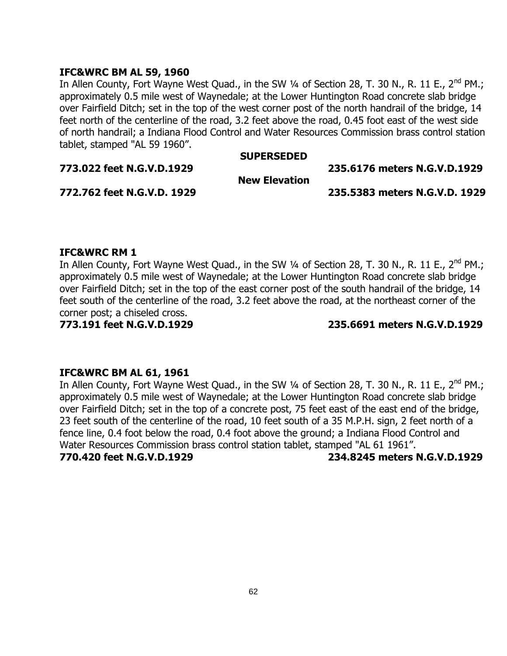#### **IFC&WRC BM AL 59, 1960**

In Allen County, Fort Wayne West Quad., in the SW 1/4 of Section 28, T. 30 N., R. 11 E., 2<sup>nd</sup> PM.; approximately 0.5 mile west of Waynedale; at the Lower Huntington Road concrete slab bridge over Fairfield Ditch; set in the top of the west corner post of the north handrail of the bridge, 14 feet north of the centerline of the road, 3.2 feet above the road, 0.45 foot east of the west side of north handrail; a Indiana Flood Control and Water Resources Commission brass control station tablet, stamped "AL 59 1960".

#### **SUPERSEDED**

**773.022 feet N.G.V.D.1929 235.6176 meters N.G.V.D.1929**

**New Elevation**

**772.762 feet N.G.V.D. 1929 235.5383 meters N.G.V.D. 1929**

#### **IFC&WRC RM 1**

In Allen County, Fort Wayne West Quad., in the SW 1/4 of Section 28, T. 30 N., R. 11 E., 2<sup>nd</sup> PM.; approximately 0.5 mile west of Waynedale; at the Lower Huntington Road concrete slab bridge over Fairfield Ditch; set in the top of the east corner post of the south handrail of the bridge, 14 feet south of the centerline of the road, 3.2 feet above the road, at the northeast corner of the corner post; a chiseled cross.

**773.191 feet N.G.V.D.1929 235.6691 meters N.G.V.D.1929**

#### **IFC&WRC BM AL 61, 1961**

In Allen County, Fort Wayne West Quad., in the SW 1/4 of Section 28, T. 30 N., R. 11 E., 2<sup>nd</sup> PM.; approximately 0.5 mile west of Waynedale; at the Lower Huntington Road concrete slab bridge over Fairfield Ditch; set in the top of a concrete post, 75 feet east of the east end of the bridge, 23 feet south of the centerline of the road, 10 feet south of a 35 M.P.H. sign, 2 feet north of a fence line, 0.4 foot below the road, 0.4 foot above the ground; a Indiana Flood Control and Water Resources Commission brass control station tablet, stamped "AL 61 1961".

**770.420 feet N.G.V.D.1929 234.8245 meters N.G.V.D.1929**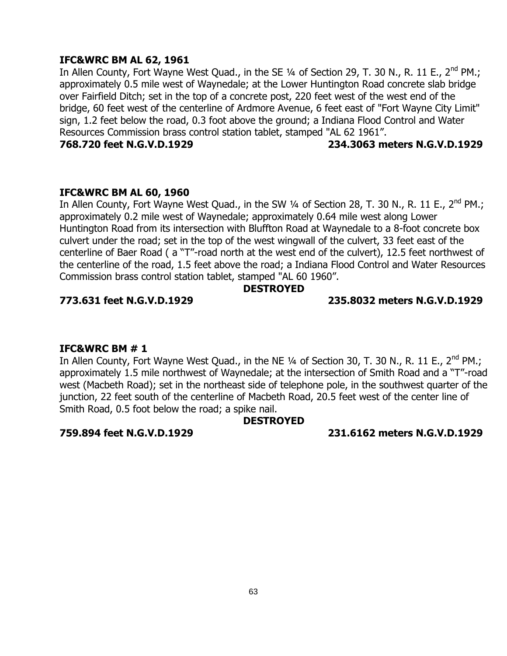#### **IFC&WRC BM AL 62, 1961**

In Allen County, Fort Wayne West Quad., in the SE  $\frac{1}{4}$  of Section 29, T. 30 N., R. 11 E., 2<sup>nd</sup> PM.; approximately 0.5 mile west of Waynedale; at the Lower Huntington Road concrete slab bridge over Fairfield Ditch; set in the top of a concrete post, 220 feet west of the west end of the bridge, 60 feet west of the centerline of Ardmore Avenue, 6 feet east of "Fort Wayne City Limit" sign, 1.2 feet below the road, 0.3 foot above the ground; a Indiana Flood Control and Water Resources Commission brass control station tablet, stamped "AL 62 1961".

#### **768.720 feet N.G.V.D.1929 234.3063 meters N.G.V.D.1929**

#### **IFC&WRC BM AL 60, 1960**

In Allen County, Fort Wayne West Quad., in the SW 1/4 of Section 28, T. 30 N., R. 11 E., 2<sup>nd</sup> PM.; approximately 0.2 mile west of Waynedale; approximately 0.64 mile west along Lower Huntington Road from its intersection with Bluffton Road at Waynedale to a 8-foot concrete box culvert under the road; set in the top of the west wingwall of the culvert, 33 feet east of the centerline of Baer Road ( a "T"-road north at the west end of the culvert), 12.5 feet northwest of the centerline of the road, 1.5 feet above the road; a Indiana Flood Control and Water Resources Commission brass control station tablet, stamped "AL 60 1960".

#### **DESTROYED**

#### **773.631 feet N.G.V.D.1929 235.8032 meters N.G.V.D.1929**

#### **IFC&WRC BM # 1**

In Allen County, Fort Wayne West Quad., in the NE 1/4 of Section 30, T. 30 N., R. 11 E., 2<sup>nd</sup> PM.; approximately 1.5 mile northwest of Waynedale; at the intersection of Smith Road and a "T"-road west (Macbeth Road); set in the northeast side of telephone pole, in the southwest quarter of the junction, 22 feet south of the centerline of Macbeth Road, 20.5 feet west of the center line of Smith Road, 0.5 foot below the road; a spike nail.

### **DESTROYED**

**759.894 feet N.G.V.D.1929 231.6162 meters N.G.V.D.1929**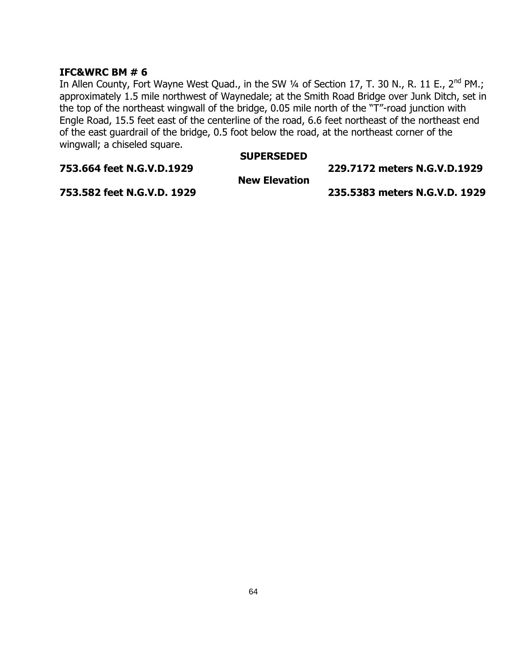### **IFC&WRC BM # 6**

In Allen County, Fort Wayne West Quad., in the SW 1/4 of Section 17, T. 30 N., R. 11 E., 2<sup>nd</sup> PM.; approximately 1.5 mile northwest of Waynedale; at the Smith Road Bridge over Junk Ditch, set in the top of the northeast wingwall of the bridge, 0.05 mile north of the "T"-road junction with Engle Road, 15.5 feet east of the centerline of the road, 6.6 feet northeast of the northeast end of the east guardrail of the bridge, 0.5 foot below the road, at the northeast corner of the wingwall; a chiseled square.

#### **SUPERSEDED**

**753.664 feet N.G.V.D.1929 229.7172 meters N.G.V.D.1929**

**New Elevation**

**753.582 feet N.G.V.D. 1929 235.5383 meters N.G.V.D. 1929**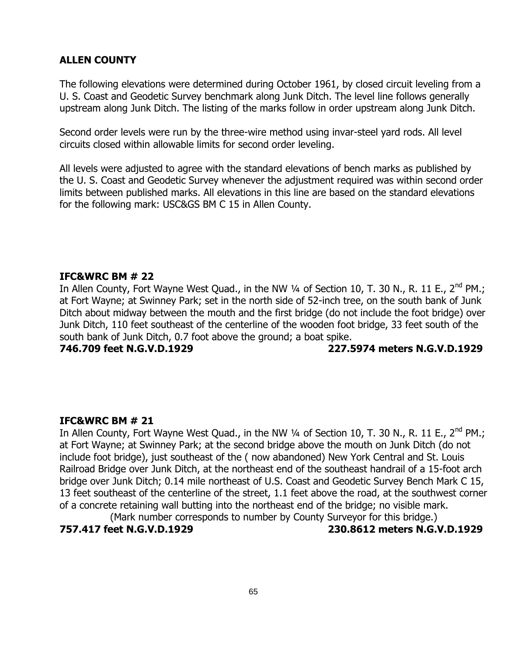The following elevations were determined during October 1961, by closed circuit leveling from a U. S. Coast and Geodetic Survey benchmark along Junk Ditch. The level line follows generally upstream along Junk Ditch. The listing of the marks follow in order upstream along Junk Ditch.

Second order levels were run by the three-wire method using invar-steel yard rods. All level circuits closed within allowable limits for second order leveling.

All levels were adjusted to agree with the standard elevations of bench marks as published by the U. S. Coast and Geodetic Survey whenever the adjustment required was within second order limits between published marks. All elevations in this line are based on the standard elevations for the following mark: USC&GS BM C 15 in Allen County.

#### **IFC&WRC BM # 22**

In Allen County, Fort Wayne West Quad., in the NW 1/4 of Section 10, T. 30 N., R. 11 E., 2<sup>nd</sup> PM.; at Fort Wayne; at Swinney Park; set in the north side of 52-inch tree, on the south bank of Junk Ditch about midway between the mouth and the first bridge (do not include the foot bridge) over Junk Ditch, 110 feet southeast of the centerline of the wooden foot bridge, 33 feet south of the south bank of Junk Ditch, 0.7 foot above the ground; a boat spike.

**746.709 feet N.G.V.D.1929 227.5974 meters N.G.V.D.1929**

#### **IFC&WRC BM # 21**

In Allen County, Fort Wayne West Quad., in the NW  $\frac{1}{4}$  of Section 10, T. 30 N., R. 11 E., 2<sup>nd</sup> PM.; at Fort Wayne; at Swinney Park; at the second bridge above the mouth on Junk Ditch (do not include foot bridge), just southeast of the ( now abandoned) New York Central and St. Louis Railroad Bridge over Junk Ditch, at the northeast end of the southeast handrail of a 15-foot arch bridge over Junk Ditch; 0.14 mile northeast of U.S. Coast and Geodetic Survey Bench Mark C 15, 13 feet southeast of the centerline of the street, 1.1 feet above the road, at the southwest corner of a concrete retaining wall butting into the northeast end of the bridge; no visible mark. (Mark number corresponds to number by County Surveyor for this bridge.)

**757.417 feet N.G.V.D.1929 230.8612 meters N.G.V.D.1929**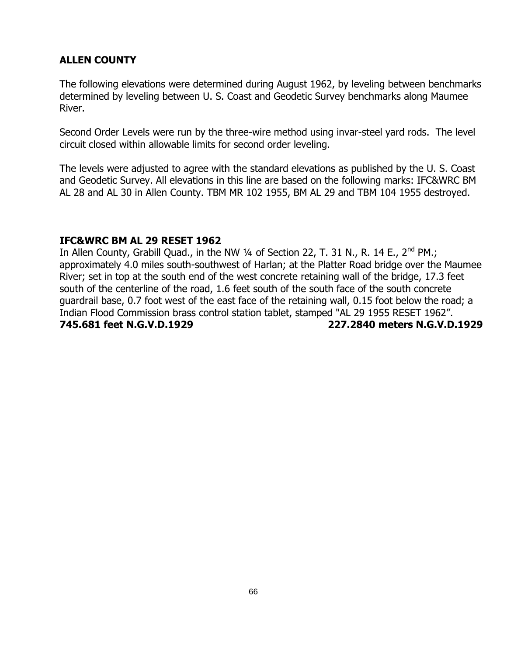The following elevations were determined during August 1962, by leveling between benchmarks determined by leveling between U. S. Coast and Geodetic Survey benchmarks along Maumee River.

Second Order Levels were run by the three-wire method using invar-steel yard rods. The level circuit closed within allowable limits for second order leveling.

The levels were adjusted to agree with the standard elevations as published by the U. S. Coast and Geodetic Survey. All elevations in this line are based on the following marks: IFC&WRC BM AL 28 and AL 30 in Allen County. TBM MR 102 1955, BM AL 29 and TBM 104 1955 destroyed.

### **IFC&WRC BM AL 29 RESET 1962**

In Allen County, Grabill Quad., in the NW 1/4 of Section 22, T. 31 N., R. 14 E., 2<sup>nd</sup> PM.; approximately 4.0 miles south-southwest of Harlan; at the Platter Road bridge over the Maumee River; set in top at the south end of the west concrete retaining wall of the bridge, 17.3 feet south of the centerline of the road, 1.6 feet south of the south face of the south concrete guardrail base, 0.7 foot west of the east face of the retaining wall, 0.15 foot below the road; a Indian Flood Commission brass control station tablet, stamped "AL 29 1955 RESET 1962". **745.681 feet N.G.V.D.1929 227.2840 meters N.G.V.D.1929**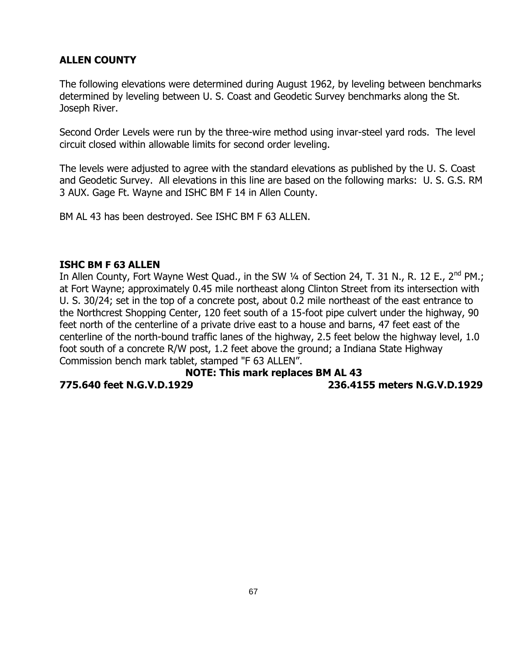The following elevations were determined during August 1962, by leveling between benchmarks determined by leveling between U. S. Coast and Geodetic Survey benchmarks along the St. Joseph River.

Second Order Levels were run by the three-wire method using invar-steel yard rods. The level circuit closed within allowable limits for second order leveling.

The levels were adjusted to agree with the standard elevations as published by the U. S. Coast and Geodetic Survey. All elevations in this line are based on the following marks: U. S. G.S. RM 3 AUX. Gage Ft. Wayne and ISHC BM F 14 in Allen County.

BM AL 43 has been destroyed. See ISHC BM F 63 ALLEN.

### **ISHC BM F 63 ALLEN**

In Allen County, Fort Wayne West Quad., in the SW 1/4 of Section 24, T. 31 N., R. 12 E., 2<sup>nd</sup> PM.; at Fort Wayne; approximately 0.45 mile northeast along Clinton Street from its intersection with U. S. 30/24; set in the top of a concrete post, about 0.2 mile northeast of the east entrance to the Northcrest Shopping Center, 120 feet south of a 15-foot pipe culvert under the highway, 90 feet north of the centerline of a private drive east to a house and barns, 47 feet east of the centerline of the north-bound traffic lanes of the highway, 2.5 feet below the highway level, 1.0 foot south of a concrete R/W post, 1.2 feet above the ground; a Indiana State Highway Commission bench mark tablet, stamped "F 63 ALLEN".

#### **NOTE: This mark replaces BM AL 43 775.640 feet N.G.V.D.1929 236.4155 meters N.G.V.D.1929**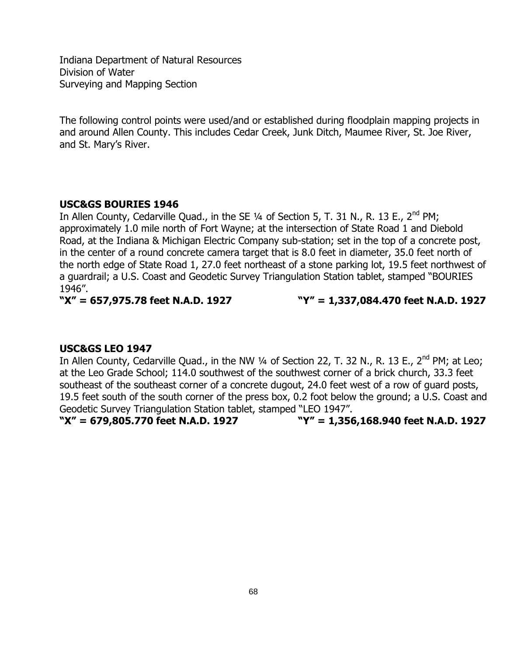Indiana Department of Natural Resources Division of Water Surveying and Mapping Section

The following control points were used/and or established during floodplain mapping projects in and around Allen County. This includes Cedar Creek, Junk Ditch, Maumee River, St. Joe River, and St. Mary's River.

#### **USC&GS BOURIES 1946**

In Allen County, Cedarville Quad., in the SE  $\frac{1}{4}$  of Section 5, T. 31 N., R. 13 E., 2<sup>nd</sup> PM; approximately 1.0 mile north of Fort Wayne; at the intersection of State Road 1 and Diebold Road, at the Indiana & Michigan Electric Company sub-station; set in the top of a concrete post, in the center of a round concrete camera target that is 8.0 feet in diameter, 35.0 feet north of the north edge of State Road 1, 27.0 feet northeast of a stone parking lot, 19.5 feet northwest of a guardrail; a U.S. Coast and Geodetic Survey Triangulation Station tablet, stamped "BOURIES 1946".

**"X" = 657,975.78 feet N.A.D. 1927 "Y" = 1,337,084.470 feet N.A.D. 1927**

#### **USC&GS LEO 1947**

In Allen County, Cedarville Quad., in the NW 1/4 of Section 22, T. 32 N., R. 13 E., 2<sup>nd</sup> PM; at Leo; at the Leo Grade School; 114.0 southwest of the southwest corner of a brick church, 33.3 feet southeast of the southeast corner of a concrete dugout, 24.0 feet west of a row of guard posts, 19.5 feet south of the south corner of the press box, 0.2 foot below the ground; a U.S. Coast and Geodetic Survey Triangulation Station tablet, stamped "LEO 1947".

**"X" = 679,805.770 feet N.A.D. 1927 "Y" = 1,356,168.940 feet N.A.D. 1927**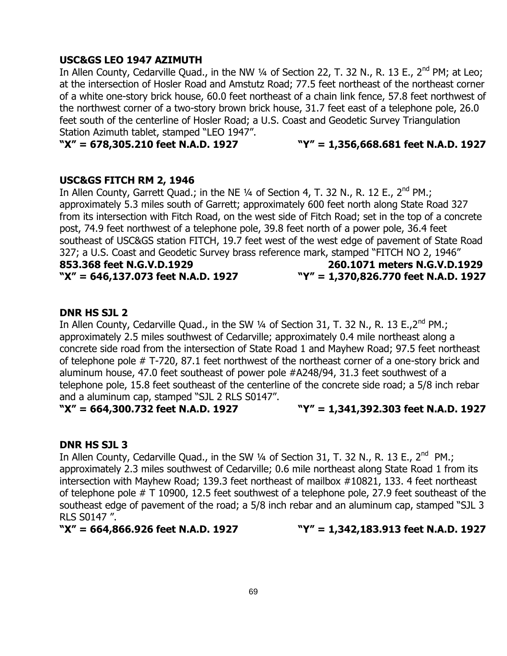#### **USC&GS LEO 1947 AZIMUTH**

In Allen County, Cedarville Quad., in the NW  $\frac{1}{4}$  of Section 22, T. 32 N., R. 13 E., 2<sup>nd</sup> PM; at Leo; at the intersection of Hosler Road and Amstutz Road; 77.5 feet northeast of the northeast corner of a white one-story brick house, 60.0 feet northeast of a chain link fence, 57.8 feet northwest of the northwest corner of a two-story brown brick house, 31.7 feet east of a telephone pole, 26.0 feet south of the centerline of Hosler Road; a U.S. Coast and Geodetic Survey Triangulation Station Azimuth tablet, stamped "LEO 1947".

### **"X" = 678,305.210 feet N.A.D. 1927 "Y" = 1,356,668.681 feet N.A.D. 1927**

#### **USC&GS FITCH RM 2, 1946**

In Allen County, Garrett Quad.; in the NE  $\frac{1}{4}$  of Section 4, T. 32 N., R. 12 E.,  $2^{nd}$  PM.; approximately 5.3 miles south of Garrett; approximately 600 feet north along State Road 327 from its intersection with Fitch Road, on the west side of Fitch Road; set in the top of a concrete post, 74.9 feet northwest of a telephone pole, 39.8 feet north of a power pole, 36.4 feet southeast of USC&GS station FITCH, 19.7 feet west of the west edge of pavement of State Road 327; a U.S. Coast and Geodetic Survey brass reference mark, stamped "FITCH NO 2, 1946"

**853.368 feet N.G.V.D.1929 260.1071 meters N.G.V.D.1929 "X" = 646,137.073 feet N.A.D. 1927 "Y" = 1,370,826.770 feet N.A.D. 1927**

#### **DNR HS SJL 2**

In Allen County, Cedarville Quad., in the SW 1/4 of Section 31, T. 32 N., R. 13 E., 2<sup>nd</sup> PM.; approximately 2.5 miles southwest of Cedarville; approximately 0.4 mile northeast along a concrete side road from the intersection of State Road 1 and Mayhew Road; 97.5 feet northeast of telephone pole # T-720, 87.1 feet northwest of the northeast corner of a one-story brick and aluminum house, 47.0 feet southeast of power pole #A248/94, 31.3 feet southwest of a telephone pole, 15.8 feet southeast of the centerline of the concrete side road; a 5/8 inch rebar and a aluminum cap, stamped "SJL 2 RLS S0147".

**"X" = 664,300.732 feet N.A.D. 1927 "Y" = 1,341,392.303 feet N.A.D. 1927**

#### **DNR HS SJL 3**

In Allen County, Cedarville Quad., in the SW  $\frac{1}{4}$  of Section 31, T. 32 N., R. 13 E., 2<sup>nd</sup> PM.; approximately 2.3 miles southwest of Cedarville; 0.6 mile northeast along State Road 1 from its intersection with Mayhew Road; 139.3 feet northeast of mailbox #10821, 133. 4 feet northeast of telephone pole # T 10900, 12.5 feet southwest of a telephone pole, 27.9 feet southeast of the southeast edge of pavement of the road; a 5/8 inch rebar and an aluminum cap, stamped "SJL 3 RLS S0147 ".

**"X" = 664,866.926 feet N.A.D. 1927 "Y" = 1,342,183.913 feet N.A.D. 1927**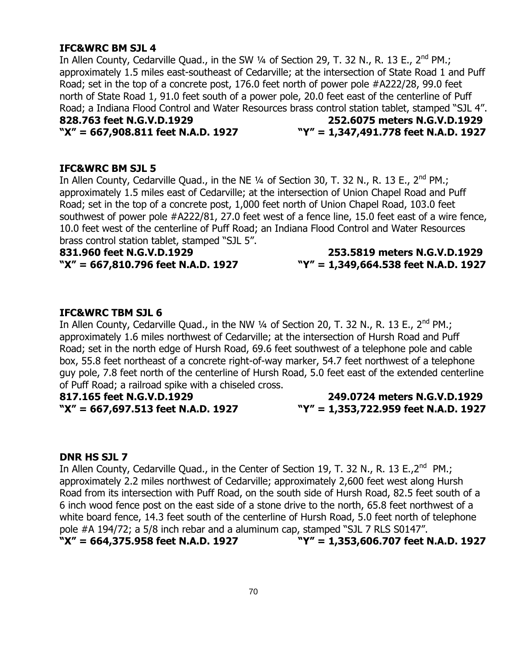#### **IFC&WRC BM SJL 4**

In Allen County, Cedarville Quad., in the SW 1/4 of Section 29, T. 32 N., R. 13 E., 2<sup>nd</sup> PM.; approximately 1.5 miles east-southeast of Cedarville; at the intersection of State Road 1 and Puff Road; set in the top of a concrete post, 176.0 feet north of power pole #A222/28, 99.0 feet north of State Road 1, 91.0 feet south of a power pole, 20.0 feet east of the centerline of Puff Road; a Indiana Flood Control and Water Resources brass control station tablet, stamped "SJL 4". **828.763 feet N.G.V.D.1929 252.6075 meters N.G.V.D.1929 "X" = 667,908.811 feet N.A.D. 1927 "Y" = 1,347,491.778 feet N.A.D. 1927**

#### **IFC&WRC BM SJL 5**

In Allen County, Cedarville Quad., in the NE 1/4 of Section 30, T. 32 N., R. 13 E., 2<sup>nd</sup> PM.; approximately 1.5 miles east of Cedarville; at the intersection of Union Chapel Road and Puff Road; set in the top of a concrete post, 1,000 feet north of Union Chapel Road, 103.0 feet southwest of power pole #A222/81, 27.0 feet west of a fence line, 15.0 feet east of a wire fence, 10.0 feet west of the centerline of Puff Road; an Indiana Flood Control and Water Resources brass control station tablet, stamped "SJL 5".

**831.960 feet N.G.V.D.1929 253.5819 meters N.G.V.D.1929 "X" = 667,810.796 feet N.A.D. 1927 "Y" = 1,349,664.538 feet N.A.D. 1927**

#### **IFC&WRC TBM SJL 6**

In Allen County, Cedarville Quad., in the NW  $\frac{1}{4}$  of Section 20, T. 32 N., R. 13 E., 2<sup>nd</sup> PM.; approximately 1.6 miles northwest of Cedarville; at the intersection of Hursh Road and Puff Road; set in the north edge of Hursh Road, 69.6 feet southwest of a telephone pole and cable box, 55.8 feet northeast of a concrete right-of-way marker, 54.7 feet northwest of a telephone guy pole, 7.8 feet north of the centerline of Hursh Road, 5.0 feet east of the extended centerline of Puff Road; a railroad spike with a chiseled cross.

**817.165 feet N.G.V.D.1929 249.0724 meters N.G.V.D.1929 "X" = 667,697.513 feet N.A.D. 1927 "Y" = 1,353,722.959 feet N.A.D. 1927**

#### **DNR HS SJL 7**

In Allen County, Cedarville Quad., in the Center of Section 19, T. 32 N., R. 13 E.,2<sup>nd</sup> PM.; approximately 2.2 miles northwest of Cedarville; approximately 2,600 feet west along Hursh Road from its intersection with Puff Road, on the south side of Hursh Road, 82.5 feet south of a 6 inch wood fence post on the east side of a stone drive to the north, 65.8 feet northwest of a white board fence, 14.3 feet south of the centerline of Hursh Road, 5.0 feet north of telephone pole #A 194/72; a 5/8 inch rebar and a aluminum cap, stamped "SJL 7 RLS S0147". **"X" = 664,375.958 feet N.A.D. 1927 "Y" = 1,353,606.707 feet N.A.D. 1927**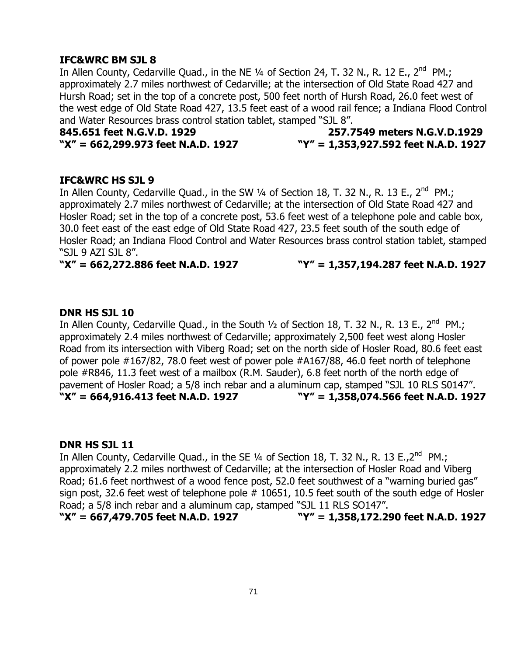### **IFC&WRC BM SJL 8**

In Allen County, Cedarville Quad., in the NE  $\frac{1}{4}$  of Section 24, T. 32 N., R. 12 E., 2<sup>nd</sup> PM.; approximately 2.7 miles northwest of Cedarville; at the intersection of Old State Road 427 and Hursh Road; set in the top of a concrete post, 500 feet north of Hursh Road, 26.0 feet west of the west edge of Old State Road 427, 13.5 feet east of a wood rail fence; a Indiana Flood Control and Water Resources brass control station tablet, stamped "SJL 8".

# **845.651 feet N.G.V.D. 1929 257.7549 meters N.G.V.D.1929 "X" = 662,299.973 feet N.A.D. 1927 "Y" = 1,353,927.592 feet N.A.D. 1927**

#### **IFC&WRC HS SJL 9**

In Allen County, Cedarville Quad., in the SW  $\frac{1}{4}$  of Section 18, T. 32 N., R. 13 E., 2<sup>nd</sup> PM.; approximately 2.7 miles northwest of Cedarville; at the intersection of Old State Road 427 and Hosler Road; set in the top of a concrete post, 53.6 feet west of a telephone pole and cable box, 30.0 feet east of the east edge of Old State Road 427, 23.5 feet south of the south edge of Hosler Road; an Indiana Flood Control and Water Resources brass control station tablet, stamped "SJL 9 AZI SJL 8".

#### **"X" = 662,272.886 feet N.A.D. 1927 "Y" = 1,357,194.287 feet N.A.D. 1927**

#### **DNR HS SJL 10**

In Allen County, Cedarville Quad., in the South  $\frac{1}{2}$  of Section 18, T. 32 N., R. 13 E., 2<sup>nd</sup> PM.; approximately 2.4 miles northwest of Cedarville; approximately 2,500 feet west along Hosler Road from its intersection with Viberg Road; set on the north side of Hosler Road, 80.6 feet east of power pole #167/82, 78.0 feet west of power pole #A167/88, 46.0 feet north of telephone pole #R846, 11.3 feet west of a mailbox (R.M. Sauder), 6.8 feet north of the north edge of pavement of Hosler Road; a 5/8 inch rebar and a aluminum cap, stamped "SJL 10 RLS S0147". **"X" = 664,916.413 feet N.A.D. 1927 "Y" = 1,358,074.566 feet N.A.D. 1927**

#### **DNR HS SJL 11**

In Allen County, Cedarville Quad., in the SE  $\frac{1}{4}$  of Section 18, T. 32 N., R. 13 E.,2<sup>nd</sup> PM.; approximately 2.2 miles northwest of Cedarville; at the intersection of Hosler Road and Viberg Road; 61.6 feet northwest of a wood fence post, 52.0 feet southwest of a "warning buried gas" sign post, 32.6 feet west of telephone pole # 10651, 10.5 feet south of the south edge of Hosler Road; a 5/8 inch rebar and a aluminum cap, stamped "SJL 11 RLS SO147". **"X" = 667,479.705 feet N.A.D. 1927 "Y" = 1,358,172.290 feet N.A.D. 1927**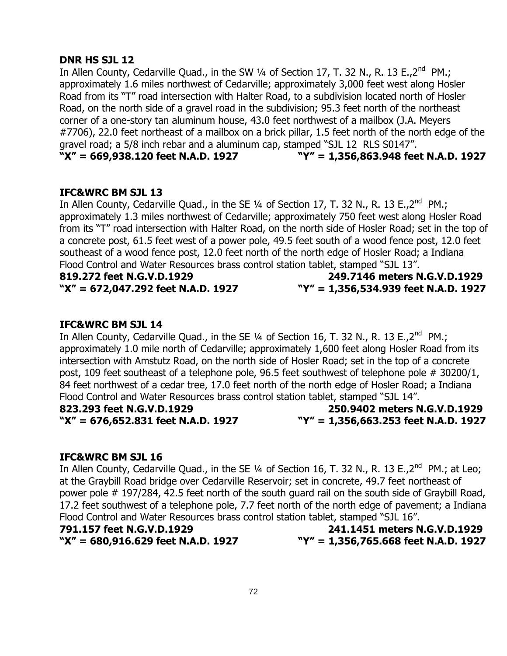#### **DNR HS SJL 12**

In Allen County, Cedarville Quad., in the SW  $\frac{1}{4}$  of Section 17, T. 32 N., R. 13 E.,2<sup>nd</sup> PM.; approximately 1.6 miles northwest of Cedarville; approximately 3,000 feet west along Hosler Road from its "T" road intersection with Halter Road, to a subdivision located north of Hosler Road, on the north side of a gravel road in the subdivision; 95.3 feet north of the northeast corner of a one-story tan aluminum house, 43.0 feet northwest of a mailbox (J.A. Meyers #7706), 22.0 feet northeast of a mailbox on a brick pillar, 1.5 feet north of the north edge of the gravel road; a 5/8 inch rebar and a aluminum cap, stamped "SJL 12 RLS S0147". **"X" = 669,938.120 feet N.A.D. 1927 "Y" = 1,356,863.948 feet N.A.D. 1927**

#### **IFC&WRC BM SJL 13**

In Allen County, Cedarville Quad., in the SE  $\frac{1}{4}$  of Section 17, T. 32 N., R. 13 E.,2<sup>nd</sup> PM.; approximately 1.3 miles northwest of Cedarville; approximately 750 feet west along Hosler Road from its "T" road intersection with Halter Road, on the north side of Hosler Road; set in the top of a concrete post, 61.5 feet west of a power pole, 49.5 feet south of a wood fence post, 12.0 feet southeast of a wood fence post, 12.0 feet north of the north edge of Hosler Road; a Indiana Flood Control and Water Resources brass control station tablet, stamped "SJL 13".

**819.272 feet N.G.V.D.1929 249.7146 meters N.G.V.D.1929 "X" = 672,047.292 feet N.A.D. 1927 "Y" = 1,356,534.939 feet N.A.D. 1927**

#### **IFC&WRC BM SJL 14**

In Allen County, Cedarville Quad., in the SE  $\frac{1}{4}$  of Section 16, T. 32 N., R. 13 E.,2<sup>nd</sup> PM.; approximately 1.0 mile north of Cedarville; approximately 1,600 feet along Hosler Road from its intersection with Amstutz Road, on the north side of Hosler Road; set in the top of a concrete post, 109 feet southeast of a telephone pole, 96.5 feet southwest of telephone pole # 30200/1, 84 feet northwest of a cedar tree, 17.0 feet north of the north edge of Hosler Road; a Indiana Flood Control and Water Resources brass control station tablet, stamped "SJL 14".

**823.293 feet N.G.V.D.1929 250.9402 meters N.G.V.D.1929 "X" = 676,652.831 feet N.A.D. 1927 "Y" = 1,356,663.253 feet N.A.D. 1927**

#### **IFC&WRC BM SJL 16**

In Allen County, Cedarville Quad., in the SE 1/4 of Section 16, T. 32 N., R. 13 E.,2<sup>nd</sup> PM.; at Leo; at the Graybill Road bridge over Cedarville Reservoir; set in concrete, 49.7 feet northeast of power pole # 197/284, 42.5 feet north of the south guard rail on the south side of Graybill Road, 17.2 feet southwest of a telephone pole, 7.7 feet north of the north edge of pavement; a Indiana Flood Control and Water Resources brass control station tablet, stamped "SJL 16".

**791.157 feet N.G.V.D.1929 241.1451 meters N.G.V.D.1929 "X" = 680,916.629 feet N.A.D. 1927 "Y" = 1,356,765.668 feet N.A.D. 1927**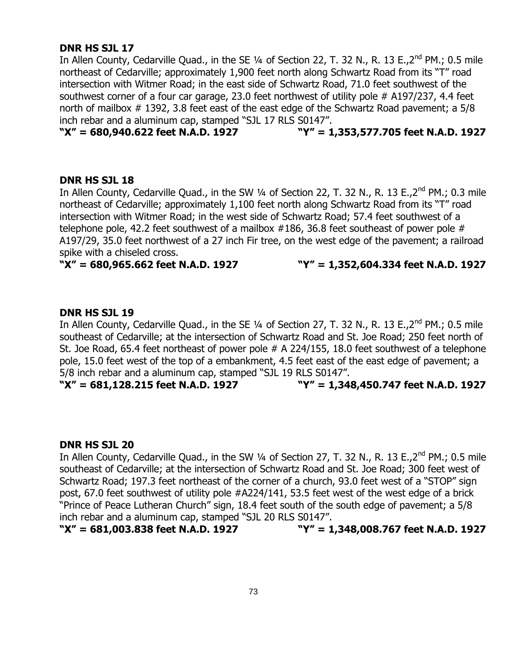# **DNR HS SJL 17**

In Allen County, Cedarville Quad., in the SE  $\frac{1}{4}$  of Section 22, T. 32 N., R. 13 E.,  $2^{nd}$  PM.; 0.5 mile northeast of Cedarville; approximately 1,900 feet north along Schwartz Road from its "T" road intersection with Witmer Road; in the east side of Schwartz Road, 71.0 feet southwest of the southwest corner of a four car garage, 23.0 feet northwest of utility pole # A197/237, 4.4 feet north of mailbox # 1392, 3.8 feet east of the east edge of the Schwartz Road pavement; a 5/8 inch rebar and a aluminum cap, stamped "SJL 17 RLS S0147".

**"X" = 680,940.622 feet N.A.D. 1927 "Y" = 1,353,577.705 feet N.A.D. 1927**

### **DNR HS SJL 18**

In Allen County, Cedarville Quad., in the SW 1/4 of Section 22, T. 32 N., R. 13 E., 2<sup>nd</sup> PM.; 0.3 mile northeast of Cedarville; approximately 1,100 feet north along Schwartz Road from its "T" road intersection with Witmer Road; in the west side of Schwartz Road; 57.4 feet southwest of a telephone pole, 42.2 feet southwest of a mailbox #186, 36.8 feet southeast of power pole # A197/29, 35.0 feet northwest of a 27 inch Fir tree, on the west edge of the pavement; a railroad spike with a chiseled cross.

#### **"X" = 680,965.662 feet N.A.D. 1927 "Y" = 1,352,604.334 feet N.A.D. 1927**

# **DNR HS SJL 19**

In Allen County, Cedarville Quad., in the SE 1/4 of Section 27, T. 32 N., R. 13 E., 2<sup>nd</sup> PM.; 0.5 mile southeast of Cedarville; at the intersection of Schwartz Road and St. Joe Road; 250 feet north of St. Joe Road, 65.4 feet northeast of power pole # A 224/155, 18.0 feet southwest of a telephone pole, 15.0 feet west of the top of a embankment, 4.5 feet east of the east edge of pavement; a 5/8 inch rebar and a aluminum cap, stamped "SJL 19 RLS S0147".

**"X" = 681,128.215 feet N.A.D. 1927 "Y" = 1,348,450.747 feet N.A.D. 1927**

#### **DNR HS SJL 20**

In Allen County, Cedarville Quad., in the SW 1/4 of Section 27, T. 32 N., R. 13 E., 2<sup>nd</sup> PM.; 0.5 mile southeast of Cedarville; at the intersection of Schwartz Road and St. Joe Road; 300 feet west of Schwartz Road; 197.3 feet northeast of the corner of a church, 93.0 feet west of a "STOP" sign post, 67.0 feet southwest of utility pole #A224/141, 53.5 feet west of the west edge of a brick "Prince of Peace Lutheran Church" sign, 18.4 feet south of the south edge of pavement; a 5/8 inch rebar and a aluminum cap, stamped "SJL 20 RLS S0147".

**"X" = 681,003.838 feet N.A.D. 1927 "Y" = 1,348,008.767 feet N.A.D. 1927**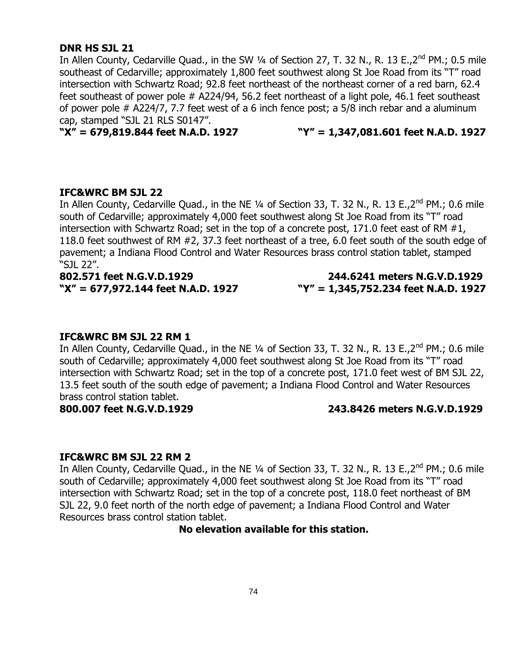#### **DNR HS SJL 21**

In Allen County, Cedarville Quad., in the SW 1/4 of Section 27, T. 32 N., R. 13 E., 2<sup>nd</sup> PM.; 0.5 mile southeast of Cedarville; approximately 1,800 feet southwest along St Joe Road from its "T" road intersection with Schwartz Road; 92.8 feet northeast of the northeast corner of a red barn, 62.4 feet southeast of power pole # A224/94, 56.2 feet northeast of a light pole, 46.1 feet southeast of power pole # A224/7, 7.7 feet west of a 6 inch fence post; a 5/8 inch rebar and a aluminum cap, stamped "SJL 21 RLS S0147".

**"X" = 679,819.844 feet N.A.D. 1927 "Y" = 1,347,081.601 feet N.A.D. 1927**

#### **IFC&WRC BM SJL 22**

In Allen County, Cedarville Quad., in the NE 1/4 of Section 33, T. 32 N., R. 13 E., 2<sup>nd</sup> PM.; 0.6 mile south of Cedarville; approximately 4,000 feet southwest along St Joe Road from its "T" road intersection with Schwartz Road; set in the top of a concrete post, 171.0 feet east of RM #1, 118.0 feet southwest of RM #2, 37.3 feet northeast of a tree, 6.0 feet south of the south edge of pavement; a Indiana Flood Control and Water Resources brass control station tablet, stamped "SJL 22".

**802.571 feet N.G.V.D.1929 244.6241 meters N.G.V.D.1929 "X" = 677,972.144 feet N.A.D. 1927 "Y" = 1,345,752.234 feet N.A.D. 1927**

#### **IFC&WRC BM SJL 22 RM 1**

In Allen County, Cedarville Quad., in the NE  $\frac{1}{4}$  of Section 33, T. 32 N., R. 13 E., 2<sup>nd</sup> PM.; 0.6 mile south of Cedarville; approximately 4,000 feet southwest along St Joe Road from its "T" road intersection with Schwartz Road; set in the top of a concrete post, 171.0 feet west of BM SJL 22, 13.5 feet south of the south edge of pavement; a Indiana Flood Control and Water Resources brass control station tablet.

#### **800.007 feet N.G.V.D.1929 243.8426 meters N.G.V.D.1929**

#### **IFC&WRC BM SJL 22 RM 2**

In Allen County, Cedarville Quad., in the NE 1/4 of Section 33, T. 32 N., R. 13 E., 2<sup>nd</sup> PM.; 0.6 mile south of Cedarville; approximately 4,000 feet southwest along St Joe Road from its "T" road intersection with Schwartz Road; set in the top of a concrete post, 118.0 feet northeast of BM SJL 22, 9.0 feet north of the north edge of pavement; a Indiana Flood Control and Water Resources brass control station tablet.

**No elevation available for this station.**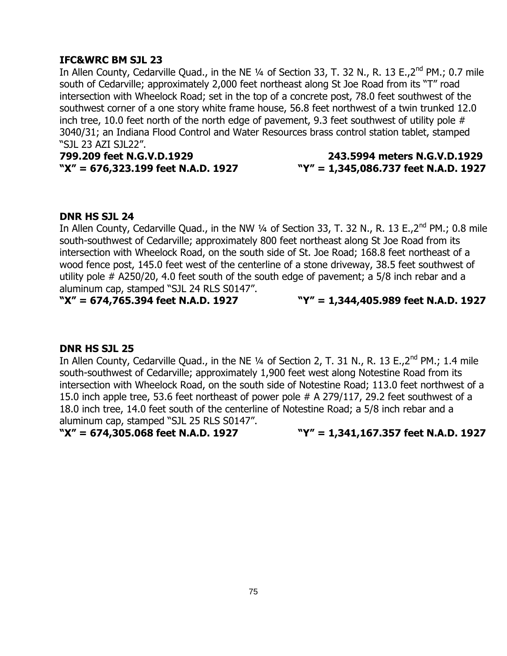# **IFC&WRC BM SJL 23**

In Allen County, Cedarville Quad., in the NE  $\frac{1}{4}$  of Section 33, T. 32 N., R. 13 E.,  $2^{nd}$  PM.; 0.7 mile south of Cedarville; approximately 2,000 feet northeast along St Joe Road from its "T" road intersection with Wheelock Road; set in the top of a concrete post, 78.0 feet southwest of the southwest corner of a one story white frame house, 56.8 feet northwest of a twin trunked 12.0 inch tree, 10.0 feet north of the north edge of pavement, 9.3 feet southwest of utility pole  $#$ 3040/31; an Indiana Flood Control and Water Resources brass control station tablet, stamped "SJL 23 AZI SJL22".

**799.209 feet N.G.V.D.1929 243.5994 meters N.G.V.D.1929**

# **"X" = 676,323.199 feet N.A.D. 1927 "Y" = 1,345,086.737 feet N.A.D. 1927**

# **DNR HS SJL 24**

In Allen County, Cedarville Quad., in the NW 1/4 of Section 33, T. 32 N., R. 13 E., 2<sup>nd</sup> PM.; 0.8 mile south-southwest of Cedarville; approximately 800 feet northeast along St Joe Road from its intersection with Wheelock Road, on the south side of St. Joe Road; 168.8 feet northeast of a wood fence post, 145.0 feet west of the centerline of a stone driveway, 38.5 feet southwest of utility pole # A250/20, 4.0 feet south of the south edge of pavement; a 5/8 inch rebar and a aluminum cap, stamped "SJL 24 RLS S0147".

**"X" = 674,765.394 feet N.A.D. 1927 "Y" = 1,344,405.989 feet N.A.D. 1927**

# **DNR HS SJL 25**

In Allen County, Cedarville Quad., in the NE 1/4 of Section 2, T. 31 N., R. 13 E., 2<sup>nd</sup> PM.; 1.4 mile south-southwest of Cedarville; approximately 1,900 feet west along Notestine Road from its intersection with Wheelock Road, on the south side of Notestine Road; 113.0 feet northwest of a 15.0 inch apple tree, 53.6 feet northeast of power pole # A 279/117, 29.2 feet southwest of a 18.0 inch tree, 14.0 feet south of the centerline of Notestine Road; a 5/8 inch rebar and a aluminum cap, stamped "SJL 25 RLS S0147".

**"X" = 674,305.068 feet N.A.D. 1927 "Y" = 1,341,167.357 feet N.A.D. 1927**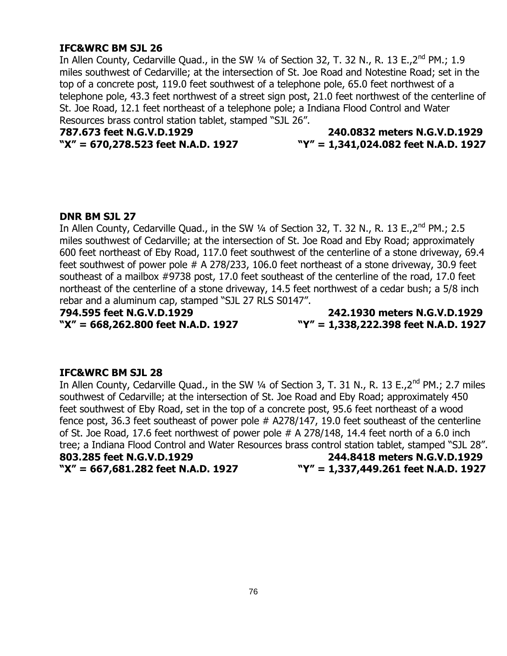### **IFC&WRC BM SJL 26**

In Allen County, Cedarville Quad., in the SW  $\frac{1}{4}$  of Section 32, T. 32 N., R. 13 E.,  $2^{nd}$  PM.; 1.9 miles southwest of Cedarville; at the intersection of St. Joe Road and Notestine Road; set in the top of a concrete post, 119.0 feet southwest of a telephone pole, 65.0 feet northwest of a telephone pole, 43.3 feet northwest of a street sign post, 21.0 feet northwest of the centerline of St. Joe Road, 12.1 feet northeast of a telephone pole; a Indiana Flood Control and Water Resources brass control station tablet, stamped "SJL 26".

# **787.673 feet N.G.V.D.1929 240.0832 meters N.G.V.D.1929 "X" = 670,278.523 feet N.A.D. 1927 "Y" = 1,341,024.082 feet N.A.D. 1927**

#### **DNR BM SJL 27**

In Allen County, Cedarville Quad., in the SW  $\frac{1}{4}$  of Section 32, T. 32 N., R. 13 E.,  $2^{nd}$  PM.; 2.5 miles southwest of Cedarville; at the intersection of St. Joe Road and Eby Road; approximately 600 feet northeast of Eby Road, 117.0 feet southwest of the centerline of a stone driveway, 69.4 feet southwest of power pole # A 278/233, 106.0 feet northeast of a stone driveway, 30.9 feet southeast of a mailbox #9738 post, 17.0 feet southeast of the centerline of the road, 17.0 feet northeast of the centerline of a stone driveway, 14.5 feet northwest of a cedar bush; a 5/8 inch rebar and a aluminum cap, stamped "SJL 27 RLS S0147".

**794.595 feet N.G.V.D.1929 242.1930 meters N.G.V.D.1929 "X" = 668,262.800 feet N.A.D. 1927 "Y" = 1,338,222.398 feet N.A.D. 1927**

#### **IFC&WRC BM SJL 28**

In Allen County, Cedarville Quad., in the SW 1/4 of Section 3, T. 31 N., R. 13 E., 2<sup>nd</sup> PM.; 2.7 miles southwest of Cedarville; at the intersection of St. Joe Road and Eby Road; approximately 450 feet southwest of Eby Road, set in the top of a concrete post, 95.6 feet northeast of a wood fence post, 36.3 feet southeast of power pole # A278/147, 19.0 feet southeast of the centerline of St. Joe Road, 17.6 feet northwest of power pole # A 278/148, 14.4 feet north of a 6.0 inch tree; a Indiana Flood Control and Water Resources brass control station tablet, stamped "SJL 28". **803.285 feet N.G.V.D.1929 244.8418 meters N.G.V.D.1929**

**"X" = 667,681.282 feet N.A.D. 1927 "Y" = 1,337,449.261 feet N.A.D. 1927**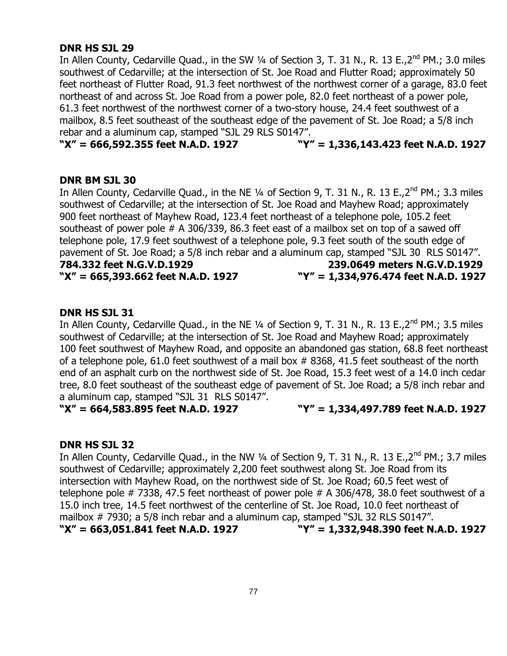### **DNR HS SJL 29**

In Allen County, Cedarville Quad., in the SW 1/4 of Section 3, T. 31 N., R. 13 E., 2<sup>nd</sup> PM.; 3.0 miles southwest of Cedarville; at the intersection of St. Joe Road and Flutter Road; approximately 50 feet northeast of Flutter Road, 91.3 feet northwest of the northwest corner of a garage, 83.0 feet northeast of and across St. Joe Road from a power pole, 82.0 feet northeast of a power pole, 61.3 feet northwest of the northwest corner of a two-story house, 24.4 feet southwest of a mailbox, 8.5 feet southeast of the southeast edge of the pavement of St. Joe Road; a 5/8 inch rebar and a aluminum cap, stamped "SJL 29 RLS S0147".

#### **"X" = 666,592.355 feet N.A.D. 1927 "Y" = 1,336,143.423 feet N.A.D. 1927**

#### **DNR BM SJL 30**

In Allen County, Cedarville Quad., in the NE 1/4 of Section 9, T. 31 N., R. 13 E., 2<sup>nd</sup> PM.; 3.3 miles southwest of Cedarville; at the intersection of St. Joe Road and Mayhew Road; approximately 900 feet northeast of Mayhew Road, 123.4 feet northeast of a telephone pole, 105.2 feet southeast of power pole # A 306/339, 86.3 feet east of a mailbox set on top of a sawed off telephone pole, 17.9 feet southwest of a telephone pole, 9.3 feet south of the south edge of pavement of St. Joe Road; a 5/8 inch rebar and a aluminum cap, stamped "SJL 30 RLS S0147".

**784.332 feet N.G.V.D.1929 239.0649 meters N.G.V.D.1929 "X" = 665,393.662 feet N.A.D. 1927 "Y" = 1,334,976.474 feet N.A.D. 1927**

### **DNR HS SJL 31**

In Allen County, Cedarville Quad., in the NE 1/4 of Section 9, T. 31 N., R. 13 E., 2<sup>nd</sup> PM.; 3.5 miles southwest of Cedarville; at the intersection of St. Joe Road and Mayhew Road; approximately 100 feet southwest of Mayhew Road, and opposite an abandoned gas station, 68.8 feet northeast of a telephone pole, 61.0 feet southwest of a mail box # 8368, 41.5 feet southeast of the north end of an asphalt curb on the northwest side of St. Joe Road, 15.3 feet west of a 14.0 inch cedar tree, 8.0 feet southeast of the southeast edge of pavement of St. Joe Road; a 5/8 inch rebar and a aluminum cap, stamped "SJL 31 RLS S0147".

**"X" = 664,583.895 feet N.A.D. 1927 "Y" = 1,334,497.789 feet N.A.D. 1927**

#### **DNR HS SJL 32**

In Allen County, Cedarville Quad., in the NW 1/4 of Section 9, T. 31 N., R. 13 E., 2<sup>nd</sup> PM.; 3.7 miles southwest of Cedarville; approximately 2,200 feet southwest along St. Joe Road from its intersection with Mayhew Road, on the northwest side of St. Joe Road; 60.5 feet west of telephone pole # 7338, 47.5 feet northeast of power pole # A 306/478, 38.0 feet southwest of a 15.0 inch tree, 14.5 feet northwest of the centerline of St. Joe Road, 10.0 feet northeast of mailbox # 7930; a 5/8 inch rebar and a aluminum cap, stamped "SJL 32 RLS S0147". **"X" = 663,051.841 feet N.A.D. 1927 "Y" = 1,332,948.390 feet N.A.D. 1927**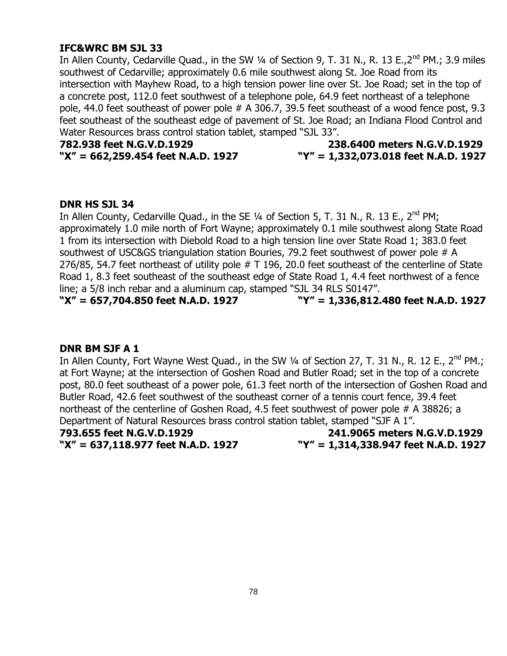# **IFC&WRC BM SJL 33**

In Allen County, Cedarville Quad., in the SW  $\frac{1}{4}$  of Section 9, T. 31 N., R. 13 E.,  $2^{nd}$  PM.; 3.9 miles southwest of Cedarville; approximately 0.6 mile southwest along St. Joe Road from its intersection with Mayhew Road, to a high tension power line over St. Joe Road; set in the top of a concrete post, 112.0 feet southwest of a telephone pole, 64.9 feet northeast of a telephone pole, 44.0 feet southeast of power pole # A 306.7, 39.5 feet southeast of a wood fence post, 9.3 feet southeast of the southeast edge of pavement of St. Joe Road; an Indiana Flood Control and Water Resources brass control station tablet, stamped "SJL 33".

# **782.938 feet N.G.V.D.1929 238.6400 meters N.G.V.D.1929 "X" = 662,259.454 feet N.A.D. 1927 "Y" = 1,332,073.018 feet N.A.D. 1927**

# **DNR HS SJL 34**

In Allen County, Cedarville Quad., in the SE  $\frac{1}{4}$  of Section 5, T. 31 N., R. 13 E., 2<sup>nd</sup> PM; approximately 1.0 mile north of Fort Wayne; approximately 0.1 mile southwest along State Road 1 from its intersection with Diebold Road to a high tension line over State Road 1; 383.0 feet southwest of USC&GS triangulation station Bouries, 79.2 feet southwest of power pole # A 276/85, 54.7 feet northeast of utility pole # T 196, 20.0 feet southeast of the centerline of State Road 1, 8.3 feet southeast of the southeast edge of State Road 1, 4.4 feet northwest of a fence line; a 5/8 inch rebar and a aluminum cap, stamped "SJL 34 RLS S0147".

**"X" = 657,704.850 feet N.A.D. 1927 "Y" = 1,336,812.480 feet N.A.D. 1927**

# **DNR BM SJF A 1**

In Allen County, Fort Wayne West Quad., in the SW 1/4 of Section 27, T. 31 N., R. 12 E., 2<sup>nd</sup> PM.; at Fort Wayne; at the intersection of Goshen Road and Butler Road; set in the top of a concrete post, 80.0 feet southeast of a power pole, 61.3 feet north of the intersection of Goshen Road and Butler Road, 42.6 feet southwest of the southeast corner of a tennis court fence, 39.4 feet northeast of the centerline of Goshen Road, 4.5 feet southwest of power pole # A 38826; a Department of Natural Resources brass control station tablet, stamped "SJF A 1".

**793.655 feet N.G.V.D.1929 241.9065 meters N.G.V.D.1929 "X" = 637,118.977 feet N.A.D. 1927 "Y" = 1,314,338.947 feet N.A.D. 1927**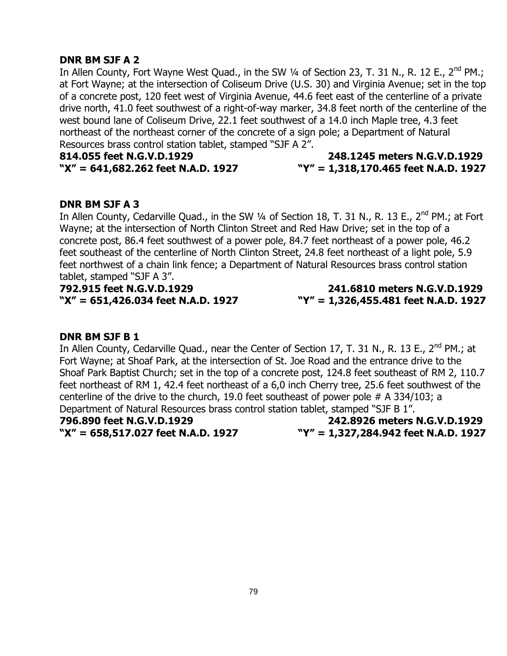# **DNR BM SJF A 2**

In Allen County, Fort Wayne West Quad., in the SW  $\frac{1}{4}$  of Section 23, T. 31 N., R. 12 E., 2<sup>nd</sup> PM.; at Fort Wayne; at the intersection of Coliseum Drive (U.S. 30) and Virginia Avenue; set in the top of a concrete post, 120 feet west of Virginia Avenue, 44.6 feet east of the centerline of a private drive north, 41.0 feet southwest of a right-of-way marker, 34.8 feet north of the centerline of the west bound lane of Coliseum Drive, 22.1 feet southwest of a 14.0 inch Maple tree, 4.3 feet northeast of the northeast corner of the concrete of a sign pole; a Department of Natural Resources brass control station tablet, stamped "SJF A 2".

**814.055 feet N.G.V.D.1929 248.1245 meters N.G.V.D.1929**

# **"X" = 641,682.262 feet N.A.D. 1927 "Y" = 1,318,170.465 feet N.A.D. 1927**

### **DNR BM SJF A 3**

In Allen County, Cedarville Quad., in the SW 1/4 of Section 18, T. 31 N., R. 13 E., 2<sup>nd</sup> PM.; at Fort Wayne; at the intersection of North Clinton Street and Red Haw Drive; set in the top of a concrete post, 86.4 feet southwest of a power pole, 84.7 feet northeast of a power pole, 46.2 feet southeast of the centerline of North Clinton Street, 24.8 feet northeast of a light pole, 5.9 feet northwest of a chain link fence; a Department of Natural Resources brass control station tablet, stamped "SJF A 3".

**792.915 feet N.G.V.D.1929 241.6810 meters N.G.V.D.1929**

**"X" = 651,426.034 feet N.A.D. 1927 "Y" = 1,326,455.481 feet N.A.D. 1927**

#### **DNR BM SJF B 1**

In Allen County, Cedarville Quad., near the Center of Section 17, T. 31 N., R. 13 E., 2<sup>nd</sup> PM.; at Fort Wayne; at Shoaf Park, at the intersection of St. Joe Road and the entrance drive to the Shoaf Park Baptist Church; set in the top of a concrete post, 124.8 feet southeast of RM 2, 110.7 feet northeast of RM 1, 42.4 feet northeast of a 6,0 inch Cherry tree, 25.6 feet southwest of the centerline of the drive to the church, 19.0 feet southeast of power pole # A 334/103; a Department of Natural Resources brass control station tablet, stamped "SJF B 1".

**796.890 feet N.G.V.D.1929 242.8926 meters N.G.V.D.1929 "X" = 658,517.027 feet N.A.D. 1927 "Y" = 1,327,284.942 feet N.A.D. 1927**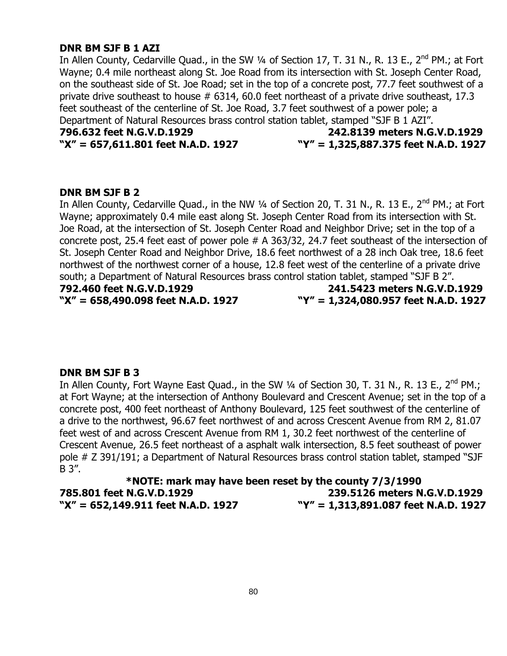#### **DNR BM SJF B 1 AZI**

In Allen County, Cedarville Quad., in the SW 1/4 of Section 17, T. 31 N., R. 13 E., 2<sup>nd</sup> PM.; at Fort Wayne; 0.4 mile northeast along St. Joe Road from its intersection with St. Joseph Center Road, on the southeast side of St. Joe Road; set in the top of a concrete post, 77.7 feet southwest of a private drive southeast to house # 6314, 60.0 feet northeast of a private drive southeast, 17.3 feet southeast of the centerline of St. Joe Road, 3.7 feet southwest of a power pole; a Department of Natural Resources brass control station tablet, stamped "SJF B 1 AZI".

# **796.632 feet N.G.V.D.1929 242.8139 meters N.G.V.D.1929 "X" = 657,611.801 feet N.A.D. 1927 "Y" = 1,325,887.375 feet N.A.D. 1927**

# **DNR BM SJF B 2**

In Allen County, Cedarville Quad., in the NW 1/4 of Section 20, T. 31 N., R. 13 E., 2<sup>nd</sup> PM.; at Fort Wayne; approximately 0.4 mile east along St. Joseph Center Road from its intersection with St. Joe Road, at the intersection of St. Joseph Center Road and Neighbor Drive; set in the top of a concrete post, 25.4 feet east of power pole # A 363/32, 24.7 feet southeast of the intersection of St. Joseph Center Road and Neighbor Drive, 18.6 feet northwest of a 28 inch Oak tree, 18.6 feet northwest of the northwest corner of a house, 12.8 feet west of the centerline of a private drive south; a Department of Natural Resources brass control station tablet, stamped "SJF B 2". **792.460 feet N.G.V.D.1929 241.5423 meters N.G.V.D.1929**

**"X" = 658,490.098 feet N.A.D. 1927 "Y" = 1,324,080.957 feet N.A.D. 1927**

#### **DNR BM SJF B 3**

In Allen County, Fort Wayne East Quad., in the SW 1/4 of Section 30, T. 31 N., R. 13 E., 2<sup>nd</sup> PM.; at Fort Wayne; at the intersection of Anthony Boulevard and Crescent Avenue; set in the top of a concrete post, 400 feet northeast of Anthony Boulevard, 125 feet southwest of the centerline of a drive to the northwest, 96.67 feet northwest of and across Crescent Avenue from RM 2, 81.07 feet west of and across Crescent Avenue from RM 1, 30.2 feet northwest of the centerline of Crescent Avenue, 26.5 feet northeast of a asphalt walk intersection, 8.5 feet southeast of power pole # Z 391/191; a Department of Natural Resources brass control station tablet, stamped "SJF B 3".

**\*NOTE: mark may have been reset by the county 7/3/1990 785.801 feet N.G.V.D.1929 239.5126 meters N.G.V.D.1929 "X" = 652,149.911 feet N.A.D. 1927 "Y" = 1,313,891.087 feet N.A.D. 1927**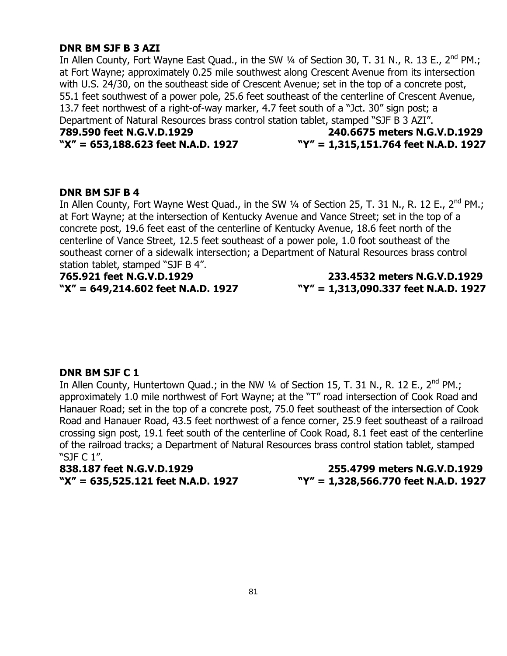#### **DNR BM SJF B 3 AZI**

In Allen County, Fort Wayne East Quad., in the SW  $\frac{1}{4}$  of Section 30, T. 31 N., R. 13 E., 2<sup>nd</sup> PM.; at Fort Wayne; approximately 0.25 mile southwest along Crescent Avenue from its intersection with U.S. 24/30, on the southeast side of Crescent Avenue; set in the top of a concrete post, 55.1 feet southwest of a power pole, 25.6 feet southeast of the centerline of Crescent Avenue, 13.7 feet northwest of a right-of-way marker, 4.7 feet south of a "Jct. 30" sign post; a Department of Natural Resources brass control station tablet, stamped "SJF B 3 AZI". **789.590 feet N.G.V.D.1929 240.6675 meters N.G.V.D.1929**

# **"X" = 653,188.623 feet N.A.D. 1927 "Y" = 1,315,151.764 feet N.A.D. 1927**

#### **DNR BM SJF B 4**

In Allen County, Fort Wayne West Quad., in the SW 1/4 of Section 25, T. 31 N., R. 12 E., 2<sup>nd</sup> PM.; at Fort Wayne; at the intersection of Kentucky Avenue and Vance Street; set in the top of a concrete post, 19.6 feet east of the centerline of Kentucky Avenue, 18.6 feet north of the centerline of Vance Street, 12.5 feet southeast of a power pole, 1.0 foot southeast of the southeast corner of a sidewalk intersection; a Department of Natural Resources brass control station tablet, stamped "SJF B 4".

**765.921 feet N.G.V.D.1929 233.4532 meters N.G.V.D.1929 "X" = 649,214.602 feet N.A.D. 1927 "Y" = 1,313,090.337 feet N.A.D. 1927**

# **DNR BM SJF C 1**

In Allen County, Huntertown Quad.; in the NW  $\frac{1}{4}$  of Section 15, T. 31 N., R. 12 E., 2<sup>nd</sup> PM.; approximately 1.0 mile northwest of Fort Wayne; at the "T" road intersection of Cook Road and Hanauer Road; set in the top of a concrete post, 75.0 feet southeast of the intersection of Cook Road and Hanauer Road, 43.5 feet northwest of a fence corner, 25.9 feet southeast of a railroad crossing sign post, 19.1 feet south of the centerline of Cook Road, 8.1 feet east of the centerline of the railroad tracks; a Department of Natural Resources brass control station tablet, stamped "SJF C 1".

**838.187 feet N.G.V.D.1929 255.4799 meters N.G.V.D.1929 "X" = 635,525.121 feet N.A.D. 1927 "Y" = 1,328,566.770 feet N.A.D. 1927**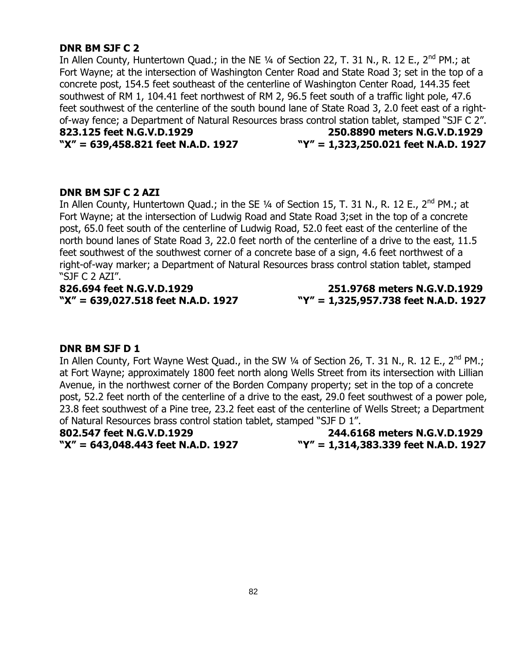### **DNR BM SJF C 2**

In Allen County, Huntertown Quad.; in the NE 1/4 of Section 22, T. 31 N., R. 12 E., 2<sup>nd</sup> PM.; at Fort Wayne; at the intersection of Washington Center Road and State Road 3; set in the top of a concrete post, 154.5 feet southeast of the centerline of Washington Center Road, 144.35 feet southwest of RM 1, 104.41 feet northwest of RM 2, 96.5 feet south of a traffic light pole, 47.6 feet southwest of the centerline of the south bound lane of State Road 3, 2.0 feet east of a rightof-way fence; a Department of Natural Resources brass control station tablet, stamped "SJF C 2". **823.125 feet N.G.V.D.1929 250.8890 meters N.G.V.D.1929**

# **"X" = 639,458.821 feet N.A.D. 1927 "Y" = 1,323,250.021 feet N.A.D. 1927**

### **DNR BM SJF C 2 AZI**

In Allen County, Huntertown Quad.; in the SE  $\frac{1}{4}$  of Section 15, T. 31 N., R. 12 E., 2<sup>nd</sup> PM.; at Fort Wayne; at the intersection of Ludwig Road and State Road 3;set in the top of a concrete post, 65.0 feet south of the centerline of Ludwig Road, 52.0 feet east of the centerline of the north bound lanes of State Road 3, 22.0 feet north of the centerline of a drive to the east, 11.5 feet southwest of the southwest corner of a concrete base of a sign, 4.6 feet northwest of a right-of-way marker; a Department of Natural Resources brass control station tablet, stamped "SJF C 2 AZI".

**826.694 feet N.G.V.D.1929 251.9768 meters N.G.V.D.1929 "X" = 639,027.518 feet N.A.D. 1927 "Y" = 1,325,957.738 feet N.A.D. 1927**

#### **DNR BM SJF D 1**

In Allen County, Fort Wayne West Quad., in the SW 1/4 of Section 26, T. 31 N., R. 12 E., 2<sup>nd</sup> PM.; at Fort Wayne; approximately 1800 feet north along Wells Street from its intersection with Lillian Avenue, in the northwest corner of the Borden Company property; set in the top of a concrete post, 52.2 feet north of the centerline of a drive to the east, 29.0 feet southwest of a power pole, 23.8 feet southwest of a Pine tree, 23.2 feet east of the centerline of Wells Street; a Department of Natural Resources brass control station tablet, stamped "SJF D 1".

**802.547 feet N.G.V.D.1929 244.6168 meters N.G.V.D.1929 "X" = 643,048.443 feet N.A.D. 1927 "Y" = 1,314,383.339 feet N.A.D. 1927**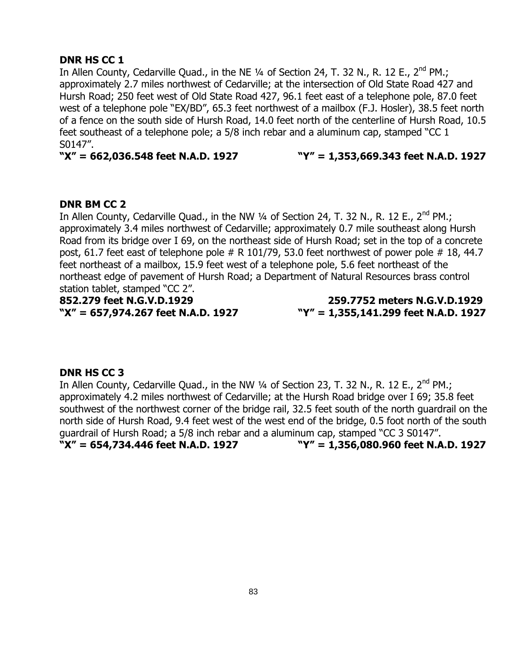# **DNR HS CC 1**

In Allen County, Cedarville Quad., in the NE 1/4 of Section 24, T. 32 N., R. 12 E., 2<sup>nd</sup> PM.; approximately 2.7 miles northwest of Cedarville; at the intersection of Old State Road 427 and Hursh Road; 250 feet west of Old State Road 427, 96.1 feet east of a telephone pole, 87.0 feet west of a telephone pole "EX/BD", 65.3 feet northwest of a mailbox (F.J. Hosler), 38.5 feet north of a fence on the south side of Hursh Road, 14.0 feet north of the centerline of Hursh Road, 10.5 feet southeast of a telephone pole; a 5/8 inch rebar and a aluminum cap, stamped "CC 1 S0147".

**"X" = 662,036.548 feet N.A.D. 1927 "Y" = 1,353,669.343 feet N.A.D. 1927**

# **DNR BM CC 2**

In Allen County, Cedarville Quad., in the NW  $\frac{1}{4}$  of Section 24, T. 32 N., R. 12 E., 2<sup>nd</sup> PM.; approximately 3.4 miles northwest of Cedarville; approximately 0.7 mile southeast along Hursh Road from its bridge over I 69, on the northeast side of Hursh Road; set in the top of a concrete post, 61.7 feet east of telephone pole  $# R$  101/79, 53.0 feet northwest of power pole  $# 18$ , 44.7 feet northeast of a mailbox, 15.9 feet west of a telephone pole, 5.6 feet northeast of the northeast edge of pavement of Hursh Road; a Department of Natural Resources brass control station tablet, stamped "CC 2".

**852.279 feet N.G.V.D.1929 259.7752 meters N.G.V.D.1929 "X" = 657,974.267 feet N.A.D. 1927 "Y" = 1,355,141.299 feet N.A.D. 1927**

# **DNR HS CC 3**

In Allen County, Cedarville Quad., in the NW  $\frac{1}{4}$  of Section 23, T. 32 N., R. 12 E., 2<sup>nd</sup> PM.; approximately 4.2 miles northwest of Cedarville; at the Hursh Road bridge over I 69; 35.8 feet southwest of the northwest corner of the bridge rail, 32.5 feet south of the north guardrail on the north side of Hursh Road, 9.4 feet west of the west end of the bridge, 0.5 foot north of the south guardrail of Hursh Road; a 5/8 inch rebar and a aluminum cap, stamped "CC 3 S0147". **"X" = 654,734.446 feet N.A.D. 1927 "Y" = 1,356,080.960 feet N.A.D. 1927**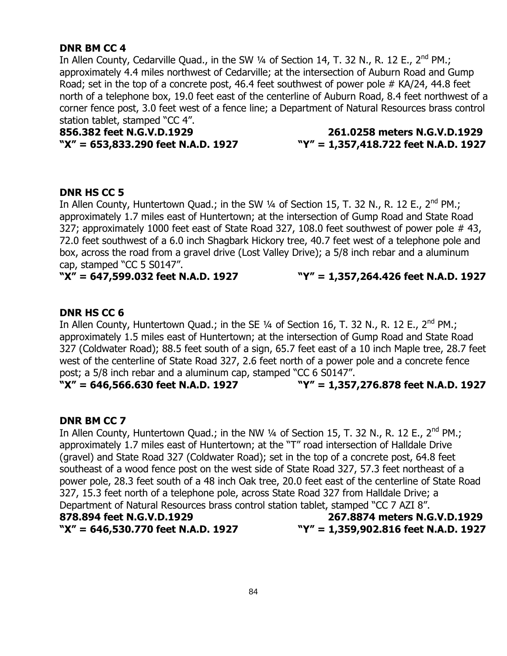# **DNR BM CC 4**

In Allen County, Cedarville Quad., in the SW 1/4 of Section 14, T. 32 N., R. 12 E., 2<sup>nd</sup> PM.; approximately 4.4 miles northwest of Cedarville; at the intersection of Auburn Road and Gump Road; set in the top of a concrete post, 46.4 feet southwest of power pole # KA/24, 44.8 feet north of a telephone box, 19.0 feet east of the centerline of Auburn Road, 8.4 feet northwest of a corner fence post, 3.0 feet west of a fence line; a Department of Natural Resources brass control station tablet, stamped "CC 4".

**856.382 feet N.G.V.D.1929 261.0258 meters N.G.V.D.1929**

# **"X" = 653,833.290 feet N.A.D. 1927 "Y" = 1,357,418.722 feet N.A.D. 1927**

# **DNR HS CC 5**

In Allen County, Huntertown Quad.; in the SW  $\frac{1}{4}$  of Section 15, T. 32 N., R. 12 E., 2<sup>nd</sup> PM.; approximately 1.7 miles east of Huntertown; at the intersection of Gump Road and State Road 327; approximately 1000 feet east of State Road 327, 108.0 feet southwest of power pole #43, 72.0 feet southwest of a 6.0 inch Shagbark Hickory tree, 40.7 feet west of a telephone pole and box, across the road from a gravel drive (Lost Valley Drive); a 5/8 inch rebar and a aluminum cap, stamped "CC 5 S0147".

**"X" = 647,599.032 feet N.A.D. 1927 "Y" = 1,357,264.426 feet N.A.D. 1927**

# **DNR HS CC 6**

In Allen County, Huntertown Quad.; in the SE 1/4 of Section 16, T. 32 N., R. 12 E., 2<sup>nd</sup> PM.; approximately 1.5 miles east of Huntertown; at the intersection of Gump Road and State Road 327 (Coldwater Road); 88.5 feet south of a sign, 65.7 feet east of a 10 inch Maple tree, 28.7 feet west of the centerline of State Road 327, 2.6 feet north of a power pole and a concrete fence post; a 5/8 inch rebar and a aluminum cap, stamped "CC 6 S0147".

**"X" = 646,566.630 feet N.A.D. 1927 "Y" = 1,357,276.878 feet N.A.D. 1927**

# **DNR BM CC 7**

In Allen County, Huntertown Quad.; in the NW  $\frac{1}{4}$  of Section 15, T. 32 N., R. 12 E., 2<sup>nd</sup> PM.; approximately 1.7 miles east of Huntertown; at the "T" road intersection of Halldale Drive (gravel) and State Road 327 (Coldwater Road); set in the top of a concrete post, 64.8 feet southeast of a wood fence post on the west side of State Road 327, 57.3 feet northeast of a power pole, 28.3 feet south of a 48 inch Oak tree, 20.0 feet east of the centerline of State Road 327, 15.3 feet north of a telephone pole, across State Road 327 from Halldale Drive; a Department of Natural Resources brass control station tablet, stamped "CC 7 AZI 8". **878.894 feet N.G.V.D.1929 267.8874 meters N.G.V.D.1929 "X" = 646,530.770 feet N.A.D. 1927 "Y" = 1,359,902.816 feet N.A.D. 1927**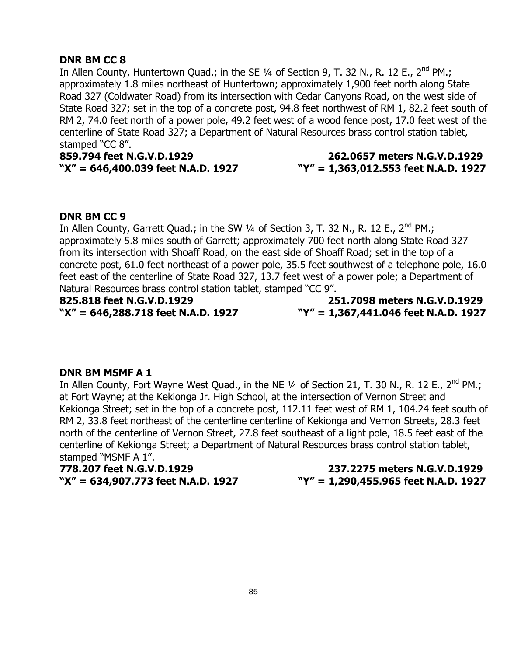# **DNR BM CC 8**

In Allen County, Huntertown Quad.; in the SE  $\frac{1}{4}$  of Section 9, T. 32 N., R. 12 E., 2<sup>nd</sup> PM.; approximately 1.8 miles northeast of Huntertown; approximately 1,900 feet north along State Road 327 (Coldwater Road) from its intersection with Cedar Canyons Road, on the west side of State Road 327; set in the top of a concrete post, 94.8 feet northwest of RM 1, 82.2 feet south of RM 2, 74.0 feet north of a power pole, 49.2 feet west of a wood fence post, 17.0 feet west of the centerline of State Road 327; a Department of Natural Resources brass control station tablet, stamped "CC 8".

**859.794 feet N.G.V.D.1929 262.0657 meters N.G.V.D.1929**

# **"X" = 646,400.039 feet N.A.D. 1927 "Y" = 1,363,012.553 feet N.A.D. 1927**

# **DNR BM CC 9**

In Allen County, Garrett Quad.; in the SW  $\frac{1}{4}$  of Section 3, T. 32 N., R. 12 E., 2<sup>nd</sup> PM.; approximately 5.8 miles south of Garrett; approximately 700 feet north along State Road 327 from its intersection with Shoaff Road, on the east side of Shoaff Road; set in the top of a concrete post, 61.0 feet northeast of a power pole, 35.5 feet southwest of a telephone pole, 16.0 feet east of the centerline of State Road 327, 13.7 feet west of a power pole; a Department of Natural Resources brass control station tablet, stamped "CC 9".

**825.818 feet N.G.V.D.1929 251.7098 meters N.G.V.D.1929 "X" = 646,288.718 feet N.A.D. 1927 "Y" = 1,367,441.046 feet N.A.D. 1927**

# **DNR BM MSMF A 1**

In Allen County, Fort Wayne West Quad., in the NE 1/4 of Section 21, T. 30 N., R. 12 E., 2<sup>nd</sup> PM.; at Fort Wayne; at the Kekionga Jr. High School, at the intersection of Vernon Street and Kekionga Street; set in the top of a concrete post, 112.11 feet west of RM 1, 104.24 feet south of RM 2, 33.8 feet northeast of the centerline centerline of Kekionga and Vernon Streets, 28.3 feet north of the centerline of Vernon Street, 27.8 feet southeast of a light pole, 18.5 feet east of the centerline of Kekionga Street; a Department of Natural Resources brass control station tablet, stamped "MSMF A 1".

**778.207 feet N.G.V.D.1929 237.2275 meters N.G.V.D.1929**

**"X" = 634,907.773 feet N.A.D. 1927 "Y" = 1,290,455.965 feet N.A.D. 1927**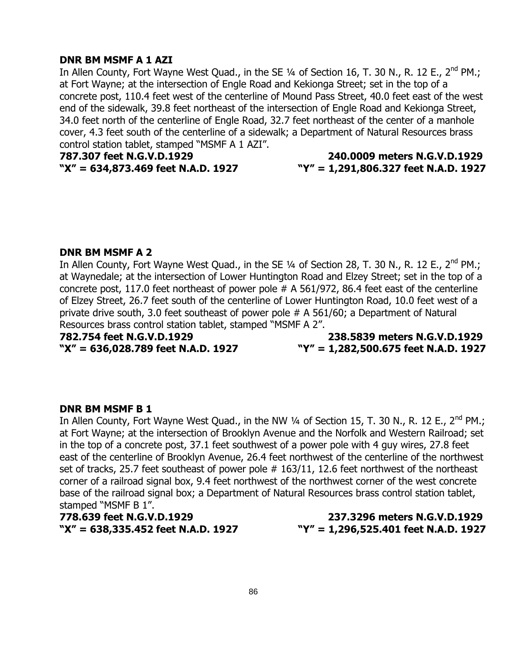### **DNR BM MSMF A 1 AZI**

In Allen County, Fort Wayne West Quad., in the SE  $\frac{1}{4}$  of Section 16, T. 30 N., R. 12 E., 2<sup>nd</sup> PM.; at Fort Wayne; at the intersection of Engle Road and Kekionga Street; set in the top of a concrete post, 110.4 feet west of the centerline of Mound Pass Street, 40.0 feet east of the west end of the sidewalk, 39.8 feet northeast of the intersection of Engle Road and Kekionga Street, 34.0 feet north of the centerline of Engle Road, 32.7 feet northeast of the center of a manhole cover, 4.3 feet south of the centerline of a sidewalk; a Department of Natural Resources brass control station tablet, stamped "MSMF A 1 AZI".

**787.307 feet N.G.V.D.1929 240.0009 meters N.G.V.D.1929**

**"X" = 634,873.469 feet N.A.D. 1927 "Y" = 1,291,806.327 feet N.A.D. 1927**

#### **DNR BM MSMF A 2**

In Allen County, Fort Wayne West Quad., in the SE 1/4 of Section 28, T. 30 N., R. 12 E., 2<sup>nd</sup> PM.; at Waynedale; at the intersection of Lower Huntington Road and Elzey Street; set in the top of a concrete post, 117.0 feet northeast of power pole # A 561/972, 86.4 feet east of the centerline of Elzey Street, 26.7 feet south of the centerline of Lower Huntington Road, 10.0 feet west of a private drive south, 3.0 feet southeast of power pole # A 561/60; a Department of Natural Resources brass control station tablet, stamped "MSMF A 2".

**782.754 feet N.G.V.D.1929 238.5839 meters N.G.V.D.1929 "X" = 636,028.789 feet N.A.D. 1927 "Y" = 1,282,500.675 feet N.A.D. 1927**

#### **DNR BM MSMF B 1**

In Allen County, Fort Wayne West Quad., in the NW  $\frac{1}{4}$  of Section 15, T. 30 N., R. 12 E., 2<sup>nd</sup> PM.; at Fort Wayne; at the intersection of Brooklyn Avenue and the Norfolk and Western Railroad; set in the top of a concrete post, 37.1 feet southwest of a power pole with 4 guy wires, 27.8 feet east of the centerline of Brooklyn Avenue, 26.4 feet northwest of the centerline of the northwest set of tracks, 25.7 feet southeast of power pole # 163/11, 12.6 feet northwest of the northeast corner of a railroad signal box, 9.4 feet northwest of the northwest corner of the west concrete base of the railroad signal box; a Department of Natural Resources brass control station tablet, stamped "MSMF B 1".

**778.639 feet N.G.V.D.1929 237.3296 meters N.G.V.D.1929 "X" = 638,335.452 feet N.A.D. 1927 "Y" = 1,296,525.401 feet N.A.D. 1927**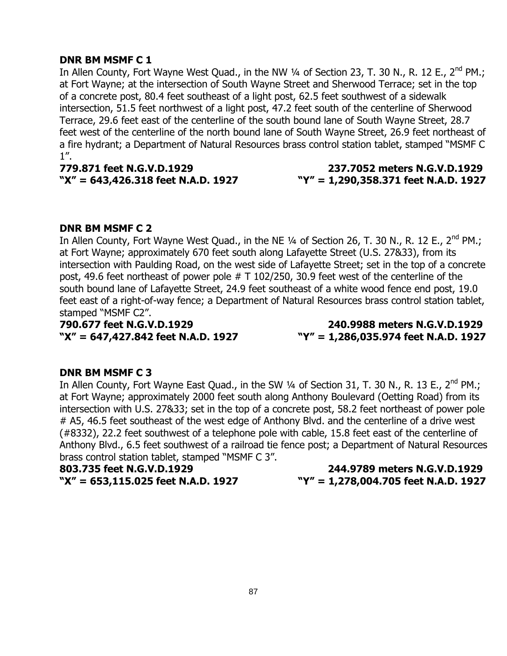### **DNR BM MSMF C 1**

In Allen County, Fort Wayne West Quad., in the NW 1/4 of Section 23, T. 30 N., R. 12 E., 2<sup>nd</sup> PM.; at Fort Wayne; at the intersection of South Wayne Street and Sherwood Terrace; set in the top of a concrete post, 80.4 feet southeast of a light post, 62.5 feet southwest of a sidewalk intersection, 51.5 feet northwest of a light post, 47.2 feet south of the centerline of Sherwood Terrace, 29.6 feet east of the centerline of the south bound lane of South Wayne Street, 28.7 feet west of the centerline of the north bound lane of South Wayne Street, 26.9 feet northeast of a fire hydrant; a Department of Natural Resources brass control station tablet, stamped "MSMF C  $1$ ".

**779.871 feet N.G.V.D.1929 237.7052 meters N.G.V.D.1929**

# **"X" = 643,426.318 feet N.A.D. 1927 "Y" = 1,290,358.371 feet N.A.D. 1927**

# **DNR BM MSMF C 2**

In Allen County, Fort Wayne West Quad., in the NE 1/4 of Section 26, T. 30 N., R. 12 E., 2<sup>nd</sup> PM.; at Fort Wayne; approximately 670 feet south along Lafayette Street (U.S. 27&33), from its intersection with Paulding Road, on the west side of Lafayette Street; set in the top of a concrete post, 49.6 feet northeast of power pole # T 102/250, 30.9 feet west of the centerline of the south bound lane of Lafayette Street, 24.9 feet southeast of a white wood fence end post, 19.0 feet east of a right-of-way fence; a Department of Natural Resources brass control station tablet, stamped "MSMF C2".

**790.677 feet N.G.V.D.1929 240.9988 meters N.G.V.D.1929 "X" = 647,427.842 feet N.A.D. 1927 "Y" = 1,286,035.974 feet N.A.D. 1927**

#### **DNR BM MSMF C 3**

In Allen County, Fort Wayne East Quad., in the SW 1/4 of Section 31, T. 30 N., R. 13 E., 2<sup>nd</sup> PM.; at Fort Wayne; approximately 2000 feet south along Anthony Boulevard (Oetting Road) from its intersection with U.S. 27&33; set in the top of a concrete post, 58.2 feet northeast of power pole # A5, 46.5 feet southeast of the west edge of Anthony Blvd. and the centerline of a drive west (#8332), 22.2 feet southwest of a telephone pole with cable, 15.8 feet east of the centerline of Anthony Blvd., 6.5 feet southwest of a railroad tie fence post; a Department of Natural Resources brass control station tablet, stamped "MSMF C 3".

**803.735 feet N.G.V.D.1929 244.9789 meters N.G.V.D.1929 "X" = 653,115.025 feet N.A.D. 1927 "Y" = 1,278,004.705 feet N.A.D. 1927**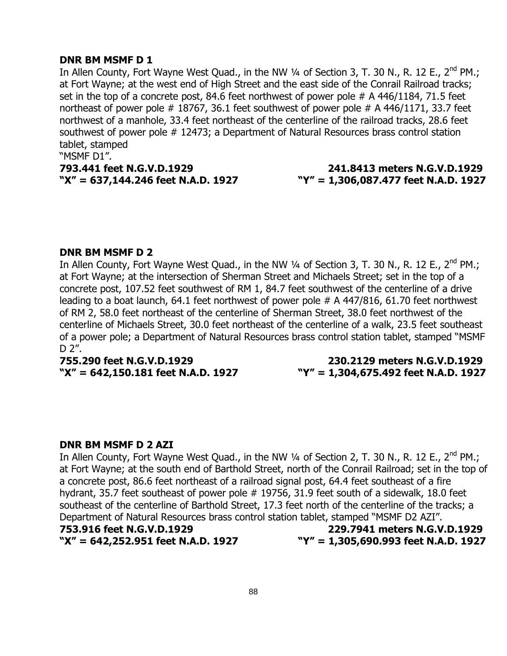### **DNR BM MSMF D 1**

In Allen County, Fort Wayne West Quad., in the NW  $\frac{1}{4}$  of Section 3, T. 30 N., R. 12 E., 2<sup>nd</sup> PM.; at Fort Wayne; at the west end of High Street and the east side of the Conrail Railroad tracks; set in the top of a concrete post, 84.6 feet northwest of power pole # A 446/1184, 71.5 feet northeast of power pole # 18767, 36.1 feet southwest of power pole # A 446/1171, 33.7 feet northwest of a manhole, 33.4 feet northeast of the centerline of the railroad tracks, 28.6 feet southwest of power pole # 12473; a Department of Natural Resources brass control station tablet, stamped

"MSMF D1".

#### **793.441 feet N.G.V.D.1929 241.8413 meters N.G.V.D.1929 "X" = 637,144.246 feet N.A.D. 1927 "Y" = 1,306,087.477 feet N.A.D. 1927**

### **DNR BM MSMF D 2**

In Allen County, Fort Wayne West Quad., in the NW 1/4 of Section 3, T. 30 N., R. 12 E., 2<sup>nd</sup> PM.; at Fort Wayne; at the intersection of Sherman Street and Michaels Street; set in the top of a concrete post, 107.52 feet southwest of RM 1, 84.7 feet southwest of the centerline of a drive leading to a boat launch, 64.1 feet northwest of power pole # A 447/816, 61.70 feet northwest of RM 2, 58.0 feet northeast of the centerline of Sherman Street, 38.0 feet northwest of the centerline of Michaels Street, 30.0 feet northeast of the centerline of a walk, 23.5 feet southeast of a power pole; a Department of Natural Resources brass control station tablet, stamped "MSMF  $D 2''$ .

**755.290 feet N.G.V.D.1929 230.2129 meters N.G.V.D.1929 "X" = 642,150.181 feet N.A.D. 1927 "Y" = 1,304,675.492 feet N.A.D. 1927**

#### **DNR BM MSMF D 2 AZI**

In Allen County, Fort Wayne West Quad., in the NW  $\frac{1}{4}$  of Section 2, T. 30 N., R. 12 E., 2<sup>nd</sup> PM.; at Fort Wayne; at the south end of Barthold Street, north of the Conrail Railroad; set in the top of a concrete post, 86.6 feet northeast of a railroad signal post, 64.4 feet southeast of a fire hydrant, 35.7 feet southeast of power pole # 19756, 31.9 feet south of a sidewalk, 18.0 feet southeast of the centerline of Barthold Street, 17.3 feet north of the centerline of the tracks; a Department of Natural Resources brass control station tablet, stamped "MSMF D2 AZI".

**"X" = 642,252.951 feet N.A.D. 1927 "Y" = 1,305,690.993 feet N.A.D. 1927**

**753.916 feet N.G.V.D.1929 229.7941 meters N.G.V.D.1929**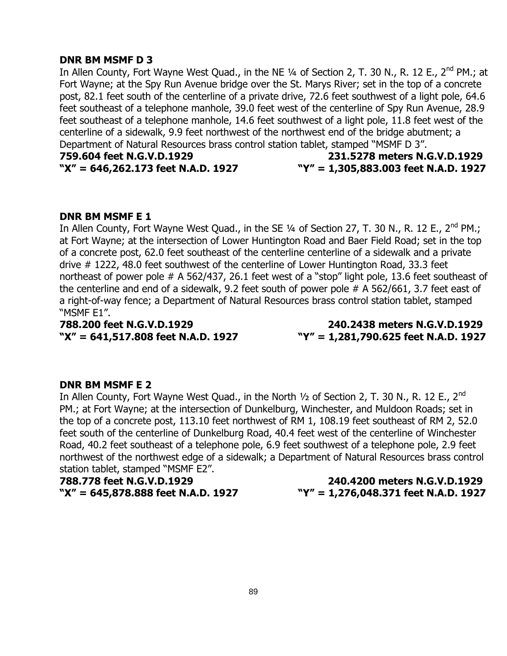#### **DNR BM MSMF D 3**

In Allen County, Fort Wayne West Quad., in the NE 1/4 of Section 2, T. 30 N., R. 12 E., 2<sup>nd</sup> PM.; at Fort Wayne; at the Spy Run Avenue bridge over the St. Marys River; set in the top of a concrete post, 82.1 feet south of the centerline of a private drive, 72.6 feet southwest of a light pole, 64.6 feet southeast of a telephone manhole, 39.0 feet west of the centerline of Spy Run Avenue, 28.9 feet southeast of a telephone manhole, 14.6 feet southwest of a light pole, 11.8 feet west of the centerline of a sidewalk, 9.9 feet northwest of the northwest end of the bridge abutment; a Department of Natural Resources brass control station tablet, stamped "MSMF D 3".

**759.604 feet N.G.V.D.1929 231.5278 meters N.G.V.D.1929 "X" = 646,262.173 feet N.A.D. 1927 "Y" = 1,305,883.003 feet N.A.D. 1927**

#### **DNR BM MSMF E 1**

In Allen County, Fort Wayne West Quad., in the SE  $\frac{1}{4}$  of Section 27, T. 30 N., R. 12 E., 2<sup>nd</sup> PM.; at Fort Wayne; at the intersection of Lower Huntington Road and Baer Field Road; set in the top of a concrete post, 62.0 feet southeast of the centerline centerline of a sidewalk and a private drive # 1222, 48.0 feet southwest of the centerline of Lower Huntington Road, 33.3 feet northeast of power pole # A 562/437, 26.1 feet west of a "stop" light pole, 13.6 feet southeast of the centerline and end of a sidewalk, 9.2 feet south of power pole # A 562/661, 3.7 feet east of a right-of-way fence; a Department of Natural Resources brass control station tablet, stamped "MSMF E1".

**788.200 feet N.G.V.D.1929 240.2438 meters N.G.V.D.1929 "X" = 641,517.808 feet N.A.D. 1927 "Y" = 1,281,790.625 feet N.A.D. 1927**

#### **DNR BM MSMF E 2**

In Allen County, Fort Wayne West Quad., in the North  $\frac{1}{2}$  of Section 2, T. 30 N., R. 12 E., 2<sup>nd</sup> PM.; at Fort Wayne; at the intersection of Dunkelburg, Winchester, and Muldoon Roads; set in the top of a concrete post, 113.10 feet northwest of RM 1, 108.19 feet southeast of RM 2, 52.0 feet south of the centerline of Dunkelburg Road, 40.4 feet west of the centerline of Winchester Road, 40.2 feet southeast of a telephone pole, 6.9 feet southwest of a telephone pole, 2.9 feet northwest of the northwest edge of a sidewalk; a Department of Natural Resources brass control station tablet, stamped "MSMF E2".

**788.778 feet N.G.V.D.1929 240.4200 meters N.G.V.D.1929**

**"X" = 645,878.888 feet N.A.D. 1927 "Y" = 1,276,048.371 feet N.A.D. 1927**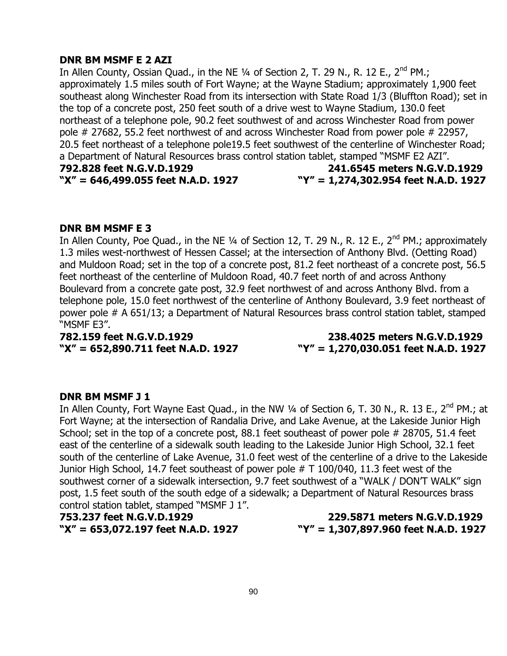# **DNR BM MSMF E 2 AZI**

In Allen County, Ossian Quad., in the NE  $\frac{1}{4}$  of Section 2, T. 29 N., R. 12 E.,  $2^{nd}$  PM.; approximately 1.5 miles south of Fort Wayne; at the Wayne Stadium; approximately 1,900 feet southeast along Winchester Road from its intersection with State Road 1/3 (Bluffton Road); set in the top of a concrete post, 250 feet south of a drive west to Wayne Stadium, 130.0 feet northeast of a telephone pole, 90.2 feet southwest of and across Winchester Road from power pole # 27682, 55.2 feet northwest of and across Winchester Road from power pole # 22957, 20.5 feet northeast of a telephone pole19.5 feet southwest of the centerline of Winchester Road; a Department of Natural Resources brass control station tablet, stamped "MSMF E2 AZI". **792.828 feet N.G.V.D.1929 241.6545 meters N.G.V.D.1929 "X" = 646,499.055 feet N.A.D. 1927 "Y" = 1,274,302.954 feet N.A.D. 1927**

### **DNR BM MSMF E 3**

In Allen County, Poe Quad., in the NE 1/4 of Section 12, T. 29 N., R. 12 E., 2<sup>nd</sup> PM.; approximately 1.3 miles west-northwest of Hessen Cassel; at the intersection of Anthony Blvd. (Oetting Road) and Muldoon Road; set in the top of a concrete post, 81.2 feet northeast of a concrete post, 56.5 feet northeast of the centerline of Muldoon Road, 40.7 feet north of and across Anthony Boulevard from a concrete gate post, 32.9 feet northwest of and across Anthony Blvd. from a telephone pole, 15.0 feet northwest of the centerline of Anthony Boulevard, 3.9 feet northeast of power pole # A 651/13; a Department of Natural Resources brass control station tablet, stamped "MSMF E3".

**782.159 feet N.G.V.D.1929 238.4025 meters N.G.V.D.1929 "X" = 652,890.711 feet N.A.D. 1927 "Y" = 1,270,030.051 feet N.A.D. 1927**

#### **DNR BM MSMF J 1**

In Allen County, Fort Wayne East Quad., in the NW 1/4 of Section 6, T. 30 N., R. 13 E., 2<sup>nd</sup> PM.; at Fort Wayne; at the intersection of Randalia Drive, and Lake Avenue, at the Lakeside Junior High School; set in the top of a concrete post, 88.1 feet southeast of power pole # 28705, 51.4 feet east of the centerline of a sidewalk south leading to the Lakeside Junior High School, 32.1 feet south of the centerline of Lake Avenue, 31.0 feet west of the centerline of a drive to the Lakeside Junior High School, 14.7 feet southeast of power pole # T 100/040, 11.3 feet west of the southwest corner of a sidewalk intersection, 9.7 feet southwest of a "WALK / DON'T WALK" sign post, 1.5 feet south of the south edge of a sidewalk; a Department of Natural Resources brass control station tablet, stamped "MSMF J 1".

**753.237 feet N.G.V.D.1929 229.5871 meters N.G.V.D.1929 "X" = 653,072.197 feet N.A.D. 1927 "Y" = 1,307,897.960 feet N.A.D. 1927**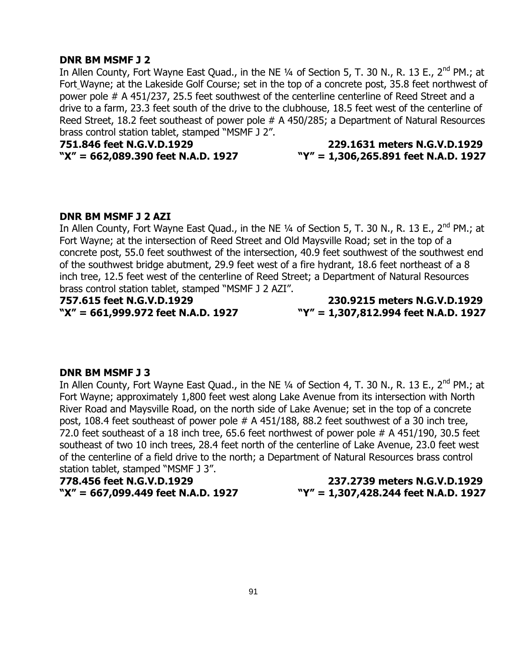#### **DNR BM MSMF J 2**

In Allen County, Fort Wayne East Quad., in the NE 1/4 of Section 5, T. 30 N., R. 13 E., 2<sup>nd</sup> PM.; at Fort Wayne; at the Lakeside Golf Course; set in the top of a concrete post, 35.8 feet northwest of power pole # A 451/237, 25.5 feet southwest of the centerline centerline of Reed Street and a drive to a farm, 23.3 feet south of the drive to the clubhouse, 18.5 feet west of the centerline of Reed Street, 18.2 feet southeast of power pole # A 450/285; a Department of Natural Resources brass control station tablet, stamped "MSMF J 2".

# **751.846 feet N.G.V.D.1929 229.1631 meters N.G.V.D.1929 "X" = 662,089.390 feet N.A.D. 1927 "Y" = 1,306,265.891 feet N.A.D. 1927**

#### **DNR BM MSMF J 2 AZI**

In Allen County, Fort Wayne East Quad., in the NE  $\frac{1}{4}$  of Section 5, T. 30 N., R. 13 E., 2<sup>nd</sup> PM.; at Fort Wayne; at the intersection of Reed Street and Old Maysville Road; set in the top of a concrete post, 55.0 feet southwest of the intersection, 40.9 feet southwest of the southwest end of the southwest bridge abutment, 29.9 feet west of a fire hydrant, 18.6 feet northeast of a 8 inch tree, 12.5 feet west of the centerline of Reed Street; a Department of Natural Resources brass control station tablet, stamped "MSMF J 2 AZI".

**757.615 feet N.G.V.D.1929 230.9215 meters N.G.V.D.1929 "X" = 661,999.972 feet N.A.D. 1927 "Y" = 1,307,812.994 feet N.A.D. 1927**

#### **DNR BM MSMF J 3**

In Allen County, Fort Wayne East Quad., in the NE 1/4 of Section 4, T. 30 N., R. 13 E., 2<sup>nd</sup> PM.; at Fort Wayne; approximately 1,800 feet west along Lake Avenue from its intersection with North River Road and Maysville Road, on the north side of Lake Avenue; set in the top of a concrete post, 108.4 feet southeast of power pole # A 451/188, 88.2 feet southwest of a 30 inch tree, 72.0 feet southeast of a 18 inch tree, 65.6 feet northwest of power pole # A 451/190, 30.5 feet southeast of two 10 inch trees, 28.4 feet north of the centerline of Lake Avenue, 23.0 feet west of the centerline of a field drive to the north; a Department of Natural Resources brass control station tablet, stamped "MSMF J 3".

**778.456 feet N.G.V.D.1929 237.2739 meters N.G.V.D.1929**

**"X" = 667,099.449 feet N.A.D. 1927 "Y" = 1,307,428.244 feet N.A.D. 1927**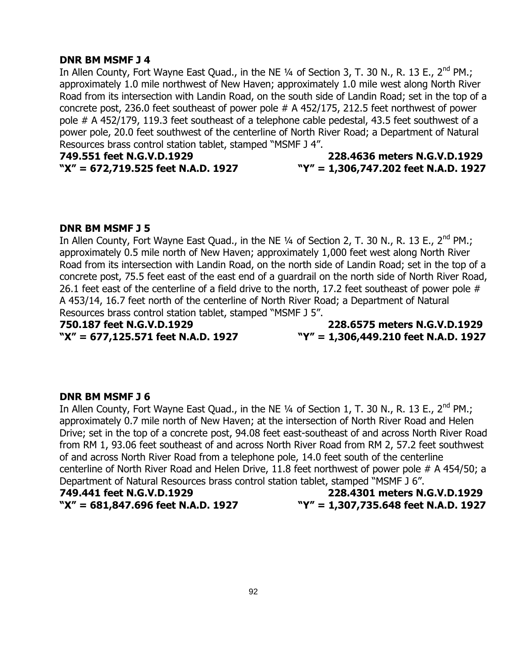### **DNR BM MSMF J 4**

In Allen County, Fort Wayne East Quad., in the NE  $\frac{1}{4}$  of Section 3, T. 30 N., R. 13 E., 2<sup>nd</sup> PM.; approximately 1.0 mile northwest of New Haven; approximately 1.0 mile west along North River Road from its intersection with Landin Road, on the south side of Landin Road; set in the top of a concrete post, 236.0 feet southeast of power pole # A 452/175, 212.5 feet northwest of power pole # A 452/179, 119.3 feet southeast of a telephone cable pedestal, 43.5 feet southwest of a power pole, 20.0 feet southwest of the centerline of North River Road; a Department of Natural Resources brass control station tablet, stamped "MSMF J 4".

**749.551 feet N.G.V.D.1929 228.4636 meters N.G.V.D.1929 "X" = 672,719.525 feet N.A.D. 1927 "Y" = 1,306,747.202 feet N.A.D. 1927**

# **DNR BM MSMF J 5**

In Allen County, Fort Wayne East Quad., in the NE 1/4 of Section 2, T. 30 N., R. 13 E., 2<sup>nd</sup> PM.; approximately 0.5 mile north of New Haven; approximately 1,000 feet west along North River Road from its intersection with Landin Road, on the north side of Landin Road; set in the top of a concrete post, 75.5 feet east of the east end of a guardrail on the north side of North River Road, 26.1 feet east of the centerline of a field drive to the north, 17.2 feet southeast of power pole # A 453/14, 16.7 feet north of the centerline of North River Road; a Department of Natural Resources brass control station tablet, stamped "MSMF J 5".

**750.187 feet N.G.V.D.1929 228.6575 meters N.G.V.D.1929 "X" = 677,125.571 feet N.A.D. 1927 "Y" = 1,306,449.210 feet N.A.D. 1927**

# **DNR BM MSMF J 6**

In Allen County, Fort Wayne East Quad., in the NE 1/4 of Section 1, T. 30 N., R. 13 E., 2<sup>nd</sup> PM.; approximately 0.7 mile north of New Haven; at the intersection of North River Road and Helen Drive; set in the top of a concrete post, 94.08 feet east-southeast of and across North River Road from RM 1, 93.06 feet southeast of and across North River Road from RM 2, 57.2 feet southwest of and across North River Road from a telephone pole, 14.0 feet south of the centerline centerline of North River Road and Helen Drive, 11.8 feet northwest of power pole # A 454/50; a Department of Natural Resources brass control station tablet, stamped "MSMF J 6".

**749.441 feet N.G.V.D.1929 228.4301 meters N.G.V.D.1929 "X" = 681,847.696 feet N.A.D. 1927 "Y" = 1,307,735.648 feet N.A.D. 1927**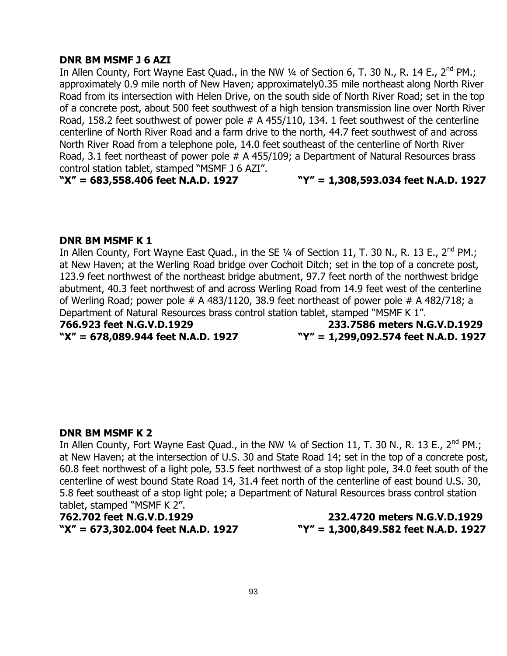# **DNR BM MSMF J 6 AZI**

In Allen County, Fort Wayne East Quad., in the NW  $\frac{1}{4}$  of Section 6, T. 30 N., R. 14 E., 2<sup>nd</sup> PM.; approximately 0.9 mile north of New Haven; approximately0.35 mile northeast along North River Road from its intersection with Helen Drive, on the south side of North River Road; set in the top of a concrete post, about 500 feet southwest of a high tension transmission line over North River Road, 158.2 feet southwest of power pole # A 455/110, 134. 1 feet southwest of the centerline centerline of North River Road and a farm drive to the north, 44.7 feet southwest of and across North River Road from a telephone pole, 14.0 feet southeast of the centerline of North River Road, 3.1 feet northeast of power pole # A 455/109; a Department of Natural Resources brass control station tablet, stamped "MSMF J 6 AZI".

**"X" = 683,558.406 feet N.A.D. 1927 "Y" = 1,308,593.034 feet N.A.D. 1927**

#### **DNR BM MSMF K 1**

In Allen County, Fort Wayne East Quad., in the SE 1/4 of Section 11, T. 30 N., R. 13 E., 2<sup>nd</sup> PM.; at New Haven; at the Werling Road bridge over Cochoit Ditch; set in the top of a concrete post, 123.9 feet northwest of the northeast bridge abutment, 97.7 feet north of the northwest bridge abutment, 40.3 feet northwest of and across Werling Road from 14.9 feet west of the centerline of Werling Road; power pole # A 483/1120, 38.9 feet northeast of power pole # A 482/718; a Department of Natural Resources brass control station tablet, stamped "MSMF K 1".

**766.923 feet N.G.V.D.1929 233.7586 meters N.G.V.D.1929 "X" = 678,089.944 feet N.A.D. 1927 "Y" = 1,299,092.574 feet N.A.D. 1927**

#### **DNR BM MSMF K 2**

In Allen County, Fort Wayne East Quad., in the NW 1/4 of Section 11, T. 30 N., R. 13 E., 2<sup>nd</sup> PM.; at New Haven; at the intersection of U.S. 30 and State Road 14; set in the top of a concrete post, 60.8 feet northwest of a light pole, 53.5 feet northwest of a stop light pole, 34.0 feet south of the centerline of west bound State Road 14, 31.4 feet north of the centerline of east bound U.S. 30, 5.8 feet southeast of a stop light pole; a Department of Natural Resources brass control station tablet, stamped "MSMF K 2".

**762.702 feet N.G.V.D.1929 232.4720 meters N.G.V.D.1929 "X" = 673,302.004 feet N.A.D. 1927 "Y" = 1,300,849.582 feet N.A.D. 1927**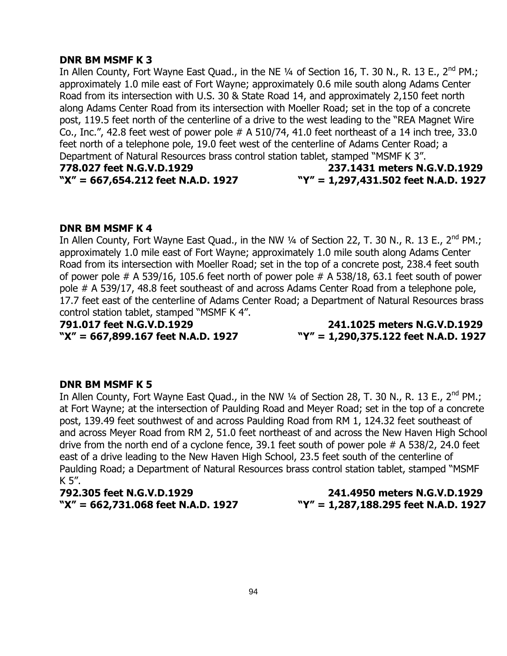### **DNR BM MSMF K 3**

In Allen County, Fort Wayne East Quad., in the NE  $\frac{1}{4}$  of Section 16, T. 30 N., R. 13 E., 2<sup>nd</sup> PM.; approximately 1.0 mile east of Fort Wayne; approximately 0.6 mile south along Adams Center Road from its intersection with U.S. 30 & State Road 14, and approximately 2,150 feet north along Adams Center Road from its intersection with Moeller Road; set in the top of a concrete post, 119.5 feet north of the centerline of a drive to the west leading to the "REA Magnet Wire Co., Inc.", 42.8 feet west of power pole # A 510/74, 41.0 feet northeast of a 14 inch tree, 33.0 feet north of a telephone pole, 19.0 feet west of the centerline of Adams Center Road; a Department of Natural Resources brass control station tablet, stamped "MSMF K 3". **778.027 feet N.G.V.D.1929 237.1431 meters N.G.V.D.1929**

# **"X" = 667,654.212 feet N.A.D. 1927 "Y" = 1,297,431.502 feet N.A.D. 1927**

# **DNR BM MSMF K 4**

In Allen County, Fort Wayne East Quad., in the NW 1/4 of Section 22, T. 30 N., R. 13 E., 2<sup>nd</sup> PM.; approximately 1.0 mile east of Fort Wayne; approximately 1.0 mile south along Adams Center Road from its intersection with Moeller Road; set in the top of a concrete post, 238.4 feet south of power pole  $# A 539/16$ , 105.6 feet north of power pole  $# A 538/18$ , 63.1 feet south of power pole # A 539/17, 48.8 feet southeast of and across Adams Center Road from a telephone pole, 17.7 feet east of the centerline of Adams Center Road; a Department of Natural Resources brass control station tablet, stamped "MSMF K 4".

**791.017 feet N.G.V.D.1929 241.1025 meters N.G.V.D.1929 "X" = 667,899.167 feet N.A.D. 1927 "Y" = 1,290,375.122 feet N.A.D. 1927**

# **DNR BM MSMF K 5**

In Allen County, Fort Wayne East Quad., in the NW  $\frac{1}{4}$  of Section 28, T. 30 N., R. 13 E., 2<sup>nd</sup> PM.; at Fort Wayne; at the intersection of Paulding Road and Meyer Road; set in the top of a concrete post, 139.49 feet southwest of and across Paulding Road from RM 1, 124.32 feet southeast of and across Meyer Road from RM 2, 51.0 feet northeast of and across the New Haven High School drive from the north end of a cyclone fence, 39.1 feet south of power pole # A 538/2, 24.0 feet east of a drive leading to the New Haven High School, 23.5 feet south of the centerline of Paulding Road; a Department of Natural Resources brass control station tablet, stamped "MSMF K 5".

**792.305 feet N.G.V.D.1929 241.4950 meters N.G.V.D.1929 "X" = 662,731.068 feet N.A.D. 1927 "Y" = 1,287,188.295 feet N.A.D. 1927**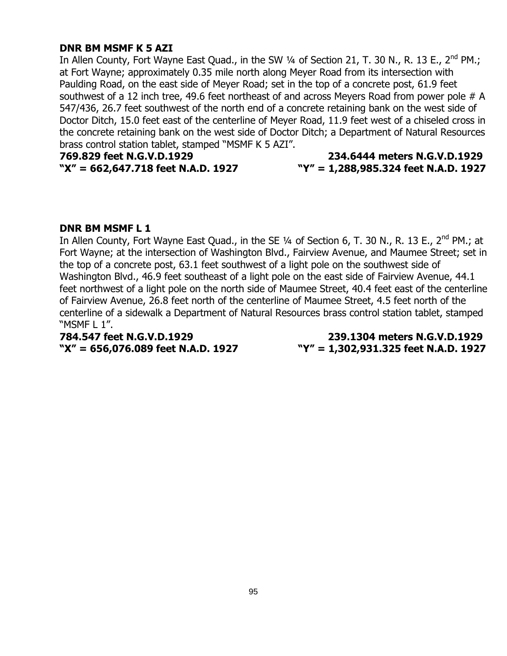# **DNR BM MSMF K 5 AZI**

In Allen County, Fort Wayne East Quad., in the SW 1/4 of Section 21, T. 30 N., R. 13 E., 2<sup>nd</sup> PM.; at Fort Wayne; approximately 0.35 mile north along Meyer Road from its intersection with Paulding Road, on the east side of Meyer Road; set in the top of a concrete post, 61.9 feet southwest of a 12 inch tree, 49.6 feet northeast of and across Meyers Road from power pole # A 547/436, 26.7 feet southwest of the north end of a concrete retaining bank on the west side of Doctor Ditch, 15.0 feet east of the centerline of Meyer Road, 11.9 feet west of a chiseled cross in the concrete retaining bank on the west side of Doctor Ditch; a Department of Natural Resources brass control station tablet, stamped "MSMF K 5 AZI".

**769.829 feet N.G.V.D.1929 234.6444 meters N.G.V.D.1929**

**"X" = 662,647.718 feet N.A.D. 1927 "Y" = 1,288,985.324 feet N.A.D. 1927**

### **DNR BM MSMF L 1**

In Allen County, Fort Wayne East Quad., in the SE 1/4 of Section 6, T. 30 N., R. 13 E., 2<sup>nd</sup> PM.; at Fort Wayne; at the intersection of Washington Blvd., Fairview Avenue, and Maumee Street; set in the top of a concrete post, 63.1 feet southwest of a light pole on the southwest side of Washington Blvd., 46.9 feet southeast of a light pole on the east side of Fairview Avenue, 44.1 feet northwest of a light pole on the north side of Maumee Street, 40.4 feet east of the centerline of Fairview Avenue, 26.8 feet north of the centerline of Maumee Street, 4.5 feet north of the centerline of a sidewalk a Department of Natural Resources brass control station tablet, stamped "MSMF L 1".

**784.547 feet N.G.V.D.1929 239.1304 meters N.G.V.D.1929 "X" = 656,076.089 feet N.A.D. 1927 "Y" = 1,302,931.325 feet N.A.D. 1927**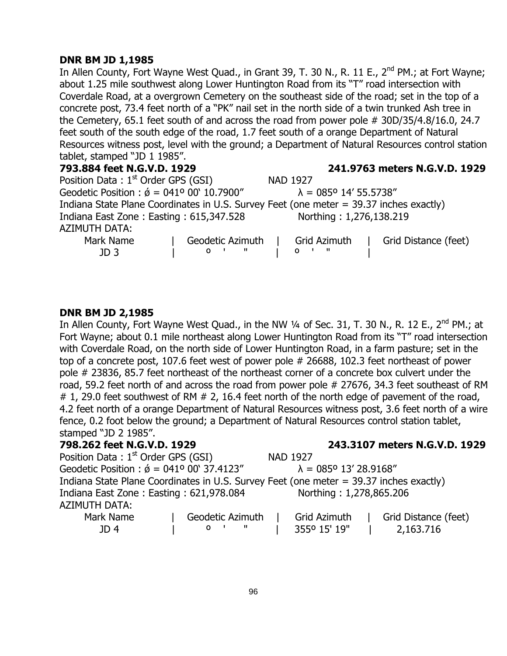# **DNR BM JD 1,1985**

In Allen County, Fort Wayne West Quad., in Grant 39, T. 30 N., R. 11 E., 2<sup>nd</sup> PM.; at Fort Wayne; about 1.25 mile southwest along Lower Huntington Road from its "T" road intersection with Coverdale Road, at a overgrown Cemetery on the southeast side of the road; set in the top of a concrete post, 73.4 feet north of a "PK" nail set in the north side of a twin trunked Ash tree in the Cemetery, 65.1 feet south of and across the road from power pole # 30D/35/4.8/16.0, 24.7 feet south of the south edge of the road, 1.7 feet south of a orange Department of Natural Resources witness post, level with the ground; a Department of Natural Resources control station tablet, stamped "JD 1 1985".

| 793.884 feet N.G.V.D. 1929                                                             | 241.9763 meters N.G.V.D. 1929                               |
|----------------------------------------------------------------------------------------|-------------------------------------------------------------|
| Position Data: 1 <sup>st</sup> Order GPS (GSI)                                         | <b>NAD 1927</b>                                             |
| Geodetic Position : $\acute{\phi} = 041^{\circ} 00^{\circ} 10.7900^{\prime\prime}$     | $\lambda = 085^{\circ}$ 14' 55.5738"                        |
| Indiana State Plane Coordinates in U.S. Survey Feet (one meter = 39.37 inches exactly) |                                                             |
| Indiana East Zone: Easting: 615,347.528<br><b>AZIMUTH DATA:</b>                        | Northing: 1,276,138.219                                     |
| Mark Name<br>Geodetic Azimuth<br>$0 \quad 1 \quad 1$<br>JD <sub>3</sub>                | Grid Azimuth<br>Grid Distance (feet)<br>$0 \quad 1 \quad 1$ |

# **DNR BM JD 2,1985**

In Allen County, Fort Wayne West Quad., in the NW 1/4 of Sec. 31, T. 30 N., R. 12 E., 2<sup>nd</sup> PM.; at Fort Wayne; about 0.1 mile northeast along Lower Huntington Road from its "T" road intersection with Coverdale Road, on the north side of Lower Huntington Road, in a farm pasture; set in the top of a concrete post, 107.6 feet west of power pole # 26688, 102.3 feet northeast of power pole # 23836, 85.7 feet northeast of the northeast corner of a concrete box culvert under the road, 59.2 feet north of and across the road from power pole # 27676, 34.3 feet southeast of RM  $\#$  1, 29.0 feet southwest of RM  $\#$  2, 16.4 feet north of the north edge of pavement of the road, 4.2 feet north of a orange Department of Natural Resources witness post, 3.6 feet north of a wire fence, 0.2 foot below the ground; a Department of Natural Resources control station tablet, stamped "JD 2 1985".

# **798.262 feet N.G.V.D. 1929 243.3107 meters N.G.V.D. 1929**

| Position Data: 1 <sup>st</sup> Order GPS (GSI)                                         |  |                     |  | <b>NAD 1927</b>                       |  |                      |  |  |
|----------------------------------------------------------------------------------------|--|---------------------|--|---------------------------------------|--|----------------------|--|--|
| Geodetic Position : $\acute{\phi}$ = 041° 00' 37.4123"                                 |  |                     |  | $\lambda = 085^{\circ} 13' 28.9168''$ |  |                      |  |  |
| Indiana State Plane Coordinates in U.S. Survey Feet (one meter = 39.37 inches exactly) |  |                     |  |                                       |  |                      |  |  |
| Indiana East Zone: Easting: 621,978.084                                                |  |                     |  | Northing: 1,278,865.206               |  |                      |  |  |
| AZIMUTH DATA:                                                                          |  |                     |  |                                       |  |                      |  |  |
| Mark Name                                                                              |  | Geodetic Azimuth    |  | Grid Azimuth                          |  | Grid Distance (feet) |  |  |
| JD <sub>4</sub>                                                                        |  | O <sub>1</sub><br>ш |  | 3550 15' 19"                          |  | 2,163.716            |  |  |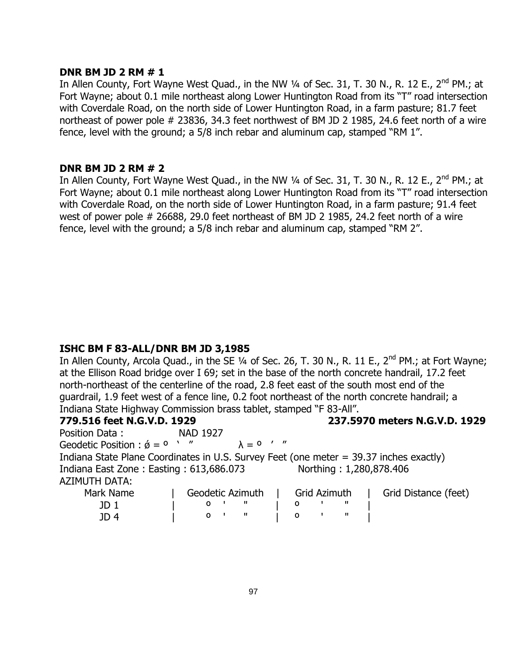## **DNR BM JD 2 RM # 1**

In Allen County, Fort Wayne West Quad., in the NW  $\frac{1}{4}$  of Sec. 31, T. 30 N., R. 12 E., 2<sup>nd</sup> PM.; at Fort Wayne; about 0.1 mile northeast along Lower Huntington Road from its "T" road intersection with Coverdale Road, on the north side of Lower Huntington Road, in a farm pasture; 81.7 feet northeast of power pole # 23836, 34.3 feet northwest of BM JD 2 1985, 24.6 feet north of a wire fence, level with the ground; a 5/8 inch rebar and aluminum cap, stamped "RM 1".

# **DNR BM JD 2 RM # 2**

In Allen County, Fort Wayne West Quad., in the NW 1/4 of Sec. 31, T. 30 N., R. 12 E., 2<sup>nd</sup> PM.; at Fort Wayne; about 0.1 mile northeast along Lower Huntington Road from its "T" road intersection with Coverdale Road, on the north side of Lower Huntington Road, in a farm pasture; 91.4 feet west of power pole # 26688, 29.0 feet northeast of BM JD 2 1985, 24.2 feet north of a wire fence, level with the ground; a 5/8 inch rebar and aluminum cap, stamped "RM 2".

# **ISHC BM F 83-ALL/DNR BM JD 3,1985**

In Allen County, Arcola Quad., in the SE 1/4 of Sec. 26, T. 30 N., R. 11 E., 2<sup>nd</sup> PM.; at Fort Wayne; at the Ellison Road bridge over I 69; set in the base of the north concrete handrail, 17.2 feet north-northeast of the centerline of the road, 2.8 feet east of the south most end of the guardrail, 1.9 feet west of a fence line, 0.2 foot northeast of the north concrete handrail; a Indiana State Highway Commission brass tablet, stamped "F 83-All".

**779.516 feet N.G.V.D. 1929 237.5970 meters N.G.V.D. 1929**

Position Data : NAD 1927 Geodetic Position :  $\acute{\phi} = 0$   $\prime$  "  $\lambda = 0$  ' " Indiana State Plane Coordinates in U.S. Survey Feet (one meter = 39.37 inches exactly) Indiana East Zone : Easting : 613,686.073 Northing : 1,280,878.406 AZIMUTH DATA:

| Mark Name | Geodetic Azimuth   Grid Azimuth |  |  | Grid Distance (feet) |
|-----------|---------------------------------|--|--|----------------------|
|           |                                 |  |  |                      |
| ID 4      |                                 |  |  |                      |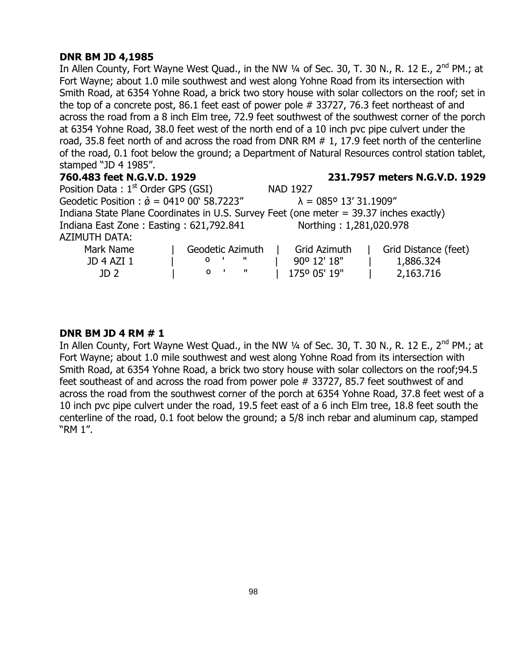# **DNR BM JD 4,1985**

In Allen County, Fort Wayne West Quad., in the NW 1/4 of Sec. 30, T. 30 N., R. 12 E., 2<sup>nd</sup> PM.; at Fort Wayne; about 1.0 mile southwest and west along Yohne Road from its intersection with Smith Road, at 6354 Yohne Road, a brick two story house with solar collectors on the roof; set in the top of a concrete post, 86.1 feet east of power pole # 33727, 76.3 feet northeast of and across the road from a 8 inch Elm tree, 72.9 feet southwest of the southwest corner of the porch at 6354 Yohne Road, 38.0 feet west of the north end of a 10 inch pvc pipe culvert under the road, 35.8 feet north of and across the road from DNR RM # 1, 17.9 feet north of the centerline of the road, 0.1 foot below the ground; a Department of Natural Resources control station tablet, stamped "JD 4 1985".

| 760.483 feet N.G.V.D. 1929                                                             |                        | 231.7957 meters N.G.V.D. 1929         |                      |  |  |  |
|----------------------------------------------------------------------------------------|------------------------|---------------------------------------|----------------------|--|--|--|
| Position Data: $1st$ Order GPS (GSI)                                                   |                        | <b>NAD 1927</b>                       |                      |  |  |  |
| Geodetic Position : $\acute{\phi} = 041^{\circ} 00^{\circ} 58.7223''$                  |                        | $\lambda = 085^{\circ} 13' 31.1909''$ |                      |  |  |  |
| Indiana State Plane Coordinates in U.S. Survey Feet (one meter = 39.37 inches exactly) |                        |                                       |                      |  |  |  |
| Indiana East Zone: Easting: 621,792.841                                                |                        | Northing: 1,281,020.978               |                      |  |  |  |
| <b>AZIMUTH DATA:</b>                                                                   |                        |                                       |                      |  |  |  |
| Mark Name                                                                              | Geodetic Azimuth       | <b>Grid Azimuth</b>                   | Grid Distance (feet) |  |  |  |
| <b>JD 4 AZI 1</b>                                                                      | - 11<br>O <sub>1</sub> | 90° 12' 18"                           | 1,886.324            |  |  |  |
| JD <sub>2</sub>                                                                        | - 11<br>$\mathbf{o}$   | 1750 05' 19"                          | 2,163.716            |  |  |  |

# **DNR BM JD 4 RM # 1**

In Allen County, Fort Wayne West Quad., in the NW 1/4 of Sec. 30, T. 30 N., R. 12 E., 2<sup>nd</sup> PM.; at Fort Wayne; about 1.0 mile southwest and west along Yohne Road from its intersection with Smith Road, at 6354 Yohne Road, a brick two story house with solar collectors on the roof;94.5 feet southeast of and across the road from power pole # 33727, 85.7 feet southwest of and across the road from the southwest corner of the porch at 6354 Yohne Road, 37.8 feet west of a 10 inch pvc pipe culvert under the road, 19.5 feet east of a 6 inch Elm tree, 18.8 feet south the centerline of the road, 0.1 foot below the ground; a 5/8 inch rebar and aluminum cap, stamped "RM 1".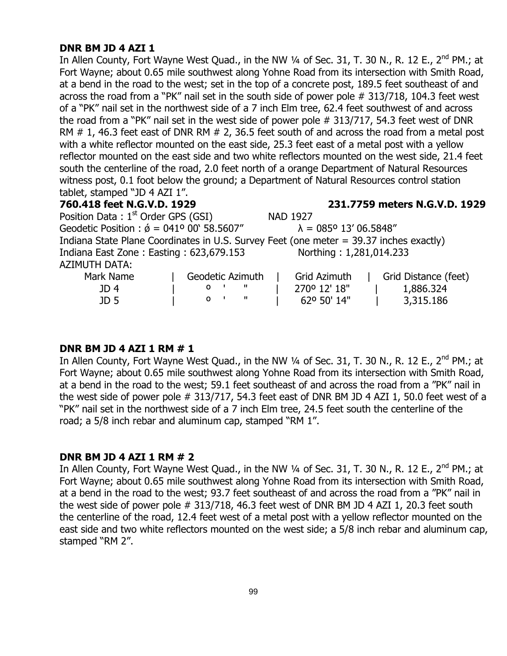#### **DNR BM JD 4 AZI 1**

In Allen County, Fort Wayne West Quad., in the NW 1/4 of Sec. 31, T. 30 N., R. 12 E., 2<sup>nd</sup> PM.; at Fort Wayne; about 0.65 mile southwest along Yohne Road from its intersection with Smith Road, at a bend in the road to the west; set in the top of a concrete post, 189.5 feet southeast of and across the road from a "PK" nail set in the south side of power pole # 313/718, 104.3 feet west of a "PK" nail set in the northwest side of a 7 inch Elm tree, 62.4 feet southwest of and across the road from a "PK" nail set in the west side of power pole # 313/717, 54.3 feet west of DNR RM  $\#$  1, 46.3 feet east of DNR RM  $\#$  2, 36.5 feet south of and across the road from a metal post with a white reflector mounted on the east side, 25.3 feet east of a metal post with a yellow reflector mounted on the east side and two white reflectors mounted on the west side, 21.4 feet south the centerline of the road, 2.0 feet north of a orange Department of Natural Resources witness post, 0.1 foot below the ground; a Department of Natural Resources control station tablet, stamped "JD 4 AZI 1".

#### **760.418 feet N.G.V.D. 1929 231.7759 meters N.G.V.D. 1929**

Position Data: 1<sup>st</sup> Order GPS (GSI) NAD 1927 Geodetic Position :  $\acute{\theta} = 041^{\circ} 00' 58.5607''$   $\lambda = 085^{\circ} 13' 06.5848''$ Indiana State Plane Coordinates in U.S. Survey Feet (one meter = 39.37 inches exactly) Indiana East Zone : Easting : 623,679.153 Northing : 1,281,014.233 AZIMUTH DATA: Mark Name | Geodetic Azimuth | Grid Azimuth | Grid Distance (feet) JD 4 | º ' " | 270º 12' 18" | 1,886.324

#### **DNR BM JD 4 AZI 1 RM # 1**

In Allen County, Fort Wayne West Quad., in the NW 1/4 of Sec. 31, T. 30 N., R. 12 E., 2<sup>nd</sup> PM.; at Fort Wayne; about 0.65 mile southwest along Yohne Road from its intersection with Smith Road, at a bend in the road to the west; 59.1 feet southeast of and across the road from a "PK" nail in the west side of power pole # 313/717, 54.3 feet east of DNR BM JD 4 AZI 1, 50.0 feet west of a "PK" nail set in the northwest side of a 7 inch Elm tree, 24.5 feet south the centerline of the road; a 5/8 inch rebar and aluminum cap, stamped "RM 1".

JD 5 | º ' " | 62º 50' 14" | 3,315.186

#### **DNR BM JD 4 AZI 1 RM # 2**

In Allen County, Fort Wayne West Quad., in the NW  $\frac{1}{4}$  of Sec. 31, T. 30 N., R. 12 E., 2<sup>nd</sup> PM.; at Fort Wayne; about 0.65 mile southwest along Yohne Road from its intersection with Smith Road, at a bend in the road to the west; 93.7 feet southeast of and across the road from a "PK" nail in the west side of power pole # 313/718, 46.3 feet west of DNR BM JD 4 AZI 1, 20.3 feet south the centerline of the road, 12.4 feet west of a metal post with a yellow reflector mounted on the east side and two white reflectors mounted on the west side; a 5/8 inch rebar and aluminum cap, stamped "RM 2".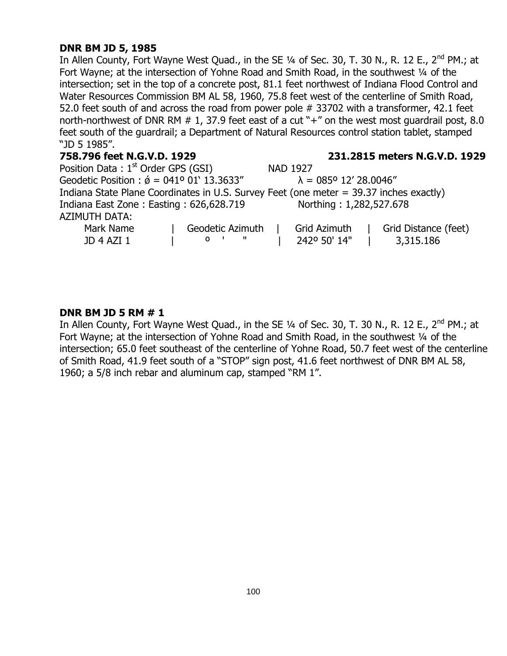# **DNR BM JD 5, 1985**

In Allen County, Fort Wayne West Quad., in the SE  $\frac{1}{4}$  of Sec. 30, T. 30 N., R. 12 E., 2<sup>nd</sup> PM.; at Fort Wayne; at the intersection of Yohne Road and Smith Road, in the southwest 1/4 of the intersection; set in the top of a concrete post, 81.1 feet northwest of Indiana Flood Control and Water Resources Commission BM AL 58, 1960, 75.8 feet west of the centerline of Smith Road, 52.0 feet south of and across the road from power pole # 33702 with a transformer, 42.1 feet north-northwest of DNR RM # 1, 37.9 feet east of a cut "+" on the west most guardrail post, 8.0 feet south of the guardrail; a Department of Natural Resources control station tablet, stamped "JD 5 1985".

| 758.796 feet N.G.V.D. 1929                                                             | 231.2815 meters N.G.V.D. 1929         |
|----------------------------------------------------------------------------------------|---------------------------------------|
| Position Data: $1st$ Order GPS (GSI)                                                   | <b>NAD 1927</b>                       |
| Geodetic Position : $\acute{\phi}$ = 041° 01' 13.3633"                                 | $\lambda = 085^{\circ} 12' 28.0046''$ |
| Indiana State Plane Coordinates in U.S. Survey Feet (one meter = 39.37 inches exactly) |                                       |
| Indiana East Zone: Easting: 626,628.719                                                | Northing: 1,282,527.678               |
| <b>AZIMUTH DATA:</b>                                                                   |                                       |
| Mark Name<br>Geodetic Azimuth                                                          | Grid Distance (feet)<br>Grid Azimuth  |
| $0$ $\blacksquare$<br><b>JD 4 AZI 1</b>                                                | 242° 50' 14"<br>3,315.186             |

### **DNR BM JD 5 RM # 1**

In Allen County, Fort Wayne West Quad., in the SE 1/4 of Sec. 30, T. 30 N., R. 12 E., 2<sup>nd</sup> PM.; at Fort Wayne; at the intersection of Yohne Road and Smith Road, in the southwest 1/4 of the intersection; 65.0 feet southeast of the centerline of Yohne Road, 50.7 feet west of the centerline of Smith Road, 41.9 feet south of a "STOP" sign post, 41.6 feet northwest of DNR BM AL 58, 1960; a 5/8 inch rebar and aluminum cap, stamped "RM 1".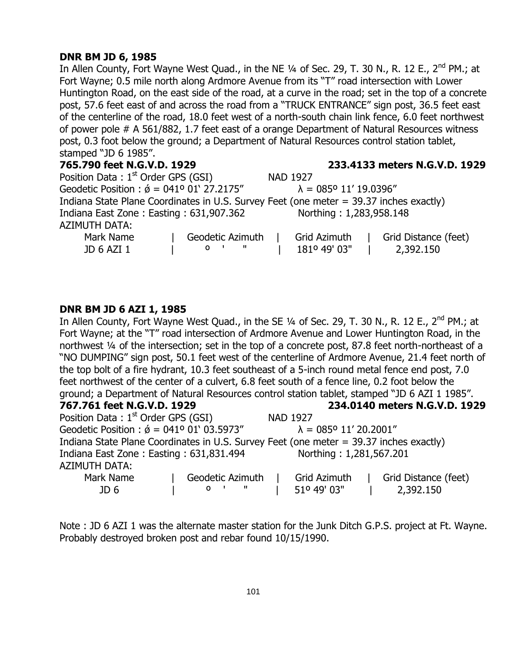# **DNR BM JD 6, 1985**

In Allen County, Fort Wayne West Quad., in the NE 1/4 of Sec. 29, T. 30 N., R. 12 E., 2<sup>nd</sup> PM.; at Fort Wayne; 0.5 mile north along Ardmore Avenue from its "T" road intersection with Lower Huntington Road, on the east side of the road, at a curve in the road; set in the top of a concrete post, 57.6 feet east of and across the road from a "TRUCK ENTRANCE" sign post, 36.5 feet east of the centerline of the road, 18.0 feet west of a north-south chain link fence, 6.0 feet northwest of power pole # A 561/882, 1.7 feet east of a orange Department of Natural Resources witness post, 0.3 foot below the ground; a Department of Natural Resources control station tablet, stamped "JD 6 1985".

# **765.790 feet N.G.V.D. 1929 233.4133 meters N.G.V.D. 1929**

| Position Data: 1 <sup>st</sup> Order GPS (GSI)                                         |  |                      |  | <b>NAD 1927</b>                       |  |                      |  |  |
|----------------------------------------------------------------------------------------|--|----------------------|--|---------------------------------------|--|----------------------|--|--|
| Geodetic Position : $\acute{\phi}$ = 041° 01' 27.2175"                                 |  |                      |  | $\lambda = 085^{\circ} 11' 19.0396''$ |  |                      |  |  |
| Indiana State Plane Coordinates in U.S. Survey Feet (one meter = 39.37 inches exactly) |  |                      |  |                                       |  |                      |  |  |
| Northing: 1,283,958.148<br>Indiana East Zone: Easting: 631,907.362                     |  |                      |  |                                       |  |                      |  |  |
| <b>AZIMUTH DATA:</b>                                                                   |  |                      |  |                                       |  |                      |  |  |
| Mark Name                                                                              |  | Geodetic Azimuth     |  | Grid Azimuth                          |  | Grid Distance (feet) |  |  |
| JD 6 AZI 1                                                                             |  | - 11<br>$\mathbf{o}$ |  | 181º 49' 03"                          |  | 2,392.150            |  |  |

# **DNR BM JD 6 AZI 1, 1985**

In Allen County, Fort Wayne West Quad., in the SE 1/4 of Sec. 29, T. 30 N., R. 12 E., 2<sup>nd</sup> PM.; at Fort Wayne; at the "T" road intersection of Ardmore Avenue and Lower Huntington Road, in the northwest ¼ of the intersection; set in the top of a concrete post, 87.8 feet north-northeast of a "NO DUMPING" sign post, 50.1 feet west of the centerline of Ardmore Avenue, 21.4 feet north of the top bolt of a fire hydrant, 10.3 feet southeast of a 5-inch round metal fence end post, 7.0 feet northwest of the center of a culvert, 6.8 feet south of a fence line, 0.2 foot below the ground; a Department of Natural Resources control station tablet, stamped "JD 6 AZI 1 1985". **767.761 feet N.G.V.D. 1929 234.0140 meters N.G.V.D. 1929** Position Data : 1<sup>st</sup> Order GPS (GSI) NAD 1927 Geodetic Position :  $\acute{\theta}$  = 041° 01' 03.5973"  $\lambda$  = 085° 11' 20.2001" Indiana State Plane Coordinates in U.S. Survey Feet (one meter = 39.37 inches exactly) Indiana East Zone : Easting : 631,831.494 Northing : 1,281,567.201

# AZIMUTH DATA:

| ALIITU III PAIA. |                  |              |                      |
|------------------|------------------|--------------|----------------------|
| Mark Name        | Geodetic Azimuth | Grid Azimuth | Grid Distance (feet) |
| JD 6             |                  | 51° 49' 03"  | 2,392.150            |

Note : JD 6 AZI 1 was the alternate master station for the Junk Ditch G.P.S. project at Ft. Wayne. Probably destroyed broken post and rebar found 10/15/1990.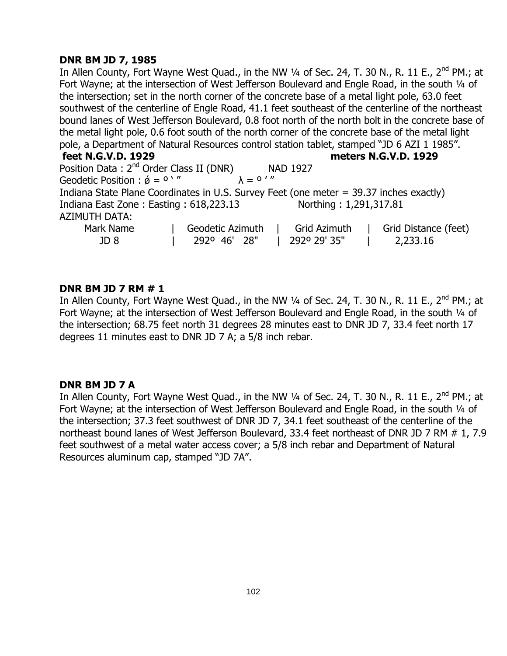# **DNR BM JD 7, 1985**

In Allen County, Fort Wayne West Quad., in the NW 1/4 of Sec. 24, T. 30 N., R. 11 E., 2<sup>nd</sup> PM.; at Fort Wayne; at the intersection of West Jefferson Boulevard and Engle Road, in the south 1/4 of the intersection; set in the north corner of the concrete base of a metal light pole, 63.0 feet southwest of the centerline of Engle Road, 41.1 feet southeast of the centerline of the northeast bound lanes of West Jefferson Boulevard, 0.8 foot north of the north bolt in the concrete base of the metal light pole, 0.6 foot south of the north corner of the concrete base of the metal light pole, a Department of Natural Resources control station tablet, stamped "JD 6 AZI 1 1985".

#### **feet N.G.V.D. 1929 meters N.G.V.D. 1929**

Position Data :  $2^{nd}$  Order Class II (DNR) NAD 1927<br>Geodetic Position :  $\acute{\theta} = 0$   $''$   $\lambda = 0$  ''' Geodetic Position :  $\acute{\phi} = 0$   $'$  " Indiana State Plane Coordinates in U.S. Survey Feet (one meter = 39.37 inches exactly) Indiana East Zone : Easting : 618,223.13 Northing : 1,291,317.81 AZIMUTH DATA: Mark Name | Geodetic Azimuth | Grid Azimuth | Grid Distance (feet) JD 8 | 292º 46' 28" | 292º 29' 35" | 2,233.16

# **DNR BM JD 7 RM # 1**

In Allen County, Fort Wayne West Quad., in the NW 1/4 of Sec. 24, T. 30 N., R. 11 E., 2<sup>nd</sup> PM.: at Fort Wayne; at the intersection of West Jefferson Boulevard and Engle Road, in the south 1/4 of the intersection; 68.75 feet north 31 degrees 28 minutes east to DNR JD 7, 33.4 feet north 17 degrees 11 minutes east to DNR JD 7 A; a 5/8 inch rebar.

# **DNR BM JD 7 A**

In Allen County, Fort Wayne West Quad., in the NW 1/4 of Sec. 24, T. 30 N., R. 11 E., 2<sup>nd</sup> PM.; at Fort Wayne; at the intersection of West Jefferson Boulevard and Engle Road, in the south 1/4 of the intersection; 37.3 feet southwest of DNR JD 7, 34.1 feet southeast of the centerline of the northeast bound lanes of West Jefferson Boulevard, 33.4 feet northeast of DNR JD 7 RM # 1, 7.9 feet southwest of a metal water access cover; a 5/8 inch rebar and Department of Natural Resources aluminum cap, stamped "JD 7A".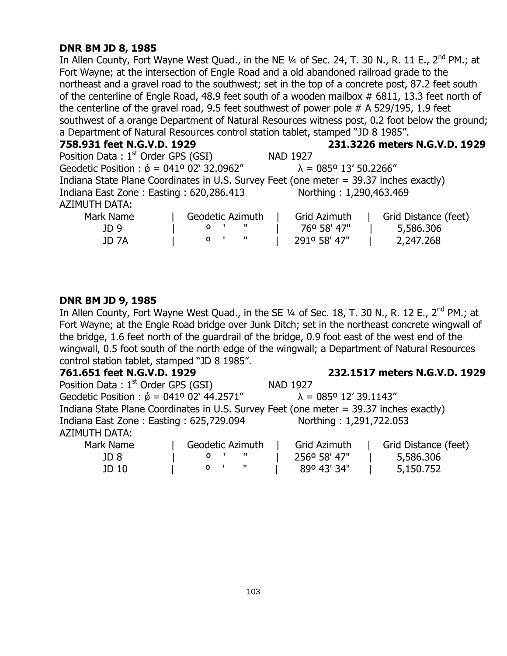# **DNR BM JD 8, 1985**

In Allen County, Fort Wayne West Quad., in the NE 1/4 of Sec. 24, T. 30 N., R. 11 E., 2<sup>nd</sup> PM.; at Fort Wayne; at the intersection of Engle Road and a old abandoned railroad grade to the northeast and a gravel road to the southwest; set in the top of a concrete post, 87.2 feet south of the centerline of Engle Road, 48.9 feet south of a wooden mailbox # 6811, 13.3 feet north of the centerline of the gravel road, 9.5 feet southwest of power pole # A 529/195, 1.9 feet southwest of a orange Department of Natural Resources witness post, 0.2 foot below the ground; a Department of Natural Resources control station tablet, stamped "JD 8 1985".

#### **758.931 feet N.G.V.D. 1929 231.3226 meters N.G.V.D. 1929**

| Position Data: 1 <sup>st</sup> Order GPS (GSI)                                         |  |                                       |  | <b>NAD 1927</b>         |  |                      |
|----------------------------------------------------------------------------------------|--|---------------------------------------|--|-------------------------|--|----------------------|
| Geodetic Position : $\acute{\phi}$ = 041° 02' 32.0962"                                 |  | $\lambda = 085^{\circ} 13' 50.2266''$ |  |                         |  |                      |
| Indiana State Plane Coordinates in U.S. Survey Feet (one meter = 39.37 inches exactly) |  |                                       |  |                         |  |                      |
| Indiana East Zone: Easting: 620,286.413                                                |  |                                       |  | Northing: 1,290,463.469 |  |                      |
| <b>AZIMUTH DATA:</b>                                                                   |  |                                       |  |                         |  |                      |
| Mark Name                                                                              |  | Geodetic Azimuth                      |  | Grid Azimuth            |  | Grid Distance (feet) |
| JD 9                                                                                   |  | 0 <sup>1</sup><br>- 11                |  | 76° 58' 47"             |  | 5,586.306            |

#### **DNR BM JD 9, 1985**

In Allen County, Fort Wayne West Quad., in the SE 1/4 of Sec. 18, T. 30 N., R. 12 E., 2<sup>nd</sup> PM.; at Fort Wayne; at the Engle Road bridge over Junk Ditch; set in the northeast concrete wingwall of the bridge, 1.6 feet north of the guardrail of the bridge, 0.9 foot east of the west end of the wingwall, 0.5 foot south of the north edge of the wingwall; a Department of Natural Resources control station tablet, stamped "JD 8 1985".

JD 7A | º ' " | 291º 58' 47" | 2,247.268

**761.651 feet N.G.V.D. 1929 232.1517 meters N.G.V.D. 1929**

| Position Data: $1st$ Order GPS (GSI)                                                   |                  | <b>NAD 1927</b>                       |                      |
|----------------------------------------------------------------------------------------|------------------|---------------------------------------|----------------------|
| Geodetic Position : $\acute{\phi}$ = 041° 02' 44.2571"                                 |                  | $\lambda = 085^{\circ} 12' 39.1143''$ |                      |
| Indiana State Plane Coordinates in U.S. Survey Feet (one meter = 39.37 inches exactly) |                  |                                       |                      |
| Indiana East Zone: Easting: 625,729.094                                                |                  | Northing: 1,291,722.053               |                      |
| <b>AZIMUTH DATA:</b>                                                                   |                  |                                       |                      |
| Mark Name                                                                              | Geodetic Azimuth | Grid Azimuth                          | Grid Distance (feet) |

| Mark Name | Geodetic Azimuth | Grid Azimuth | Grid Distance (fee |
|-----------|------------------|--------------|--------------------|
| JD 8      |                  | 2560 58' 47" | 5,586.306          |
| JD 10     |                  | 890 43' 34"  | 5,150.752          |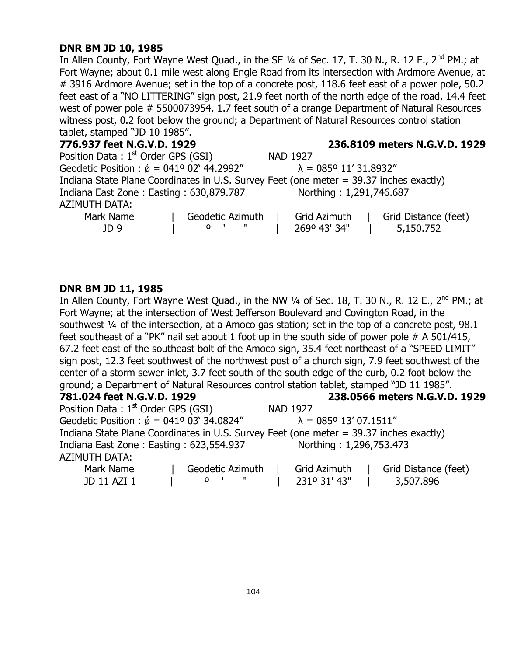# **DNR BM JD 10, 1985**

In Allen County, Fort Wayne West Quad., in the SE 1/4 of Sec. 17, T. 30 N., R. 12 E., 2<sup>nd</sup> PM.; at Fort Wayne; about 0.1 mile west along Engle Road from its intersection with Ardmore Avenue, at # 3916 Ardmore Avenue; set in the top of a concrete post, 118.6 feet east of a power pole, 50.2 feet east of a "NO LITTERING" sign post, 21.9 feet north of the north edge of the road, 14.4 feet west of power pole # 5500073954, 1.7 feet south of a orange Department of Natural Resources witness post, 0.2 foot below the ground; a Department of Natural Resources control station tablet, stamped "JD 10 1985".

| 776.937 feet N.G.V.D. 1929                                                             |                           | 236.8109 meters N.G.V.D. 1929         |                      |  |  |  |
|----------------------------------------------------------------------------------------|---------------------------|---------------------------------------|----------------------|--|--|--|
| Position Data: $1st$ Order GPS (GSI)                                                   |                           | <b>NAD 1927</b>                       |                      |  |  |  |
| Geodetic Position : $\acute{\phi} = 041^{\circ} 02^{\circ} 44.2992^{\prime\prime}$     |                           | $\lambda = 085^{\circ} 11' 31.8932''$ |                      |  |  |  |
| Indiana State Plane Coordinates in U.S. Survey Feet (one meter = 39.37 inches exactly) |                           |                                       |                      |  |  |  |
| Indiana East Zone: Easting: 630,879.787                                                |                           | Northing: 1,291,746.687               |                      |  |  |  |
| <b>AZIMUTH DATA:</b>                                                                   |                           |                                       |                      |  |  |  |
| Mark Name                                                                              | Geodetic Azimuth          | Grid Azimuth                          | Grid Distance (feet) |  |  |  |
| JD 9                                                                                   | - 11<br>O<br>$\mathbf{I}$ | 2690 43' 34"                          | 5,150.752            |  |  |  |

### **DNR BM JD 11, 1985**

In Allen County, Fort Wayne West Quad., in the NW 1/4 of Sec. 18, T. 30 N., R. 12 E., 2<sup>nd</sup> PM.; at Fort Wayne; at the intersection of West Jefferson Boulevard and Covington Road, in the southwest 1/4 of the intersection, at a Amoco gas station; set in the top of a concrete post, 98.1 feet southeast of a "PK" nail set about 1 foot up in the south side of power pole # A 501/415, 67.2 feet east of the southeast bolt of the Amoco sign, 35.4 feet northeast of a "SPEED LIMIT" sign post, 12.3 feet southwest of the northwest post of a church sign, 7.9 feet southwest of the center of a storm sewer inlet, 3.7 feet south of the south edge of the curb, 0.2 foot below the ground; a Department of Natural Resources control station tablet, stamped "JD 11 1985".

| 781.024 feet N.G.V.D. 1929 |  |  |
|----------------------------|--|--|
|----------------------------|--|--|

**781.024 feet N.G.V.D. 1929 238.0566 meters N.G.V.D. 1929**

| Position Data: $1st$ Order GPS (GSI)                                                   |                  | <b>NAD 1927</b>                       |                      |  |  |  |  |
|----------------------------------------------------------------------------------------|------------------|---------------------------------------|----------------------|--|--|--|--|
| Geodetic Position : $\acute{\phi}$ = 041° 03' 34.0824"                                 |                  | $\lambda = 085^{\circ} 13' 07.1511''$ |                      |  |  |  |  |
| Indiana State Plane Coordinates in U.S. Survey Feet (one meter = 39.37 inches exactly) |                  |                                       |                      |  |  |  |  |
| Indiana East Zone: Easting: 623,554.937                                                |                  | Northing: 1,296,753.473               |                      |  |  |  |  |
| <b>AZIMUTH DATA:</b>                                                                   |                  |                                       |                      |  |  |  |  |
| Mark Name                                                                              | Geodetic Azimuth | Grid Azimuth                          | Grid Distance (feet) |  |  |  |  |

| JD 11 AZI 1 |  |  | $\vert$ 231° 31′ 43″ | $\vert$ 3,507.896 |
|-------------|--|--|----------------------|-------------------|
|             |  |  |                      |                   |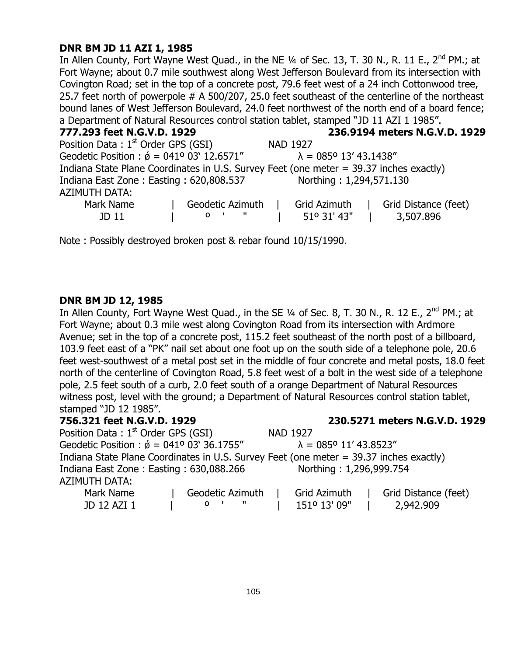# **DNR BM JD 11 AZI 1, 1985**

In Allen County, Fort Wayne West Quad., in the NE 1/4 of Sec. 13, T. 30 N., R. 11 E., 2<sup>nd</sup> PM.; at Fort Wayne; about 0.7 mile southwest along West Jefferson Boulevard from its intersection with Covington Road; set in the top of a concrete post, 79.6 feet west of a 24 inch Cottonwood tree, 25.7 feet north of powerpole # A 500/207, 25.0 feet southeast of the centerline of the northeast bound lanes of West Jefferson Boulevard, 24.0 feet northwest of the north end of a board fence; a Department of Natural Resources control station tablet, stamped "JD 11 AZI 1 1985".

| 777.293 feet N.G.V.D. 1929                             | 236.9194 meters N.G.V.D. 1929                                                          |
|--------------------------------------------------------|----------------------------------------------------------------------------------------|
| Position Data: $1st$ Order GPS (GSI)                   | <b>NAD 1927</b>                                                                        |
| Geodetic Position : $\acute{\phi}$ = 041° 03' 12.6571" | $\lambda = 085^{\circ} 13' 43.1438''$                                                  |
|                                                        | Indiana State Plane Coordinates in U.S. Survey Feet (one meter = 39.37 inches exactly) |
| Indiana East Zone: Easting: 620,808.537                | Northing: 1,294,571.130                                                                |
| <b>AZIMUTH DATA:</b>                                   |                                                                                        |
| Mark Name                                              | Grid Distance (feet)<br>Grid Azimuth<br>Geodetic Azimuth                               |
| JD 11                                                  | 51° 31' 43"<br>3,507.896<br>$\sim$ $\sim$ $\sim$ $\sim$<br>$O$ $\blacksquare$          |

Note : Possibly destroyed broken post & rebar found 10/15/1990.

### **DNR BM JD 12, 1985**

In Allen County, Fort Wayne West Quad., in the SE  $\frac{1}{4}$  of Sec. 8, T. 30 N., R. 12 E., 2<sup>nd</sup> PM.; at Fort Wayne; about 0.3 mile west along Covington Road from its intersection with Ardmore Avenue; set in the top of a concrete post, 115.2 feet southeast of the north post of a billboard, 103.9 feet east of a "PK" nail set about one foot up on the south side of a telephone pole, 20.6 feet west-southwest of a metal post set in the middle of four concrete and metal posts, 18.0 feet north of the centerline of Covington Road, 5.8 feet west of a bolt in the west side of a telephone pole, 2.5 feet south of a curb, 2.0 feet south of a orange Department of Natural Resources witness post, level with the ground; a Department of Natural Resources control station tablet, stamped "JD 12 1985".

# **756.321 feet N.G.V.D. 1929 230.5271 meters N.G.V.D. 1929** Position Data :  $1<sup>st</sup>$  Order GPS (GSI) NAD 1927 Geodetic Position :  $\acute{\theta}$  = 041º 03' 36.1755"  $\lambda$  = 085° 11' 43.8523" Indiana State Plane Coordinates in U.S. Survey Feet (one meter = 39.37 inches exactly) Indiana East Zone: Easting: 630,088.266 Northing: 1,296,999.754 AZIMUTH DATA: Mark Name | Geodetic Azimuth | Grid Azimuth | Grid Distance (feet) JD 12 AZI 1 | º ' " | 151º 13' 09" | 2,942.909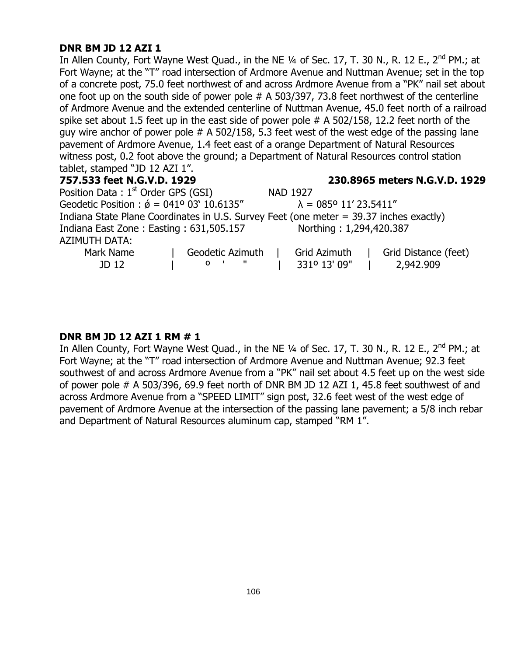# **DNR BM JD 12 AZI 1**

In Allen County, Fort Wayne West Quad., in the NE 1/4 of Sec. 17, T. 30 N., R. 12 E., 2<sup>nd</sup> PM.; at Fort Wayne; at the "T" road intersection of Ardmore Avenue and Nuttman Avenue; set in the top of a concrete post, 75.0 feet northwest of and across Ardmore Avenue from a "PK" nail set about one foot up on the south side of power pole # A 503/397, 73.8 feet northwest of the centerline of Ardmore Avenue and the extended centerline of Nuttman Avenue, 45.0 feet north of a railroad spike set about 1.5 feet up in the east side of power pole # A 502/158, 12.2 feet north of the guy wire anchor of power pole  $#A 502/158$ , 5.3 feet west of the west edge of the passing lane pavement of Ardmore Avenue, 1.4 feet east of a orange Department of Natural Resources witness post, 0.2 foot above the ground; a Department of Natural Resources control station tablet, stamped "JD 12 AZI 1".

# **757.533 feet N.G.V.D. 1929 230.8965 meters N.G.V.D. 1929** Position Data :  $1<sup>st</sup>$  Order GPS (GSI) NAD 1927 Geodetic Position :  $\acute{\theta}$  = 041° 03' 10.6135"  $\lambda$  = 085° 11' 23.5411" Indiana State Plane Coordinates in U.S. Survey Feet (one meter = 39.37 inches exactly) Indiana East Zone : Easting : 631,505.157 Northing : 1,294,420.387 AZIMUTH DATA: Mark Name | Geodetic Azimuth | Grid Azimuth | Grid Distance (feet) JD 12 | º ' " | 331º 13' 09" | 2,942.909

# **DNR BM JD 12 AZI 1 RM # 1**

In Allen County, Fort Wayne West Quad., in the NE  $\frac{1}{4}$  of Sec. 17, T. 30 N., R. 12 E., 2<sup>nd</sup> PM.; at Fort Wayne; at the "T" road intersection of Ardmore Avenue and Nuttman Avenue; 92.3 feet southwest of and across Ardmore Avenue from a "PK" nail set about 4.5 feet up on the west side of power pole # A 503/396, 69.9 feet north of DNR BM JD 12 AZI 1, 45.8 feet southwest of and across Ardmore Avenue from a "SPEED LIMIT" sign post, 32.6 feet west of the west edge of pavement of Ardmore Avenue at the intersection of the passing lane pavement; a 5/8 inch rebar and Department of Natural Resources aluminum cap, stamped "RM 1".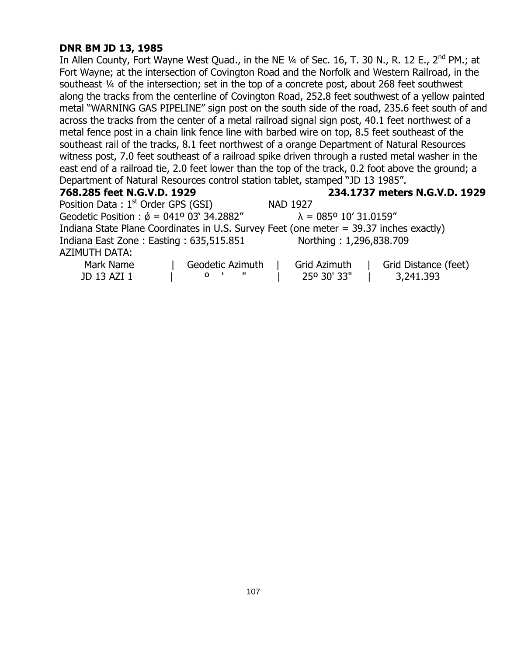# **DNR BM JD 13, 1985**

In Allen County, Fort Wayne West Quad., in the NE 1/4 of Sec. 16, T. 30 N., R. 12 E., 2<sup>nd</sup> PM.; at Fort Wayne; at the intersection of Covington Road and the Norfolk and Western Railroad, in the southeast ¼ of the intersection; set in the top of a concrete post, about 268 feet southwest along the tracks from the centerline of Covington Road, 252.8 feet southwest of a yellow painted metal "WARNING GAS PIPELINE" sign post on the south side of the road, 235.6 feet south of and across the tracks from the center of a metal railroad signal sign post, 40.1 feet northwest of a metal fence post in a chain link fence line with barbed wire on top, 8.5 feet southeast of the southeast rail of the tracks, 8.1 feet northwest of a orange Department of Natural Resources witness post, 7.0 feet southeast of a railroad spike driven through a rusted metal washer in the east end of a railroad tie, 2.0 feet lower than the top of the track, 0.2 foot above the ground; a Department of Natural Resources control station tablet, stamped "JD 13 1985".

# **768.285 feet N.G.V.D. 1929 234.1737 meters N.G.V.D. 1929**

Position Data :  $1<sup>st</sup>$  Order GPS (GSI) NAD 1927 Geodetic Position :  $\acute{\theta}$  = 041° 03' 34.2882"  $\lambda$  = 085° 10' 31.0159" Indiana State Plane Coordinates in U.S. Survey Feet (one meter = 39.37 inches exactly) Indiana East Zone : Easting : 635,515.851 Northing : 1,296,838.709 AZIMUTH DATA:

| Mark Name   | Geodetic Azimuth | Grid Azimuth | Grid Distance (feet) |
|-------------|------------------|--------------|----------------------|
| JD 13 AZI 1 |                  | 25° 30' 33"  | 3,241.393            |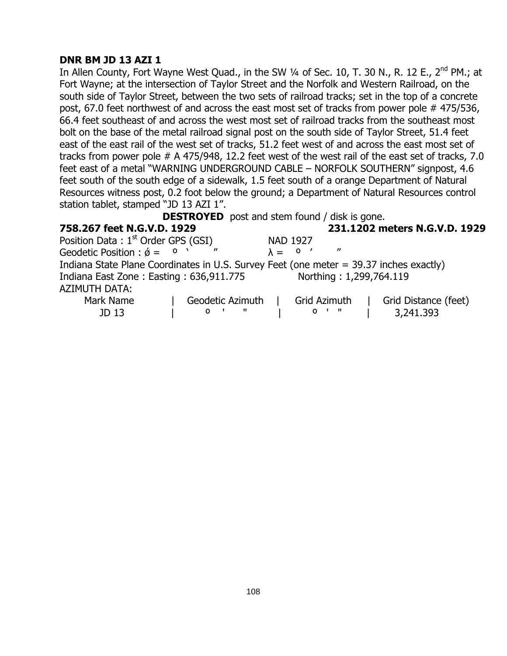# **DNR BM JD 13 AZI 1**

In Allen County, Fort Wayne West Quad., in the SW 1/4 of Sec. 10, T. 30 N., R. 12 E., 2<sup>nd</sup> PM.; at Fort Wayne; at the intersection of Taylor Street and the Norfolk and Western Railroad, on the south side of Taylor Street, between the two sets of railroad tracks; set in the top of a concrete post, 67.0 feet northwest of and across the east most set of tracks from power pole # 475/536, 66.4 feet southeast of and across the west most set of railroad tracks from the southeast most bolt on the base of the metal railroad signal post on the south side of Taylor Street, 51.4 feet east of the east rail of the west set of tracks, 51.2 feet west of and across the east most set of tracks from power pole # A 475/948, 12.2 feet west of the west rail of the east set of tracks, 7.0 feet east of a metal "WARNING UNDERGROUND CABLE – NORFOLK SOUTHERN" signpost, 4.6 feet south of the south edge of a sidewalk, 1.5 feet south of a orange Department of Natural Resources witness post, 0.2 foot below the ground; a Department of Natural Resources control station tablet, stamped "JD 13 AZI 1".

**DESTROYED** post and stem found / disk is gone.

| 758.267 feet N.G.V.D. 1929                                                             |                                |                 |                         | 231.1202 meters N.G.V.D. 1929 |
|----------------------------------------------------------------------------------------|--------------------------------|-----------------|-------------------------|-------------------------------|
| Position Data: $1st$ Order GPS (GSI)                                                   |                                | <b>NAD 1927</b> |                         |                               |
| Geodetic Position : $\acute{\phi} = 0$                                                 | $^{\prime\prime}$              | $\lambda = 0$   | $^{\prime\prime}$       |                               |
| Indiana State Plane Coordinates in U.S. Survey Feet (one meter = 39.37 inches exactly) |                                |                 |                         |                               |
| Indiana East Zone: Easting: 636,911.775                                                |                                |                 | Northing: 1,299,764.119 |                               |
| <b>AZIMUTH DATA:</b>                                                                   |                                |                 |                         |                               |
| Mark Name                                                                              | Geodetic Azimuth               | Grid Azimuth    |                         | Grid Distance (feet)          |
| JD 13                                                                                  | $\blacksquare$<br>$\mathbf{O}$ | $01$ $\sqrt{ }$ |                         | 3,241.393                     |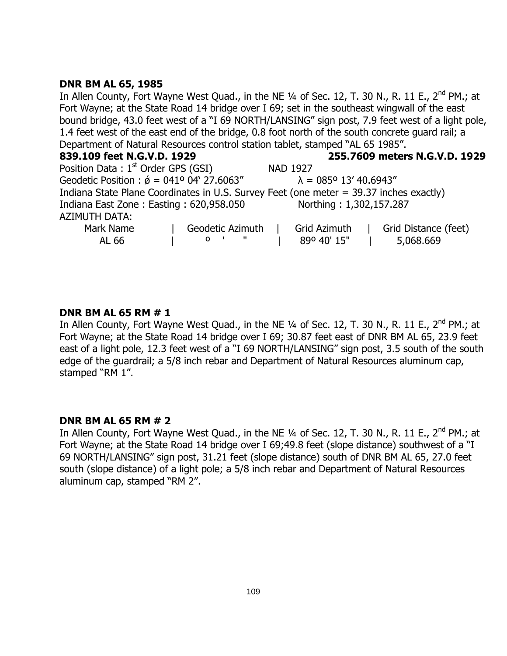# **DNR BM AL 65, 1985**

In Allen County, Fort Wayne West Quad., in the NE 1/4 of Sec. 12, T. 30 N., R. 11 E., 2<sup>nd</sup> PM.; at Fort Wayne; at the State Road 14 bridge over I 69; set in the southeast wingwall of the east bound bridge, 43.0 feet west of a "I 69 NORTH/LANSING" sign post, 7.9 feet west of a light pole, 1.4 feet west of the east end of the bridge, 0.8 foot north of the south concrete guard rail; a Department of Natural Resources control station tablet, stamped "AL 65 1985".

| 839.109 feet N.G.V.D. 1929                                                             |                                |                                       | 255.7609 meters N.G.V.D. 1929 |
|----------------------------------------------------------------------------------------|--------------------------------|---------------------------------------|-------------------------------|
| Position Data: $1st$ Order GPS (GSI)                                                   |                                | <b>NAD 1927</b>                       |                               |
| Geodetic Position : $\acute{\phi}$ = 041° 04' 27.6063"                                 |                                | $\lambda = 085^{\circ} 13' 40.6943''$ |                               |
| Indiana State Plane Coordinates in U.S. Survey Feet (one meter = 39.37 inches exactly) |                                |                                       |                               |
| Indiana East Zone: Easting: 620,958.050                                                |                                | Northing: 1,302,157.287               |                               |
| <b>AZIMUTH DATA:</b>                                                                   |                                |                                       |                               |
| Mark Name                                                                              | Geodetic Azimuth               | Grid Azimuth                          | Grid Distance (feet)          |
| AL 66                                                                                  | $\mathbf{u}$<br>0 <sup>1</sup> | 89º 40' 15"                           | 5,068.669                     |

#### **DNR BM AL 65 RM # 1**

In Allen County, Fort Wayne West Quad., in the NE 1/4 of Sec. 12, T. 30 N., R. 11 E., 2<sup>nd</sup> PM.; at Fort Wayne; at the State Road 14 bridge over I 69; 30.87 feet east of DNR BM AL 65, 23.9 feet east of a light pole, 12.3 feet west of a "I 69 NORTH/LANSING" sign post, 3.5 south of the south edge of the guardrail; a 5/8 inch rebar and Department of Natural Resources aluminum cap, stamped "RM 1".

# **DNR BM AL 65 RM # 2**

In Allen County, Fort Wayne West Quad., in the NE 1/4 of Sec. 12, T. 30 N., R. 11 E., 2<sup>nd</sup> PM.; at Fort Wayne; at the State Road 14 bridge over I 69;49.8 feet (slope distance) southwest of a "I 69 NORTH/LANSING" sign post, 31.21 feet (slope distance) south of DNR BM AL 65, 27.0 feet south (slope distance) of a light pole; a 5/8 inch rebar and Department of Natural Resources aluminum cap, stamped "RM 2".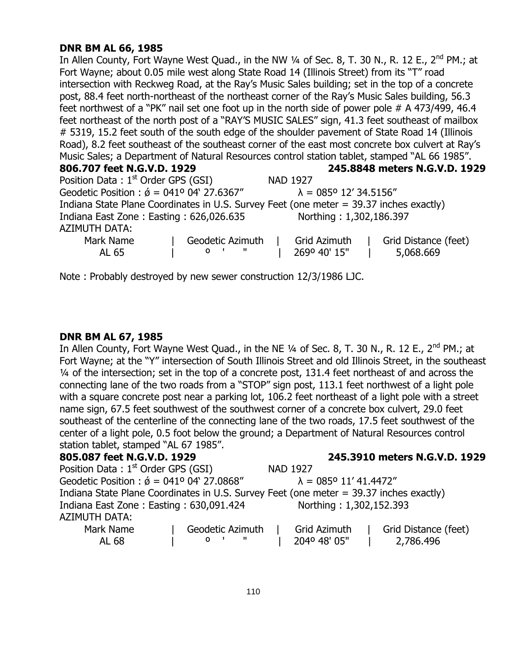# **DNR BM AL 66, 1985**

In Allen County, Fort Wayne West Quad., in the NW 1/4 of Sec. 8, T. 30 N., R. 12 E., 2<sup>nd</sup> PM.; at Fort Wayne; about 0.05 mile west along State Road 14 (Illinois Street) from its "T" road intersection with Reckweg Road, at the Ray"s Music Sales building; set in the top of a concrete post, 88.4 feet north-northeast of the northeast corner of the Ray"s Music Sales building, 56.3 feet northwest of a "PK" nail set one foot up in the north side of power pole # A 473/499, 46.4 feet northeast of the north post of a "RAY"S MUSIC SALES" sign, 41.3 feet southeast of mailbox # 5319, 15.2 feet south of the south edge of the shoulder pavement of State Road 14 (Illinois Road), 8.2 feet southeast of the southeast corner of the east most concrete box culvert at Ray"s Music Sales; a Department of Natural Resources control station tablet, stamped "AL 66 1985". **806.707 feet N.G.V.D. 1929 245.8848 meters N.G.V.D. 1929**

| Position Data: 1 <sup>st</sup> Order GPS (GSI)         |                  | <b>NAD 1927</b>                                                                        |                      |  |  |
|--------------------------------------------------------|------------------|----------------------------------------------------------------------------------------|----------------------|--|--|
| Geodetic Position : $\acute{\phi}$ = 041° 04' 27.6367" |                  | $\lambda = 085^{\circ} 12' 34.5156''$                                                  |                      |  |  |
|                                                        |                  | Indiana State Plane Coordinates in U.S. Survey Feet (one meter = 39.37 inches exactly) |                      |  |  |
| Indiana East Zone: Easting: 626,026.635                |                  | Northing: 1,302,186.397                                                                |                      |  |  |
| AZIMUTH DATA:                                          |                  |                                                                                        |                      |  |  |
| Mark Name                                              | Geodetic Azimuth | Grid Azimuth                                                                           | Grid Distance (feet) |  |  |
| AL 65                                                  | .<br>O           | 269º 40' 15"                                                                           | 5,068.669            |  |  |

Note : Probably destroyed by new sewer construction 12/3/1986 LJC.

# **DNR BM AL 67, 1985**

In Allen County, Fort Wayne West Quad., in the NE 1/4 of Sec. 8, T. 30 N., R. 12 E., 2<sup>nd</sup> PM.; at Fort Wayne; at the "Y" intersection of South Illinois Street and old Illinois Street, in the southeast ¼ of the intersection; set in the top of a concrete post, 131.4 feet northeast of and across the connecting lane of the two roads from a "STOP" sign post, 113.1 feet northwest of a light pole with a square concrete post near a parking lot, 106.2 feet northeast of a light pole with a street name sign, 67.5 feet southwest of the southwest corner of a concrete box culvert, 29.0 feet southeast of the centerline of the connecting lane of the two roads, 17.5 feet southwest of the center of a light pole, 0.5 foot below the ground; a Department of Natural Resources control station tablet, stamped "AL 67 1985".

| 805.087 feet N.G.V.D. 1929                                                             |                              |                                       | 245.3910 meters N.G.V.D. 1929 |  |
|----------------------------------------------------------------------------------------|------------------------------|---------------------------------------|-------------------------------|--|
| Position Data: 1 <sup>st</sup> Order GPS (GSI)                                         |                              | <b>NAD 1927</b>                       |                               |  |
| Geodetic Position : $\acute{\phi} = 041^{\circ} 04' 27.0868''$                         |                              | $\lambda = 085^{\circ} 11' 41.4472''$ |                               |  |
| Indiana State Plane Coordinates in U.S. Survey Feet (one meter = 39.37 inches exactly) |                              |                                       |                               |  |
| Indiana East Zone: Easting: 630,091.424                                                |                              | Northing: 1,302,152.393               |                               |  |
| AZIMUTH DATA:                                                                          |                              |                                       |                               |  |
| Mark Name                                                                              | Geodetic Azimuth             | Grid Azimuth                          | Grid Distance (feet)          |  |
| AL 68                                                                                  | $\mathbf{u}$<br>$\mathbf{o}$ | 204º 48' 05"                          | 2,786.496                     |  |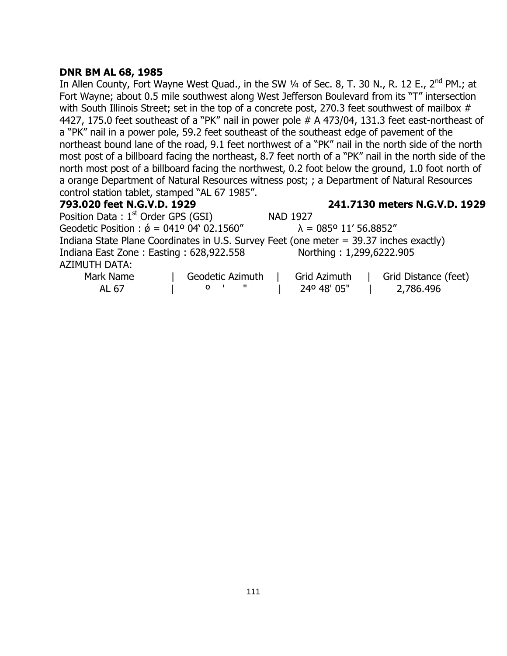# **DNR BM AL 68, 1985**

In Allen County, Fort Wayne West Quad., in the SW  $\frac{1}{4}$  of Sec. 8, T. 30 N., R. 12 E., 2<sup>nd</sup> PM.; at Fort Wayne; about 0.5 mile southwest along West Jefferson Boulevard from its "T" intersection with South Illinois Street; set in the top of a concrete post, 270.3 feet southwest of mailbox # 4427, 175.0 feet southeast of a "PK" nail in power pole # A 473/04, 131.3 feet east-northeast of a "PK" nail in a power pole, 59.2 feet southeast of the southeast edge of pavement of the northeast bound lane of the road, 9.1 feet northwest of a "PK" nail in the north side of the north most post of a billboard facing the northeast, 8.7 feet north of a "PK" nail in the north side of the north most post of a billboard facing the northwest, 0.2 foot below the ground, 1.0 foot north of a orange Department of Natural Resources witness post; ; a Department of Natural Resources control station tablet, stamped "AL 67 1985".

**793.020 feet N.G.V.D. 1929 241.7130 meters N.G.V.D. 1929**

Position Data: 1<sup>st</sup> Order GPS (GSI) NAD 1927 Geodetic Position :  $\acute{\theta} = 041^{\circ} 04' 02.1560''$   $\lambda = 085^{\circ} 11' 56.8852''$ Indiana State Plane Coordinates in U.S. Survey Feet (one meter = 39.37 inches exactly) Indiana East Zone : Easting : 628,922.558 Northing : 1,299,6222.905 AZIMUTH DATA: Mark Name | Geodetic Azimuth | Grid Azimuth | Grid Distance (feet)<br>ALGZ | 0 | "I CARAO' OF" | 240 AR AL 67 | º ' " | 24º 48' 05" | 2,786.496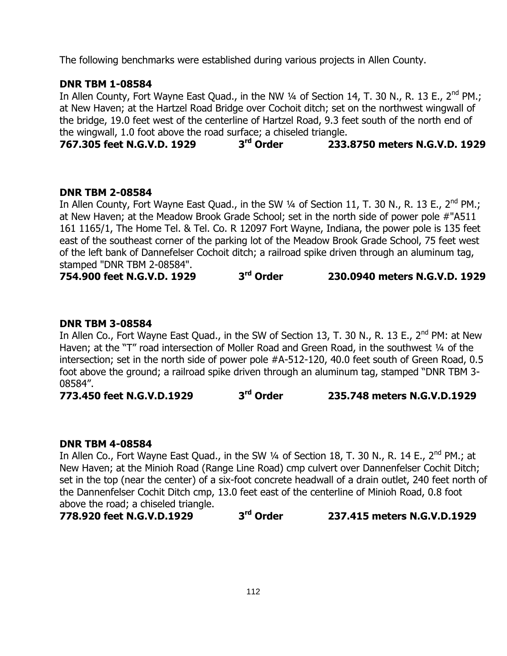The following benchmarks were established during various projects in Allen County.

# **DNR TBM 1-08584**

In Allen County, Fort Wayne East Quad., in the NW 1/4 of Section 14, T. 30 N., R. 13 E., 2<sup>nd</sup> PM.; at New Haven; at the Hartzel Road Bridge over Cochoit ditch; set on the northwest wingwall of the bridge, 19.0 feet west of the centerline of Hartzel Road, 9.3 feet south of the north end of the wingwall, 1.0 foot above the road surface; a chiseled triangle.

**767.305 feet N.G.V.D. 1929 3 rd Order 233.8750 meters N.G.V.D. 1929**

#### **DNR TBM 2-08584**

In Allen County, Fort Wayne East Quad., in the SW 1/4 of Section 11, T. 30 N., R. 13 E., 2<sup>nd</sup> PM.; at New Haven; at the Meadow Brook Grade School; set in the north side of power pole #"A511 161 1165/1, The Home Tel. & Tel. Co. R 12097 Fort Wayne, Indiana, the power pole is 135 feet east of the southeast corner of the parking lot of the Meadow Brook Grade School, 75 feet west of the left bank of Dannefelser Cochoit ditch; a railroad spike driven through an aluminum tag, stamped "DNR TBM 2-08584".

**754.900 feet N.G.V.D. 1929 3 rd Order 230.0940 meters N.G.V.D. 1929**

#### **DNR TBM 3-08584**

In Allen Co., Fort Wayne East Quad., in the SW of Section 13, T. 30 N., R. 13 E.,  $2^{nd}$  PM: at New Haven; at the "T" road intersection of Moller Road and Green Road, in the southwest 1/4 of the intersection; set in the north side of power pole #A-512-120, 40.0 feet south of Green Road, 0.5 foot above the ground; a railroad spike driven through an aluminum tag, stamped "DNR TBM 3- 08584".

**773.450 feet N.G.V.D.1929 3 rd Order 235.748 meters N.G.V.D.1929**

#### **DNR TBM 4-08584**

In Allen Co., Fort Wayne East Quad., in the SW 1/4 of Section 18, T. 30 N., R. 14 E., 2<sup>nd</sup> PM.; at New Haven; at the Minioh Road (Range Line Road) cmp culvert over Dannenfelser Cochit Ditch; set in the top (near the center) of a six-foot concrete headwall of a drain outlet, 240 feet north of the Dannenfelser Cochit Ditch cmp, 13.0 feet east of the centerline of Minioh Road, 0.8 foot above the road; a chiseled triangle.

**778.920 feet N.G.V.D.1929 3**

**rd Order 237.415 meters N.G.V.D.1929**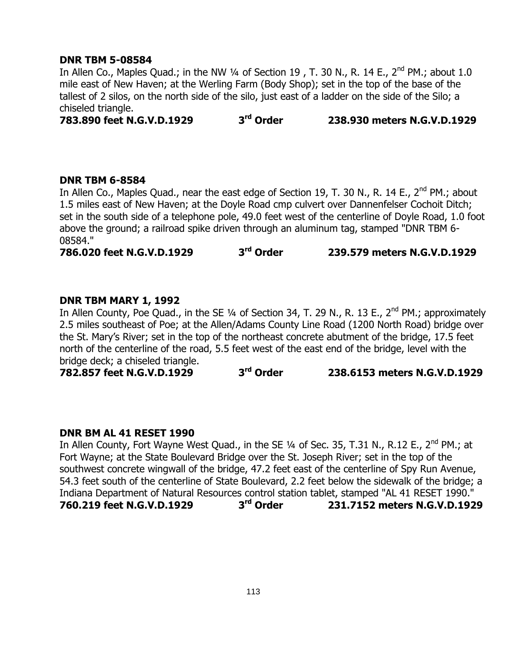#### **DNR TBM 5-08584**

In Allen Co., Maples Quad.; in the NW 1/4 of Section 19, T. 30 N., R. 14 E.,  $2^{nd}$  PM.; about 1.0 mile east of New Haven; at the Werling Farm (Body Shop); set in the top of the base of the tallest of 2 silos, on the north side of the silo, just east of a ladder on the side of the Silo; a chiseled triangle.

**783.890 feet N.G.V.D.1929 3 rd Order 238.930 meters N.G.V.D.1929**

#### **DNR TBM 6-8584**

In Allen Co., Maples Quad., near the east edge of Section 19, T. 30 N., R. 14 E., 2<sup>nd</sup> PM.; about 1.5 miles east of New Haven; at the Doyle Road cmp culvert over Dannenfelser Cochoit Ditch; set in the south side of a telephone pole, 49.0 feet west of the centerline of Doyle Road, 1.0 foot above the ground; a railroad spike driven through an aluminum tag, stamped "DNR TBM 6- 08584."

**786.020 feet N.G.V.D.1929 3 rd Order 239.579 meters N.G.V.D.1929**

# **DNR TBM MARY 1, 1992**

In Allen County, Poe Quad., in the SE 1/4 of Section 34, T. 29 N., R. 13 E., 2<sup>nd</sup> PM.; approximately 2.5 miles southeast of Poe; at the Allen/Adams County Line Road (1200 North Road) bridge over the St. Mary"s River; set in the top of the northeast concrete abutment of the bridge, 17.5 feet north of the centerline of the road, 5.5 feet west of the east end of the bridge, level with the bridge deck; a chiseled triangle.

**782.857 feet N.G.V.D.1929 3 rd Order 238.6153 meters N.G.V.D.1929**

# **DNR BM AL 41 RESET 1990**

In Allen County, Fort Wayne West Quad., in the SE 1/4 of Sec. 35, T.31 N., R.12 E., 2<sup>nd</sup> PM.; at Fort Wayne; at the State Boulevard Bridge over the St. Joseph River; set in the top of the southwest concrete wingwall of the bridge, 47.2 feet east of the centerline of Spy Run Avenue, 54.3 feet south of the centerline of State Boulevard, 2.2 feet below the sidewalk of the bridge; a Indiana Department of Natural Resources control station tablet, stamped "AL 41 RESET 1990." **760.219 feet N.G.V.D.1929 3 rd Order 231.7152 meters N.G.V.D.1929**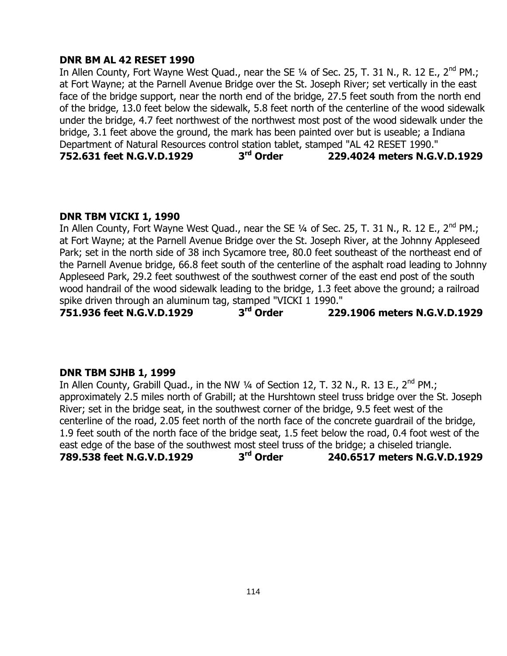#### **DNR BM AL 42 RESET 1990**

In Allen County, Fort Wayne West Quad., near the SE 1/4 of Sec. 25, T. 31 N., R. 12 E., 2<sup>nd</sup> PM.; at Fort Wayne; at the Parnell Avenue Bridge over the St. Joseph River; set vertically in the east face of the bridge support, near the north end of the bridge, 27.5 feet south from the north end of the bridge, 13.0 feet below the sidewalk, 5.8 feet north of the centerline of the wood sidewalk under the bridge, 4.7 feet northwest of the northwest most post of the wood sidewalk under the bridge, 3.1 feet above the ground, the mark has been painted over but is useable; a Indiana Department of Natural Resources control station tablet, stamped "AL 42 RESET 1990." **752.631 feet N.G.V.D.1929 3 rd Order 229.4024 meters N.G.V.D.1929**

#### **DNR TBM VICKI 1, 1990**

In Allen County, Fort Wayne West Quad., near the SE 1/4 of Sec. 25, T. 31 N., R. 12 E., 2<sup>nd</sup> PM.; at Fort Wayne; at the Parnell Avenue Bridge over the St. Joseph River, at the Johnny Appleseed Park; set in the north side of 38 inch Sycamore tree, 80.0 feet southeast of the northeast end of the Parnell Avenue bridge, 66.8 feet south of the centerline of the asphalt road leading to Johnny Appleseed Park, 29.2 feet southwest of the southwest corner of the east end post of the south wood handrail of the wood sidewalk leading to the bridge, 1.3 feet above the ground; a railroad spike driven through an aluminum tag, stamped "VICKI 1 1990."

**751.936 feet N.G.V.D.1929 3 rd Order 229.1906 meters N.G.V.D.1929**

#### **DNR TBM SJHB 1, 1999**

In Allen County, Grabill Quad., in the NW  $\frac{1}{4}$  of Section 12, T. 32 N., R. 13 E., 2<sup>nd</sup> PM.; approximately 2.5 miles north of Grabill; at the Hurshtown steel truss bridge over the St. Joseph River; set in the bridge seat, in the southwest corner of the bridge, 9.5 feet west of the centerline of the road, 2.05 feet north of the north face of the concrete guardrail of the bridge, 1.9 feet south of the north face of the bridge seat, 1.5 feet below the road, 0.4 foot west of the east edge of the base of the southwest most steel truss of the bridge; a chiseled triangle. **789.538 feet N.G.V.D.1929 3 rd Order 240.6517 meters N.G.V.D.1929**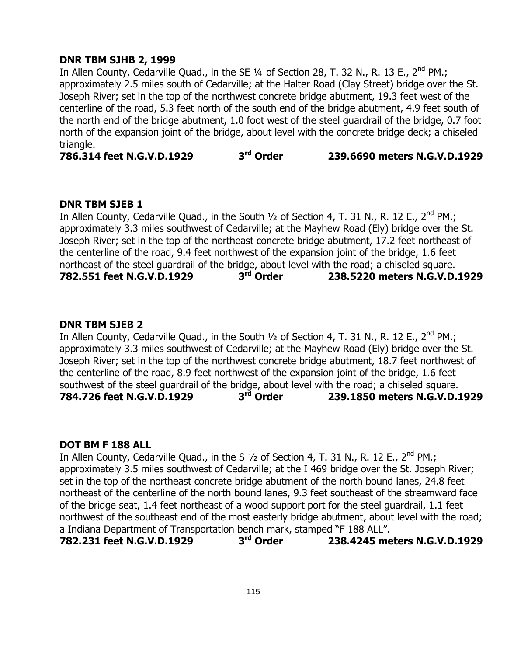# **DNR TBM SJHB 2, 1999**

In Allen County, Cedarville Quad., in the SE  $\frac{1}{4}$  of Section 28, T. 32 N., R. 13 E., 2<sup>nd</sup> PM.; approximately 2.5 miles south of Cedarville; at the Halter Road (Clay Street) bridge over the St. Joseph River; set in the top of the northwest concrete bridge abutment, 19.3 feet west of the centerline of the road, 5.3 feet north of the south end of the bridge abutment, 4.9 feet south of the north end of the bridge abutment, 1.0 foot west of the steel guardrail of the bridge, 0.7 foot north of the expansion joint of the bridge, about level with the concrete bridge deck; a chiseled triangle.

**786.314 feet N.G.V.D.1929 3 rd Order 239.6690 meters N.G.V.D.1929**

#### **DNR TBM SJEB 1**

In Allen County, Cedarville Quad., in the South 1/2 of Section 4, T. 31 N., R. 12 E., 2<sup>nd</sup> PM.; approximately 3.3 miles southwest of Cedarville; at the Mayhew Road (Ely) bridge over the St. Joseph River; set in the top of the northeast concrete bridge abutment, 17.2 feet northeast of the centerline of the road, 9.4 feet northwest of the expansion joint of the bridge, 1.6 feet northeast of the steel guardrail of the bridge, about level with the road; a chiseled square.<br>**782.551 feet N.G.V.D.1929 3<sup>rd</sup> Order 238.5220 meters N.G.V.D. 782.551 feet N.G.V.D.1929 3 rd Order 238.5220 meters N.G.V.D.1929**

# **DNR TBM SJEB 2**

In Allen County, Cedarville Quad., in the South 1/2 of Section 4, T. 31 N., R. 12 E., 2<sup>nd</sup> PM.; approximately 3.3 miles southwest of Cedarville; at the Mayhew Road (Ely) bridge over the St. Joseph River; set in the top of the northwest concrete bridge abutment, 18.7 feet northwest of the centerline of the road, 8.9 feet northwest of the expansion joint of the bridge, 1.6 feet southwest of the steel guardrail of the bridge, about level with the road; a chiseled square. **784.726 feet N.G.V.D.1929 3 rd Order 239.1850 meters N.G.V.D.1929**

#### **DOT BM F 188 ALL**

In Allen County, Cedarville Quad., in the S 1/2 of Section 4, T. 31 N., R. 12 E., 2<sup>nd</sup> PM.; approximately 3.5 miles southwest of Cedarville; at the I 469 bridge over the St. Joseph River; set in the top of the northeast concrete bridge abutment of the north bound lanes, 24.8 feet northeast of the centerline of the north bound lanes, 9.3 feet southeast of the streamward face of the bridge seat, 1.4 feet northeast of a wood support port for the steel guardrail, 1.1 feet northwest of the southeast end of the most easterly bridge abutment, about level with the road; a Indiana Department of Transportation bench mark, stamped "F 188 ALL".

**782.231 feet N.G.V.D.1929 3 rd Order 238.4245 meters N.G.V.D.1929**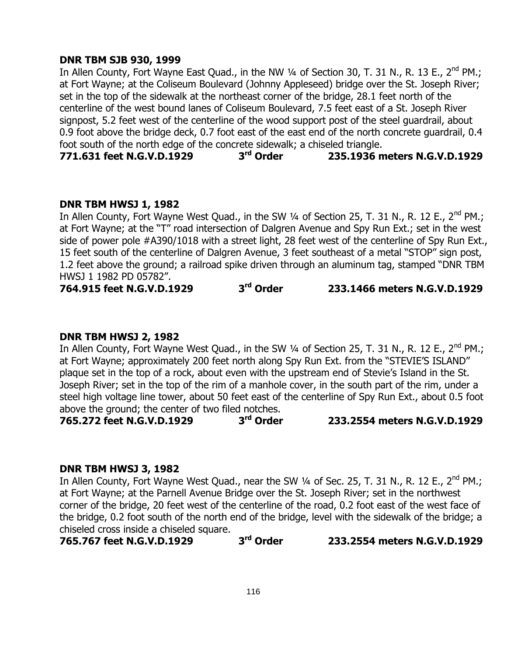## **DNR TBM SJB 930, 1999**

In Allen County, Fort Wayne East Quad., in the NW 1/4 of Section 30, T. 31 N., R. 13 E., 2<sup>nd</sup> PM.; at Fort Wayne; at the Coliseum Boulevard (Johnny Appleseed) bridge over the St. Joseph River; set in the top of the sidewalk at the northeast corner of the bridge, 28.1 feet north of the centerline of the west bound lanes of Coliseum Boulevard, 7.5 feet east of a St. Joseph River signpost, 5.2 feet west of the centerline of the wood support post of the steel guardrail, about 0.9 foot above the bridge deck, 0.7 foot east of the east end of the north concrete guardrail, 0.4 foot south of the north edge of the concrete sidewalk; a chiseled triangle.

**771.631 feet N.G.V.D.1929 3 rd Order 235.1936 meters N.G.V.D.1929**

#### **DNR TBM HWSJ 1, 1982**

In Allen County, Fort Wayne West Quad., in the SW 1/4 of Section 25, T. 31 N., R. 12 E., 2<sup>nd</sup> PM.; at Fort Wayne; at the "T" road intersection of Dalgren Avenue and Spy Run Ext.; set in the west side of power pole #A390/1018 with a street light, 28 feet west of the centerline of Spy Run Ext., 15 feet south of the centerline of Dalgren Avenue, 3 feet southeast of a metal "STOP" sign post, 1.2 feet above the ground; a railroad spike driven through an aluminum tag, stamped "DNR TBM HWSJ 1 1982 PD 05782".

**764.915 feet N.G.V.D.1929 3 rd Order 233.1466 meters N.G.V.D.1929**

#### **DNR TBM HWSJ 2, 1982**

In Allen County, Fort Wayne West Quad., in the SW 1/4 of Section 25, T. 31 N., R. 12 E., 2<sup>nd</sup> PM.; at Fort Wayne; approximately 200 feet north along Spy Run Ext. from the "STEVIE"S ISLAND" plaque set in the top of a rock, about even with the upstream end of Stevie"s Island in the St. Joseph River; set in the top of the rim of a manhole cover, in the south part of the rim, under a steel high voltage line tower, about 50 feet east of the centerline of Spy Run Ext., about 0.5 foot above the ground; the center of two filed notches.<br>765.272 feet N.G.V.D.1929 3rd Order

**765.272 feet N.G.V.D.1929 3**

**rd Order 233.2554 meters N.G.V.D.1929**

# **DNR TBM HWSJ 3, 1982**

In Allen County, Fort Wayne West Quad., near the SW 1/4 of Sec. 25, T. 31 N., R. 12 E., 2<sup>nd</sup> PM.; at Fort Wayne; at the Parnell Avenue Bridge over the St. Joseph River; set in the northwest corner of the bridge, 20 feet west of the centerline of the road, 0.2 foot east of the west face of the bridge, 0.2 foot south of the north end of the bridge, level with the sidewalk of the bridge; a chiseled cross inside a chiseled square.

**765.767 feet N.G.V.D.1929 3 rd Order 233.2554 meters N.G.V.D.1929**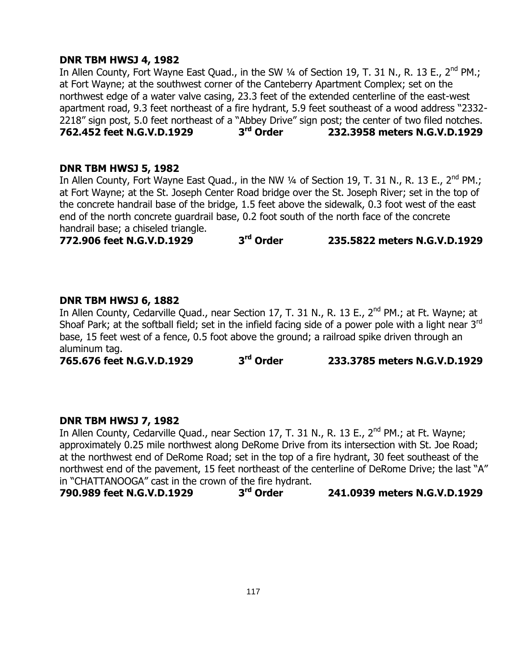## **DNR TBM HWSJ 4, 1982**

In Allen County, Fort Wayne East Quad., in the SW 1/4 of Section 19, T. 31 N., R. 13 E., 2<sup>nd</sup> PM.; at Fort Wayne; at the southwest corner of the Canteberry Apartment Complex; set on the northwest edge of a water valve casing, 23.3 feet of the extended centerline of the east-west apartment road, 9.3 feet northeast of a fire hydrant, 5.9 feet southeast of a wood address "2332- 2218" sign post, 5.0 feet northeast of a "Abbey Drive" sign post; the center of two filed notches.<br>**762.452 feet N.G.V.D.1929** 3<sup>rd</sup> Order 232.3958 meters N.G.V.D.1929 **762.452 feet N.G.V.D.1929 3 rd Order 232.3958 meters N.G.V.D.1929**

# **DNR TBM HWSJ 5, 1982**

In Allen County, Fort Wayne East Quad., in the NW 1/4 of Section 19, T. 31 N., R. 13 E., 2<sup>nd</sup> PM.; at Fort Wayne; at the St. Joseph Center Road bridge over the St. Joseph River; set in the top of the concrete handrail base of the bridge, 1.5 feet above the sidewalk, 0.3 foot west of the east end of the north concrete guardrail base, 0.2 foot south of the north face of the concrete handrail base; a chiseled triangle.

**772.906 feet N.G.V.D.1929 3 rd Order 235.5822 meters N.G.V.D.1929**

#### **DNR TBM HWSJ 6, 1882**

In Allen County, Cedarville Quad., near Section 17, T. 31 N., R. 13 E., 2<sup>nd</sup> PM.; at Ft. Wayne; at Shoaf Park; at the softball field; set in the infield facing side of a power pole with a light near 3<sup>rd</sup> base, 15 feet west of a fence, 0.5 foot above the ground; a railroad spike driven through an aluminum tag.

**765.676 feet N.G.V.D.1929 3 rd Order 233.3785 meters N.G.V.D.1929**

#### **DNR TBM HWSJ 7, 1982**

In Allen County, Cedarville Quad., near Section 17, T. 31 N., R. 13 E., 2<sup>nd</sup> PM.; at Ft. Wayne; approximately 0.25 mile northwest along DeRome Drive from its intersection with St. Joe Road; at the northwest end of DeRome Road; set in the top of a fire hydrant, 30 feet southeast of the northwest end of the pavement, 15 feet northeast of the centerline of DeRome Drive; the last "A" in "CHATTANOOGA" cast in the crown of the fire hydrant.

**790.989 feet N.G.V.D.1929 3 rd Order 241.0939 meters N.G.V.D.1929**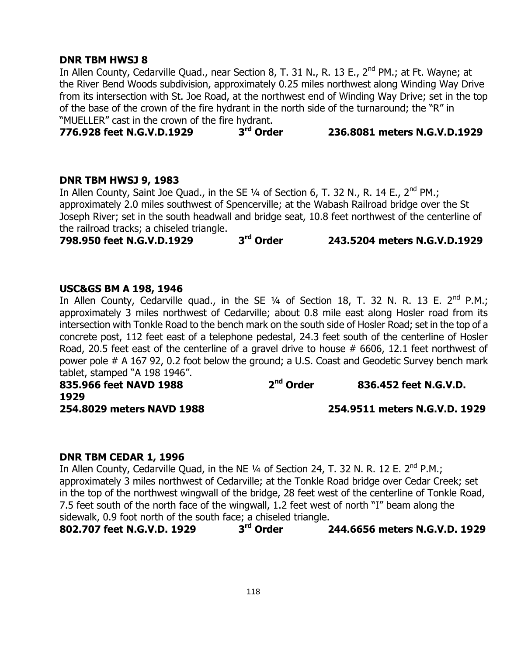## **DNR TBM HWSJ 8**

In Allen County, Cedarville Quad., near Section 8, T. 31 N., R. 13 E., 2<sup>nd</sup> PM.; at Ft. Wayne; at the River Bend Woods subdivision, approximately 0.25 miles northwest along Winding Way Drive from its intersection with St. Joe Road, at the northwest end of Winding Way Drive; set in the top of the base of the crown of the fire hydrant in the north side of the turnaround; the "R" in

"MUELLER" cast in the crown of the fire hydrant.<br>**776.928 feet N.G.V.D.1929** 3rd Order **776.928 feet N.G.V.D.1929 3 rd Order 236.8081 meters N.G.V.D.1929**

#### **DNR TBM HWSJ 9, 1983**

In Allen County, Saint Joe Quad., in the SE  $1/4$  of Section 6, T. 32 N., R. 14 E., 2<sup>nd</sup> PM.; approximately 2.0 miles southwest of Spencerville; at the Wabash Railroad bridge over the St Joseph River; set in the south headwall and bridge seat, 10.8 feet northwest of the centerline of the railroad tracks; a chiseled triangle.

**798.950 feet N.G.V.D.1929 3 rd Order 243.5204 meters N.G.V.D.1929**

#### **USC&GS BM A 198, 1946**

In Allen County, Cedarville quad., in the SE  $\frac{1}{4}$  of Section 18, T. 32 N. R. 13 E. 2<sup>nd</sup> P.M.; approximately 3 miles northwest of Cedarville; about 0.8 mile east along Hosler road from its intersection with Tonkle Road to the bench mark on the south side of Hosler Road; set in the top of a concrete post, 112 feet east of a telephone pedestal, 24.3 feet south of the centerline of Hosler Road, 20.5 feet east of the centerline of a gravel drive to house # 6606, 12.1 feet northwest of power pole # A 167 92, 0.2 foot below the ground; a U.S. Coast and Geodetic Survey bench mark tablet, stamped "A 198 1946".

**835.966 feet NAVD 1988 2 nd Order 836.452 feet N.G.V.D. 1929**

**254.8029 meters NAVD 1988 254.9511 meters N.G.V.D. 1929**

#### **DNR TBM CEDAR 1, 1996**

In Allen County, Cedarville Quad, in the NE 1/4 of Section 24, T. 32 N. R. 12 E. 2<sup>nd</sup> P.M.; approximately 3 miles northwest of Cedarville; at the Tonkle Road bridge over Cedar Creek; set in the top of the northwest wingwall of the bridge, 28 feet west of the centerline of Tonkle Road, 7.5 feet south of the north face of the wingwall, 1.2 feet west of north "I" beam along the sidewalk, 0.9 foot north of the south face; a chiseled triangle.

**802.707 feet N.G.V.D. 1929 3 rd Order 244.6656 meters N.G.V.D. 1929**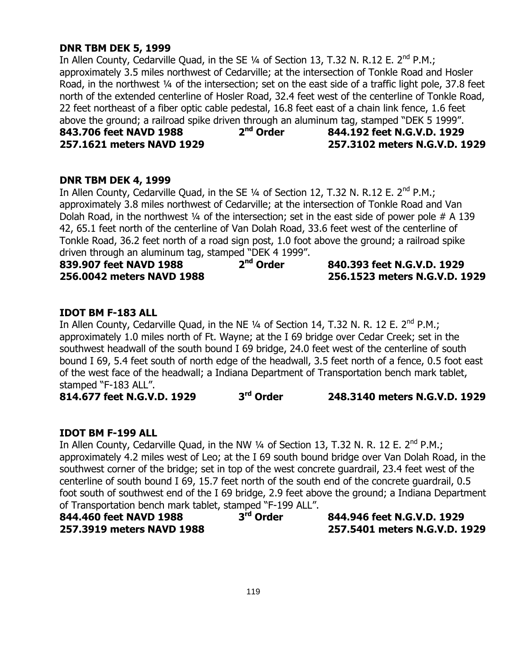# **DNR TBM DEK 5, 1999**

In Allen County, Cedarville Quad, in the SE  $\frac{1}{4}$  of Section 13, T.32 N. R.12 E. 2<sup>nd</sup> P.M.; approximately 3.5 miles northwest of Cedarville; at the intersection of Tonkle Road and Hosler Road, in the northwest 1/4 of the intersection; set on the east side of a traffic light pole, 37.8 feet north of the extended centerline of Hosler Road, 32.4 feet west of the centerline of Tonkle Road, 22 feet northeast of a fiber optic cable pedestal, 16.8 feet east of a chain link fence, 1.6 feet above the ground; a railroad spike driven through an aluminum tag, stamped "DEK 5 1999".<br>**843.706 feet NAVD 1988** 2<sup>nd</sup> Order 844.192 feet N.G.V.D. 1929 **843.706 feet NAVD 1988 2 nd Order 844.192 feet N.G.V.D. 1929 257.1621 meters NAVD 1929 257.3102 meters N.G.V.D. 1929**

#### **DNR TBM DEK 4, 1999**

In Allen County, Cedarville Quad, in the SE 1/4 of Section 12, T.32 N. R.12 E. 2<sup>nd</sup> P.M.; approximately 3.8 miles northwest of Cedarville; at the intersection of Tonkle Road and Van Dolah Road, in the northwest  $\frac{1}{4}$  of the intersection; set in the east side of power pole # A 139 42, 65.1 feet north of the centerline of Van Dolah Road, 33.6 feet west of the centerline of Tonkle Road, 36.2 feet north of a road sign post, 1.0 foot above the ground; a railroad spike driven through an aluminum tag, stamped "DEK 4 1999".

| 839.907 feet NAVD 1988    | 2 <sup>nd</sup> Order | 840.393 feet N.G.V.D. 1929    |
|---------------------------|-----------------------|-------------------------------|
| 256.0042 meters NAVD 1988 |                       | 256.1523 meters N.G.V.D. 1929 |

#### **IDOT BM F-183 ALL**

In Allen County, Cedarville Quad, in the NE 1/4 of Section 14, T.32 N. R. 12 E. 2<sup>nd</sup> P.M.; approximately 1.0 miles north of Ft. Wayne; at the I 69 bridge over Cedar Creek; set in the southwest headwall of the south bound I 69 bridge, 24.0 feet west of the centerline of south bound I 69, 5.4 feet south of north edge of the headwall, 3.5 feet north of a fence, 0.5 foot east of the west face of the headwall; a Indiana Department of Transportation bench mark tablet, stamped "F-183 ALL".

**814.677 feet N.G.V.D. 1929 3 rd Order 248.3140 meters N.G.V.D. 1929**

#### **IDOT BM F-199 ALL**

In Allen County, Cedarville Quad, in the NW 1/4 of Section 13, T.32 N. R. 12 E. 2<sup>nd</sup> P.M.; approximately 4.2 miles west of Leo; at the I 69 south bound bridge over Van Dolah Road, in the southwest corner of the bridge; set in top of the west concrete guardrail, 23.4 feet west of the centerline of south bound I 69, 15.7 feet north of the south end of the concrete guardrail, 0.5 foot south of southwest end of the I 69 bridge, 2.9 feet above the ground; a Indiana Department of Transportation bench mark tablet, stamped "F-199 ALL".

| 844.460 feet NAVD 1988    | 3 <sup>rd</sup> Order | 844.946 feet N.G.V.D. 1929    |
|---------------------------|-----------------------|-------------------------------|
| 257.3919 meters NAVD 1988 |                       | 257.5401 meters N.G.V.D. 1929 |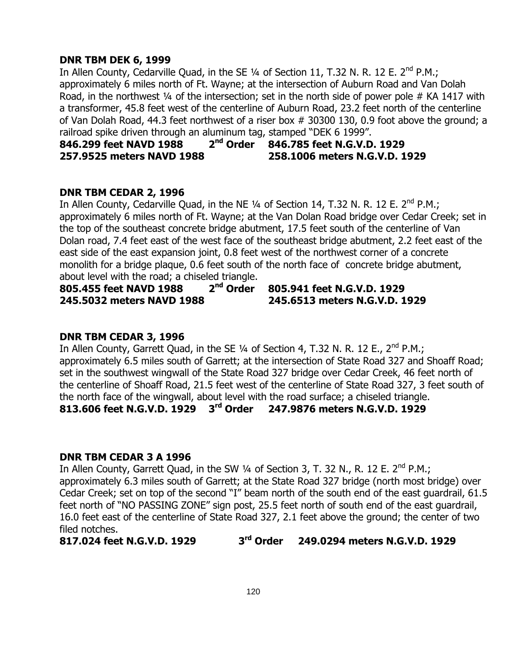## **DNR TBM DEK 6, 1999**

In Allen County, Cedarville Quad, in the SE  $\frac{1}{4}$  of Section 11, T.32 N. R. 12 E. 2<sup>nd</sup> P.M.; approximately 6 miles north of Ft. Wayne; at the intersection of Auburn Road and Van Dolah Road, in the northwest 1/4 of the intersection; set in the north side of power pole # KA 1417 with a transformer, 45.8 feet west of the centerline of Auburn Road, 23.2 feet north of the centerline of Van Dolah Road, 44.3 feet northwest of a riser box # 30300 130, 0.9 foot above the ground; a railroad spike driven through an aluminum tag, stamped "DEK 6 1999".

#### **846.299 feet NAVD 1988 2 nd Order 846.785 feet N.G.V.D. 1929 257.9525 meters NAVD 1988 258.1006 meters N.G.V.D. 1929**

#### **DNR TBM CEDAR 2, 1996**

In Allen County, Cedarville Quad, in the NE  $\frac{1}{4}$  of Section 14, T.32 N. R. 12 E. 2<sup>nd</sup> P.M.; approximately 6 miles north of Ft. Wayne; at the Van Dolan Road bridge over Cedar Creek; set in the top of the southeast concrete bridge abutment, 17.5 feet south of the centerline of Van Dolan road, 7.4 feet east of the west face of the southeast bridge abutment, 2.2 feet east of the east side of the east expansion joint, 0.8 feet west of the northwest corner of a concrete monolith for a bridge plaque, 0.6 feet south of the north face of concrete bridge abutment, about level with the road; a chiseled triangle.

**805.455 feet NAVD 1988 2 nd Order 805.941 feet N.G.V.D. 1929 245.5032 meters NAVD 1988 245.6513 meters N.G.V.D. 1929**

#### **DNR TBM CEDAR 3, 1996**

In Allen County, Garrett Quad, in the SE  $\frac{1}{4}$  of Section 4, T.32 N. R. 12 E., 2<sup>nd</sup> P.M.; approximately 6.5 miles south of Garrett; at the intersection of State Road 327 and Shoaff Road; set in the southwest wingwall of the State Road 327 bridge over Cedar Creek, 46 feet north of the centerline of Shoaff Road, 21.5 feet west of the centerline of State Road 327, 3 feet south of the north face of the wingwall, about level with the road surface; a chiseled triangle. **813.606 feet N.G.V.D. 1929 3 rd Order 247.9876 meters N.G.V.D. 1929**

#### **DNR TBM CEDAR 3 A 1996**

In Allen County, Garrett Quad, in the SW  $\frac{1}{4}$  of Section 3, T. 32 N., R. 12 E. 2<sup>nd</sup> P.M.; approximately 6.3 miles south of Garrett; at the State Road 327 bridge (north most bridge) over Cedar Creek; set on top of the second "I" beam north of the south end of the east guardrail, 61.5 feet north of "NO PASSING ZONE" sign post, 25.5 feet north of south end of the east guardrail, 16.0 feet east of the centerline of State Road 327, 2.1 feet above the ground; the center of two filed notches.

**817.024 feet N.G.V.D. 1929 3 rd Order 249.0294 meters N.G.V.D. 1929**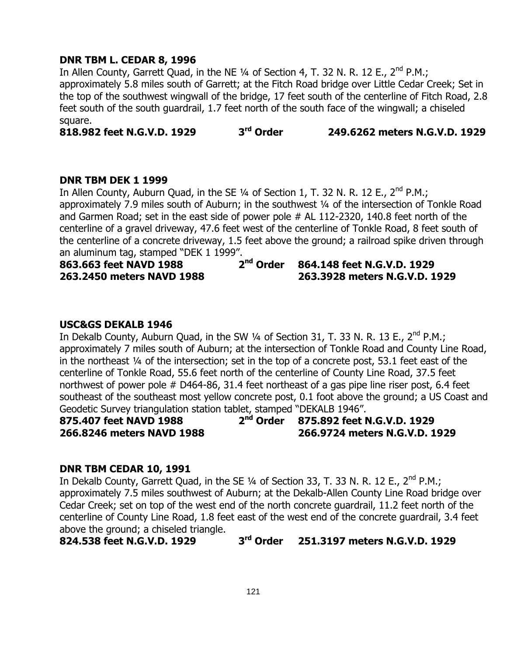## **DNR TBM L. CEDAR 8, 1996**

In Allen County, Garrett Quad, in the NE  $\frac{1}{4}$  of Section 4, T. 32 N. R. 12 E.,  $2^{nd}$  P.M.; approximately 5.8 miles south of Garrett; at the Fitch Road bridge over Little Cedar Creek; Set in the top of the southwest wingwall of the bridge, 17 feet south of the centerline of Fitch Road, 2.8 feet south of the south guardrail, 1.7 feet north of the south face of the wingwall; a chiseled square.

**818.982 feet N.G.V.D. 1929 3 rd Order 249.6262 meters N.G.V.D. 1929**

#### **DNR TBM DEK 1 1999**

In Allen County, Auburn Quad, in the SE  $\frac{1}{4}$  of Section 1, T. 32 N. R. 12 E., 2<sup>nd</sup> P.M.; approximately 7.9 miles south of Auburn; in the southwest 1/4 of the intersection of Tonkle Road and Garmen Road; set in the east side of power pole # AL 112-2320, 140.8 feet north of the centerline of a gravel driveway, 47.6 feet west of the centerline of Tonkle Road, 8 feet south of the centerline of a concrete driveway, 1.5 feet above the ground; a railroad spike driven through an aluminum tag, stamped "DEK 1 1999".

**863.663 feet NAVD 1988 2 nd Order 864.148 feet N.G.V.D. 1929 263.2450 meters NAVD 1988 263.3928 meters N.G.V.D. 1929**

#### **USC&GS DEKALB 1946**

In Dekalb County, Auburn Quad, in the SW  $\frac{1}{4}$  of Section 31, T. 33 N. R. 13 E., 2<sup>nd</sup> P.M.; approximately 7 miles south of Auburn; at the intersection of Tonkle Road and County Line Road, in the northeast ¼ of the intersection; set in the top of a concrete post, 53.1 feet east of the centerline of Tonkle Road, 55.6 feet north of the centerline of County Line Road, 37.5 feet northwest of power pole # D464-86, 31.4 feet northeast of a gas pipe line riser post, 6.4 feet southeast of the southeast most yellow concrete post, 0.1 foot above the ground; a US Coast and Geodetic Survey triangulation station tablet, stamped "DEKALB 1946".<br>875.407 feet NAVD 1988 2<sup>nd</sup> Order 875.892 feet N

**875.407 feet NAVD 1988 2**

**nd Order 875.892 feet N.G.V.D. 1929 266.8246 meters NAVD 1988 266.9724 meters N.G.V.D. 1929**

#### **DNR TBM CEDAR 10, 1991**

In Dekalb County, Garrett Quad, in the SE 1/4 of Section 33, T. 33 N. R. 12 E., 2<sup>nd</sup> P.M.; approximately 7.5 miles southwest of Auburn; at the Dekalb-Allen County Line Road bridge over Cedar Creek; set on top of the west end of the north concrete guardrail, 11.2 feet north of the centerline of County Line Road, 1.8 feet east of the west end of the concrete guardrail, 3.4 feet above the ground; a chiseled triangle.

**824.538 feet N.G.V.D. 1929 3 rd Order 251.3197 meters N.G.V.D. 1929**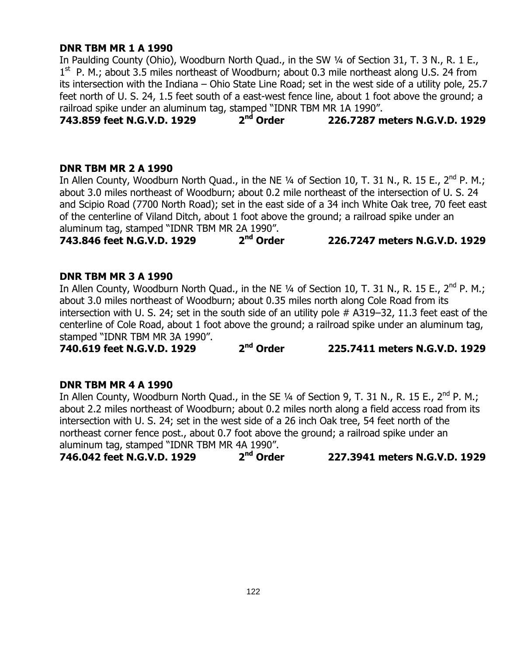## **DNR TBM MR 1 A 1990**

In Paulding County (Ohio), Woodburn North Quad., in the SW 1/4 of Section 31, T. 3 N., R. 1 E., 1<sup>st</sup> P. M.; about 3.5 miles northeast of Woodburn; about 0.3 mile northeast along U.S. 24 from its intersection with the Indiana – Ohio State Line Road; set in the west side of a utility pole, 25.7 feet north of U. S. 24, 1.5 feet south of a east-west fence line, about 1 foot above the ground; a railroad spike under an aluminum tag, stamped "IDNR TBM MR 1A 1990".<br>**743.859 feet N.G.V.D. 1929** 2<sup>nd</sup> Order 226.7287 m

**743.859 feet N.G.V.D. 1929 2 nd Order 226.7287 meters N.G.V.D. 1929**

# **DNR TBM MR 2 A 1990**

In Allen County, Woodburn North Quad., in the NE  $\frac{1}{4}$  of Section 10, T. 31 N., R. 15 E., 2<sup>nd</sup> P. M.; about 3.0 miles northeast of Woodburn; about 0.2 mile northeast of the intersection of U. S. 24 and Scipio Road (7700 North Road); set in the east side of a 34 inch White Oak tree, 70 feet east of the centerline of Viland Ditch, about 1 foot above the ground; a railroad spike under an aluminum tag, stamped "IDNR TBM MR 2A 1990".

**743.846 feet N.G.V.D. 1929 2 nd Order 226.7247 meters N.G.V.D. 1929**

# **DNR TBM MR 3 A 1990**

In Allen County, Woodburn North Quad., in the NE 1/4 of Section 10, T. 31 N., R. 15 E., 2<sup>nd</sup> P. M.; about 3.0 miles northeast of Woodburn; about 0.35 miles north along Cole Road from its intersection with U. S. 24; set in the south side of an utility pole # A319–32, 11.3 feet east of the centerline of Cole Road, about 1 foot above the ground; a railroad spike under an aluminum tag, stamped "IDNR TBM MR 3A 1990".

**740.619 feet N.G.V.D. 1929 2 nd Order 225.7411 meters N.G.V.D. 1929**

#### **DNR TBM MR 4 A 1990**

In Allen County, Woodburn North Quad., in the SE 1/4 of Section 9, T. 31 N., R. 15 E., 2<sup>nd</sup> P. M.; about 2.2 miles northeast of Woodburn; about 0.2 miles north along a field access road from its intersection with U. S. 24; set in the west side of a 26 inch Oak tree, 54 feet north of the northeast corner fence post., about 0.7 foot above the ground; a railroad spike under an aluminum tag, stamped "IDNR TBM MR 4A 1990".

**746.042 feet N.G.V.D. 1929 2 nd Order 227.3941 meters N.G.V.D. 1929**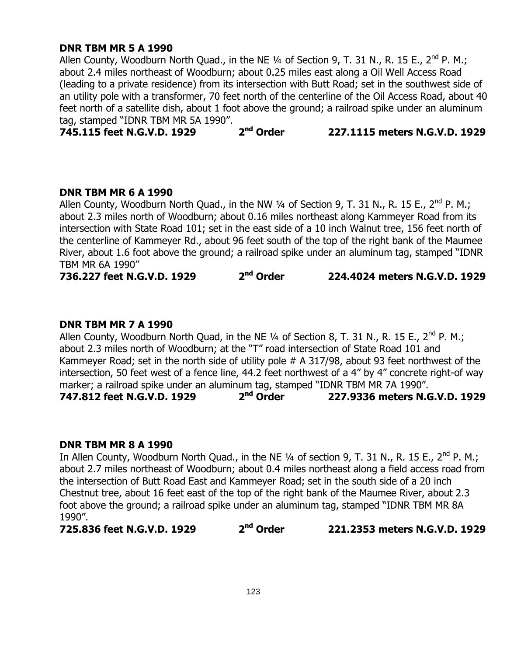# **DNR TBM MR 5 A 1990**

Allen County, Woodburn North Quad., in the NE  $\frac{1}{4}$  of Section 9, T. 31 N., R. 15 E., 2<sup>nd</sup> P. M.; about 2.4 miles northeast of Woodburn; about 0.25 miles east along a Oil Well Access Road (leading to a private residence) from its intersection with Butt Road; set in the southwest side of an utility pole with a transformer, 70 feet north of the centerline of the Oil Access Road, about 40 feet north of a satellite dish, about 1 foot above the ground; a railroad spike under an aluminum tag, stamped "IDNR TBM MR 5A 1990".

**745.115 feet N.G.V.D. 1929 2 nd Order 227.1115 meters N.G.V.D. 1929**

#### **DNR TBM MR 6 A 1990**

Allen County, Woodburn North Quad., in the NW  $\frac{1}{4}$  of Section 9, T. 31 N., R. 15 E., 2<sup>nd</sup> P. M.; about 2.3 miles north of Woodburn; about 0.16 miles northeast along Kammeyer Road from its intersection with State Road 101; set in the east side of a 10 inch Walnut tree, 156 feet north of the centerline of Kammeyer Rd., about 96 feet south of the top of the right bank of the Maumee River, about 1.6 foot above the ground; a railroad spike under an aluminum tag, stamped "IDNR TBM MR 6A 1990"

**736.227 feet N.G.V.D. 1929 2 nd Order 224.4024 meters N.G.V.D. 1929**

# **DNR TBM MR 7 A 1990**

Allen County, Woodburn North Quad, in the NE  $\frac{1}{4}$  of Section 8, T. 31 N., R. 15 E., 2<sup>nd</sup> P. M.; about 2.3 miles north of Woodburn; at the "T" road intersection of State Road 101 and Kammeyer Road; set in the north side of utility pole # A 317/98, about 93 feet northwest of the intersection, 50 feet west of a fence line, 44.2 feet northwest of a 4" by 4" concrete right-of way marker; a railroad spike under an aluminum tag, stamped "IDNR TBM MR 7A 1990".

**747.812 feet N.G.V.D. 1929 2 nd Order 227.9336 meters N.G.V.D. 1929**

#### **DNR TBM MR 8 A 1990**

In Allen County, Woodburn North Quad., in the NE  $\frac{1}{4}$  of section 9, T. 31 N., R. 15 E., 2<sup>nd</sup> P. M.; about 2.7 miles northeast of Woodburn; about 0.4 miles northeast along a field access road from the intersection of Butt Road East and Kammeyer Road; set in the south side of a 20 inch Chestnut tree, about 16 feet east of the top of the right bank of the Maumee River, about 2.3 foot above the ground; a railroad spike under an aluminum tag, stamped "IDNR TBM MR 8A 1990".

**725.836 feet N.G.V.D. 1929 2 nd Order 221.2353 meters N.G.V.D. 1929**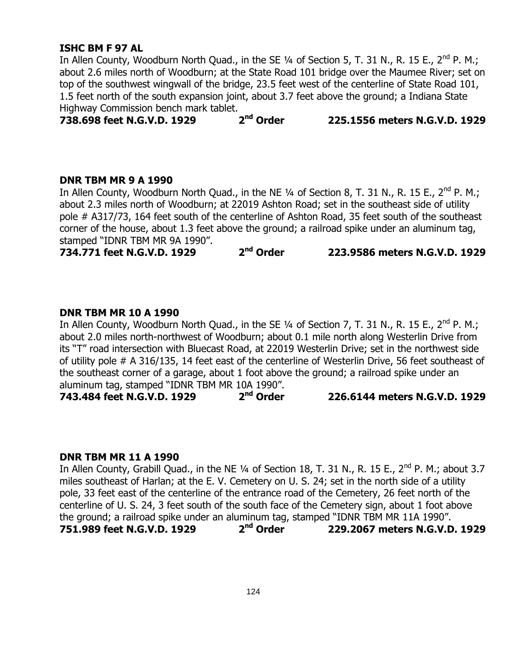#### **ISHC BM F 97 AL**

In Allen County, Woodburn North Quad., in the SE 1/4 of Section 5, T. 31 N., R. 15 E., 2<sup>nd</sup> P. M.; about 2.6 miles north of Woodburn; at the State Road 101 bridge over the Maumee River; set on top of the southwest wingwall of the bridge, 23.5 feet west of the centerline of State Road 101, 1.5 feet north of the south expansion joint, about 3.7 feet above the ground; a Indiana State

Highway Commission bench mark tablet.<br>**738.698 feet N.G.V.D. 1929** 2<sup>nd</sup> Order **738.698 feet N.G.V.D. 1929 2 nd Order 225.1556 meters N.G.V.D. 1929**

#### **DNR TBM MR 9 A 1990**

In Allen County, Woodburn North Quad., in the NE  $\frac{1}{4}$  of Section 8, T. 31 N., R. 15 E., 2<sup>nd</sup> P. M.; about 2.3 miles north of Woodburn; at 22019 Ashton Road; set in the southeast side of utility pole # A317/73, 164 feet south of the centerline of Ashton Road, 35 feet south of the southeast corner of the house, about 1.3 feet above the ground; a railroad spike under an aluminum tag, stamped "IDNR TBM MR 9A 1990".

**734.771 feet N.G.V.D. 1929 2 nd Order 223.9586 meters N.G.V.D. 1929**

#### **DNR TBM MR 10 A 1990**

In Allen County, Woodburn North Quad., in the SE  $\frac{1}{4}$  of Section 7, T. 31 N., R. 15 E., 2<sup>nd</sup> P. M.; about 2.0 miles north-northwest of Woodburn; about 0.1 mile north along Westerlin Drive from its "T" road intersection with Bluecast Road, at 22019 Westerlin Drive; set in the northwest side of utility pole # A 316/135, 14 feet east of the centerline of Westerlin Drive, 56 feet southeast of the southeast corner of a garage, about 1 foot above the ground; a railroad spike under an aluminum tag, stamped "IDNR TBM MR 10A 1990".

**743.484 feet N.G.V.D. 1929 2 nd Order 226.6144 meters N.G.V.D. 1929**

#### **DNR TBM MR 11 A 1990**

In Allen County, Grabill Quad., in the NE 1/4 of Section 18, T. 31 N., R. 15 E., 2<sup>nd</sup> P. M.; about 3.7 miles southeast of Harlan; at the E. V. Cemetery on U. S. 24; set in the north side of a utility pole, 33 feet east of the centerline of the entrance road of the Cemetery, 26 feet north of the centerline of U. S. 24, 3 feet south of the south face of the Cemetery sign, about 1 foot above the ground; a railroad spike under an aluminum tag, stamped "IDNR TBM MR 11A 1990". **751.989 feet N.G.V.D. 1929 2 nd Order 229.2067 meters N.G.V.D. 1929**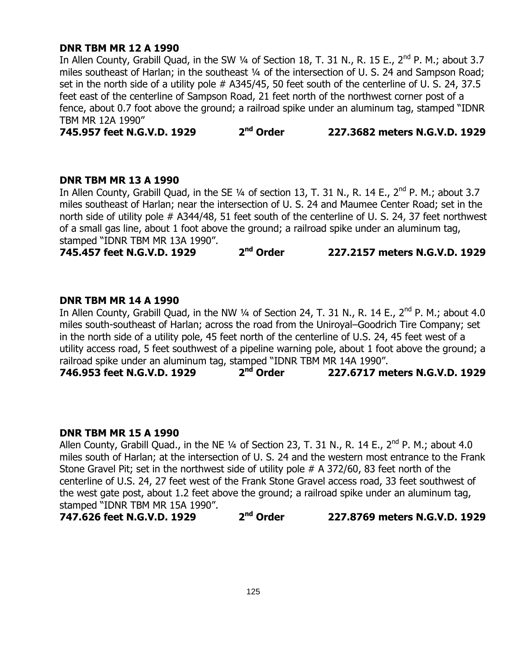#### **DNR TBM MR 12 A 1990**

In Allen County, Grabill Quad, in the SW 1/4 of Section 18, T. 31 N., R. 15 E., 2<sup>nd</sup> P. M.; about 3.7 miles southeast of Harlan; in the southeast 1/4 of the intersection of U. S. 24 and Sampson Road; set in the north side of a utility pole # A345/45, 50 feet south of the centerline of U. S. 24, 37.5 feet east of the centerline of Sampson Road, 21 feet north of the northwest corner post of a fence, about 0.7 foot above the ground; a railroad spike under an aluminum tag, stamped "IDNR TBM MR 12A 1990"

**745.957 feet N.G.V.D. 1929 2 nd Order 227.3682 meters N.G.V.D. 1929**

#### **DNR TBM MR 13 A 1990**

In Allen County, Grabill Quad, in the SE 1/4 of section 13, T. 31 N., R. 14 E., 2<sup>nd</sup> P. M.; about 3.7 miles southeast of Harlan; near the intersection of U. S. 24 and Maumee Center Road; set in the north side of utility pole # A344/48, 51 feet south of the centerline of U. S. 24, 37 feet northwest of a small gas line, about 1 foot above the ground; a railroad spike under an aluminum tag, stamped "IDNR TBM MR 13A 1990".

**745.457 feet N.G.V.D. 1929 2 nd Order 227.2157 meters N.G.V.D. 1929**

#### **DNR TBM MR 14 A 1990**

In Allen County, Grabill Quad, in the NW 1/4 of Section 24, T. 31 N., R. 14 E., 2<sup>nd</sup> P. M.; about 4.0 miles south-southeast of Harlan; across the road from the Uniroyal–Goodrich Tire Company; set in the north side of a utility pole, 45 feet north of the centerline of U.S. 24, 45 feet west of a utility access road, 5 feet southwest of a pipeline warning pole, about 1 foot above the ground; a railroad spike under an aluminum tag, stamped "IDNR TBM MR 14A 1990".<br>**746.953 feet N.G.V.D. 1929** 2<sup>nd</sup> Order 227.6717 me

**746.953 feet N.G.V.D. 1929 2 nd Order 227.6717 meters N.G.V.D. 1929**

#### **DNR TBM MR 15 A 1990**

Allen County, Grabill Quad., in the NE 1/4 of Section 23, T. 31 N., R. 14 E., 2<sup>nd</sup> P. M.; about 4.0 miles south of Harlan; at the intersection of U. S. 24 and the western most entrance to the Frank Stone Gravel Pit; set in the northwest side of utility pole # A 372/60, 83 feet north of the centerline of U.S. 24, 27 feet west of the Frank Stone Gravel access road, 33 feet southwest of the west gate post, about 1.2 feet above the ground; a railroad spike under an aluminum tag, stamped "IDNR TBM MR 15A 1990".

**747.626 feet N.G.V.D. 1929 2 nd Order 227.8769 meters N.G.V.D. 1929**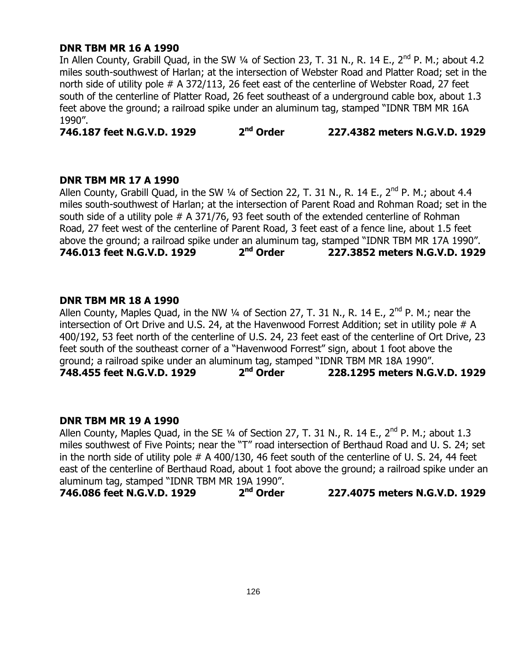#### **DNR TBM MR 16 A 1990**

In Allen County, Grabill Quad, in the SW  $\frac{1}{4}$  of Section 23, T. 31 N., R. 14 E., 2<sup>nd</sup> P. M.; about 4.2 miles south-southwest of Harlan; at the intersection of Webster Road and Platter Road; set in the north side of utility pole # A 372/113, 26 feet east of the centerline of Webster Road, 27 feet south of the centerline of Platter Road, 26 feet southeast of a underground cable box, about 1.3 feet above the ground; a railroad spike under an aluminum tag, stamped "IDNR TBM MR 16A 1990".

**746.187 feet N.G.V.D. 1929 2 nd Order 227.4382 meters N.G.V.D. 1929**

#### **DNR TBM MR 17 A 1990**

Allen County, Grabill Quad, in the SW 1/4 of Section 22, T. 31 N., R. 14 E.,  $2^{nd}$  P. M.; about 4.4 miles south-southwest of Harlan; at the intersection of Parent Road and Rohman Road; set in the south side of a utility pole # A 371/76, 93 feet south of the extended centerline of Rohman Road, 27 feet west of the centerline of Parent Road, 3 feet east of a fence line, about 1.5 feet above the ground; a railroad spike under an aluminum tag, stamped "IDNR TBM MR 17A 1990".<br>**746.013 feet N.G.V.D. 1929** 2<sup>nd</sup> Order 227.3852 meters N.G.V.D. 1929 **746.013 feet N.G.V.D. 1929 2 nd Order 227.3852 meters N.G.V.D. 1929**

#### **DNR TBM MR 18 A 1990**

Allen County, Maples Quad, in the NW  $\frac{1}{4}$  of Section 27, T. 31 N., R. 14 E., 2<sup>nd</sup> P. M.; near the intersection of Ort Drive and U.S. 24, at the Havenwood Forrest Addition; set in utility pole # A 400/192, 53 feet north of the centerline of U.S. 24, 23 feet east of the centerline of Ort Drive, 23 feet south of the southeast corner of a "Havenwood Forrest" sign, about 1 foot above the ground; a railroad spike under an aluminum tag, stamped "IDNR TBM MR 18A 1990". **748.455 feet N.G.V.D. 1929 2 nd Order 228.1295 meters N.G.V.D. 1929**

#### **DNR TBM MR 19 A 1990**

Allen County, Maples Quad, in the SE 1/4 of Section 27, T. 31 N., R. 14 E., 2<sup>nd</sup> P. M.; about 1.3 miles southwest of Five Points; near the "T" road intersection of Berthaud Road and U. S. 24; set in the north side of utility pole # A 400/130, 46 feet south of the centerline of U. S. 24, 44 feet east of the centerline of Berthaud Road, about 1 foot above the ground; a railroad spike under an aluminum tag, stamped "IDNR TBM MR 19A 1990".

**746.086 feet N.G.V.D. 1929 2 nd Order 227.4075 meters N.G.V.D. 1929**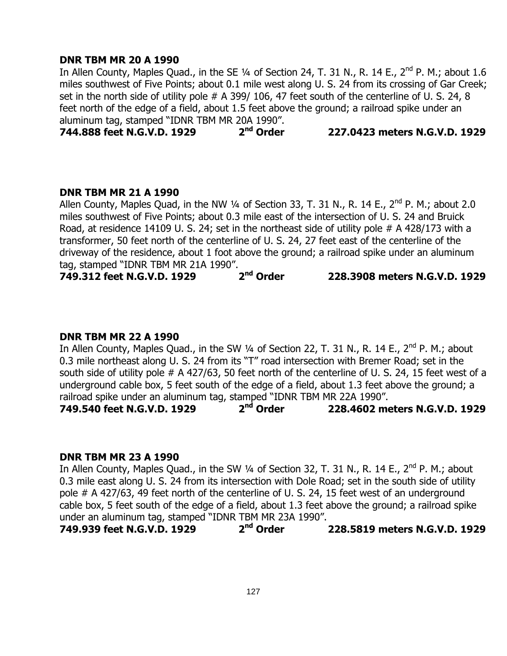#### **DNR TBM MR 20 A 1990**

In Allen County, Maples Quad., in the SE 1/4 of Section 24, T. 31 N., R. 14 E.,  $2^{nd}$  P. M.; about 1.6 miles southwest of Five Points; about 0.1 mile west along U. S. 24 from its crossing of Gar Creek; set in the north side of utility pole # A 399/ 106, 47 feet south of the centerline of U. S. 24, 8 feet north of the edge of a field, about 1.5 feet above the ground; a railroad spike under an aluminum tag, stamped "IDNR TBM MR 20A 1990".<br>**744.888 feet N.G.V.D. 1929** 2<sup>nd</sup> Order

**744.888 feet N.G.V.D. 1929 2 nd Order 227.0423 meters N.G.V.D. 1929**

#### **DNR TBM MR 21 A 1990**

Allen County, Maples Quad, in the NW  $\frac{1}{4}$  of Section 33, T. 31 N., R. 14 E.,  $2^{nd}$  P. M.; about 2.0 miles southwest of Five Points; about 0.3 mile east of the intersection of U. S. 24 and Bruick Road, at residence 14109 U. S. 24; set in the northeast side of utility pole # A 428/173 with a transformer, 50 feet north of the centerline of U. S. 24, 27 feet east of the centerline of the driveway of the residence, about 1 foot above the ground; a railroad spike under an aluminum

tag, stamped "IDNR TBM MR 21A 1990".<br>**749.312 feet N.G.V.D. 1929 2<sup>nd</sup> Order 749.312 feet N.G.V.D. 1929 2 nd Order 228.3908 meters N.G.V.D. 1929**

#### **DNR TBM MR 22 A 1990**

In Allen County, Maples Quad., in the SW 1/4 of Section 22, T. 31 N., R. 14 E., 2<sup>nd</sup> P. M.; about 0.3 mile northeast along U. S. 24 from its "T" road intersection with Bremer Road; set in the south side of utility pole # A 427/63, 50 feet north of the centerline of U. S. 24, 15 feet west of a underground cable box, 5 feet south of the edge of a field, about 1.3 feet above the ground; a railroad spike under an aluminum tag, stamped "IDNR TBM MR 22A 1990".<br>749.540 feet N.G.V.D. 1929 2<sup>nd</sup> Order 228.4602 me

**749.540 feet N.G.V.D. 1929 2 nd Order 228.4602 meters N.G.V.D. 1929**

#### **DNR TBM MR 23 A 1990**

In Allen County, Maples Quad., in the SW  $\frac{1}{4}$  of Section 32, T. 31 N., R. 14 E., 2<sup>nd</sup> P. M.; about 0.3 mile east along U. S. 24 from its intersection with Dole Road; set in the south side of utility pole # A 427/63, 49 feet north of the centerline of U. S. 24, 15 feet west of an underground cable box, 5 feet south of the edge of a field, about 1.3 feet above the ground; a railroad spike under an aluminum tag, stamped "IDNR TBM MR 23A 1990".

**749.939 feet N.G.V.D. 1929 2 nd Order 228.5819 meters N.G.V.D. 1929**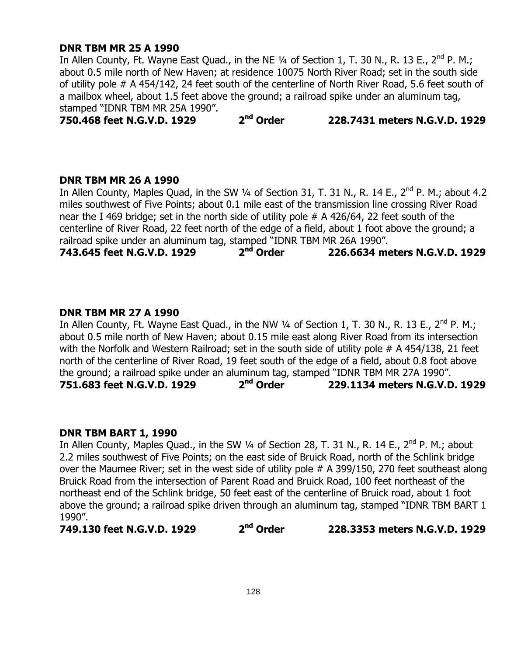#### **DNR TBM MR 25 A 1990**

In Allen County, Ft. Wayne East Quad., in the NE 1/4 of Section 1, T. 30 N., R. 13 E., 2<sup>nd</sup> P. M.; about 0.5 mile north of New Haven; at residence 10075 North River Road; set in the south side of utility pole # A 454/142, 24 feet south of the centerline of North River Road, 5.6 feet south of a mailbox wheel, about 1.5 feet above the ground; a railroad spike under an aluminum tag, stamped "IDNR TBM MR 25A 1990".

**750.468 feet N.G.V.D. 1929 2 nd Order 228.7431 meters N.G.V.D. 1929**

#### **DNR TBM MR 26 A 1990**

In Allen County, Maples Quad, in the SW 1/4 of Section 31, T. 31 N., R. 14 E.,  $2^{nd}$  P. M.; about 4.2 miles southwest of Five Points; about 0.1 mile east of the transmission line crossing River Road near the I 469 bridge; set in the north side of utility pole # A 426/64, 22 feet south of the centerline of River Road, 22 feet north of the edge of a field, about 1 foot above the ground; a railroad spike under an aluminum tag, stamped "IDNR TBM MR 26A 1990".<br>743.645 feet N.G.V.D. 1929 2<sup>nd</sup> Order 226.6634 me

**743.645 feet N.G.V.D. 1929 2 nd Order 226.6634 meters N.G.V.D. 1929**

#### **DNR TBM MR 27 A 1990**

In Allen County, Ft. Wayne East Quad., in the NW 1/4 of Section 1, T. 30 N., R. 13 E., 2<sup>nd</sup> P. M.; about 0.5 mile north of New Haven; about 0.15 mile east along River Road from its intersection with the Norfolk and Western Railroad; set in the south side of utility pole # A 454/138, 21 feet north of the centerline of River Road, 19 feet south of the edge of a field, about 0.8 foot above the ground; a railroad spike under an aluminum tag, stamped "IDNR TBM MR 27A 1990". **751.683 feet N.G.V.D. 1929 2 nd Order 229.1134 meters N.G.V.D. 1929**

#### **DNR TBM BART 1, 1990**

In Allen County, Maples Quad., in the SW 1/4 of Section 28, T. 31 N., R. 14 E., 2<sup>nd</sup> P. M.; about 2.2 miles southwest of Five Points; on the east side of Bruick Road, north of the Schlink bridge over the Maumee River; set in the west side of utility pole # A 399/150, 270 feet southeast along Bruick Road from the intersection of Parent Road and Bruick Road, 100 feet northeast of the northeast end of the Schlink bridge, 50 feet east of the centerline of Bruick road, about 1 foot above the ground; a railroad spike driven through an aluminum tag, stamped "IDNR TBM BART 1 1990".

**749.130 feet N.G.V.D. 1929 2 nd Order 228.3353 meters N.G.V.D. 1929**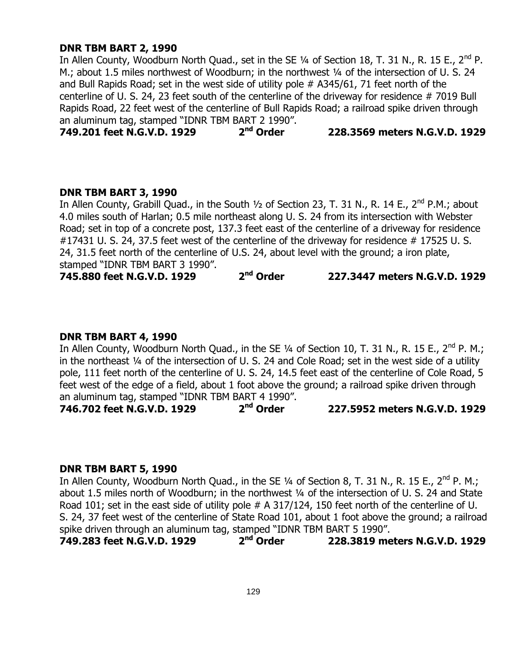#### **DNR TBM BART 2, 1990**

In Allen County, Woodburn North Quad., set in the SE 1/4 of Section 18, T. 31 N., R. 15 E., 2<sup>nd</sup> P. M.; about 1.5 miles northwest of Woodburn; in the northwest 1/4 of the intersection of U. S. 24 and Bull Rapids Road; set in the west side of utility pole # A345/61, 71 feet north of the centerline of U. S. 24, 23 feet south of the centerline of the driveway for residence # 7019 Bull Rapids Road, 22 feet west of the centerline of Bull Rapids Road; a railroad spike driven through an aluminum tag, stamped "IDNR TBM BART 2 1990".<br>**749.201 feet N.G.V.D. 1929** 2<sup>nd</sup> Order

**749.201 feet N.G.V.D. 1929 2 nd Order 228.3569 meters N.G.V.D. 1929**

#### **DNR TBM BART 3, 1990**

In Allen County, Grabill Quad., in the South  $1/2$  of Section 23, T. 31 N., R. 14 E., 2<sup>nd</sup> P.M.; about 4.0 miles south of Harlan; 0.5 mile northeast along U. S. 24 from its intersection with Webster Road; set in top of a concrete post, 137.3 feet east of the centerline of a driveway for residence #17431 U. S. 24, 37.5 feet west of the centerline of the driveway for residence #17525 U. S. 24, 31.5 feet north of the centerline of U.S. 24, about level with the ground; a iron plate, stamped "IDNR TBM BART 3 1990".

**745.880 feet N.G.V.D. 1929 2 nd Order 227.3447 meters N.G.V.D. 1929**

#### **DNR TBM BART 4, 1990**

In Allen County, Woodburn North Quad., in the SE  $\frac{1}{4}$  of Section 10, T. 31 N., R. 15 E., 2<sup>nd</sup> P. M.; in the northeast ¼ of the intersection of U. S. 24 and Cole Road; set in the west side of a utility pole, 111 feet north of the centerline of U. S. 24, 14.5 feet east of the centerline of Cole Road, 5 feet west of the edge of a field, about 1 foot above the ground; a railroad spike driven through an aluminum tag, stamped "IDNR TBM BART 4 1990".

**746.702 feet N.G.V.D. 1929 2 nd Order 227.5952 meters N.G.V.D. 1929**

# **DNR TBM BART 5, 1990**

In Allen County, Woodburn North Quad., in the SE  $\frac{1}{4}$  of Section 8, T. 31 N., R. 15 E., 2<sup>nd</sup> P. M.; about 1.5 miles north of Woodburn; in the northwest 1/4 of the intersection of U. S. 24 and State Road 101; set in the east side of utility pole # A 317/124, 150 feet north of the centerline of U. S. 24, 37 feet west of the centerline of State Road 101, about 1 foot above the ground; a railroad spike driven through an aluminum tag, stamped "IDNR TBM BART 5 1990".<br> **749.283 feet N.G.V.D. 1929** 2<sup>nd</sup> Order 228.3819 me

**749.283 feet N.G.V.D. 1929 2 nd Order 228.3819 meters N.G.V.D. 1929**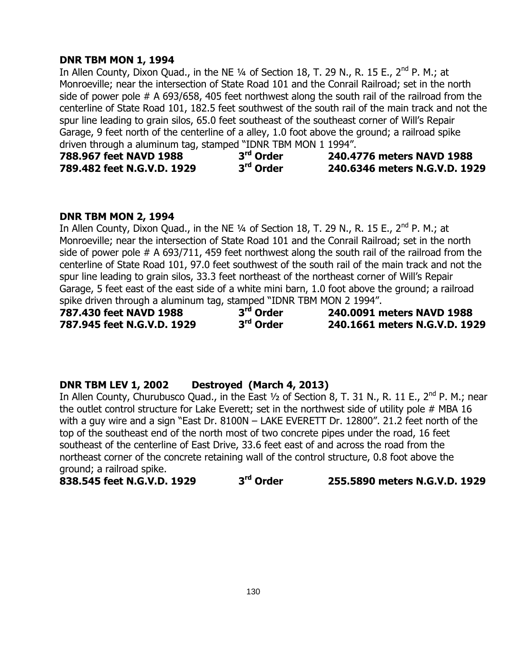## **DNR TBM MON 1, 1994**

In Allen County, Dixon Quad., in the NE  $\frac{1}{4}$  of Section 18, T. 29 N., R. 15 E., 2<sup>nd</sup> P. M.; at Monroeville; near the intersection of State Road 101 and the Conrail Railroad; set in the north side of power pole # A 693/658, 405 feet northwest along the south rail of the railroad from the centerline of State Road 101, 182.5 feet southwest of the south rail of the main track and not the spur line leading to grain silos, 65.0 feet southeast of the southeast corner of Will"s Repair Garage, 9 feet north of the centerline of a alley, 1.0 foot above the ground; a railroad spike driven through a aluminum tag, stamped "IDNR TBM MON 1 1994".

| 788.967 feet NAVD 1988     | 3 <sup>rd</sup> Order | 240.4776 meters NAVD 1988     |
|----------------------------|-----------------------|-------------------------------|
| 789.482 feet N.G.V.D. 1929 | 3 <sup>rd</sup> Order | 240.6346 meters N.G.V.D. 1929 |

# **DNR TBM MON 2, 1994**

In Allen County, Dixon Quad., in the NE 1/4 of Section 18, T. 29 N., R. 15 E., 2<sup>nd</sup> P. M.; at Monroeville; near the intersection of State Road 101 and the Conrail Railroad; set in the north side of power pole # A 693/711, 459 feet northwest along the south rail of the railroad from the centerline of State Road 101, 97.0 feet southwest of the south rail of the main track and not the spur line leading to grain silos, 33.3 feet northeast of the northeast corner of Will"s Repair Garage, 5 feet east of the east side of a white mini barn, 1.0 foot above the ground; a railroad spike driven through a aluminum tag, stamped "IDNR TBM MON 2 1994".<br> **787.430 feet NAVD 1988** 3<sup>rd</sup> Order 240.0091 n

**787.430 feet NAVD 1988 3 rd Order 240.0091 meters NAVD 1988 787.945 feet N.G.V.D. 1929 3 rd Order 240.1661 meters N.G.V.D. 1929**

# **DNR TBM LEV 1, 2002 Destroyed (March 4, 2013)**

In Allen County, Churubusco Quad., in the East 1/2 of Section 8, T. 31 N., R. 11 E., 2<sup>nd</sup> P. M.; near the outlet control structure for Lake Everett; set in the northwest side of utility pole # MBA 16 with a guy wire and a sign "East Dr. 8100N – LAKE EVERETT Dr. 12800". 21.2 feet north of the top of the southeast end of the north most of two concrete pipes under the road, 16 feet southeast of the centerline of East Drive, 33.6 feet east of and across the road from the northeast corner of the concrete retaining wall of the control structure, 0.8 foot above the ground; a railroad spike.

**838.545 feet N.G.V.D. 1929 3 rd Order 255.5890 meters N.G.V.D. 1929**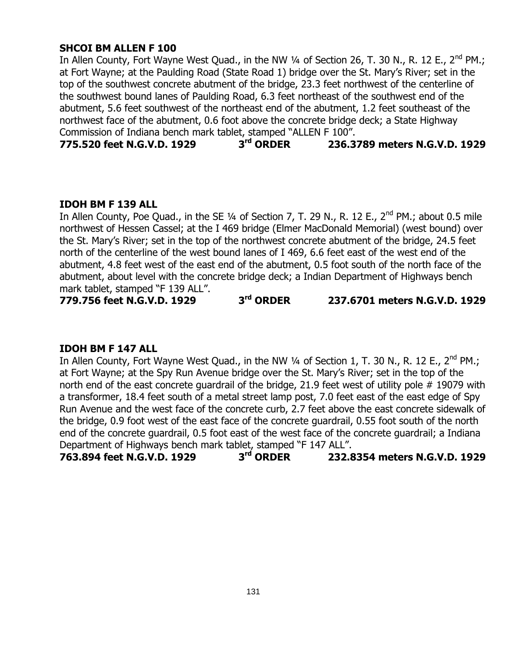# **SHCOI BM ALLEN F 100**

In Allen County, Fort Wayne West Quad., in the NW 1/4 of Section 26, T. 30 N., R. 12 E., 2<sup>nd</sup> PM.; at Fort Wayne; at the Paulding Road (State Road 1) bridge over the St. Mary"s River; set in the top of the southwest concrete abutment of the bridge, 23.3 feet northwest of the centerline of the southwest bound lanes of Paulding Road, 6.3 feet northeast of the southwest end of the abutment, 5.6 feet southwest of the northeast end of the abutment, 1.2 feet southeast of the northwest face of the abutment, 0.6 foot above the concrete bridge deck; a State Highway Commission of Indiana bench mark tablet, stamped "ALLEN F 100".

**775.520 feet N.G.V.D. 1929 3 rd ORDER 236.3789 meters N.G.V.D. 1929**

#### **IDOH BM F 139 ALL**

In Allen County, Poe Quad., in the SE  $\frac{1}{4}$  of Section 7, T. 29 N., R. 12 E., 2<sup>nd</sup> PM.; about 0.5 mile northwest of Hessen Cassel; at the I 469 bridge (Elmer MacDonald Memorial) (west bound) over the St. Mary"s River; set in the top of the northwest concrete abutment of the bridge, 24.5 feet north of the centerline of the west bound lanes of I 469, 6.6 feet east of the west end of the abutment, 4.8 feet west of the east end of the abutment, 0.5 foot south of the north face of the abutment, about level with the concrete bridge deck; a Indian Department of Highways bench mark tablet, stamped "F 139 ALL".

**779.756 feet N.G.V.D. 1929 3 rd ORDER 237.6701 meters N.G.V.D. 1929**

#### **IDOH BM F 147 ALL**

In Allen County, Fort Wayne West Quad., in the NW 1/4 of Section 1, T. 30 N., R. 12 E., 2<sup>nd</sup> PM.; at Fort Wayne; at the Spy Run Avenue bridge over the St. Mary"s River; set in the top of the north end of the east concrete guardrail of the bridge, 21.9 feet west of utility pole # 19079 with a transformer, 18.4 feet south of a metal street lamp post, 7.0 feet east of the east edge of Spy Run Avenue and the west face of the concrete curb, 2.7 feet above the east concrete sidewalk of the bridge, 0.9 foot west of the east face of the concrete guardrail, 0.55 foot south of the north end of the concrete guardrail, 0.5 foot east of the west face of the concrete guardrail; a Indiana Department of Highways bench mark tablet, stamped "F 147 ALL".

**763.894 feet N.G.V.D. 1929 3 rd ORDER 232.8354 meters N.G.V.D. 1929**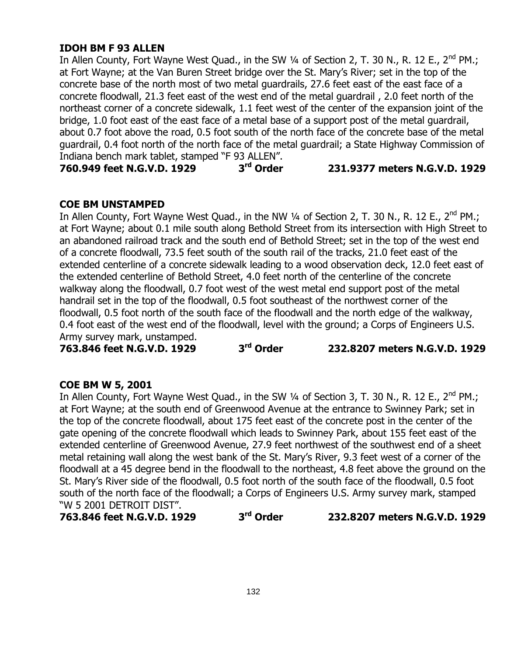# **IDOH BM F 93 ALLEN**

In Allen County, Fort Wayne West Quad., in the SW 1/4 of Section 2, T. 30 N., R. 12 E., 2<sup>nd</sup> PM.; at Fort Wayne; at the Van Buren Street bridge over the St. Mary"s River; set in the top of the concrete base of the north most of two metal guardrails, 27.6 feet east of the east face of a concrete floodwall, 21.3 feet east of the west end of the metal guardrail , 2.0 feet north of the northeast corner of a concrete sidewalk, 1.1 feet west of the center of the expansion joint of the bridge, 1.0 foot east of the east face of a metal base of a support post of the metal guardrail, about 0.7 foot above the road, 0.5 foot south of the north face of the concrete base of the metal guardrail, 0.4 foot north of the north face of the metal guardrail; a State Highway Commission of Indiana bench mark tablet, stamped "F 93 ALLEN".

**760.949 feet N.G.V.D. 1929 3**

#### **rd Order 231.9377 meters N.G.V.D. 1929**

# **COE BM UNSTAMPED**

In Allen County, Fort Wayne West Quad., in the NW 1/4 of Section 2, T. 30 N., R. 12 E., 2<sup>nd</sup> PM.; at Fort Wayne; about 0.1 mile south along Bethold Street from its intersection with High Street to an abandoned railroad track and the south end of Bethold Street; set in the top of the west end of a concrete floodwall, 73.5 feet south of the south rail of the tracks, 21.0 feet east of the extended centerline of a concrete sidewalk leading to a wood observation deck, 12.0 feet east of the extended centerline of Bethold Street, 4.0 feet north of the centerline of the concrete walkway along the floodwall, 0.7 foot west of the west metal end support post of the metal handrail set in the top of the floodwall, 0.5 foot southeast of the northwest corner of the floodwall, 0.5 foot north of the south face of the floodwall and the north edge of the walkway, 0.4 foot east of the west end of the floodwall, level with the ground; a Corps of Engineers U.S. Army survey mark, unstamped.

**763.846 feet N.G.V.D. 1929 3**

**rd Order 232.8207 meters N.G.V.D. 1929**

#### **COE BM W 5, 2001**

In Allen County, Fort Wayne West Quad., in the SW 1/4 of Section 3, T. 30 N., R. 12 E., 2<sup>nd</sup> PM.; at Fort Wayne; at the south end of Greenwood Avenue at the entrance to Swinney Park; set in the top of the concrete floodwall, about 175 feet east of the concrete post in the center of the gate opening of the concrete floodwall which leads to Swinney Park, about 155 feet east of the extended centerline of Greenwood Avenue, 27.9 feet northwest of the southwest end of a sheet metal retaining wall along the west bank of the St. Mary"s River, 9.3 feet west of a corner of the floodwall at a 45 degree bend in the floodwall to the northeast, 4.8 feet above the ground on the St. Mary"s River side of the floodwall, 0.5 foot north of the south face of the floodwall, 0.5 foot south of the north face of the floodwall; a Corps of Engineers U.S. Army survey mark, stamped "W 5 2001 DETROIT DIST".

**763.846 feet N.G.V.D. 1929 3**

**rd Order 232.8207 meters N.G.V.D. 1929**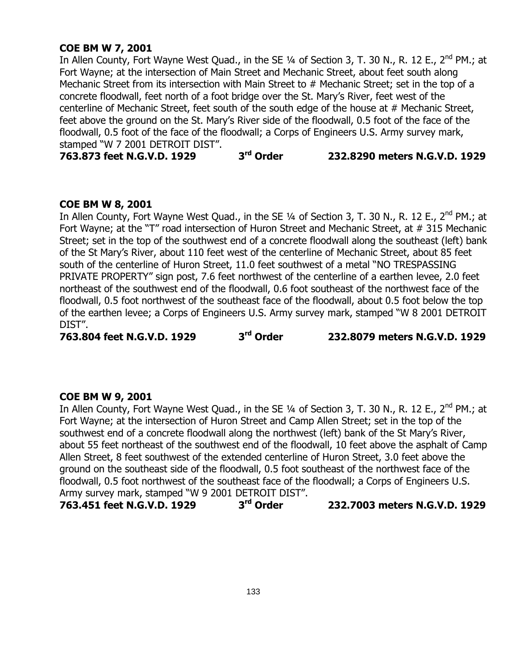# **COE BM W 7, 2001**

In Allen County, Fort Wayne West Quad., in the SE 1/4 of Section 3, T. 30 N., R. 12 E., 2<sup>nd</sup> PM.; at Fort Wayne; at the intersection of Main Street and Mechanic Street, about feet south along Mechanic Street from its intersection with Main Street to # Mechanic Street; set in the top of a concrete floodwall, feet north of a foot bridge over the St. Mary"s River, feet west of the centerline of Mechanic Street, feet south of the south edge of the house at # Mechanic Street, feet above the ground on the St. Mary's River side of the floodwall, 0.5 foot of the face of the floodwall, 0.5 foot of the face of the floodwall; a Corps of Engineers U.S. Army survey mark, stamped "W 7 2001 DETROIT DIST".

**763.873 feet N.G.V.D. 1929 3 rd Order 232.8290 meters N.G.V.D. 1929**

#### **COE BM W 8, 2001**

In Allen County, Fort Wayne West Quad., in the SE 1/4 of Section 3, T. 30 N., R. 12 E., 2<sup>nd</sup> PM.; at Fort Wayne; at the "T" road intersection of Huron Street and Mechanic Street, at # 315 Mechanic Street; set in the top of the southwest end of a concrete floodwall along the southeast (left) bank of the St Mary"s River, about 110 feet west of the centerline of Mechanic Street, about 85 feet south of the centerline of Huron Street, 11.0 feet southwest of a metal "NO TRESPASSING PRIVATE PROPERTY" sign post, 7.6 feet northwest of the centerline of a earthen levee, 2.0 feet northeast of the southwest end of the floodwall, 0.6 foot southeast of the northwest face of the floodwall, 0.5 foot northwest of the southeast face of the floodwall, about 0.5 foot below the top of the earthen levee; a Corps of Engineers U.S. Army survey mark, stamped "W 8 2001 DETROIT DIST".

**763.804 feet N.G.V.D. 1929 3**

**rd Order 232.8079 meters N.G.V.D. 1929**

#### **COE BM W 9, 2001**

In Allen County, Fort Wayne West Quad., in the SE 1/4 of Section 3, T. 30 N., R. 12 E., 2<sup>nd</sup> PM.; at Fort Wayne; at the intersection of Huron Street and Camp Allen Street; set in the top of the southwest end of a concrete floodwall along the northwest (left) bank of the St Mary"s River, about 55 feet northeast of the southwest end of the floodwall, 10 feet above the asphalt of Camp Allen Street, 8 feet southwest of the extended centerline of Huron Street, 3.0 feet above the ground on the southeast side of the floodwall, 0.5 foot southeast of the northwest face of the floodwall, 0.5 foot northwest of the southeast face of the floodwall; a Corps of Engineers U.S. Army survey mark, stamped "W 9 2001 DETROIT DIST".

**763.451 feet N.G.V.D. 1929 3 rd Order 232.7003 meters N.G.V.D. 1929**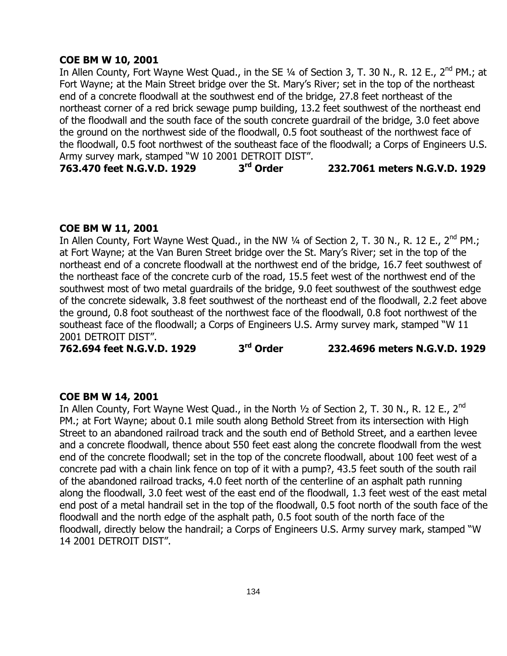## **COE BM W 10, 2001**

In Allen County, Fort Wayne West Quad., in the SE 1/4 of Section 3, T. 30 N., R. 12 E., 2<sup>nd</sup> PM.; at Fort Wayne; at the Main Street bridge over the St. Mary"s River; set in the top of the northeast end of a concrete floodwall at the southwest end of the bridge, 27.8 feet northeast of the northeast corner of a red brick sewage pump building, 13.2 feet southwest of the northeast end of the floodwall and the south face of the south concrete guardrail of the bridge, 3.0 feet above the ground on the northwest side of the floodwall, 0.5 foot southeast of the northwest face of the floodwall, 0.5 foot northwest of the southeast face of the floodwall; a Corps of Engineers U.S. Army survey mark, stamped "W 10 2001 DETROIT DIST".<br>763.470 feet N.G.V.D. 1929 3<sup>rd</sup> Order

**763.470 feet N.G.V.D. 1929 3 rd Order 232.7061 meters N.G.V.D. 1929**

#### **COE BM W 11, 2001**

In Allen County, Fort Wayne West Quad., in the NW 1/4 of Section 2, T. 30 N., R. 12 E., 2<sup>nd</sup> PM.; at Fort Wayne; at the Van Buren Street bridge over the St. Mary"s River; set in the top of the northeast end of a concrete floodwall at the northwest end of the bridge, 16.7 feet southwest of the northeast face of the concrete curb of the road, 15.5 feet west of the northwest end of the southwest most of two metal guardrails of the bridge, 9.0 feet southwest of the southwest edge of the concrete sidewalk, 3.8 feet southwest of the northeast end of the floodwall, 2.2 feet above the ground, 0.8 foot southeast of the northwest face of the floodwall, 0.8 foot northwest of the southeast face of the floodwall; a Corps of Engineers U.S. Army survey mark, stamped "W 11 2001 DETROIT DIST".

**762.694 feet N.G.V.D. 1929 3**

**rd Order 232.4696 meters N.G.V.D. 1929**

#### **COE BM W 14, 2001**

In Allen County, Fort Wayne West Quad., in the North 1/2 of Section 2, T. 30 N., R. 12 E., 2<sup>nd</sup> PM.; at Fort Wayne; about 0.1 mile south along Bethold Street from its intersection with High Street to an abandoned railroad track and the south end of Bethold Street, and a earthen levee and a concrete floodwall, thence about 550 feet east along the concrete floodwall from the west end of the concrete floodwall; set in the top of the concrete floodwall, about 100 feet west of a concrete pad with a chain link fence on top of it with a pump?, 43.5 feet south of the south rail of the abandoned railroad tracks, 4.0 feet north of the centerline of an asphalt path running along the floodwall, 3.0 feet west of the east end of the floodwall, 1.3 feet west of the east metal end post of a metal handrail set in the top of the floodwall, 0.5 foot north of the south face of the floodwall and the north edge of the asphalt path, 0.5 foot south of the north face of the floodwall, directly below the handrail; a Corps of Engineers U.S. Army survey mark, stamped "W 14 2001 DETROIT DIST".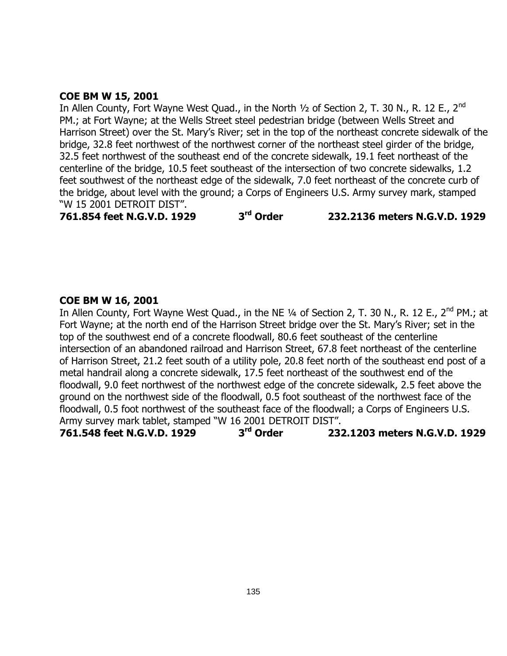#### **COE BM W 15, 2001**

In Allen County, Fort Wayne West Quad., in the North  $1/2$  of Section 2, T. 30 N., R. 12 E., 2<sup>nd</sup> PM.; at Fort Wayne; at the Wells Street steel pedestrian bridge (between Wells Street and Harrison Street) over the St. Mary"s River; set in the top of the northeast concrete sidewalk of the bridge, 32.8 feet northwest of the northwest corner of the northeast steel girder of the bridge, 32.5 feet northwest of the southeast end of the concrete sidewalk, 19.1 feet northeast of the centerline of the bridge, 10.5 feet southeast of the intersection of two concrete sidewalks, 1.2 feet southwest of the northeast edge of the sidewalk, 7.0 feet northeast of the concrete curb of the bridge, about level with the ground; a Corps of Engineers U.S. Army survey mark, stamped "W 15 2001 DETROIT DIST".

**761.854 feet N.G.V.D. 1929 3**

**rd Order 232.2136 meters N.G.V.D. 1929**

#### **COE BM W 16, 2001**

In Allen County, Fort Wayne West Quad., in the NE 1/4 of Section 2, T. 30 N., R. 12 E., 2<sup>nd</sup> PM.; at Fort Wayne; at the north end of the Harrison Street bridge over the St. Mary"s River; set in the top of the southwest end of a concrete floodwall, 80.6 feet southeast of the centerline intersection of an abandoned railroad and Harrison Street, 67.8 feet northeast of the centerline of Harrison Street, 21.2 feet south of a utility pole, 20.8 feet north of the southeast end post of a metal handrail along a concrete sidewalk, 17.5 feet northeast of the southwest end of the floodwall, 9.0 feet northwest of the northwest edge of the concrete sidewalk, 2.5 feet above the ground on the northwest side of the floodwall, 0.5 foot southeast of the northwest face of the floodwall, 0.5 foot northwest of the southeast face of the floodwall; a Corps of Engineers U.S. Army survey mark tablet, stamped "W 16 2001 DETROIT DIST".

**761.548 feet N.G.V.D. 1929 3 rd Order 232.1203 meters N.G.V.D. 1929**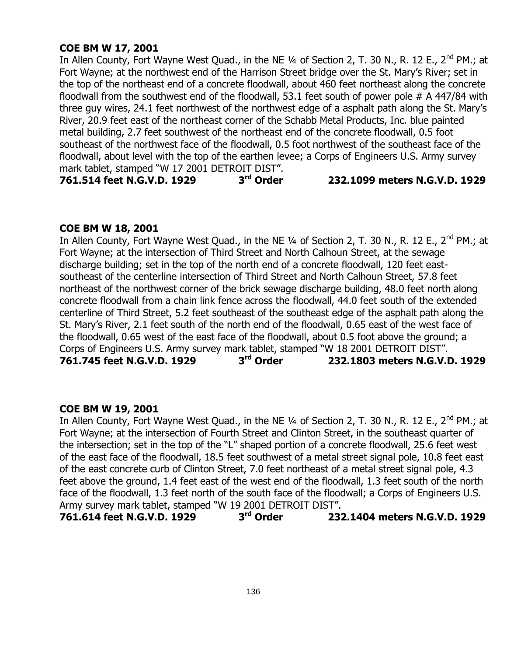# **COE BM W 17, 2001**

In Allen County, Fort Wayne West Quad., in the NE 1/4 of Section 2, T. 30 N., R. 12 E., 2<sup>nd</sup> PM.; at Fort Wayne; at the northwest end of the Harrison Street bridge over the St. Mary"s River; set in the top of the northeast end of a concrete floodwall, about 460 feet northeast along the concrete floodwall from the southwest end of the floodwall, 53.1 feet south of power pole # A 447/84 with three guy wires, 24.1 feet northwest of the northwest edge of a asphalt path along the St. Mary"s River, 20.9 feet east of the northeast corner of the Schabb Metal Products, Inc. blue painted metal building, 2.7 feet southwest of the northeast end of the concrete floodwall, 0.5 foot southeast of the northwest face of the floodwall, 0.5 foot northwest of the southeast face of the floodwall, about level with the top of the earthen levee; a Corps of Engineers U.S. Army survey mark tablet, stamped "W 17 2001 DETROIT DIST".

**761.514 feet N.G.V.D. 1929 3**

#### **rd Order 232.1099 meters N.G.V.D. 1929**

# **COE BM W 18, 2001**

In Allen County, Fort Wayne West Quad., in the NE 1/4 of Section 2, T. 30 N., R. 12 E., 2<sup>nd</sup> PM.; at Fort Wayne; at the intersection of Third Street and North Calhoun Street, at the sewage discharge building; set in the top of the north end of a concrete floodwall, 120 feet eastsoutheast of the centerline intersection of Third Street and North Calhoun Street, 57.8 feet northeast of the northwest corner of the brick sewage discharge building, 48.0 feet north along concrete floodwall from a chain link fence across the floodwall, 44.0 feet south of the extended centerline of Third Street, 5.2 feet southeast of the southeast edge of the asphalt path along the St. Mary"s River, 2.1 feet south of the north end of the floodwall, 0.65 east of the west face of the floodwall, 0.65 west of the east face of the floodwall, about 0.5 foot above the ground; a Corps of Engineers U.S. Army survey mark tablet, stamped "W 18 2001 DETROIT DIST". **761.745 feet N.G.V.D. 1929 3 rd Order 232.1803 meters N.G.V.D. 1929**

#### **COE BM W 19, 2001**

In Allen County, Fort Wayne West Quad., in the NE  $\frac{1}{4}$  of Section 2, T. 30 N., R. 12 E., 2<sup>nd</sup> PM.; at Fort Wayne; at the intersection of Fourth Street and Clinton Street, in the southeast quarter of the intersection; set in the top of the "L" shaped portion of a concrete floodwall, 25.6 feet west of the east face of the floodwall, 18.5 feet southwest of a metal street signal pole, 10.8 feet east of the east concrete curb of Clinton Street, 7.0 feet northeast of a metal street signal pole, 4.3 feet above the ground, 1.4 feet east of the west end of the floodwall, 1.3 feet south of the north face of the floodwall, 1.3 feet north of the south face of the floodwall; a Corps of Engineers U.S. Army survey mark tablet, stamped "W 19 2001 DETROIT DIST".

**761.614 feet N.G.V.D. 1929 3 rd Order 232.1404 meters N.G.V.D. 1929**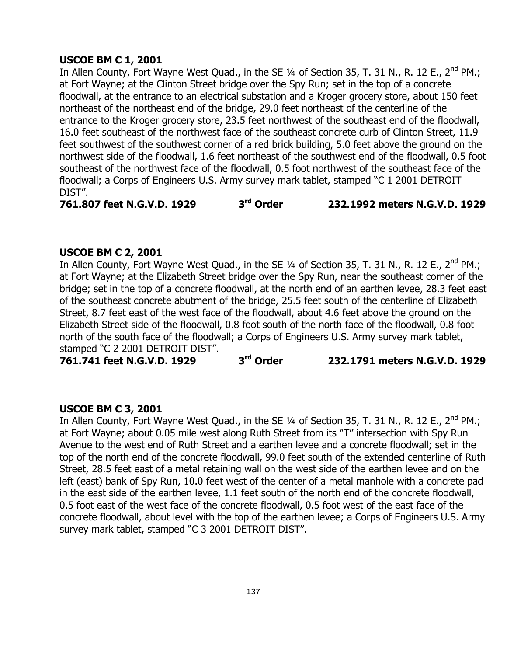# **USCOE BM C 1, 2001**

In Allen County, Fort Wayne West Quad., in the SE  $\frac{1}{4}$  of Section 35, T. 31 N., R. 12 E., 2<sup>nd</sup> PM.; at Fort Wayne; at the Clinton Street bridge over the Spy Run; set in the top of a concrete floodwall, at the entrance to an electrical substation and a Kroger grocery store, about 150 feet northeast of the northeast end of the bridge, 29.0 feet northeast of the centerline of the entrance to the Kroger grocery store, 23.5 feet northwest of the southeast end of the floodwall, 16.0 feet southeast of the northwest face of the southeast concrete curb of Clinton Street, 11.9 feet southwest of the southwest corner of a red brick building, 5.0 feet above the ground on the northwest side of the floodwall, 1.6 feet northeast of the southwest end of the floodwall, 0.5 foot southeast of the northwest face of the floodwall, 0.5 foot northwest of the southeast face of the floodwall; a Corps of Engineers U.S. Army survey mark tablet, stamped "C 1 2001 DETROIT DIST".

**761.807 feet N.G.V.D. 1929 3 rd Order 232.1992 meters N.G.V.D. 1929**

#### **USCOE BM C 2, 2001**

In Allen County, Fort Wayne West Quad., in the SE 1/4 of Section 35, T. 31 N., R. 12 E., 2<sup>nd</sup> PM.; at Fort Wayne; at the Elizabeth Street bridge over the Spy Run, near the southeast corner of the bridge; set in the top of a concrete floodwall, at the north end of an earthen levee, 28.3 feet east of the southeast concrete abutment of the bridge, 25.5 feet south of the centerline of Elizabeth Street, 8.7 feet east of the west face of the floodwall, about 4.6 feet above the ground on the Elizabeth Street side of the floodwall, 0.8 foot south of the north face of the floodwall, 0.8 foot north of the south face of the floodwall; a Corps of Engineers U.S. Army survey mark tablet, stamped "C 2 2001 DETROIT DIST".

**761.741 feet N.G.V.D. 1929 3**

**rd Order 232.1791 meters N.G.V.D. 1929**

#### **USCOE BM C 3, 2001**

In Allen County, Fort Wayne West Quad., in the SE  $\frac{1}{4}$  of Section 35, T. 31 N., R. 12 E., 2<sup>nd</sup> PM.; at Fort Wayne; about 0.05 mile west along Ruth Street from its "T" intersection with Spy Run Avenue to the west end of Ruth Street and a earthen levee and a concrete floodwall; set in the top of the north end of the concrete floodwall, 99.0 feet south of the extended centerline of Ruth Street, 28.5 feet east of a metal retaining wall on the west side of the earthen levee and on the left (east) bank of Spy Run, 10.0 feet west of the center of a metal manhole with a concrete pad in the east side of the earthen levee, 1.1 feet south of the north end of the concrete floodwall, 0.5 foot east of the west face of the concrete floodwall, 0.5 foot west of the east face of the concrete floodwall, about level with the top of the earthen levee; a Corps of Engineers U.S. Army survey mark tablet, stamped "C 3 2001 DETROIT DIST".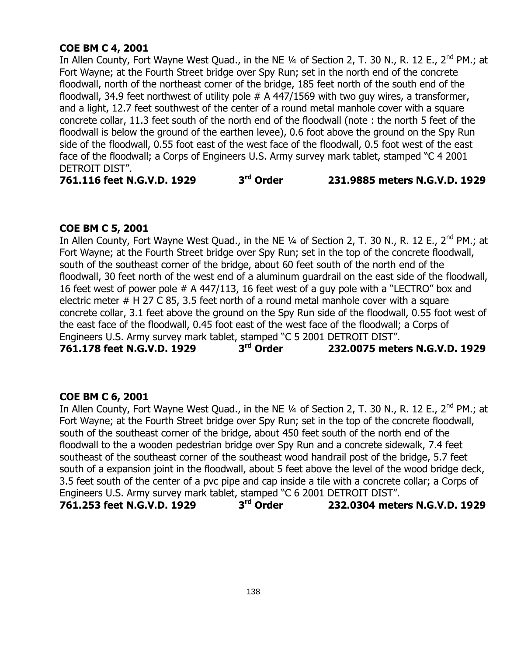# **COE BM C 4, 2001**

In Allen County, Fort Wayne West Quad., in the NE 1/4 of Section 2, T. 30 N., R. 12 E., 2<sup>nd</sup> PM.; at Fort Wayne; at the Fourth Street bridge over Spy Run; set in the north end of the concrete floodwall, north of the northeast corner of the bridge, 185 feet north of the south end of the floodwall, 34.9 feet northwest of utility pole  $# A$  447/1569 with two guy wires, a transformer, and a light, 12.7 feet southwest of the center of a round metal manhole cover with a square concrete collar, 11.3 feet south of the north end of the floodwall (note : the north 5 feet of the floodwall is below the ground of the earthen levee), 0.6 foot above the ground on the Spy Run side of the floodwall, 0.55 foot east of the west face of the floodwall, 0.5 foot west of the east face of the floodwall; a Corps of Engineers U.S. Army survey mark tablet, stamped "C 4 2001 DETROIT DIST".

**761.116 feet N.G.V.D. 1929 3 rd Order 231.9885 meters N.G.V.D. 1929**

# **COE BM C 5, 2001**

In Allen County, Fort Wayne West Quad., in the NE 1/4 of Section 2, T. 30 N., R. 12 E., 2<sup>nd</sup> PM.; at Fort Wayne; at the Fourth Street bridge over Spy Run; set in the top of the concrete floodwall, south of the southeast corner of the bridge, about 60 feet south of the north end of the floodwall, 30 feet north of the west end of a aluminum guardrail on the east side of the floodwall, 16 feet west of power pole # A 447/113, 16 feet west of a guy pole with a "LECTRO" box and electric meter # H 27 C 85, 3.5 feet north of a round metal manhole cover with a square concrete collar, 3.1 feet above the ground on the Spy Run side of the floodwall, 0.55 foot west of the east face of the floodwall, 0.45 foot east of the west face of the floodwall; a Corps of Engineers U.S. Army survey mark tablet, stamped "C 5 2001 DETROIT DIST".<br>761.178 feet N.G.V.D. 1929 3<sup>rd</sup> Order 232.0075 mete

**761.178 feet N.G.V.D. 1929 3 rd Order 232.0075 meters N.G.V.D. 1929**

# **COE BM C 6, 2001**

In Allen County, Fort Wayne West Quad., in the NE 1/4 of Section 2, T. 30 N., R. 12 E., 2<sup>nd</sup> PM.; at Fort Wayne; at the Fourth Street bridge over Spy Run; set in the top of the concrete floodwall, south of the southeast corner of the bridge, about 450 feet south of the north end of the floodwall to the a wooden pedestrian bridge over Spy Run and a concrete sidewalk, 7.4 feet southeast of the southeast corner of the southeast wood handrail post of the bridge, 5.7 feet south of a expansion joint in the floodwall, about 5 feet above the level of the wood bridge deck, 3.5 feet south of the center of a pvc pipe and cap inside a tile with a concrete collar; a Corps of Engineers U.S. Army survey mark tablet, stamped "C 6 2001 DETROIT DIST". **761.253 feet N.G.V.D. 1929 3 rd Order 232.0304 meters N.G.V.D. 1929**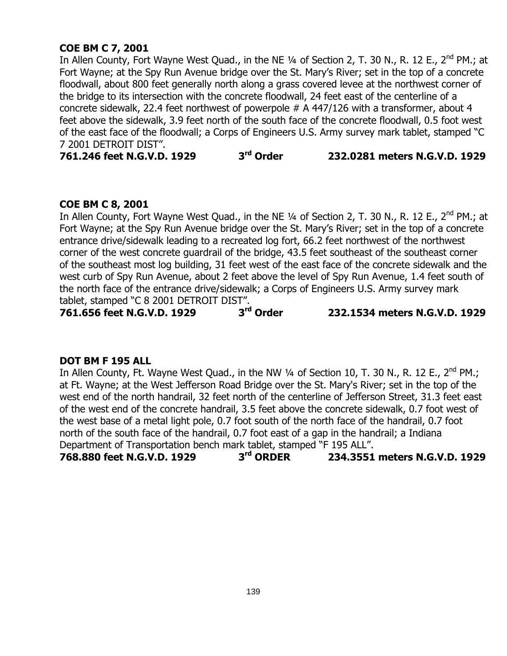# **COE BM C 7, 2001**

In Allen County, Fort Wayne West Quad., in the NE 1/4 of Section 2, T. 30 N., R. 12 E., 2<sup>nd</sup> PM.; at Fort Wayne; at the Spy Run Avenue bridge over the St. Mary's River; set in the top of a concrete floodwall, about 800 feet generally north along a grass covered levee at the northwest corner of the bridge to its intersection with the concrete floodwall, 24 feet east of the centerline of a concrete sidewalk, 22.4 feet northwest of powerpole # A 447/126 with a transformer, about 4 feet above the sidewalk, 3.9 feet north of the south face of the concrete floodwall, 0.5 foot west of the east face of the floodwall; a Corps of Engineers U.S. Army survey mark tablet, stamped "C 7 2001 DETROIT DIST".

**761.246 feet N.G.V.D. 1929 3 rd Order 232.0281 meters N.G.V.D. 1929**

# **COE BM C 8, 2001**

In Allen County, Fort Wayne West Quad., in the NE 1/4 of Section 2, T. 30 N., R. 12 E., 2<sup>nd</sup> PM.; at Fort Wayne; at the Spy Run Avenue bridge over the St. Mary"s River; set in the top of a concrete entrance drive/sidewalk leading to a recreated log fort, 66.2 feet northwest of the northwest corner of the west concrete guardrail of the bridge, 43.5 feet southeast of the southeast corner of the southeast most log building, 31 feet west of the east face of the concrete sidewalk and the west curb of Spy Run Avenue, about 2 feet above the level of Spy Run Avenue, 1.4 feet south of the north face of the entrance drive/sidewalk; a Corps of Engineers U.S. Army survey mark tablet, stamped "C 8 2001 DETROIT DIST".

**761.656 feet N.G.V.D. 1929 3**

**rd Order 232.1534 meters N.G.V.D. 1929**

#### **DOT BM F 195 ALL**

In Allen County, Ft. Wayne West Quad., in the NW  $\frac{1}{4}$  of Section 10, T. 30 N., R. 12 E., 2<sup>nd</sup> PM.; at Ft. Wayne; at the West Jefferson Road Bridge over the St. Mary's River; set in the top of the west end of the north handrail, 32 feet north of the centerline of Jefferson Street, 31.3 feet east of the west end of the concrete handrail, 3.5 feet above the concrete sidewalk, 0.7 foot west of the west base of a metal light pole, 0.7 foot south of the north face of the handrail, 0.7 foot north of the south face of the handrail, 0.7 foot east of a gap in the handrail; a Indiana Department of Transportation bench mark tablet, stamped "F 195 ALL".

**768.880 feet N.G.V.D. 1929 3 rd ORDER 234.3551 meters N.G.V.D. 1929**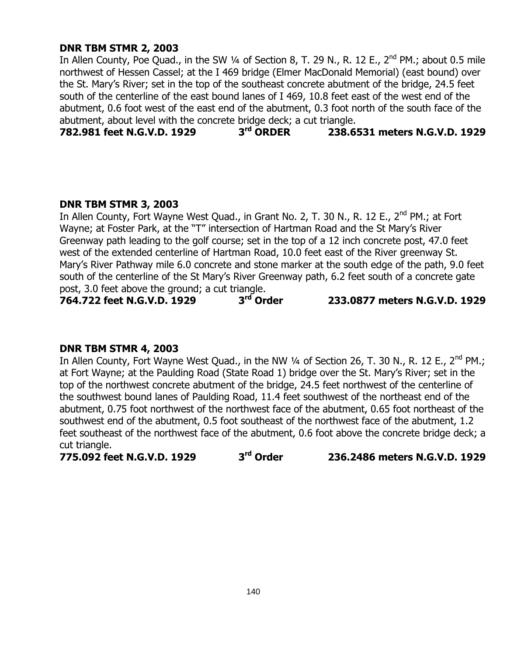# **DNR TBM STMR 2, 2003**

In Allen County, Poe Quad., in the SW  $\frac{1}{4}$  of Section 8, T. 29 N., R. 12 E., 2<sup>nd</sup> PM.; about 0.5 mile northwest of Hessen Cassel; at the I 469 bridge (Elmer MacDonald Memorial) (east bound) over the St. Mary"s River; set in the top of the southeast concrete abutment of the bridge, 24.5 feet south of the centerline of the east bound lanes of I 469, 10.8 feet east of the west end of the abutment, 0.6 foot west of the east end of the abutment, 0.3 foot north of the south face of the abutment, about level with the concrete bridge deck; a cut triangle.<br>782.981 feet N.G.V.D. 1929 3<sup>rd</sup> ORDER 238.6

**782.981 feet N.G.V.D. 1929 3 rd ORDER 238.6531 meters N.G.V.D. 1929**

#### **DNR TBM STMR 3, 2003**

In Allen County, Fort Wayne West Ouad., in Grant No. 2, T. 30 N., R. 12 E., 2<sup>nd</sup> PM.; at Fort Wayne; at Foster Park, at the "T" intersection of Hartman Road and the St Mary"s River Greenway path leading to the golf course; set in the top of a 12 inch concrete post, 47.0 feet west of the extended centerline of Hartman Road, 10.0 feet east of the River greenway St. Mary"s River Pathway mile 6.0 concrete and stone marker at the south edge of the path, 9.0 feet south of the centerline of the St Mary's River Greenway path, 6.2 feet south of a concrete gate post, 3.0 feet above the ground; a cut triangle.<br>**764.722 feet N.G.V.D. 1929** 3<sup>rd</sup> Order

**764.722 feet N.G.V.D. 1929 3**

```
rd Order 233.0877 meters N.G.V.D. 1929
```
#### **DNR TBM STMR 4, 2003**

In Allen County, Fort Wayne West Quad., in the NW 1/4 of Section 26, T. 30 N., R. 12 E., 2<sup>nd</sup> PM.; at Fort Wayne; at the Paulding Road (State Road 1) bridge over the St. Mary"s River; set in the top of the northwest concrete abutment of the bridge, 24.5 feet northwest of the centerline of the southwest bound lanes of Paulding Road, 11.4 feet southwest of the northeast end of the abutment, 0.75 foot northwest of the northwest face of the abutment, 0.65 foot northeast of the southwest end of the abutment, 0.5 foot southeast of the northwest face of the abutment, 1.2 feet southeast of the northwest face of the abutment, 0.6 foot above the concrete bridge deck; a cut triangle.

**775.092 feet N.G.V.D. 1929 3 rd Order 236.2486 meters N.G.V.D. 1929**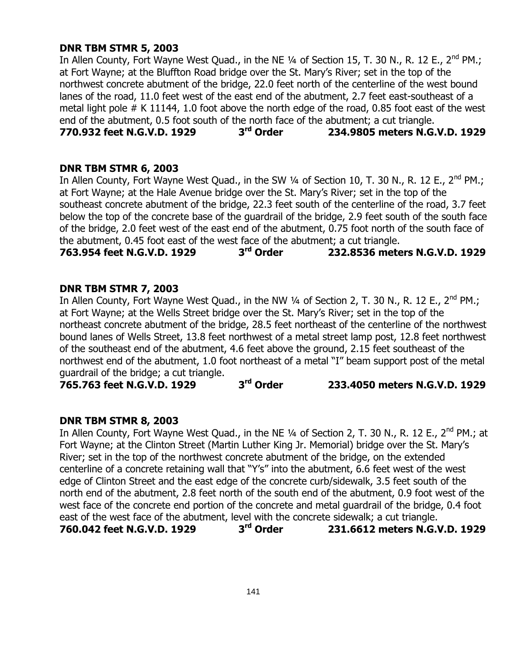# **DNR TBM STMR 5, 2003**

In Allen County, Fort Wayne West Quad., in the NE  $\frac{1}{4}$  of Section 15, T. 30 N., R. 12 E., 2<sup>nd</sup> PM.; at Fort Wayne; at the Bluffton Road bridge over the St. Mary"s River; set in the top of the northwest concrete abutment of the bridge, 22.0 feet north of the centerline of the west bound lanes of the road, 11.0 feet west of the east end of the abutment, 2.7 feet east-southeast of a metal light pole # K 11144, 1.0 foot above the north edge of the road, 0.85 foot east of the west end of the abutment,  $0.5$  foot south of the north face of the abutment; a cut triangle.<br>**770.932 feet N.G.V.D. 1929** 3<sup>rd</sup> Order 234.9805 meters N.G. **770.932 feet N.G.V.D. 1929 3 rd Order 234.9805 meters N.G.V.D. 1929**

#### **DNR TBM STMR 6, 2003**

In Allen County, Fort Wayne West Quad., in the SW 1/4 of Section 10, T. 30 N., R. 12 E., 2<sup>nd</sup> PM.; at Fort Wayne; at the Hale Avenue bridge over the St. Mary"s River; set in the top of the southeast concrete abutment of the bridge, 22.3 feet south of the centerline of the road, 3.7 feet below the top of the concrete base of the guardrail of the bridge, 2.9 feet south of the south face of the bridge, 2.0 feet west of the east end of the abutment, 0.75 foot north of the south face of the abutment, 0.45 foot east of the west face of the abutment; a cut triangle.<br>763.954 feet N.G.V.D. 1929 3<sup>rd</sup> Order 232.8536 mete

**763.954 feet N.G.V.D. 1929 3 rd Order 232.8536 meters N.G.V.D. 1929**

#### **DNR TBM STMR 7, 2003**

In Allen County, Fort Wayne West Quad., in the NW  $\frac{1}{4}$  of Section 2, T. 30 N., R. 12 E., 2<sup>nd</sup> PM.; at Fort Wayne; at the Wells Street bridge over the St. Mary"s River; set in the top of the northeast concrete abutment of the bridge, 28.5 feet northeast of the centerline of the northwest bound lanes of Wells Street, 13.8 feet northwest of a metal street lamp post, 12.8 feet northwest of the southeast end of the abutment, 4.6 feet above the ground, 2.15 feet southeast of the northwest end of the abutment, 1.0 foot northeast of a metal "I" beam support post of the metal guardrail of the bridge; a cut triangle.

**765.763 feet N.G.V.D. 1929 3 rd Order 233.4050 meters N.G.V.D. 1929**

# **DNR TBM STMR 8, 2003**

In Allen County, Fort Wayne West Quad., in the NE 1/4 of Section 2, T. 30 N., R. 12 E., 2<sup>nd</sup> PM.; at Fort Wayne; at the Clinton Street (Martin Luther King Jr. Memorial) bridge over the St. Mary"s River; set in the top of the northwest concrete abutment of the bridge, on the extended centerline of a concrete retaining wall that "Y"s" into the abutment, 6.6 feet west of the west edge of Clinton Street and the east edge of the concrete curb/sidewalk, 3.5 feet south of the north end of the abutment, 2.8 feet north of the south end of the abutment, 0.9 foot west of the west face of the concrete end portion of the concrete and metal guardrail of the bridge, 0.4 foot east of the west face of the abutment, level with the concrete sidewalk; a cut triangle. **760.042 feet N.G.V.D. 1929 3 rd Order 231.6612 meters N.G.V.D. 1929**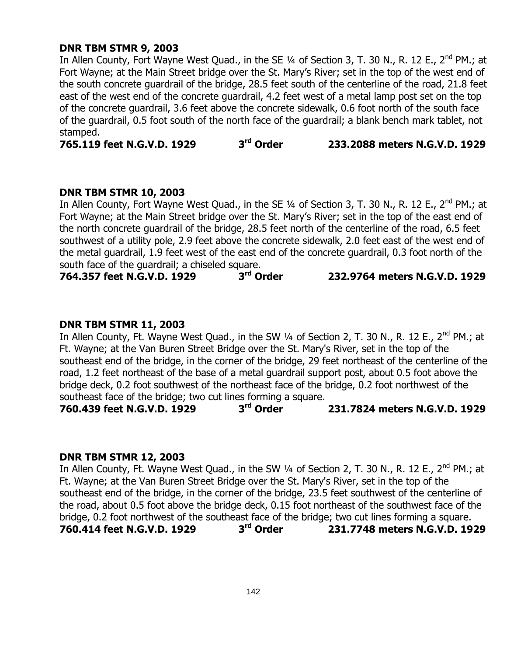#### **DNR TBM STMR 9, 2003**

In Allen County, Fort Wayne West Quad., in the SE 1/4 of Section 3, T. 30 N., R. 12 E., 2<sup>nd</sup> PM.; at Fort Wayne; at the Main Street bridge over the St. Mary"s River; set in the top of the west end of the south concrete guardrail of the bridge, 28.5 feet south of the centerline of the road, 21.8 feet east of the west end of the concrete guardrail, 4.2 feet west of a metal lamp post set on the top of the concrete guardrail, 3.6 feet above the concrete sidewalk, 0.6 foot north of the south face of the guardrail, 0.5 foot south of the north face of the guardrail; a blank bench mark tablet, not stamped.

**765.119 feet N.G.V.D. 1929 3 rd Order 233.2088 meters N.G.V.D. 1929**

#### **DNR TBM STMR 10, 2003**

In Allen County, Fort Wayne West Quad., in the SE 1/4 of Section 3, T. 30 N., R. 12 E., 2<sup>nd</sup> PM.; at Fort Wayne; at the Main Street bridge over the St. Mary"s River; set in the top of the east end of the north concrete guardrail of the bridge, 28.5 feet north of the centerline of the road, 6.5 feet southwest of a utility pole, 2.9 feet above the concrete sidewalk, 2.0 feet east of the west end of the metal guardrail, 1.9 feet west of the east end of the concrete guardrail, 0.3 foot north of the south face of the guardrail; a chiseled square.

**764.357 feet N.G.V.D. 1929 3 rd Order 232.9764 meters N.G.V.D. 1929**

## **DNR TBM STMR 11, 2003**

In Allen County, Ft. Wayne West Quad., in the SW 1/4 of Section 2, T. 30 N., R. 12 E., 2<sup>nd</sup> PM.; at Ft. Wayne; at the Van Buren Street Bridge over the St. Mary's River, set in the top of the southeast end of the bridge, in the corner of the bridge, 29 feet northeast of the centerline of the road, 1.2 feet northeast of the base of a metal guardrail support post, about 0.5 foot above the bridge deck, 0.2 foot southwest of the northeast face of the bridge, 0.2 foot northwest of the southeast face of the bridge; two cut lines forming a square.

**760.439 feet N.G.V.D. 1929 3 rd Order 231.7824 meters N.G.V.D. 1929**

#### **DNR TBM STMR 12, 2003**

In Allen County, Ft. Wayne West Quad., in the SW  $\frac{1}{4}$  of Section 2, T. 30 N., R. 12 E., 2<sup>nd</sup> PM.; at Ft. Wayne; at the Van Buren Street Bridge over the St. Mary's River, set in the top of the southeast end of the bridge, in the corner of the bridge, 23.5 feet southwest of the centerline of the road, about 0.5 foot above the bridge deck, 0.15 foot northeast of the southwest face of the bridge, 0.2 foot northwest of the southeast face of the bridge; two cut lines forming a square. **760.414 feet N.G.V.D. 1929 3 rd Order 231.7748 meters N.G.V.D. 1929**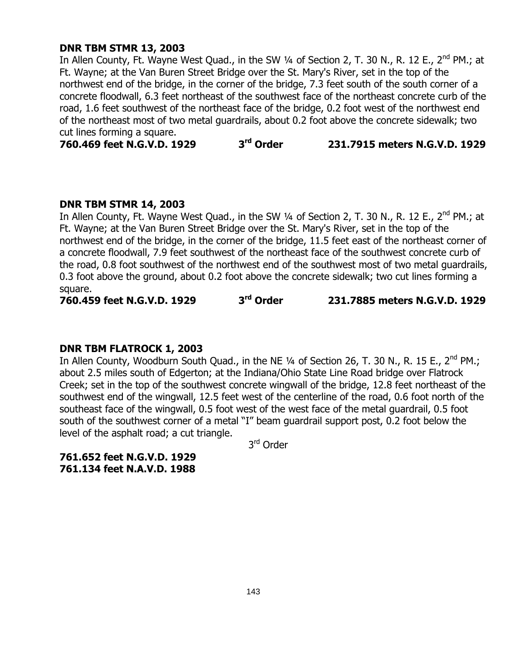## **DNR TBM STMR 13, 2003**

In Allen County, Ft. Wayne West Quad., in the SW  $\frac{1}{4}$  of Section 2, T. 30 N., R. 12 E., 2<sup>nd</sup> PM.; at Ft. Wayne; at the Van Buren Street Bridge over the St. Mary's River, set in the top of the northwest end of the bridge, in the corner of the bridge, 7.3 feet south of the south corner of a concrete floodwall, 6.3 feet northeast of the southwest face of the northeast concrete curb of the road, 1.6 feet southwest of the northeast face of the bridge, 0.2 foot west of the northwest end of the northeast most of two metal guardrails, about 0.2 foot above the concrete sidewalk; two cut lines forming a square.

**760.469 feet N.G.V.D. 1929 3 rd Order 231.7915 meters N.G.V.D. 1929**

#### **DNR TBM STMR 14, 2003**

In Allen County, Ft. Wayne West Quad., in the SW 1/4 of Section 2, T. 30 N., R. 12 E., 2<sup>nd</sup> PM.; at Ft. Wayne; at the Van Buren Street Bridge over the St. Mary's River, set in the top of the northwest end of the bridge, in the corner of the bridge, 11.5 feet east of the northeast corner of a concrete floodwall, 7.9 feet southwest of the northeast face of the southwest concrete curb of the road, 0.8 foot southwest of the northwest end of the southwest most of two metal guardrails, 0.3 foot above the ground, about 0.2 foot above the concrete sidewalk; two cut lines forming a square.

**760.459 feet N.G.V.D. 1929 3 rd Order 231.7885 meters N.G.V.D. 1929**

#### **DNR TBM FLATROCK 1, 2003**

In Allen County, Woodburn South Quad., in the NE 1/4 of Section 26, T. 30 N., R. 15 E., 2<sup>nd</sup> PM.; about 2.5 miles south of Edgerton; at the Indiana/Ohio State Line Road bridge over Flatrock Creek; set in the top of the southwest concrete wingwall of the bridge, 12.8 feet northeast of the southwest end of the wingwall, 12.5 feet west of the centerline of the road, 0.6 foot north of the southeast face of the wingwall, 0.5 foot west of the west face of the metal guardrail, 0.5 foot south of the southwest corner of a metal "I" beam guardrail support post, 0.2 foot below the level of the asphalt road; a cut triangle.

3<sup>rd</sup> Order

**761.652 feet N.G.V.D. 1929 761.134 feet N.A.V.D. 1988**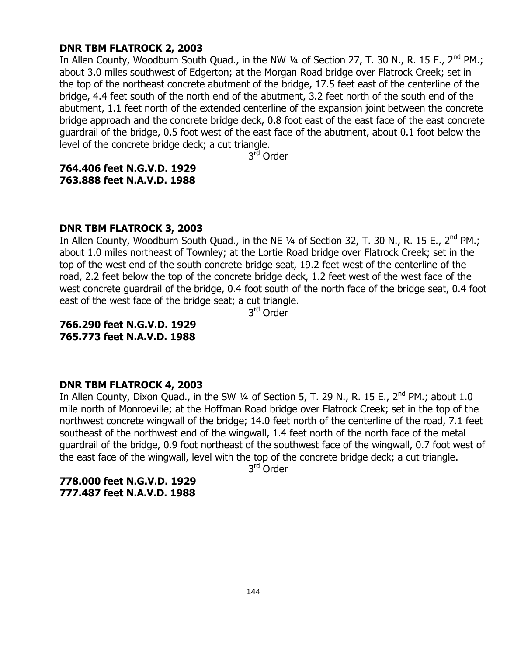#### **DNR TBM FLATROCK 2, 2003**

In Allen County, Woodburn South Quad., in the NW  $\frac{1}{4}$  of Section 27, T. 30 N., R. 15 E., 2<sup>nd</sup> PM.; about 3.0 miles southwest of Edgerton; at the Morgan Road bridge over Flatrock Creek; set in the top of the northeast concrete abutment of the bridge, 17.5 feet east of the centerline of the bridge, 4.4 feet south of the north end of the abutment, 3.2 feet north of the south end of the abutment, 1.1 feet north of the extended centerline of the expansion joint between the concrete bridge approach and the concrete bridge deck, 0.8 foot east of the east face of the east concrete guardrail of the bridge, 0.5 foot west of the east face of the abutment, about 0.1 foot below the level of the concrete bridge deck; a cut triangle.

3<sup>rd</sup> Order

**764.406 feet N.G.V.D. 1929 763.888 feet N.A.V.D. 1988**

#### **DNR TBM FLATROCK 3, 2003**

In Allen County, Woodburn South Quad., in the NE 1/4 of Section 32, T. 30 N., R. 15 E., 2<sup>nd</sup> PM.; about 1.0 miles northeast of Townley; at the Lortie Road bridge over Flatrock Creek; set in the top of the west end of the south concrete bridge seat, 19.2 feet west of the centerline of the road, 2.2 feet below the top of the concrete bridge deck, 1.2 feet west of the west face of the west concrete guardrail of the bridge, 0.4 foot south of the north face of the bridge seat, 0.4 foot east of the west face of the bridge seat; a cut triangle.

3<sup>rd</sup> Order

**766.290 feet N.G.V.D. 1929 765.773 feet N.A.V.D. 1988**

#### **DNR TBM FLATROCK 4, 2003**

In Allen County, Dixon Quad., in the SW 1/4 of Section 5, T. 29 N., R. 15 E., 2<sup>nd</sup> PM.; about 1.0 mile north of Monroeville; at the Hoffman Road bridge over Flatrock Creek; set in the top of the northwest concrete wingwall of the bridge; 14.0 feet north of the centerline of the road, 7.1 feet southeast of the northwest end of the wingwall, 1.4 feet north of the north face of the metal guardrail of the bridge, 0.9 foot northeast of the southwest face of the wingwall, 0.7 foot west of the east face of the wingwall, level with the top of the concrete bridge deck; a cut triangle.

3<sup>rd</sup> Order

**778.000 feet N.G.V.D. 1929 777.487 feet N.A.V.D. 1988**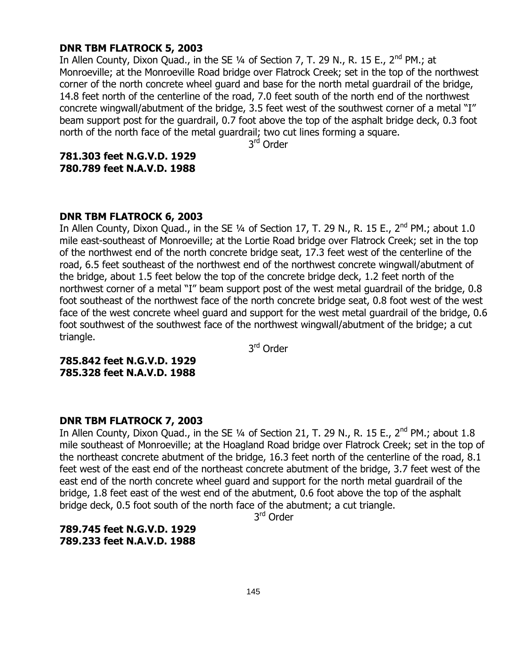#### **DNR TBM FLATROCK 5, 2003**

In Allen County, Dixon Quad., in the SE  $1/4$  of Section 7, T. 29 N., R. 15 E., 2<sup>nd</sup> PM.; at Monroeville; at the Monroeville Road bridge over Flatrock Creek; set in the top of the northwest corner of the north concrete wheel guard and base for the north metal guardrail of the bridge, 14.8 feet north of the centerline of the road, 7.0 feet south of the north end of the northwest concrete wingwall/abutment of the bridge, 3.5 feet west of the southwest corner of a metal "I" beam support post for the guardrail, 0.7 foot above the top of the asphalt bridge deck, 0.3 foot north of the north face of the metal guardrail; two cut lines forming a square.

3<sup>rd</sup> Order

#### **781.303 feet N.G.V.D. 1929 780.789 feet N.A.V.D. 1988**

#### **DNR TBM FLATROCK 6, 2003**

In Allen County, Dixon Quad., in the SE 1/4 of Section 17, T. 29 N., R. 15 E., 2<sup>nd</sup> PM.; about 1.0 mile east-southeast of Monroeville; at the Lortie Road bridge over Flatrock Creek; set in the top of the northwest end of the north concrete bridge seat, 17.3 feet west of the centerline of the road, 6.5 feet southeast of the northwest end of the northwest concrete wingwall/abutment of the bridge, about 1.5 feet below the top of the concrete bridge deck, 1.2 feet north of the northwest corner of a metal "I" beam support post of the west metal guardrail of the bridge, 0.8 foot southeast of the northwest face of the north concrete bridge seat, 0.8 foot west of the west face of the west concrete wheel guard and support for the west metal guardrail of the bridge, 0.6 foot southwest of the southwest face of the northwest wingwall/abutment of the bridge; a cut triangle.

3<sup>rd</sup> Order

**785.842 feet N.G.V.D. 1929 785.328 feet N.A.V.D. 1988**

#### **DNR TBM FLATROCK 7, 2003**

In Allen County, Dixon Quad., in the SE  $\frac{1}{4}$  of Section 21, T. 29 N., R. 15 E., 2<sup>nd</sup> PM.; about 1.8 mile southeast of Monroeville; at the Hoagland Road bridge over Flatrock Creek; set in the top of the northeast concrete abutment of the bridge, 16.3 feet north of the centerline of the road, 8.1 feet west of the east end of the northeast concrete abutment of the bridge, 3.7 feet west of the east end of the north concrete wheel guard and support for the north metal guardrail of the bridge, 1.8 feet east of the west end of the abutment, 0.6 foot above the top of the asphalt bridge deck, 0.5 foot south of the north face of the abutment; a cut triangle.

3<sup>rd</sup> Order

**789.745 feet N.G.V.D. 1929 789.233 feet N.A.V.D. 1988**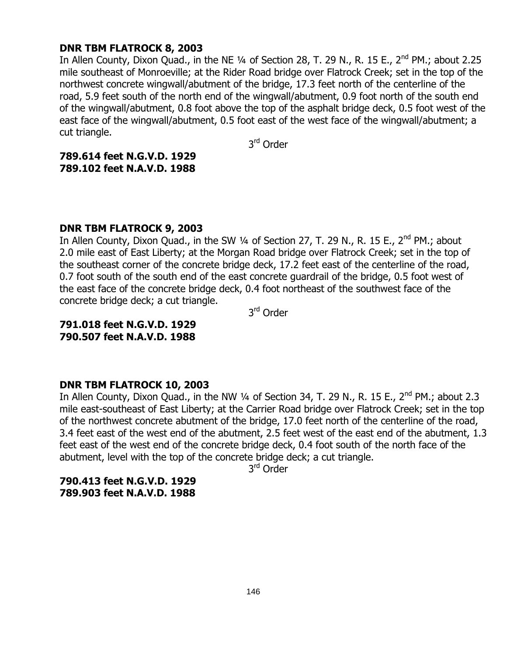## **DNR TBM FLATROCK 8, 2003**

In Allen County, Dixon Quad., in the NE 1/4 of Section 28, T. 29 N., R. 15 E., 2<sup>nd</sup> PM.; about 2.25 mile southeast of Monroeville; at the Rider Road bridge over Flatrock Creek; set in the top of the northwest concrete wingwall/abutment of the bridge, 17.3 feet north of the centerline of the road, 5.9 feet south of the north end of the wingwall/abutment, 0.9 foot north of the south end of the wingwall/abutment, 0.8 foot above the top of the asphalt bridge deck, 0.5 foot west of the east face of the wingwall/abutment, 0.5 foot east of the west face of the wingwall/abutment; a cut triangle.

3<sup>rd</sup> Order

**789.614 feet N.G.V.D. 1929 789.102 feet N.A.V.D. 1988**

## **DNR TBM FLATROCK 9, 2003**

In Allen County, Dixon Quad., in the SW 1/4 of Section 27, T. 29 N., R. 15 E., 2<sup>nd</sup> PM.; about 2.0 mile east of East Liberty; at the Morgan Road bridge over Flatrock Creek; set in the top of the southeast corner of the concrete bridge deck, 17.2 feet east of the centerline of the road, 0.7 foot south of the south end of the east concrete guardrail of the bridge, 0.5 foot west of the east face of the concrete bridge deck, 0.4 foot northeast of the southwest face of the concrete bridge deck; a cut triangle.

3<sup>rd</sup> Order

**791.018 feet N.G.V.D. 1929 790.507 feet N.A.V.D. 1988**

## **DNR TBM FLATROCK 10, 2003**

In Allen County, Dixon Quad., in the NW 1/4 of Section 34, T. 29 N., R. 15 E., 2<sup>nd</sup> PM.; about 2.3 mile east-southeast of East Liberty; at the Carrier Road bridge over Flatrock Creek; set in the top of the northwest concrete abutment of the bridge, 17.0 feet north of the centerline of the road, 3.4 feet east of the west end of the abutment, 2.5 feet west of the east end of the abutment, 1.3 feet east of the west end of the concrete bridge deck, 0.4 foot south of the north face of the abutment, level with the top of the concrete bridge deck; a cut triangle.

3<sup>rd</sup> Order

**790.413 feet N.G.V.D. 1929 789.903 feet N.A.V.D. 1988**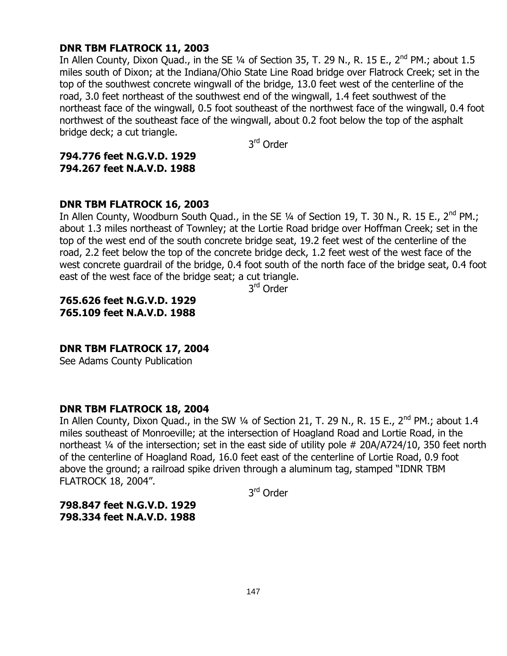## **DNR TBM FLATROCK 11, 2003**

In Allen County, Dixon Quad., in the SE 1/4 of Section 35, T. 29 N., R. 15 E., 2<sup>nd</sup> PM.; about 1.5 miles south of Dixon; at the Indiana/Ohio State Line Road bridge over Flatrock Creek; set in the top of the southwest concrete wingwall of the bridge, 13.0 feet west of the centerline of the road, 3.0 feet northeast of the southwest end of the wingwall, 1.4 feet southwest of the northeast face of the wingwall, 0.5 foot southeast of the northwest face of the wingwall, 0.4 foot northwest of the southeast face of the wingwall, about 0.2 foot below the top of the asphalt bridge deck; a cut triangle.

3<sup>rd</sup> Order

## **794.776 feet N.G.V.D. 1929 794.267 feet N.A.V.D. 1988**

## **DNR TBM FLATROCK 16, 2003**

In Allen County, Woodburn South Quad., in the SE 1/4 of Section 19, T. 30 N., R. 15 E., 2<sup>nd</sup> PM.; about 1.3 miles northeast of Townley; at the Lortie Road bridge over Hoffman Creek; set in the top of the west end of the south concrete bridge seat, 19.2 feet west of the centerline of the road, 2.2 feet below the top of the concrete bridge deck, 1.2 feet west of the west face of the west concrete guardrail of the bridge, 0.4 foot south of the north face of the bridge seat, 0.4 foot east of the west face of the bridge seat; a cut triangle.

3<sup>rd</sup> Order

**765.626 feet N.G.V.D. 1929 765.109 feet N.A.V.D. 1988**

**DNR TBM FLATROCK 17, 2004**

See Adams County Publication

## **DNR TBM FLATROCK 18, 2004**

In Allen County, Dixon Quad., in the SW 1/4 of Section 21, T. 29 N., R. 15 E., 2<sup>nd</sup> PM.; about 1.4 miles southeast of Monroeville; at the intersection of Hoagland Road and Lortie Road, in the northeast ¼ of the intersection; set in the east side of utility pole # 20A/A724/10, 350 feet north of the centerline of Hoagland Road, 16.0 feet east of the centerline of Lortie Road, 0.9 foot above the ground; a railroad spike driven through a aluminum tag, stamped "IDNR TBM FLATROCK 18, 2004".

3<sup>rd</sup> Order

**798.847 feet N.G.V.D. 1929 798.334 feet N.A.V.D. 1988**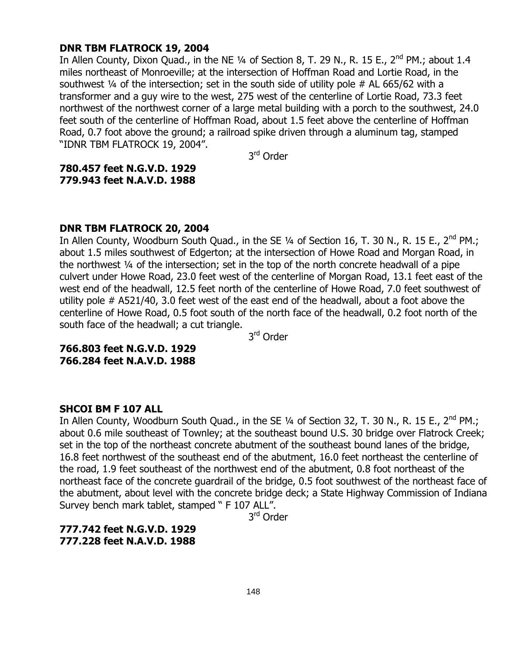#### **DNR TBM FLATROCK 19, 2004**

In Allen County, Dixon Quad., in the NE  $\frac{1}{4}$  of Section 8, T. 29 N., R. 15 E., 2<sup>nd</sup> PM.; about 1.4 miles northeast of Monroeville; at the intersection of Hoffman Road and Lortie Road, in the southwest  $\frac{1}{4}$  of the intersection; set in the south side of utility pole # AL 665/62 with a transformer and a guy wire to the west, 275 west of the centerline of Lortie Road, 73.3 feet northwest of the northwest corner of a large metal building with a porch to the southwest, 24.0 feet south of the centerline of Hoffman Road, about 1.5 feet above the centerline of Hoffman Road, 0.7 foot above the ground; a railroad spike driven through a aluminum tag, stamped "IDNR TBM FLATROCK 19, 2004".

3<sup>rd</sup> Order

**780.457 feet N.G.V.D. 1929 779.943 feet N.A.V.D. 1988**

#### **DNR TBM FLATROCK 20, 2004**

In Allen County, Woodburn South Quad., in the SE 1/4 of Section 16, T. 30 N., R. 15 E., 2<sup>nd</sup> PM.; about 1.5 miles southwest of Edgerton; at the intersection of Howe Road and Morgan Road, in the northwest ¼ of the intersection; set in the top of the north concrete headwall of a pipe culvert under Howe Road, 23.0 feet west of the centerline of Morgan Road, 13.1 feet east of the west end of the headwall, 12.5 feet north of the centerline of Howe Road, 7.0 feet southwest of utility pole # A521/40, 3.0 feet west of the east end of the headwall, about a foot above the centerline of Howe Road, 0.5 foot south of the north face of the headwall, 0.2 foot north of the south face of the headwall; a cut triangle.

3<sup>rd</sup> Order

**766.803 feet N.G.V.D. 1929 766.284 feet N.A.V.D. 1988**

#### **SHCOI BM F 107 ALL**

In Allen County, Woodburn South Quad., in the SE  $\frac{1}{4}$  of Section 32, T. 30 N., R. 15 E., 2<sup>nd</sup> PM.; about 0.6 mile southeast of Townley; at the southeast bound U.S. 30 bridge over Flatrock Creek; set in the top of the northeast concrete abutment of the southeast bound lanes of the bridge, 16.8 feet northwest of the southeast end of the abutment, 16.0 feet northeast the centerline of the road, 1.9 feet southeast of the northwest end of the abutment, 0.8 foot northeast of the northeast face of the concrete guardrail of the bridge, 0.5 foot southwest of the northeast face of the abutment, about level with the concrete bridge deck; a State Highway Commission of Indiana Survey bench mark tablet, stamped " F 107 ALL".

3<sup>rd</sup> Order

## **777.742 feet N.G.V.D. 1929 777.228 feet N.A.V.D. 1988**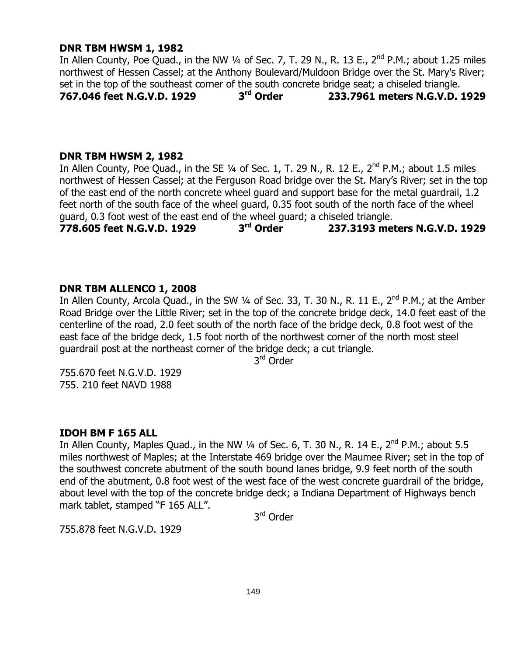## **DNR TBM HWSM 1, 1982**

In Allen County, Poe Quad., in the NW  $\frac{1}{4}$  of Sec. 7, T. 29 N., R. 13 E., 2<sup>nd</sup> P.M.; about 1.25 miles northwest of Hessen Cassel; at the Anthony Boulevard/Muldoon Bridge over the St. Mary's River; set in the top of the southeast corner of the south concrete bridge seat; a chiseled triangle.<br>767.046 feet N.G.V.D. 1929 3<sup>rd</sup> Order 233.7961 meters N.G.V.D. **767.046 feet N.G.V.D. 1929 3 rd Order 233.7961 meters N.G.V.D. 1929**

## **DNR TBM HWSM 2, 1982**

In Allen County, Poe Quad., in the SE  $\frac{1}{4}$  of Sec. 1, T. 29 N., R. 12 E., 2<sup>nd</sup> P.M.; about 1.5 miles northwest of Hessen Cassel; at the Ferguson Road bridge over the St. Mary"s River; set in the top of the east end of the north concrete wheel guard and support base for the metal guardrail, 1.2 feet north of the south face of the wheel guard, 0.35 foot south of the north face of the wheel guard, 0.3 foot west of the east end of the wheel guard; a chiseled triangle.

**778.605 feet N.G.V.D. 1929 3 rd Order 237.3193 meters N.G.V.D. 1929**

## **DNR TBM ALLENCO 1, 2008**

In Allen County, Arcola Quad., in the SW 1/4 of Sec. 33, T. 30 N., R. 11 E., 2<sup>nd</sup> P.M.; at the Amber Road Bridge over the Little River; set in the top of the concrete bridge deck, 14.0 feet east of the centerline of the road, 2.0 feet south of the north face of the bridge deck, 0.8 foot west of the east face of the bridge deck, 1.5 foot north of the northwest corner of the north most steel guardrail post at the northeast corner of the bridge deck; a cut triangle.

3<sup>rd</sup> Order

755.670 feet N.G.V.D. 1929 755. 210 feet NAVD 1988

## **IDOH BM F 165 ALL**

In Allen County, Maples Quad., in the NW 1/4 of Sec. 6, T. 30 N., R. 14 E., 2<sup>nd</sup> P.M.; about 5.5 miles northwest of Maples; at the Interstate 469 bridge over the Maumee River; set in the top of the southwest concrete abutment of the south bound lanes bridge, 9.9 feet north of the south end of the abutment, 0.8 foot west of the west face of the west concrete guardrail of the bridge, about level with the top of the concrete bridge deck; a Indiana Department of Highways bench mark tablet, stamped "F 165 ALL".

3<sup>rd</sup> Order

755.878 feet N.G.V.D. 1929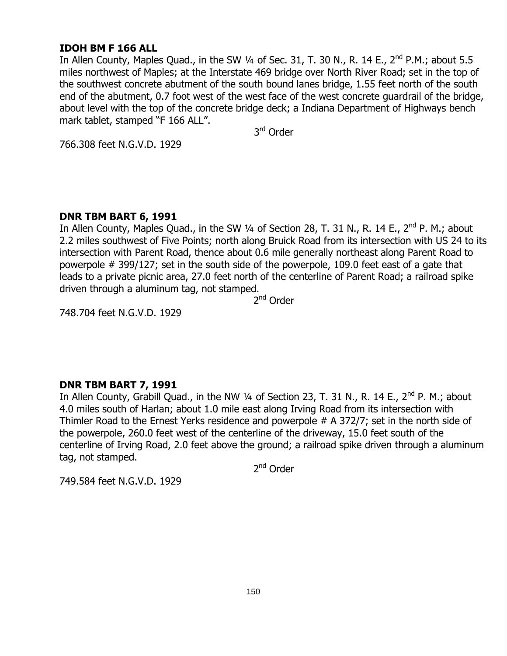## **IDOH BM F 166 ALL**

In Allen County, Maples Quad., in the SW 1/4 of Sec. 31, T. 30 N., R. 14 E., 2<sup>nd</sup> P.M.; about 5.5 miles northwest of Maples; at the Interstate 469 bridge over North River Road; set in the top of the southwest concrete abutment of the south bound lanes bridge, 1.55 feet north of the south end of the abutment, 0.7 foot west of the west face of the west concrete guardrail of the bridge, about level with the top of the concrete bridge deck; a Indiana Department of Highways bench mark tablet, stamped "F 166 ALL".

3<sup>rd</sup> Order

766.308 feet N.G.V.D. 1929

## **DNR TBM BART 6, 1991**

In Allen County, Maples Quad., in the SW 1/4 of Section 28, T. 31 N., R. 14 E., 2<sup>nd</sup> P. M.; about 2.2 miles southwest of Five Points; north along Bruick Road from its intersection with US 24 to its intersection with Parent Road, thence about 0.6 mile generally northeast along Parent Road to powerpole # 399/127; set in the south side of the powerpole, 109.0 feet east of a gate that leads to a private picnic area, 27.0 feet north of the centerline of Parent Road; a railroad spike driven through a aluminum tag, not stamped.

2<sup>nd</sup> Order

748.704 feet N.G.V.D. 1929

## **DNR TBM BART 7, 1991**

In Allen County, Grabill Quad., in the NW 1/4 of Section 23, T. 31 N., R. 14 E., 2<sup>nd</sup> P. M.; about 4.0 miles south of Harlan; about 1.0 mile east along Irving Road from its intersection with Thimler Road to the Ernest Yerks residence and powerpole # A 372/7; set in the north side of the powerpole, 260.0 feet west of the centerline of the driveway, 15.0 feet south of the centerline of Irving Road, 2.0 feet above the ground; a railroad spike driven through a aluminum tag, not stamped.

2<sup>nd</sup> Order

749.584 feet N.G.V.D. 1929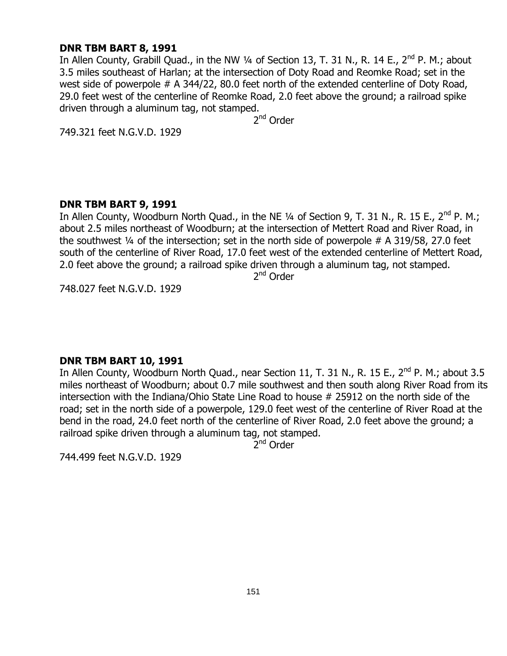#### **DNR TBM BART 8, 1991**

In Allen County, Grabill Quad., in the NW 1/4 of Section 13, T. 31 N., R. 14 E., 2<sup>nd</sup> P. M.; about 3.5 miles southeast of Harlan; at the intersection of Doty Road and Reomke Road; set in the west side of powerpole # A 344/22, 80.0 feet north of the extended centerline of Doty Road, 29.0 feet west of the centerline of Reomke Road, 2.0 feet above the ground; a railroad spike driven through a aluminum tag, not stamped.

2<sup>nd</sup> Order

749.321 feet N.G.V.D. 1929

#### **DNR TBM BART 9, 1991**

In Allen County, Woodburn North Quad., in the NE 1/4 of Section 9, T. 31 N., R. 15 E., 2<sup>nd</sup> P. M.; about 2.5 miles northeast of Woodburn; at the intersection of Mettert Road and River Road, in the southwest  $\frac{1}{4}$  of the intersection; set in the north side of powerpole # A 319/58, 27.0 feet south of the centerline of River Road, 17.0 feet west of the extended centerline of Mettert Road, 2.0 feet above the ground; a railroad spike driven through a aluminum tag, not stamped.

2<sup>nd</sup> Order

748.027 feet N.G.V.D. 1929

## **DNR TBM BART 10, 1991**

In Allen County, Woodburn North Quad., near Section 11, T. 31 N., R. 15 E., 2<sup>nd</sup> P. M.; about 3.5 miles northeast of Woodburn; about 0.7 mile southwest and then south along River Road from its intersection with the Indiana/Ohio State Line Road to house # 25912 on the north side of the road; set in the north side of a powerpole, 129.0 feet west of the centerline of River Road at the bend in the road, 24.0 feet north of the centerline of River Road, 2.0 feet above the ground; a railroad spike driven through a aluminum tag, not stamped.

2<sup>nd</sup> Order

744.499 feet N.G.V.D. 1929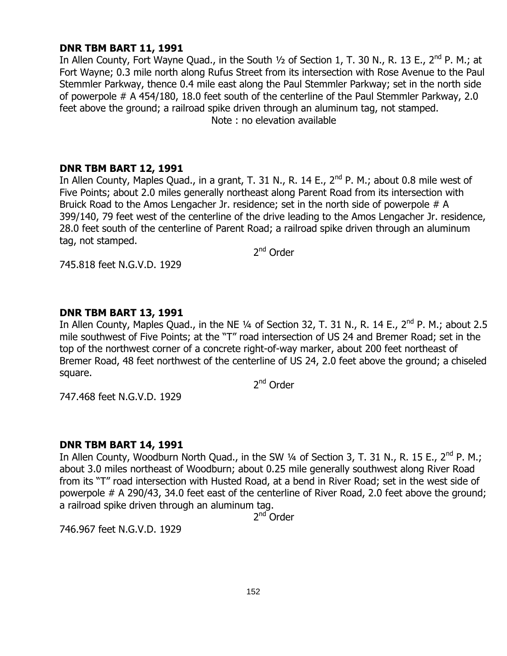## **DNR TBM BART 11, 1991**

In Allen County, Fort Wayne Quad., in the South  $1/2$  of Section 1, T. 30 N., R. 13 E.,  $2^{nd}$  P. M.; at Fort Wayne; 0.3 mile north along Rufus Street from its intersection with Rose Avenue to the Paul Stemmler Parkway, thence 0.4 mile east along the Paul Stemmler Parkway; set in the north side of powerpole # A 454/180, 18.0 feet south of the centerline of the Paul Stemmler Parkway, 2.0 feet above the ground; a railroad spike driven through an aluminum tag, not stamped. Note : no elevation available

## **DNR TBM BART 12, 1991**

In Allen County, Maples Quad., in a grant, T. 31 N., R. 14 E., 2<sup>nd</sup> P. M.; about 0.8 mile west of Five Points; about 2.0 miles generally northeast along Parent Road from its intersection with Bruick Road to the Amos Lengacher Jr. residence; set in the north side of powerpole # A 399/140, 79 feet west of the centerline of the drive leading to the Amos Lengacher Jr. residence, 28.0 feet south of the centerline of Parent Road; a railroad spike driven through an aluminum tag, not stamped.

2<sup>nd</sup> Order

745.818 feet N.G.V.D. 1929

## **DNR TBM BART 13, 1991**

In Allen County, Maples Quad., in the NE 1/4 of Section 32, T. 31 N., R. 14 E., 2<sup>nd</sup> P. M.; about 2.5 mile southwest of Five Points; at the "T" road intersection of US 24 and Bremer Road; set in the top of the northwest corner of a concrete right-of-way marker, about 200 feet northeast of Bremer Road, 48 feet northwest of the centerline of US 24, 2.0 feet above the ground; a chiseled square.

2<sup>nd</sup> Order

747.468 feet N.G.V.D. 1929

## **DNR TBM BART 14, 1991**

In Allen County, Woodburn North Quad., in the SW 1/4 of Section 3, T. 31 N., R. 15 E., 2<sup>nd</sup> P. M.; about 3.0 miles northeast of Woodburn; about 0.25 mile generally southwest along River Road from its "T" road intersection with Husted Road, at a bend in River Road; set in the west side of powerpole # A 290/43, 34.0 feet east of the centerline of River Road, 2.0 feet above the ground; a railroad spike driven through an aluminum tag.

2<sup>nd</sup> Order

746.967 feet N.G.V.D. 1929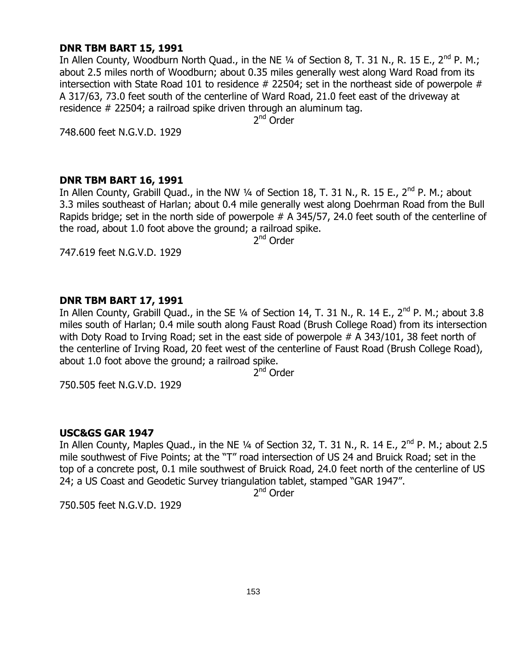#### **DNR TBM BART 15, 1991**

In Allen County, Woodburn North Quad., in the NE  $\frac{1}{4}$  of Section 8, T. 31 N., R. 15 E., 2<sup>nd</sup> P. M.; about 2.5 miles north of Woodburn; about 0.35 miles generally west along Ward Road from its intersection with State Road 101 to residence  $#$  22504; set in the northeast side of powerpole  $#$ A 317/63, 73.0 feet south of the centerline of Ward Road, 21.0 feet east of the driveway at residence # 22504; a railroad spike driven through an aluminum tag.

2<sup>nd</sup> Order

748.600 feet N.G.V.D. 1929

#### **DNR TBM BART 16, 1991**

In Allen County, Grabill Quad., in the NW 1/4 of Section 18, T. 31 N., R. 15 E., 2<sup>nd</sup> P. M.; about 3.3 miles southeast of Harlan; about 0.4 mile generally west along Doehrman Road from the Bull Rapids bridge; set in the north side of powerpole # A 345/57, 24.0 feet south of the centerline of the road, about 1.0 foot above the ground; a railroad spike.

2<sup>nd</sup> Order

747.619 feet N.G.V.D. 1929

## **DNR TBM BART 17, 1991**

In Allen County, Grabill Quad., in the SE 1/4 of Section 14, T. 31 N., R. 14 E., 2<sup>nd</sup> P. M.; about 3.8 miles south of Harlan; 0.4 mile south along Faust Road (Brush College Road) from its intersection with Doty Road to Irving Road; set in the east side of powerpole # A 343/101, 38 feet north of the centerline of Irving Road, 20 feet west of the centerline of Faust Road (Brush College Road), about 1.0 foot above the ground; a railroad spike.

2<sup>nd</sup> Order

750.505 feet N.G.V.D. 1929

## **USC&GS GAR 1947**

In Allen County, Maples Quad., in the NE 1/4 of Section 32, T. 31 N., R. 14 E., 2<sup>nd</sup> P. M.; about 2.5 mile southwest of Five Points; at the "T" road intersection of US 24 and Bruick Road; set in the top of a concrete post, 0.1 mile southwest of Bruick Road, 24.0 feet north of the centerline of US 24; a US Coast and Geodetic Survey triangulation tablet, stamped "GAR 1947".

2<sup>nd</sup> Order

750.505 feet N.G.V.D. 1929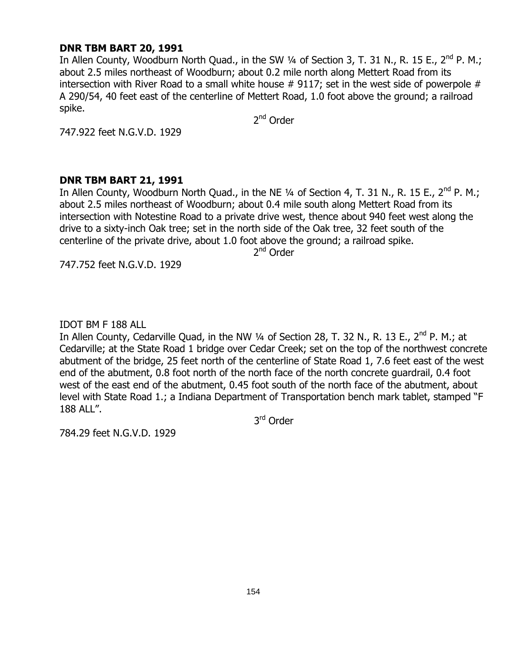## **DNR TBM BART 20, 1991**

In Allen County, Woodburn North Quad., in the SW  $\frac{1}{4}$  of Section 3, T. 31 N., R. 15 E., 2<sup>nd</sup> P. M.; about 2.5 miles northeast of Woodburn; about 0.2 mile north along Mettert Road from its intersection with River Road to a small white house  $#$  9117; set in the west side of powerpole  $#$ A 290/54, 40 feet east of the centerline of Mettert Road, 1.0 foot above the ground; a railroad spike.

2<sup>nd</sup> Order

747.922 feet N.G.V.D. 1929

## **DNR TBM BART 21, 1991**

In Allen County, Woodburn North Quad., in the NE  $\frac{1}{4}$  of Section 4, T. 31 N., R. 15 E., 2<sup>nd</sup> P. M.; about 2.5 miles northeast of Woodburn; about 0.4 mile south along Mettert Road from its intersection with Notestine Road to a private drive west, thence about 940 feet west along the drive to a sixty-inch Oak tree; set in the north side of the Oak tree, 32 feet south of the centerline of the private drive, about 1.0 foot above the ground; a railroad spike.

2<sup>nd</sup> Order

747.752 feet N.G.V.D. 1929

IDOT BM F 188 ALL

In Allen County, Cedarville Quad, in the NW 1/4 of Section 28, T. 32 N., R. 13 E., 2<sup>nd</sup> P. M.; at Cedarville; at the State Road 1 bridge over Cedar Creek; set on the top of the northwest concrete abutment of the bridge, 25 feet north of the centerline of State Road 1, 7.6 feet east of the west end of the abutment, 0.8 foot north of the north face of the north concrete guardrail, 0.4 foot west of the east end of the abutment, 0.45 foot south of the north face of the abutment, about level with State Road 1.; a Indiana Department of Transportation bench mark tablet, stamped "F 188 ALL".

3<sup>rd</sup> Order

784.29 feet N.G.V.D. 1929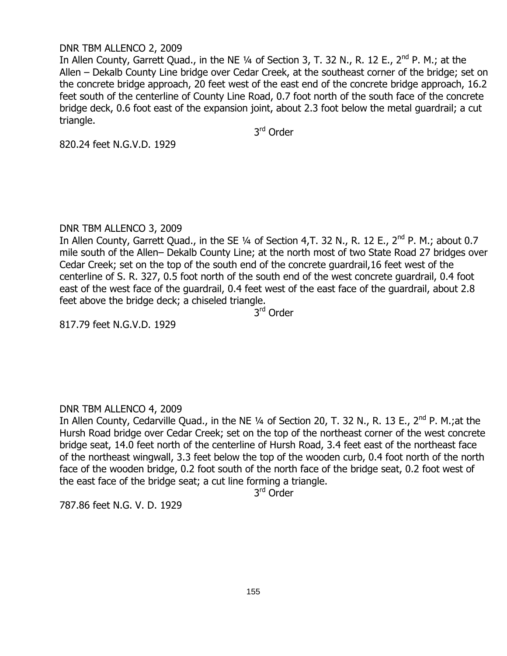#### DNR TBM ALLENCO 2, 2009

In Allen County, Garrett Quad., in the NE  $1/4$  of Section 3, T. 32 N., R. 12 E., 2<sup>nd</sup> P. M.; at the Allen – Dekalb County Line bridge over Cedar Creek, at the southeast corner of the bridge; set on the concrete bridge approach, 20 feet west of the east end of the concrete bridge approach, 16.2 feet south of the centerline of County Line Road, 0.7 foot north of the south face of the concrete bridge deck, 0.6 foot east of the expansion joint, about 2.3 foot below the metal guardrail; a cut triangle.

3<sup>rd</sup> Order

820.24 feet N.G.V.D. 1929

#### DNR TBM ALLENCO 3, 2009

In Allen County, Garrett Quad., in the SE 1/4 of Section 4, T. 32 N., R. 12 E., 2<sup>nd</sup> P. M.; about 0.7 mile south of the Allen– Dekalb County Line; at the north most of two State Road 27 bridges over Cedar Creek; set on the top of the south end of the concrete guardrail,16 feet west of the centerline of S. R. 327, 0.5 foot north of the south end of the west concrete guardrail, 0.4 foot east of the west face of the guardrail, 0.4 feet west of the east face of the guardrail, about 2.8 feet above the bridge deck; a chiseled triangle.

3<sup>rd</sup> Order

817.79 feet N.G.V.D. 1929

## DNR TBM ALLENCO 4, 2009

In Allen County, Cedarville Quad., in the NE 1/4 of Section 20, T. 32 N., R. 13 E., 2<sup>nd</sup> P. M.;at the Hursh Road bridge over Cedar Creek; set on the top of the northeast corner of the west concrete bridge seat, 14.0 feet north of the centerline of Hursh Road, 3.4 feet east of the northeast face of the northeast wingwall, 3.3 feet below the top of the wooden curb, 0.4 foot north of the north face of the wooden bridge, 0.2 foot south of the north face of the bridge seat, 0.2 foot west of the east face of the bridge seat; a cut line forming a triangle.

3<sup>rd</sup> Order

787.86 feet N.G. V. D. 1929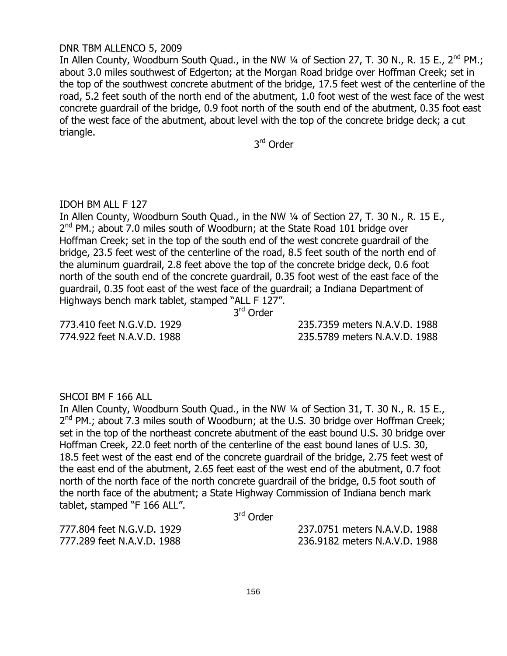#### DNR TBM ALLENCO 5, 2009

In Allen County, Woodburn South Quad., in the NW 1/4 of Section 27, T. 30 N., R. 15 E., 2<sup>nd</sup> PM.; about 3.0 miles southwest of Edgerton; at the Morgan Road bridge over Hoffman Creek; set in the top of the southwest concrete abutment of the bridge, 17.5 feet west of the centerline of the road, 5.2 feet south of the north end of the abutment, 1.0 foot west of the west face of the west concrete guardrail of the bridge, 0.9 foot north of the south end of the abutment, 0.35 foot east of the west face of the abutment, about level with the top of the concrete bridge deck; a cut triangle.

3<sup>rd</sup> Order

#### IDOH BM ALL F 127

In Allen County, Woodburn South Quad., in the NW 1/4 of Section 27, T. 30 N., R. 15 E., 2<sup>nd</sup> PM.; about 7.0 miles south of Woodburn; at the State Road 101 bridge over Hoffman Creek; set in the top of the south end of the west concrete guardrail of the bridge, 23.5 feet west of the centerline of the road, 8.5 feet south of the north end of the aluminum guardrail, 2.8 feet above the top of the concrete bridge deck, 0.6 foot north of the south end of the concrete guardrail, 0.35 foot west of the east face of the guardrail, 0.35 foot east of the west face of the guardrail; a Indiana Department of Highways bench mark tablet, stamped "ALL F 127".

3<sup>rd</sup> Order

773.410 feet N.G.V.D. 1929 235.7359 meters N.A.V.D. 1988 774.922 feet N.A.V.D. 1988 235.5789 meters N.A.V.D. 1988

#### SHCOI BM F 166 ALL

In Allen County, Woodburn South Quad., in the NW 1/4 of Section 31, T. 30 N., R. 15 E., 2<sup>nd</sup> PM.; about 7.3 miles south of Woodburn; at the U.S. 30 bridge over Hoffman Creek; set in the top of the northeast concrete abutment of the east bound U.S. 30 bridge over Hoffman Creek, 22.0 feet north of the centerline of the east bound lanes of U.S. 30, 18.5 feet west of the east end of the concrete guardrail of the bridge, 2.75 feet west of the east end of the abutment, 2.65 feet east of the west end of the abutment, 0.7 foot north of the north face of the north concrete guardrail of the bridge, 0.5 foot south of the north face of the abutment; a State Highway Commission of Indiana bench mark tablet, stamped "F 166 ALL".

3<sup>rd</sup> Order

777.804 feet N.G.V.D. 1929 237.0751 meters N.A.V.D. 1988 777.289 feet N.A.V.D. 1988 236.9182 meters N.A.V.D. 1988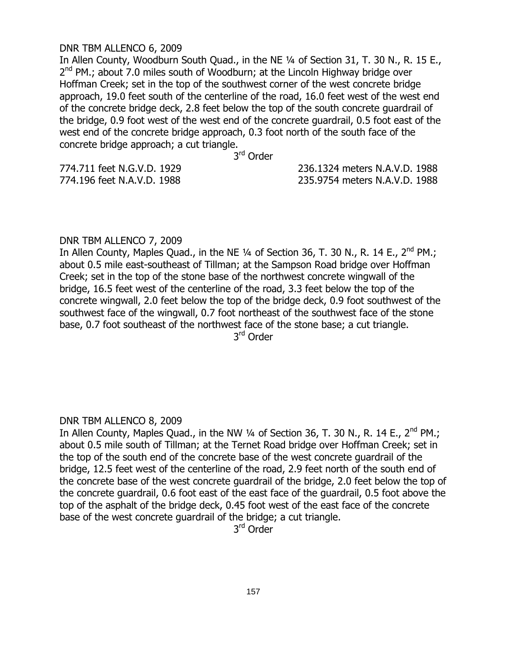#### DNR TBM ALLENCO 6, 2009

In Allen County, Woodburn South Quad., in the NE ¼ of Section 31, T. 30 N., R. 15 E., 2<sup>nd</sup> PM.; about 7.0 miles south of Woodburn; at the Lincoln Highway bridge over Hoffman Creek; set in the top of the southwest corner of the west concrete bridge approach, 19.0 feet south of the centerline of the road, 16.0 feet west of the west end of the concrete bridge deck, 2.8 feet below the top of the south concrete guardrail of the bridge, 0.9 foot west of the west end of the concrete guardrail, 0.5 foot east of the west end of the concrete bridge approach, 0.3 foot north of the south face of the concrete bridge approach; a cut triangle.

3<sup>rd</sup> Order

774.711 feet N.G.V.D. 1929 236.1324 meters N.A.V.D. 1988 774.196 feet N.A.V.D. 1988 235.9754 meters N.A.V.D. 1988

#### DNR TBM ALLENCO 7, 2009

In Allen County, Maples Quad., in the NE  $\frac{1}{4}$  of Section 36, T. 30 N., R. 14 E., 2<sup>nd</sup> PM.; about 0.5 mile east-southeast of Tillman; at the Sampson Road bridge over Hoffman Creek; set in the top of the stone base of the northwest concrete wingwall of the bridge, 16.5 feet west of the centerline of the road, 3.3 feet below the top of the concrete wingwall, 2.0 feet below the top of the bridge deck, 0.9 foot southwest of the southwest face of the wingwall, 0.7 foot northeast of the southwest face of the stone base, 0.7 foot southeast of the northwest face of the stone base; a cut triangle. 3<sup>rd</sup> Order

#### DNR TBM ALLENCO 8, 2009

In Allen County, Maples Quad., in the NW  $1/4$  of Section 36, T. 30 N., R. 14 E.,  $2^{nd}$  PM.; about 0.5 mile south of Tillman; at the Ternet Road bridge over Hoffman Creek; set in the top of the south end of the concrete base of the west concrete guardrail of the bridge, 12.5 feet west of the centerline of the road, 2.9 feet north of the south end of the concrete base of the west concrete guardrail of the bridge, 2.0 feet below the top of the concrete guardrail, 0.6 foot east of the east face of the guardrail, 0.5 foot above the top of the asphalt of the bridge deck, 0.45 foot west of the east face of the concrete base of the west concrete guardrail of the bridge; a cut triangle.

3<sup>rd</sup> Order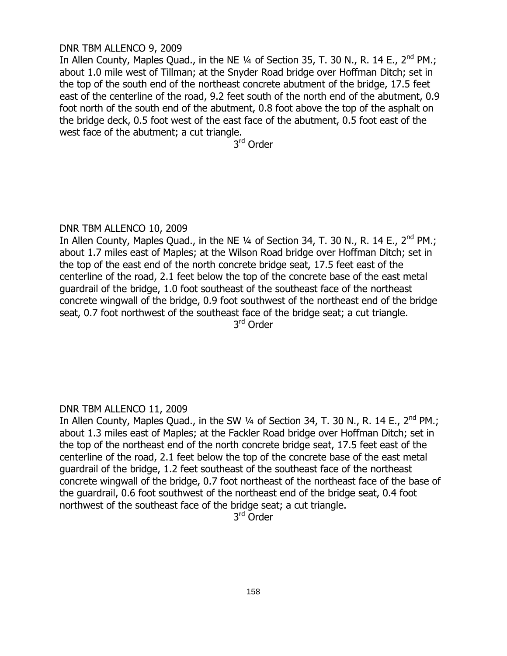#### DNR TBM ALLENCO 9, 2009

In Allen County, Maples Quad., in the NE 1/4 of Section 35, T. 30 N., R. 14 E., 2<sup>nd</sup> PM.; about 1.0 mile west of Tillman; at the Snyder Road bridge over Hoffman Ditch; set in the top of the south end of the northeast concrete abutment of the bridge, 17.5 feet east of the centerline of the road, 9.2 feet south of the north end of the abutment, 0.9 foot north of the south end of the abutment, 0.8 foot above the top of the asphalt on the bridge deck, 0.5 foot west of the east face of the abutment, 0.5 foot east of the west face of the abutment; a cut triangle.

3<sup>rd</sup> Order

## DNR TBM ALLENCO 10, 2009

In Allen County, Maples Quad., in the NE  $\frac{1}{4}$  of Section 34, T. 30 N., R. 14 E., 2<sup>nd</sup> PM.; about 1.7 miles east of Maples; at the Wilson Road bridge over Hoffman Ditch; set in the top of the east end of the north concrete bridge seat, 17.5 feet east of the centerline of the road, 2.1 feet below the top of the concrete base of the east metal guardrail of the bridge, 1.0 foot southeast of the southeast face of the northeast concrete wingwall of the bridge, 0.9 foot southwest of the northeast end of the bridge seat, 0.7 foot northwest of the southeast face of the bridge seat; a cut triangle. 3<sup>rd</sup> Order

## DNR TBM ALLENCO 11, 2009

In Allen County, Maples Quad., in the SW  $\frac{1}{4}$  of Section 34, T. 30 N., R. 14 E., 2<sup>nd</sup> PM.; about 1.3 miles east of Maples; at the Fackler Road bridge over Hoffman Ditch; set in the top of the northeast end of the north concrete bridge seat, 17.5 feet east of the centerline of the road, 2.1 feet below the top of the concrete base of the east metal guardrail of the bridge, 1.2 feet southeast of the southeast face of the northeast concrete wingwall of the bridge, 0.7 foot northeast of the northeast face of the base of the guardrail, 0.6 foot southwest of the northeast end of the bridge seat, 0.4 foot northwest of the southeast face of the bridge seat; a cut triangle.

3<sup>rd</sup> Order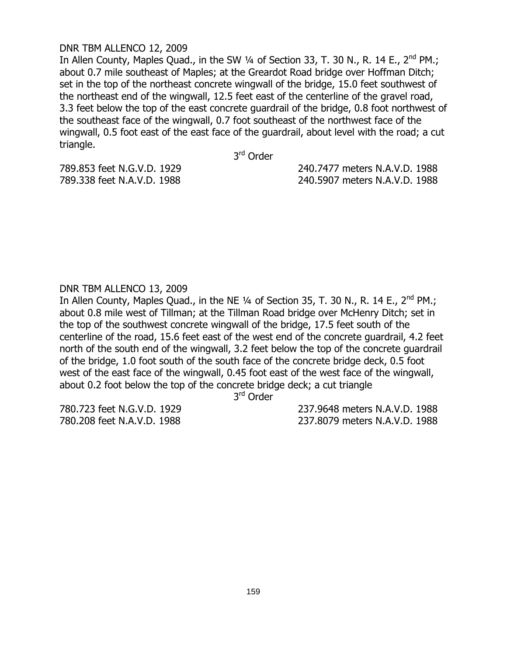#### DNR TBM ALLENCO 12, 2009

In Allen County, Maples Quad., in the SW 1/4 of Section 33, T. 30 N., R. 14 E., 2<sup>nd</sup> PM.; about 0.7 mile southeast of Maples; at the Greardot Road bridge over Hoffman Ditch; set in the top of the northeast concrete wingwall of the bridge, 15.0 feet southwest of the northeast end of the wingwall, 12.5 feet east of the centerline of the gravel road, 3.3 feet below the top of the east concrete guardrail of the bridge, 0.8 foot northwest of the southeast face of the wingwall, 0.7 foot southeast of the northwest face of the wingwall, 0.5 foot east of the east face of the guardrail, about level with the road; a cut triangle.

3<sup>rd</sup> Order

789.853 feet N.G.V.D. 1929 240.7477 meters N.A.V.D. 1988 789.338 feet N.A.V.D. 1988 240.5907 meters N.A.V.D. 1988

## DNR TBM ALLENCO 13, 2009

In Allen County, Maples Quad., in the NE  $\frac{1}{4}$  of Section 35, T. 30 N., R. 14 E., 2<sup>nd</sup> PM.; about 0.8 mile west of Tillman; at the Tillman Road bridge over McHenry Ditch; set in the top of the southwest concrete wingwall of the bridge, 17.5 feet south of the centerline of the road, 15.6 feet east of the west end of the concrete guardrail, 4.2 feet north of the south end of the wingwall, 3.2 feet below the top of the concrete guardrail of the bridge, 1.0 foot south of the south face of the concrete bridge deck, 0.5 foot west of the east face of the wingwall, 0.45 foot east of the west face of the wingwall, about 0.2 foot below the top of the concrete bridge deck; a cut triangle

3<sup>rd</sup> Order

780.723 feet N.G.V.D. 1929 237.9648 meters N.A.V.D. 1988 780.208 feet N.A.V.D. 1988 237.8079 meters N.A.V.D. 1988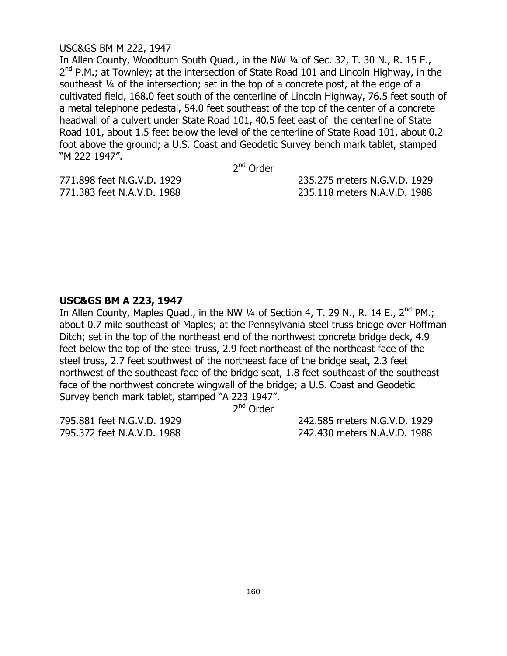#### USC&GS BM M 222, 1947

In Allen County, Woodburn South Quad., in the NW 1/4 of Sec. 32, T. 30 N., R. 15 E., 2<sup>nd</sup> P.M.; at Townley; at the intersection of State Road 101 and Lincoln Highway, in the southeast ¼ of the intersection; set in the top of a concrete post, at the edge of a cultivated field, 168.0 feet south of the centerline of Lincoln Highway, 76.5 feet south of a metal telephone pedestal, 54.0 feet southeast of the top of the center of a concrete headwall of a culvert under State Road 101, 40.5 feet east of the centerline of State Road 101, about 1.5 feet below the level of the centerline of State Road 101, about 0.2 foot above the ground; a U.S. Coast and Geodetic Survey bench mark tablet, stamped "M 222 1947".

2<sup>nd</sup> Order

771.898 feet N.G.V.D. 1929 235.275 meters N.G.V.D. 1929 771.383 feet N.A.V.D. 1988 235.118 meters N.A.V.D. 1988

## **USC&GS BM A 223, 1947**

In Allen County, Maples Quad., in the NW  $\frac{1}{4}$  of Section 4, T. 29 N., R. 14 E., 2<sup>nd</sup> PM.; about 0.7 mile southeast of Maples; at the Pennsylvania steel truss bridge over Hoffman Ditch; set in the top of the northeast end of the northwest concrete bridge deck, 4.9 feet below the top of the steel truss, 2.9 feet northeast of the northeast face of the steel truss, 2.7 feet southwest of the northeast face of the bridge seat, 2.3 feet northwest of the southeast face of the bridge seat, 1.8 feet southeast of the southeast face of the northwest concrete wingwall of the bridge; a U.S. Coast and Geodetic Survey bench mark tablet, stamped "A 223 1947".

2<sup>nd</sup> Order

795.881 feet N.G.V.D. 1929 242.585 meters N.G.V.D. 1929 795.372 feet N.A.V.D. 1988 242.430 meters N.A.V.D. 1988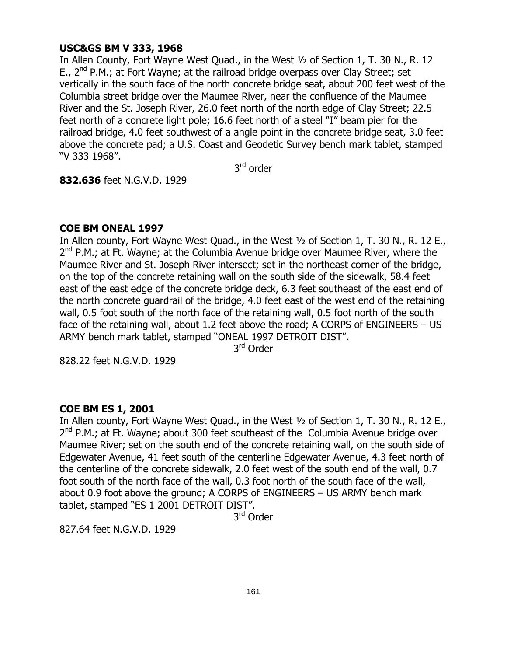## **USC&GS BM V 333, 1968**

In Allen County, Fort Wayne West Quad., in the West ½ of Section 1, T. 30 N., R. 12 E.,  $2^{nd}$  P.M.; at Fort Wayne; at the railroad bridge overpass over Clay Street; set vertically in the south face of the north concrete bridge seat, about 200 feet west of the Columbia street bridge over the Maumee River, near the confluence of the Maumee River and the St. Joseph River, 26.0 feet north of the north edge of Clay Street; 22.5 feet north of a concrete light pole; 16.6 feet north of a steel "I" beam pier for the railroad bridge, 4.0 feet southwest of a angle point in the concrete bridge seat, 3.0 feet above the concrete pad; a U.S. Coast and Geodetic Survey bench mark tablet, stamped "V 333 1968".

3<sup>rd</sup> order

**832.636** feet N.G.V.D. 1929

# **COE BM ONEAL 1997**

In Allen county, Fort Wayne West Quad., in the West ½ of Section 1, T. 30 N., R. 12 E., 2<sup>nd</sup> P.M.; at Ft. Wayne; at the Columbia Avenue bridge over Maumee River, where the Maumee River and St. Joseph River intersect; set in the northeast corner of the bridge, on the top of the concrete retaining wall on the south side of the sidewalk, 58.4 feet east of the east edge of the concrete bridge deck, 6.3 feet southeast of the east end of the north concrete guardrail of the bridge, 4.0 feet east of the west end of the retaining wall, 0.5 foot south of the north face of the retaining wall, 0.5 foot north of the south face of the retaining wall, about 1.2 feet above the road; A CORPS of ENGINEERS – US ARMY bench mark tablet, stamped "ONEAL 1997 DETROIT DIST".

3<sup>rd</sup> Order

828.22 feet N.G.V.D. 1929

## **COE BM ES 1, 2001**

In Allen county, Fort Wayne West Quad., in the West ½ of Section 1, T. 30 N., R. 12 E., 2<sup>nd</sup> P.M.; at Ft. Wayne; about 300 feet southeast of the Columbia Avenue bridge over Maumee River; set on the south end of the concrete retaining wall, on the south side of Edgewater Avenue, 41 feet south of the centerline Edgewater Avenue, 4.3 feet north of the centerline of the concrete sidewalk, 2.0 feet west of the south end of the wall, 0.7 foot south of the north face of the wall, 0.3 foot north of the south face of the wall, about 0.9 foot above the ground; A CORPS of ENGINEERS – US ARMY bench mark tablet, stamped "ES 1 2001 DETROIT DIST".

3<sup>rd</sup> Order

827.64 feet N.G.V.D. 1929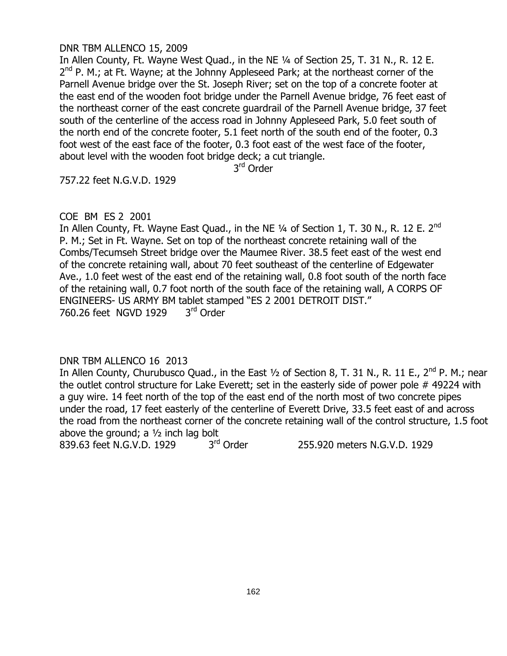#### DNR TBM ALLENCO 15, 2009

In Allen County, Ft. Wayne West Quad., in the NE ¼ of Section 25, T. 31 N., R. 12 E. 2<sup>nd</sup> P. M.; at Ft. Wayne; at the Johnny Appleseed Park; at the northeast corner of the Parnell Avenue bridge over the St. Joseph River; set on the top of a concrete footer at the east end of the wooden foot bridge under the Parnell Avenue bridge, 76 feet east of the northeast corner of the east concrete guardrail of the Parnell Avenue bridge, 37 feet south of the centerline of the access road in Johnny Appleseed Park, 5.0 feet south of the north end of the concrete footer, 5.1 feet north of the south end of the footer, 0.3 foot west of the east face of the footer, 0.3 foot east of the west face of the footer, about level with the wooden foot bridge deck; a cut triangle.

3<sup>rd</sup> Order

757.22 feet N.G.V.D. 1929

#### COE BM ES 2 2001

In Allen County, Ft. Wayne East Quad., in the NE 1/4 of Section 1, T. 30 N., R. 12 E. 2<sup>nd</sup> P. M.; Set in Ft. Wayne. Set on top of the northeast concrete retaining wall of the Combs/Tecumseh Street bridge over the Maumee River. 38.5 feet east of the west end of the concrete retaining wall, about 70 feet southeast of the centerline of Edgewater Ave., 1.0 feet west of the east end of the retaining wall, 0.8 foot south of the north face of the retaining wall, 0.7 foot north of the south face of the retaining wall, A CORPS OF ENGINEERS- US ARMY BM tablet stamped "ES 2 2001 DETROIT DIST." 760.26 feet NGVD 1929 3rd Order

## DNR TBM ALLENCO 16 2013

In Allen County, Churubusco Quad., in the East  $\frac{1}{2}$  of Section 8, T. 31 N., R. 11 E., 2<sup>nd</sup> P. M.; near the outlet control structure for Lake Everett; set in the easterly side of power pole # 49224 with a guy wire. 14 feet north of the top of the east end of the north most of two concrete pipes under the road, 17 feet easterly of the centerline of Everett Drive, 33.5 feet east of and across the road from the northeast corner of the concrete retaining wall of the control structure, 1.5 foot above the ground; a  $1/2$  inch lag bolt

839.63 feet N.G.V.D. 1929 3rd Order

255.920 meters N.G.V.D. 1929